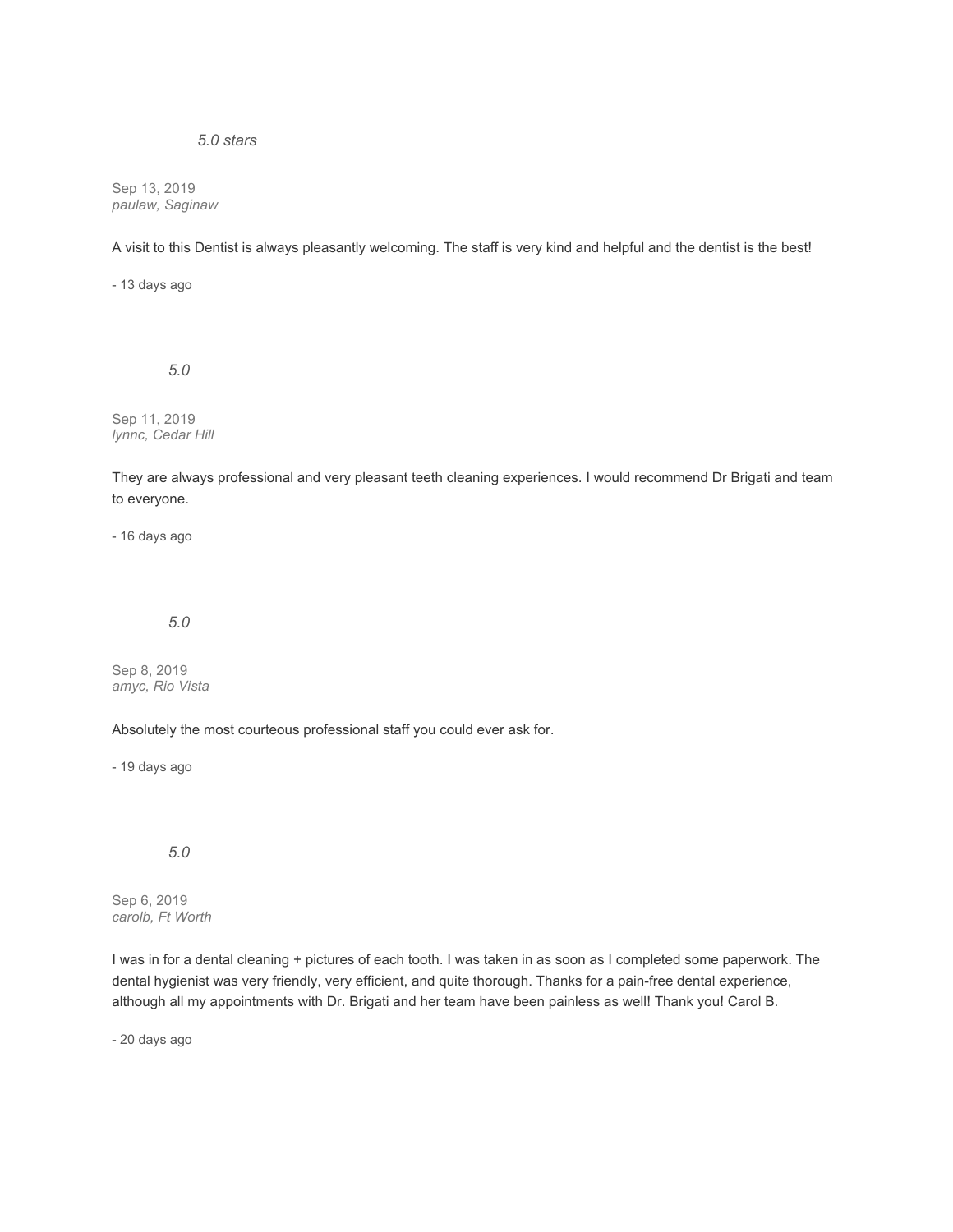# *5.0 stars*

Sep 13, 2019 *paulaw, Saginaw*

A visit to this Dentist is always pleasantly welcoming. The staff is very kind and helpful and the dentist is the best!

- 13 days ago

*5.0*

Sep 11, 2019 *lynnc, Cedar Hill*

They are always professional and very pleasant teeth cleaning experiences. I would recommend Dr Brigati and team to everyone.

- 16 days ago

*5.0*

Sep 8, 2019 *amyc, Rio Vista*

Absolutely the most courteous professional staff you could ever ask for.

- 19 days ago

#### *5.0*

Sep 6, 2019 *carolb, Ft Worth*

I was in for a dental cleaning + pictures of each tooth. I was taken in as soon as I completed some paperwork. The dental hygienist was very friendly, very efficient, and quite thorough. Thanks for a pain-free dental experience, although all my appointments with Dr. Brigati and her team have been painless as well! Thank you! Carol B.

- 20 days ago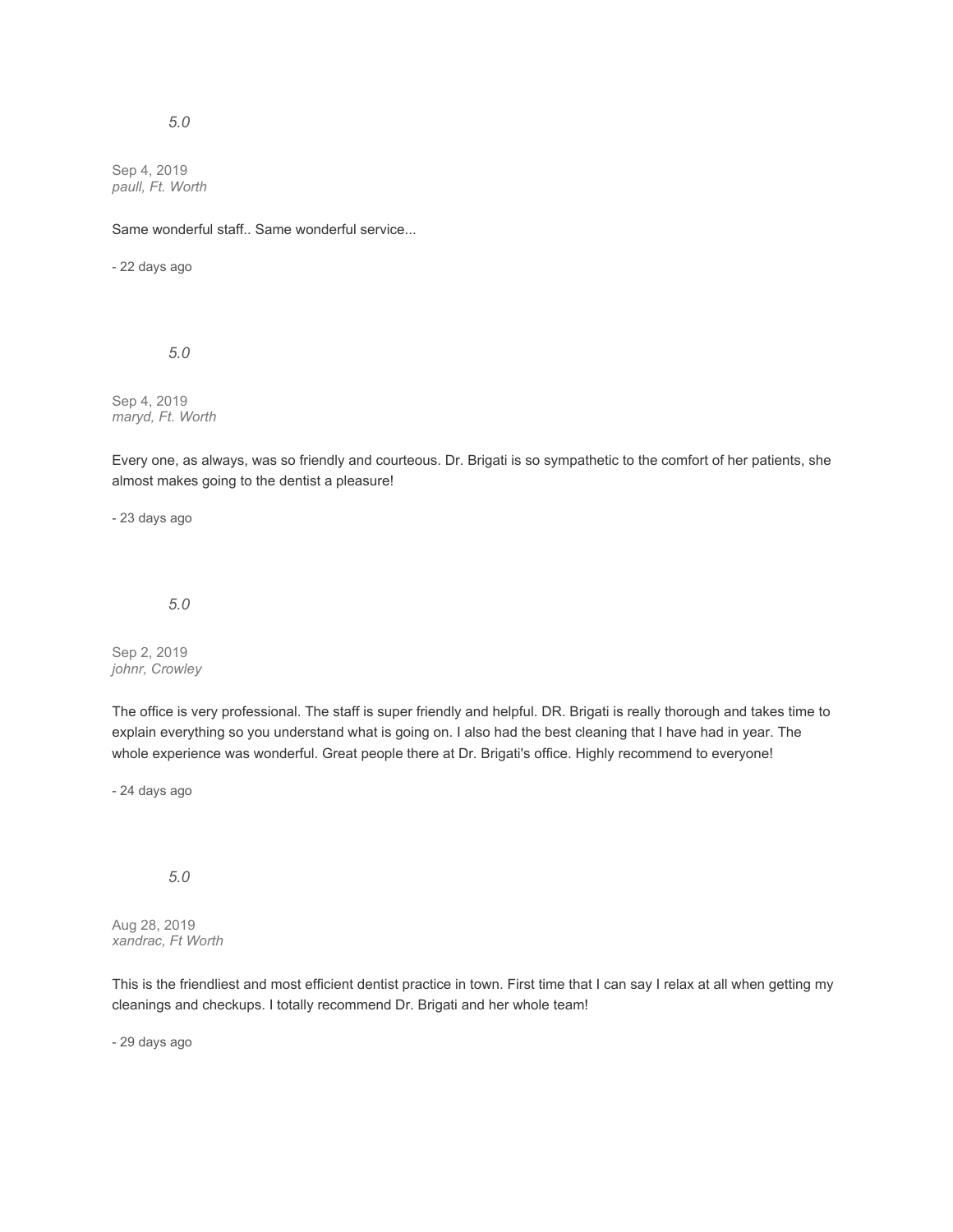Sep 4, 2019 *paull, Ft. Worth*

Same wonderful staff.. Same wonderful service...

- 22 days ago

*5.0*

Sep 4, 2019 *maryd, Ft. Worth*

Every one, as always, was so friendly and courteous. Dr. Brigati is so sympathetic to the comfort of her patients, she almost makes going to the dentist a pleasure!

- 23 days ago

*5.0*

Sep 2, 2019 *johnr, Crowley*

The office is very professional. The staff is super friendly and helpful. DR. Brigati is really thorough and takes time to explain everything so you understand what is going on. I also had the best cleaning that I have had in year. The whole experience was wonderful. Great people there at Dr. Brigati's office. Highly recommend to everyone!

- 24 days ago

*5.0*

Aug 28, 2019 *xandrac, Ft Worth*

This is the friendliest and most efficient dentist practice in town. First time that I can say I relax at all when getting my cleanings and checkups. I totally recommend Dr. Brigati and her whole team!

- 29 days ago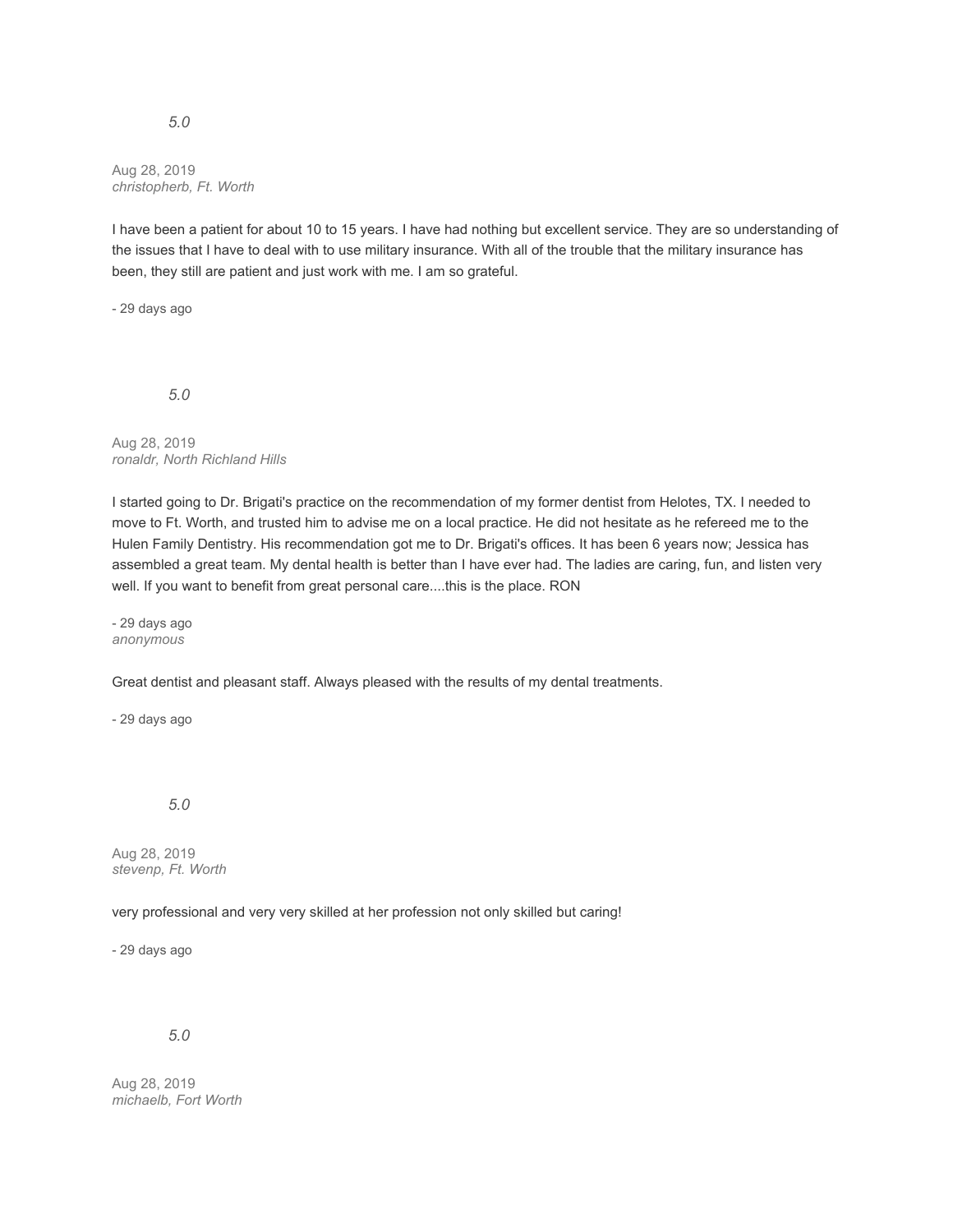#### Aug 28, 2019 *christopherb, Ft. Worth*

I have been a patient for about 10 to 15 years. I have had nothing but excellent service. They are so understanding of the issues that I have to deal with to use military insurance. With all of the trouble that the military insurance has been, they still are patient and just work with me. I am so grateful.

- 29 days ago

*5.0*

Aug 28, 2019 *ronaldr, North Richland Hills*

I started going to Dr. Brigati's practice on the recommendation of my former dentist from Helotes, TX. I needed to move to Ft. Worth, and trusted him to advise me on a local practice. He did not hesitate as he refereed me to the Hulen Family Dentistry. His recommendation got me to Dr. Brigati's offices. It has been 6 years now; Jessica has assembled a great team. My dental health is better than I have ever had. The ladies are caring, fun, and listen very well. If you want to benefit from great personal care....this is the place. RON

- 29 days ago *anonymous*

Great dentist and pleasant staff. Always pleased with the results of my dental treatments.

- 29 days ago

*5.0*

Aug 28, 2019 *stevenp, Ft. Worth*

very professional and very very skilled at her profession not only skilled but caring!

- 29 days ago

*5.0*

Aug 28, 2019 *michaelb, Fort Worth*

#### *5.0*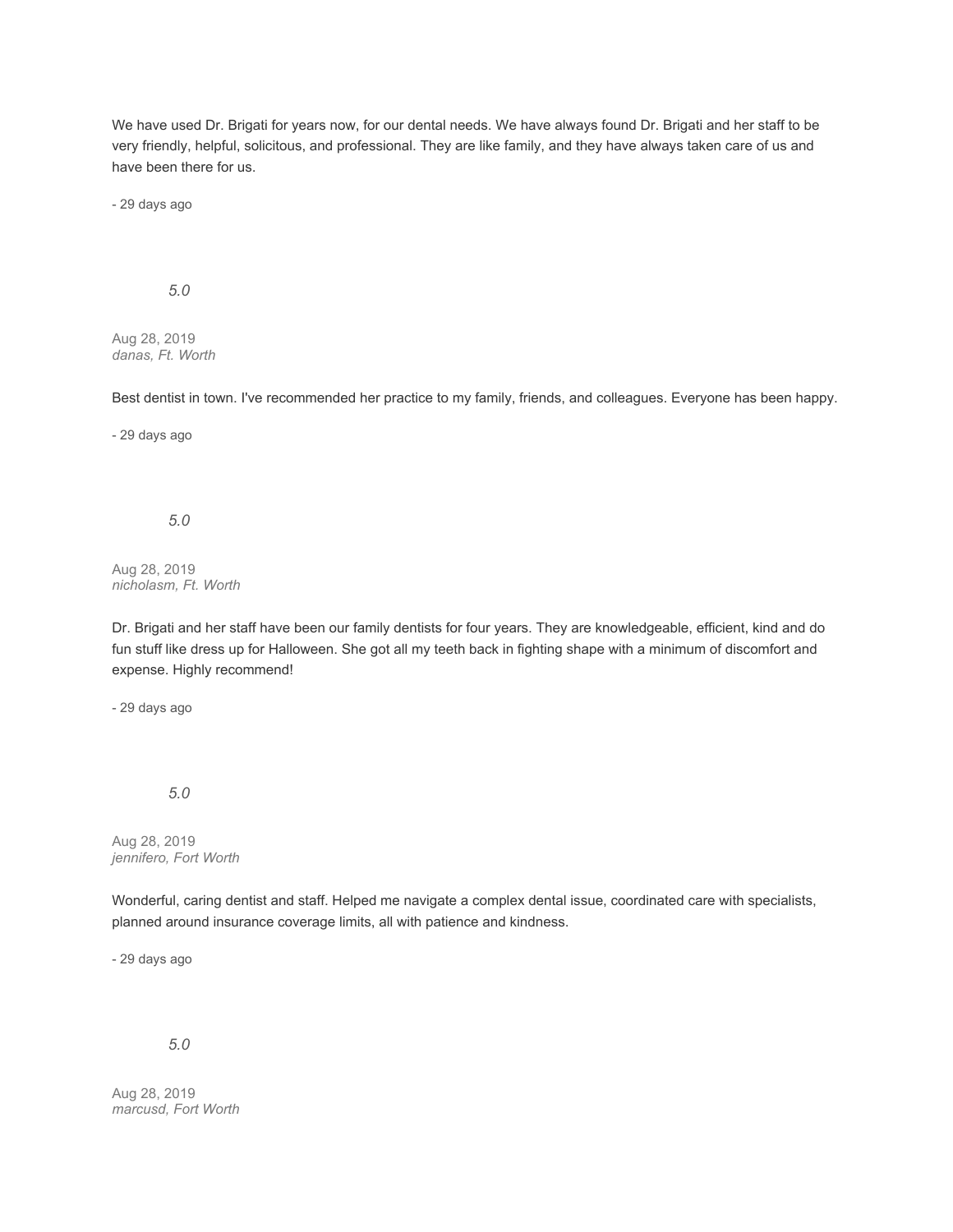We have used Dr. Brigati for years now, for our dental needs. We have always found Dr. Brigati and her staff to be very friendly, helpful, solicitous, and professional. They are like family, and they have always taken care of us and have been there for us.

- 29 days ago

## *5.0*

Aug 28, 2019 *danas, Ft. Worth*

Best dentist in town. I've recommended her practice to my family, friends, and colleagues. Everyone has been happy.

- 29 days ago

#### *5.0*

Aug 28, 2019 *nicholasm, Ft. Worth*

Dr. Brigati and her staff have been our family dentists for four years. They are knowledgeable, efficient, kind and do fun stuff like dress up for Halloween. She got all my teeth back in fighting shape with a minimum of discomfort and expense. Highly recommend!

- 29 days ago

*5.0*

Aug 28, 2019 *jennifero, Fort Worth*

Wonderful, caring dentist and staff. Helped me navigate a complex dental issue, coordinated care with specialists, planned around insurance coverage limits, all with patience and kindness.

- 29 days ago

*5.0*

Aug 28, 2019 *marcusd, Fort Worth*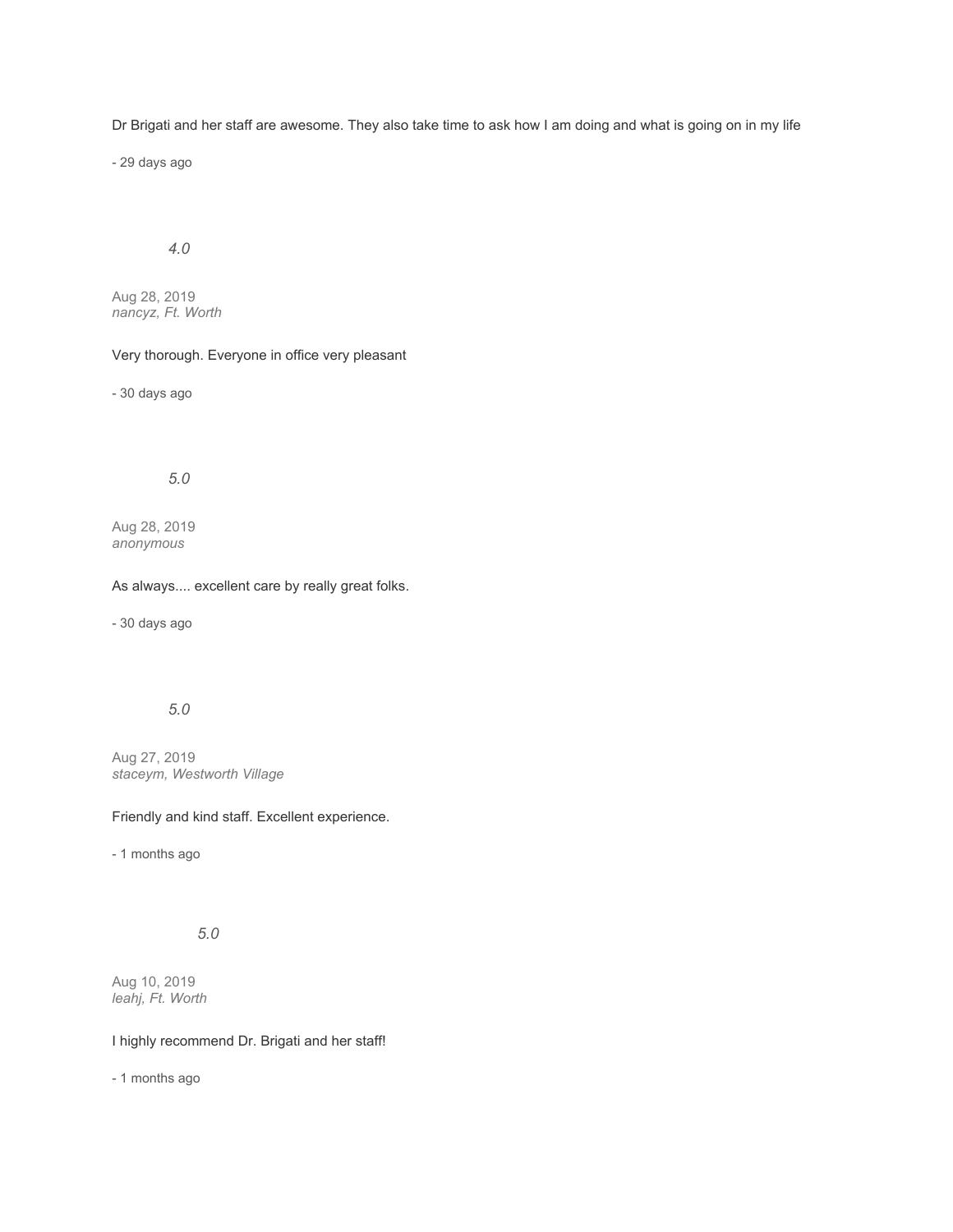Dr Brigati and her staff are awesome. They also take time to ask how I am doing and what is going on in my life

- 29 days ago

# *4.0*

Aug 28, 2019 *nancyz, Ft. Worth*

# Very thorough. Everyone in office very pleasant

- 30 days ago

# *5.0*

Aug 28, 2019 *anonymous*

#### As always.... excellent care by really great folks.

- 30 days ago

# *5.0*

Aug 27, 2019 *staceym, Westworth Village*

#### Friendly and kind staff. Excellent experience.

- 1 months ago

# *5.0*

Aug 10, 2019 *leahj, Ft. Worth*

## I highly recommend Dr. Brigati and her staff!

- 1 months ago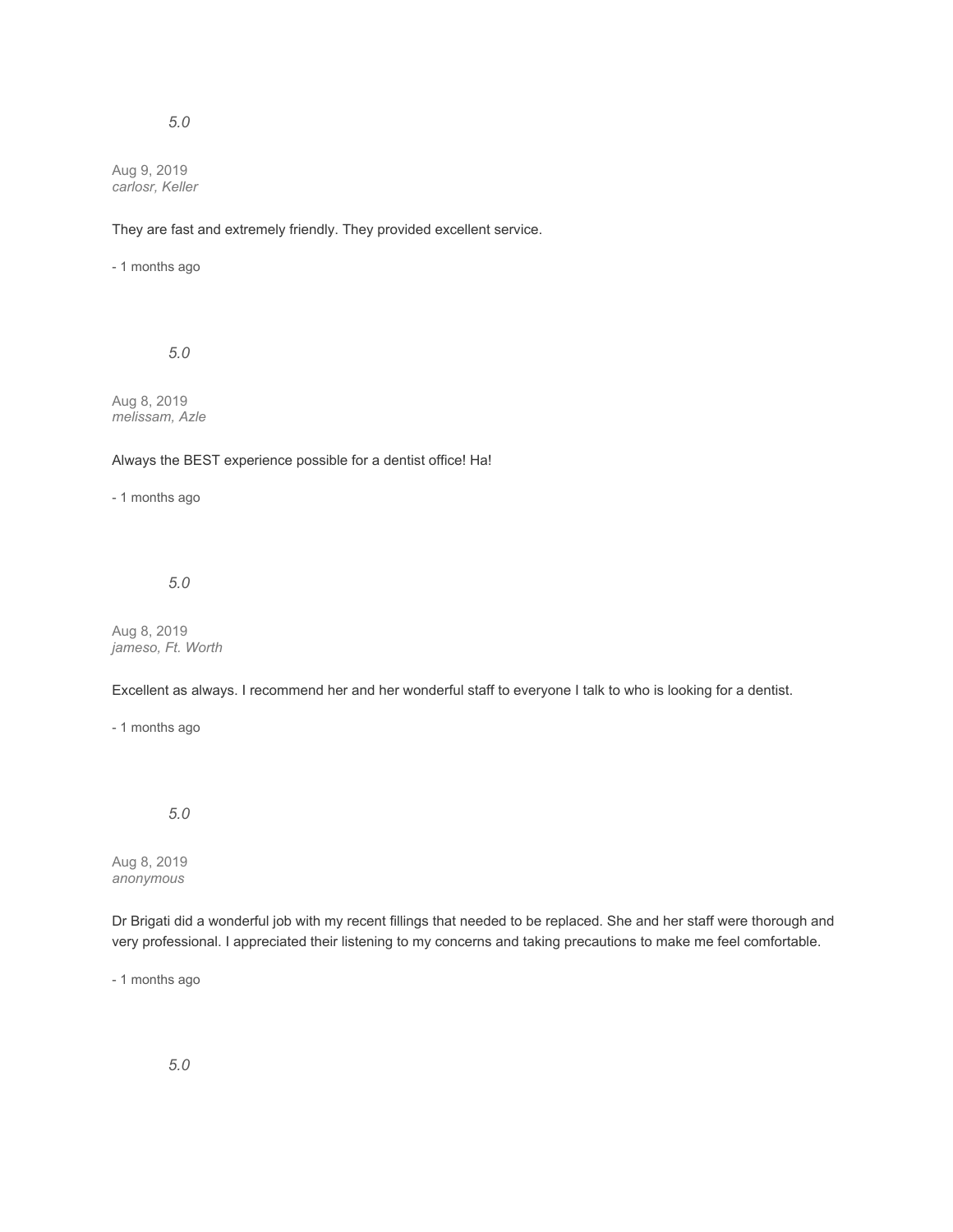Aug 9, 2019 *carlosr, Keller*

## They are fast and extremely friendly. They provided excellent service.

- 1 months ago

*5.0*

Aug 8, 2019 *melissam, Azle*

#### Always the BEST experience possible for a dentist office! Ha!

- 1 months ago

## *5.0*

Aug 8, 2019 *jameso, Ft. Worth*

Excellent as always. I recommend her and her wonderful staff to everyone I talk to who is looking for a dentist.

- 1 months ago

*5.0*

Aug 8, 2019 *anonymous*

Dr Brigati did a wonderful job with my recent fillings that needed to be replaced. She and her staff were thorough and very professional. I appreciated their listening to my concerns and taking precautions to make me feel comfortable.

- 1 months ago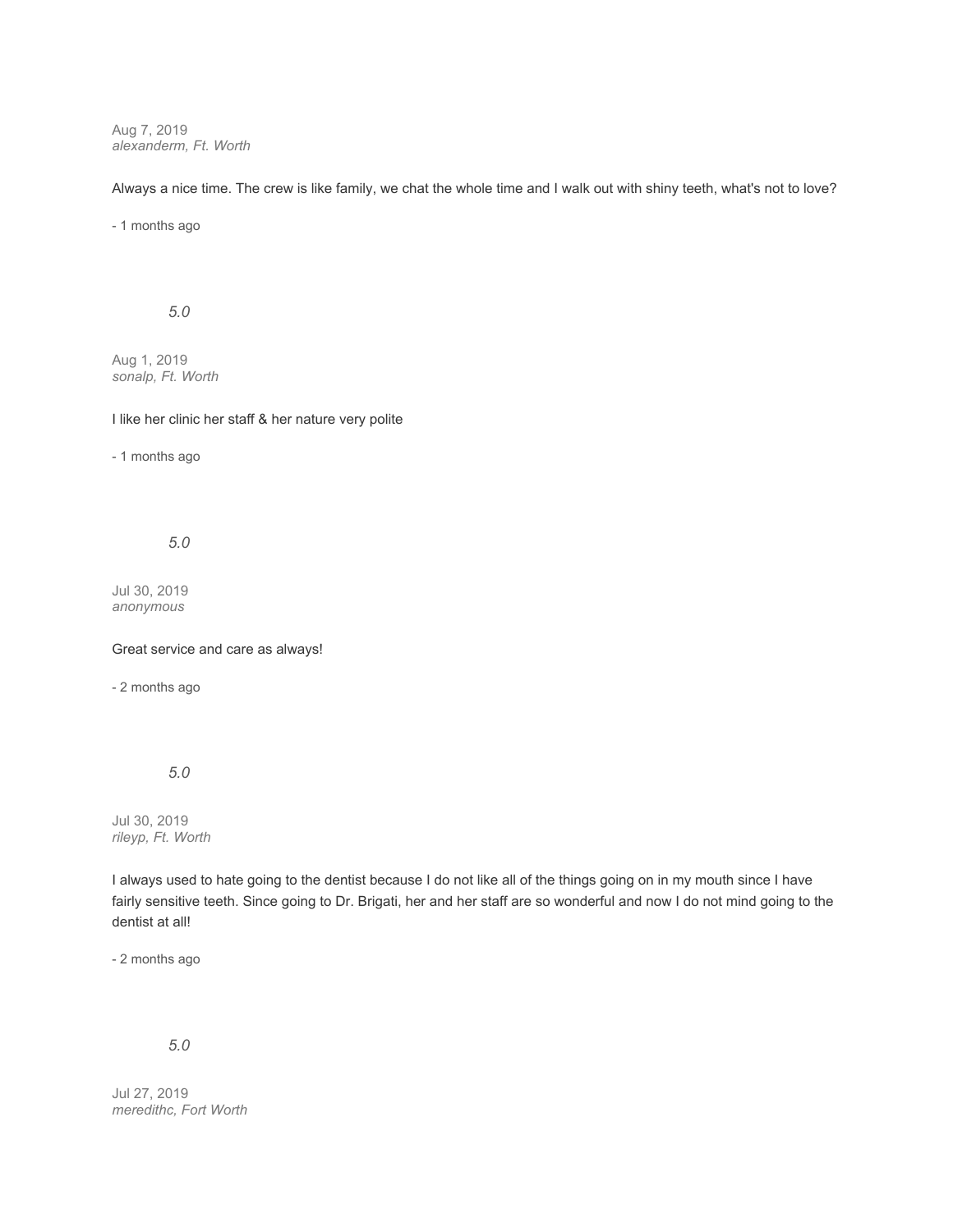Aug 7, 2019 *alexanderm, Ft. Worth*

Always a nice time. The crew is like family, we chat the whole time and I walk out with shiny teeth, what's not to love?

- 1 months ago

### *5.0*

Aug 1, 2019 *sonalp, Ft. Worth*

I like her clinic her staff & her nature very polite

- 1 months ago

*5.0*

Jul 30, 2019 *anonymous*

Great service and care as always!

- 2 months ago

*5.0*

Jul 30, 2019 *rileyp, Ft. Worth*

I always used to hate going to the dentist because I do not like all of the things going on in my mouth since I have fairly sensitive teeth. Since going to Dr. Brigati, her and her staff are so wonderful and now I do not mind going to the dentist at all!

- 2 months ago

# *5.0*

Jul 27, 2019 *meredithc, Fort Worth*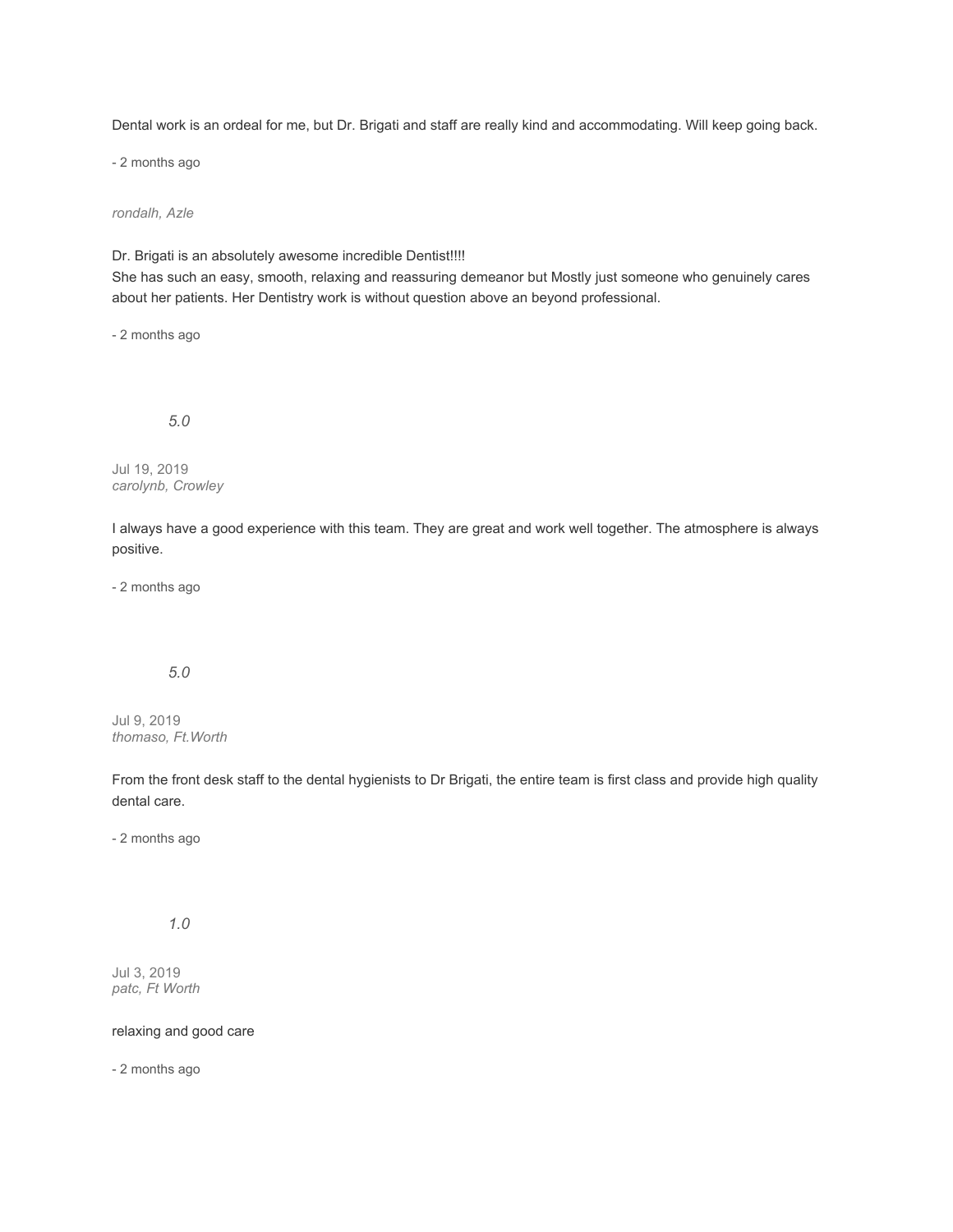Dental work is an ordeal for me, but Dr. Brigati and staff are really kind and accommodating. Will keep going back.

- 2 months ago

*rondalh, Azle*

Dr. Brigati is an absolutely awesome incredible Dentist!!!!

She has such an easy, smooth, relaxing and reassuring demeanor but Mostly just someone who genuinely cares about her patients. Her Dentistry work is without question above an beyond professional.

- 2 months ago

*5.0*

Jul 19, 2019 *carolynb, Crowley*

I always have a good experience with this team. They are great and work well together. The atmosphere is always positive.

- 2 months ago

# *5.0*

Jul 9, 2019 *thomaso, Ft.Worth*

From the front desk staff to the dental hygienists to Dr Brigati, the entire team is first class and provide high quality dental care.

- 2 months ago

# *1.0*

Jul 3, 2019 *patc, Ft Worth*

relaxing and good care

- 2 months ago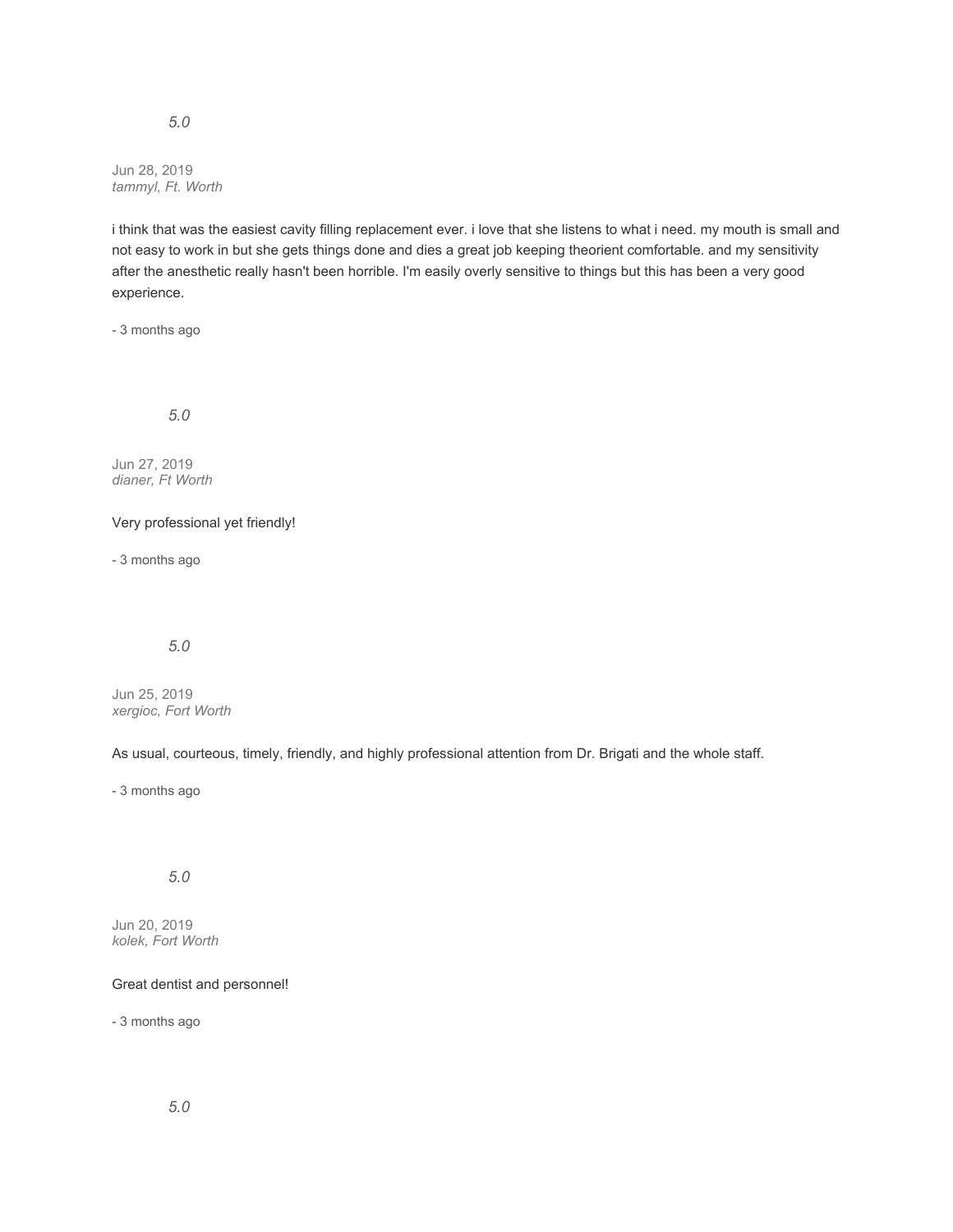Jun 28, 2019 *tammyl, Ft. Worth*

i think that was the easiest cavity filling replacement ever. i love that she listens to what i need. my mouth is small and not easy to work in but she gets things done and dies a great job keeping theorient comfortable. and my sensitivity after the anesthetic really hasn't been horrible. I'm easily overly sensitive to things but this has been a very good experience.

- 3 months ago

*5.0*

Jun 27, 2019 *dianer, Ft Worth*

Very professional yet friendly!

- 3 months ago

*5.0*

Jun 25, 2019 *xergioc, Fort Worth*

As usual, courteous, timely, friendly, and highly professional attention from Dr. Brigati and the whole staff.

- 3 months ago

*5.0*

Jun 20, 2019 *kolek, Fort Worth*

Great dentist and personnel!

- 3 months ago

*5.0*

# *5.0*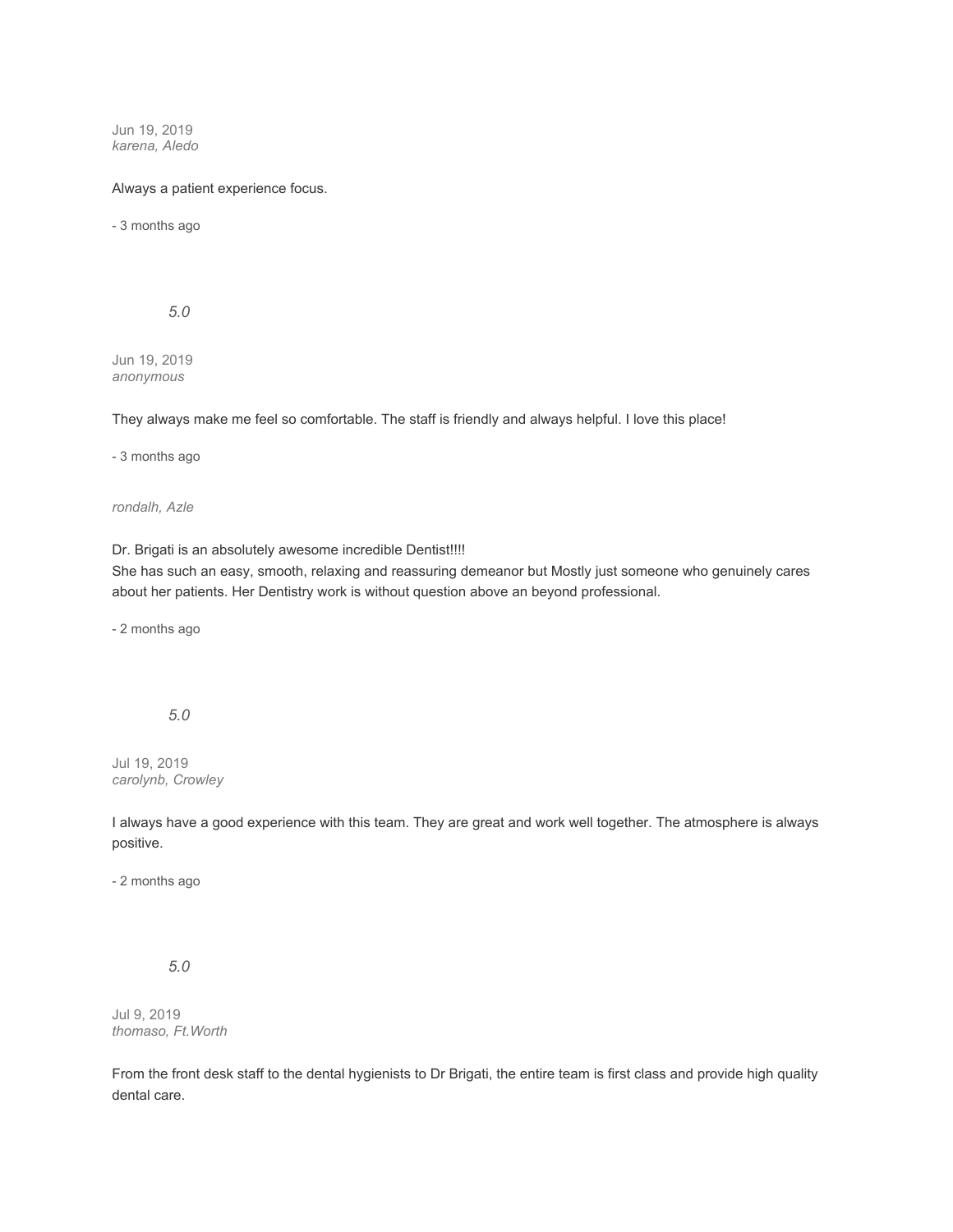Jun 19, 2019 *karena, Aledo*

### Always a patient experience focus.

- 3 months ago

*5.0*

Jun 19, 2019 *anonymous*

They always make me feel so comfortable. The staff is friendly and always helpful. I love this place!

- 3 months ago

*rondalh, Azle*

Dr. Brigati is an absolutely awesome incredible Dentist!!!!

She has such an easy, smooth, relaxing and reassuring demeanor but Mostly just someone who genuinely cares about her patients. Her Dentistry work is without question above an beyond professional.

- 2 months ago

*5.0*

Jul 19, 2019 *carolynb, Crowley*

I always have a good experience with this team. They are great and work well together. The atmosphere is always positive.

- 2 months ago

*5.0*

Jul 9, 2019 *thomaso, Ft.Worth*

From the front desk staff to the dental hygienists to Dr Brigati, the entire team is first class and provide high quality dental care.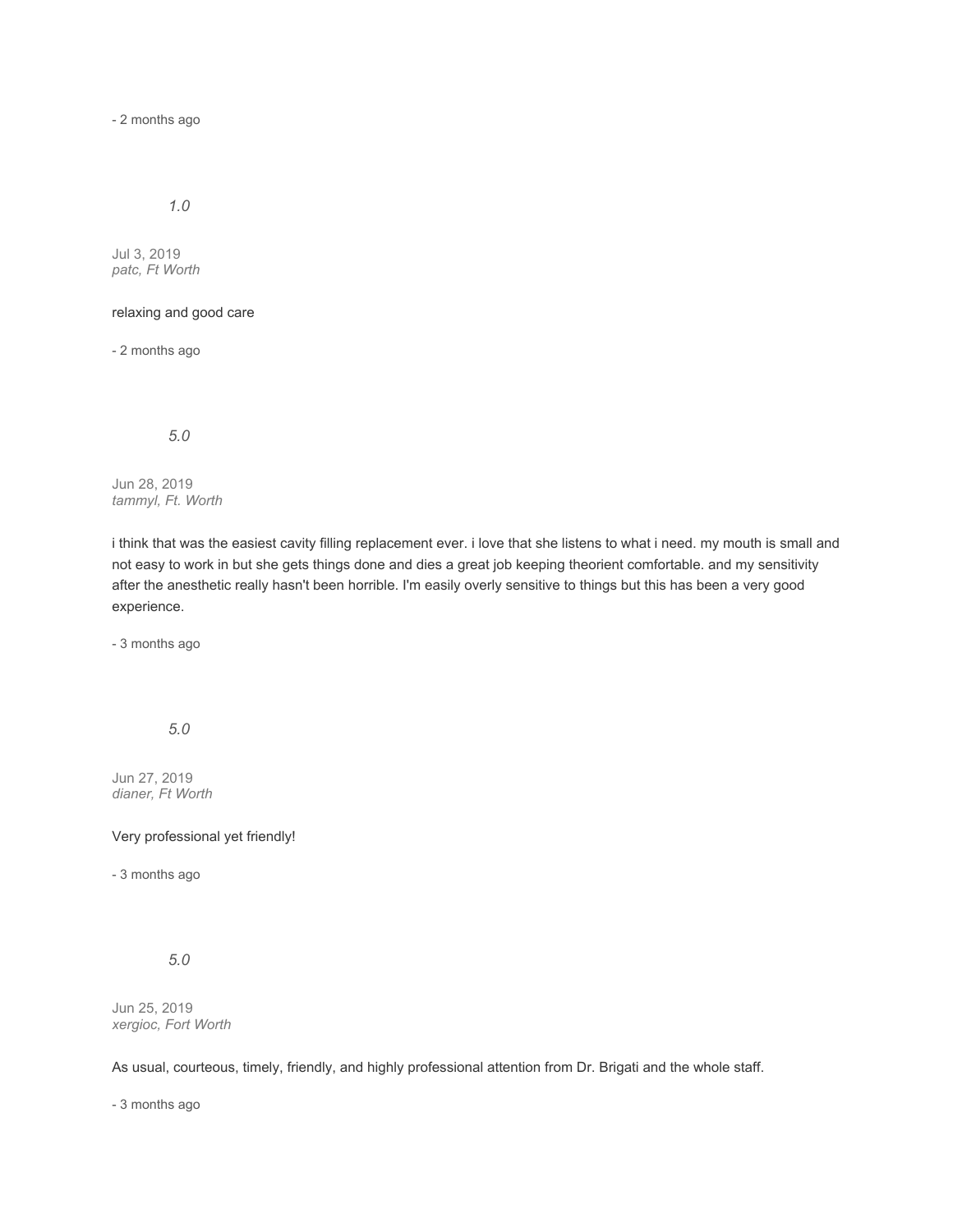- 2 months ago

# *1.0*

Jul 3, 2019 *patc, Ft Worth*

### relaxing and good care

- 2 months ago

*5.0*

Jun 28, 2019 *tammyl, Ft. Worth*

i think that was the easiest cavity filling replacement ever. i love that she listens to what i need. my mouth is small and not easy to work in but she gets things done and dies a great job keeping theorient comfortable. and my sensitivity after the anesthetic really hasn't been horrible. I'm easily overly sensitive to things but this has been a very good experience.

- 3 months ago

*5.0*

Jun 27, 2019 *dianer, Ft Worth*

## Very professional yet friendly!

- 3 months ago

*5.0*

Jun 25, 2019 *xergioc, Fort Worth*

As usual, courteous, timely, friendly, and highly professional attention from Dr. Brigati and the whole staff.

- 3 months ago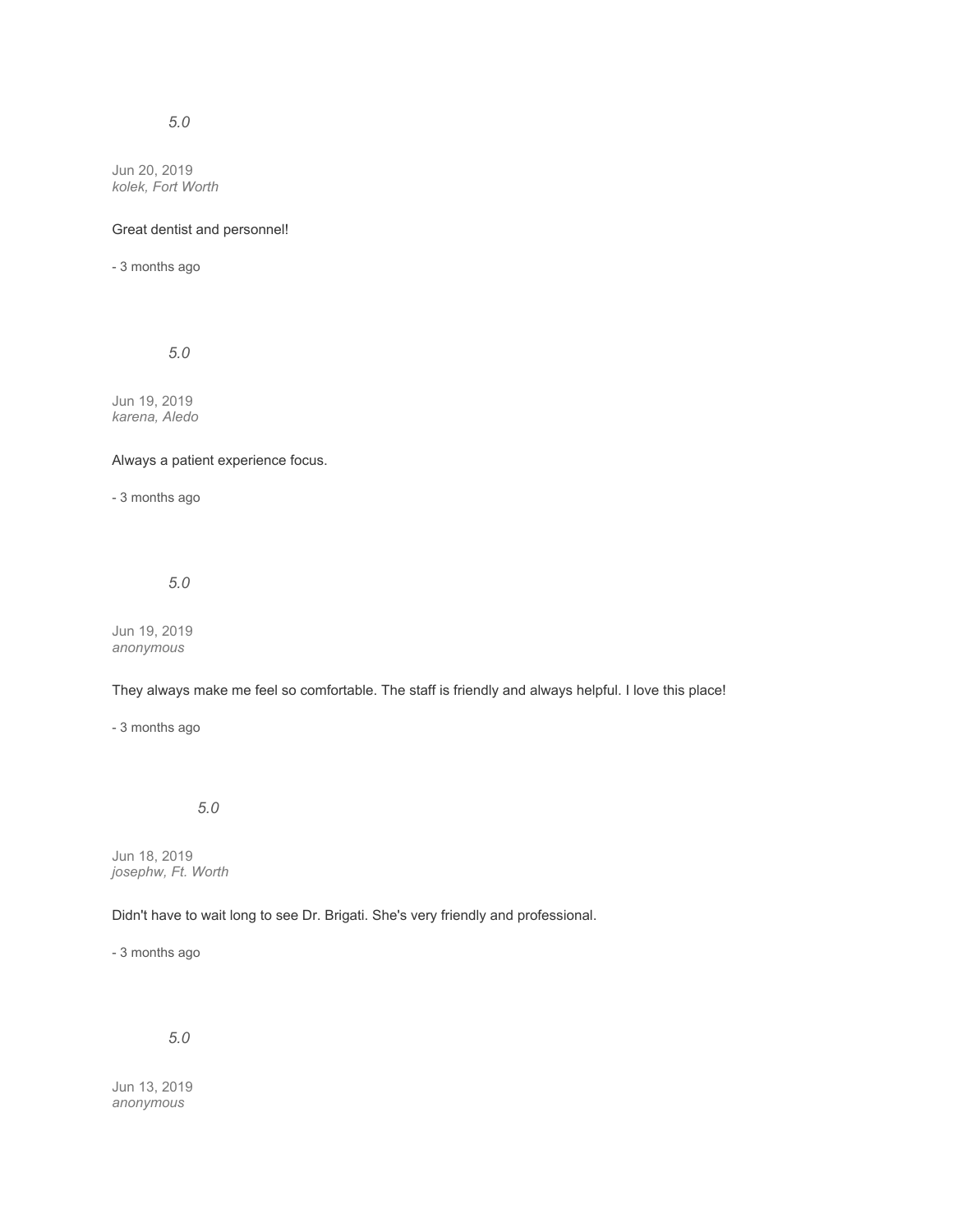Jun 20, 2019 *kolek, Fort Worth*

#### Great dentist and personnel!

- 3 months ago

*5.0*

Jun 19, 2019 *karena, Aledo*

#### Always a patient experience focus.

- 3 months ago

*5.0*

Jun 19, 2019 *anonymous*

## They always make me feel so comfortable. The staff is friendly and always helpful. I love this place!

- 3 months ago

*5.0*

Jun 18, 2019 *josephw, Ft. Worth*

# Didn't have to wait long to see Dr. Brigati. She's very friendly and professional.

- 3 months ago

*5.0*

Jun 13, 2019 *anonymous*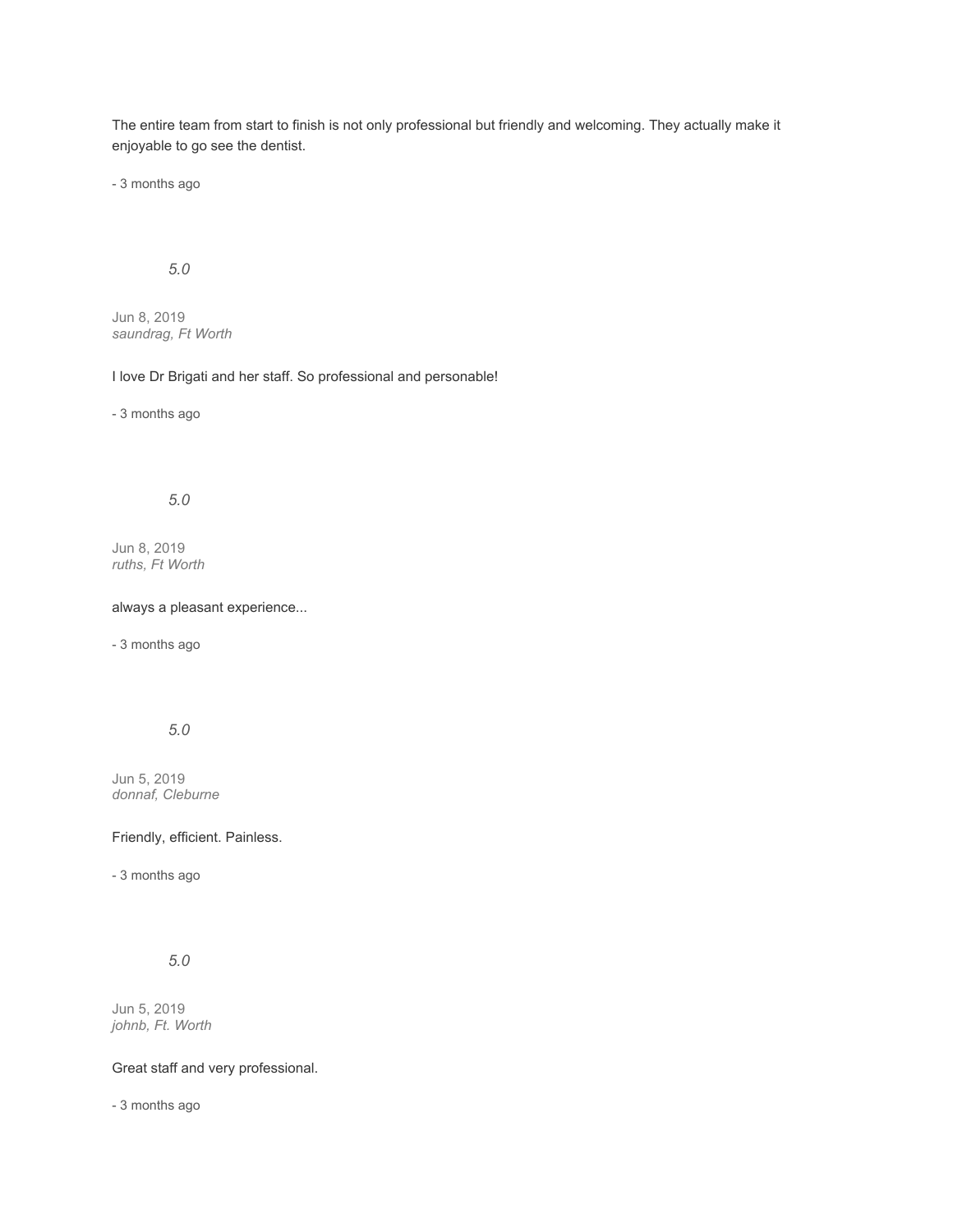The entire team from start to finish is not only professional but friendly and welcoming. They actually make it enjoyable to go see the dentist.

- 3 months ago

# *5.0*

Jun 8, 2019 *saundrag, Ft Worth*

# I love Dr Brigati and her staff. So professional and personable!

- 3 months ago

# *5.0*

Jun 8, 2019 *ruths, Ft Worth*

#### always a pleasant experience...

- 3 months ago

# *5.0*

Jun 5, 2019 *donnaf, Cleburne*

## Friendly, efficient. Painless.

- 3 months ago

# *5.0*

Jun 5, 2019 *johnb, Ft. Worth*

## Great staff and very professional.

- 3 months ago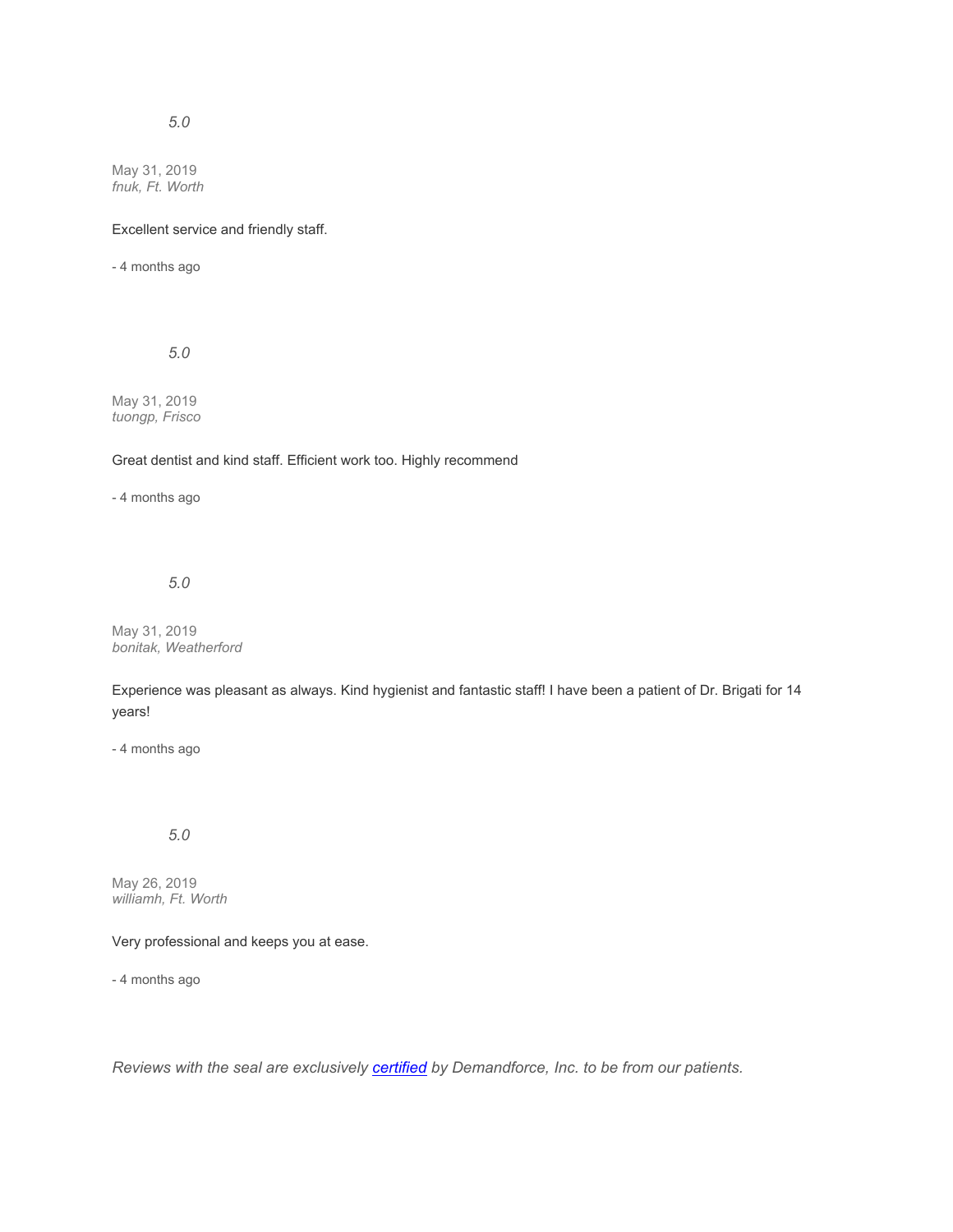May 31, 2019 *fnuk, Ft. Worth*

#### Excellent service and friendly staff.

- 4 months ago

*5.0*

May 31, 2019 *tuongp, Frisco*

# Great dentist and kind staff. Efficient work too. Highly recommend

- 4 months ago

*5.0*

May 31, 2019 *bonitak, Weatherford*

Experience was pleasant as always. Kind hygienist and fantastic staff! I have been a patient of Dr. Brigati for 14 years!

- 4 months ago

*5.0*

May 26, 2019 *williamh, Ft. Worth*

Very professional and keeps you at ease.

- 4 months ago

*Reviews with the seal are exclusively [certified](https://www.demandforce.com/reviewpolicy.php) by Demandforce, Inc. to be from our patients.*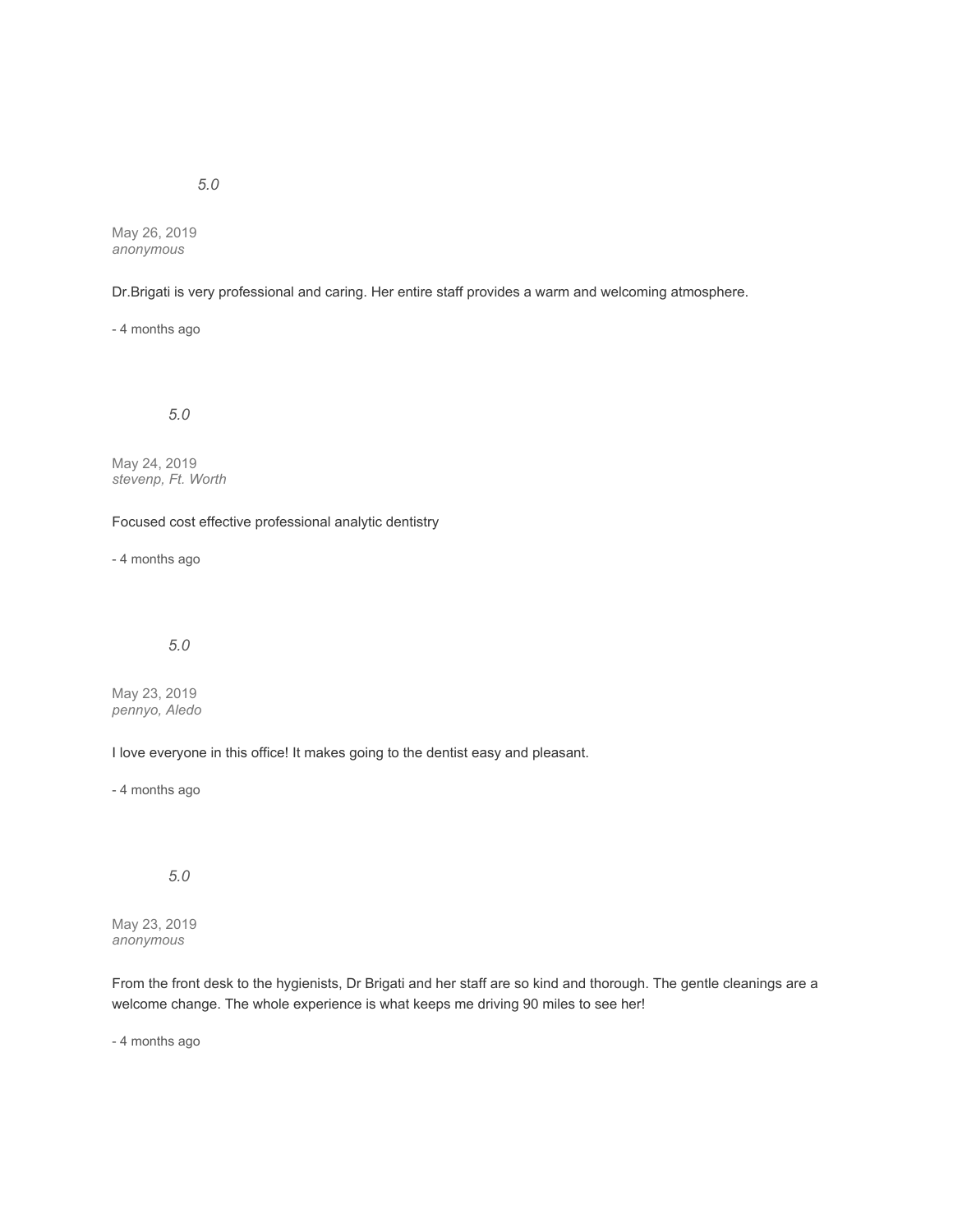May 26, 2019

*anonymous*

## Dr.Brigati is very professional and caring. Her entire staff provides a warm and welcoming atmosphere.

- 4 months ago

*5.0*

May 24, 2019 *stevenp, Ft. Worth*

Focused cost effective professional analytic dentistry

- 4 months ago

*5.0*

May 23, 2019 *pennyo, Aledo*

I love everyone in this office! It makes going to the dentist easy and pleasant.

- 4 months ago

*5.0*

May 23, 2019 *anonymous*

From the front desk to the hygienists, Dr Brigati and her staff are so kind and thorough. The gentle cleanings are a welcome change. The whole experience is what keeps me driving 90 miles to see her!

- 4 months ago

*5.0*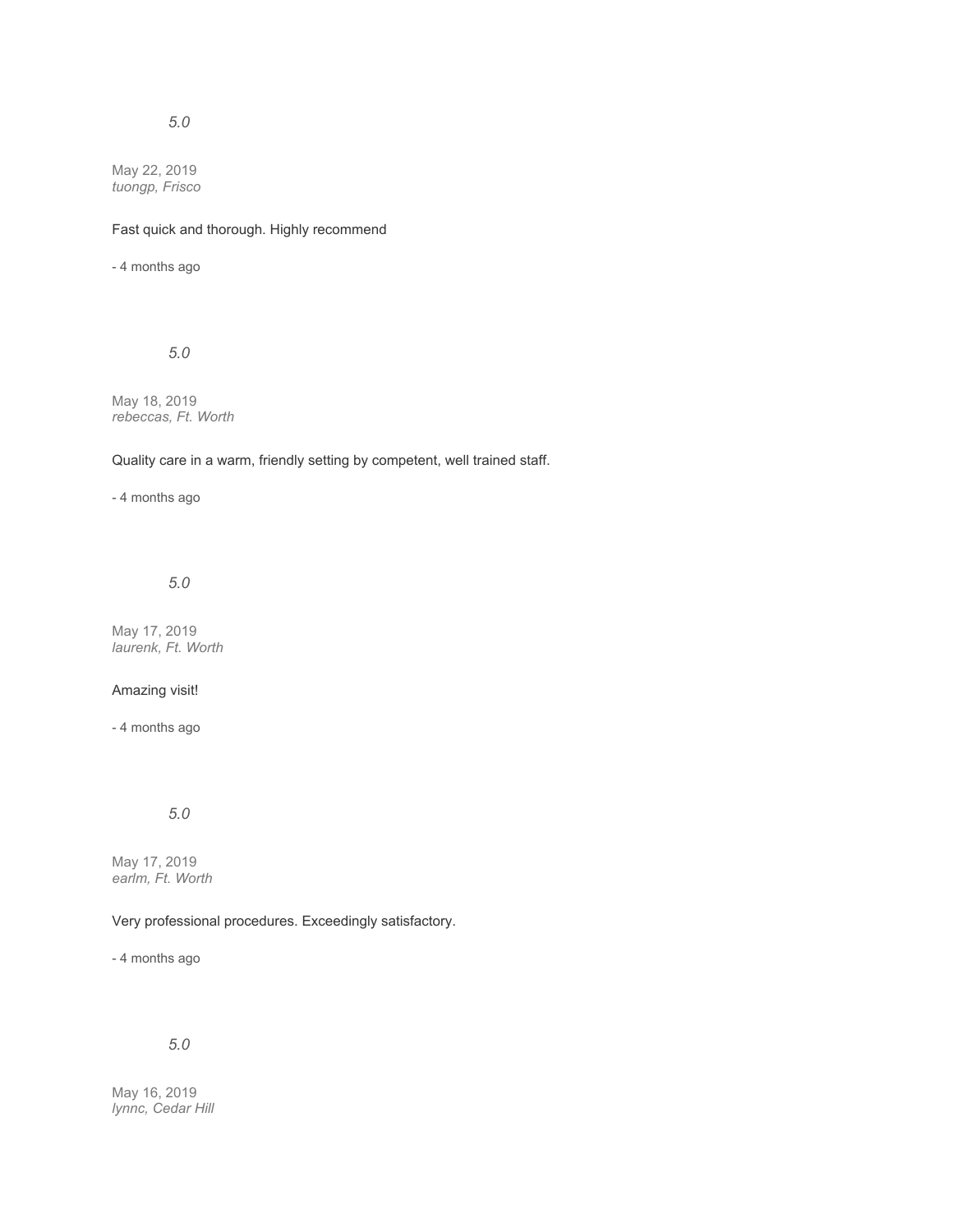May 22, 2019 *tuongp, Frisco*

## Fast quick and thorough. Highly recommend

- 4 months ago

# *5.0*

May 18, 2019 *rebeccas, Ft. Worth*

## Quality care in a warm, friendly setting by competent, well trained staff.

- 4 months ago

#### *5.0*

May 17, 2019 *laurenk, Ft. Worth*

## Amazing visit!

- 4 months ago

# *5.0*

May 17, 2019 *earlm, Ft. Worth*

# Very professional procedures. Exceedingly satisfactory.

- 4 months ago

# *5.0*

May 16, 2019 *lynnc, Cedar Hill*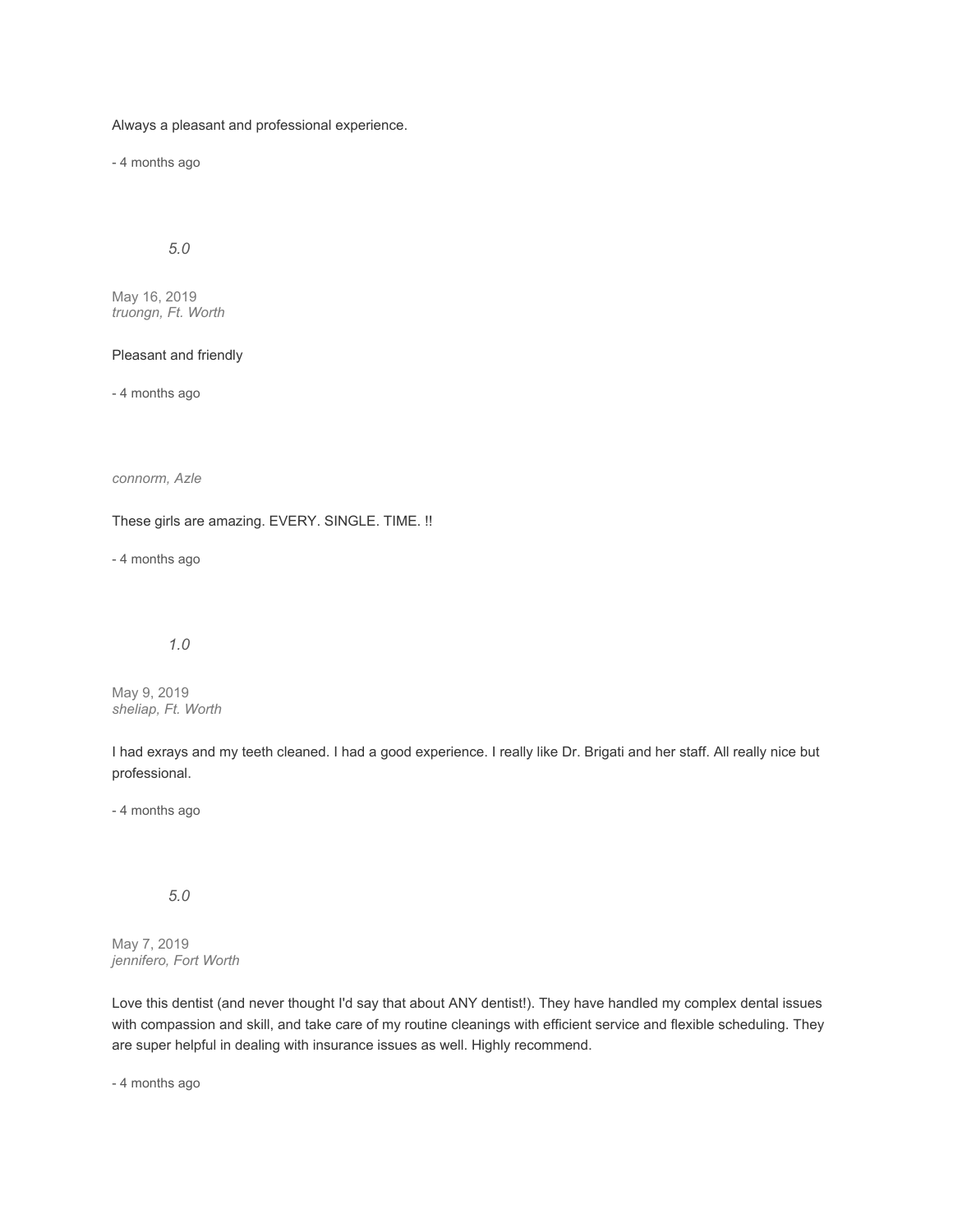Always a pleasant and professional experience.

- 4 months ago

# *5.0*

May 16, 2019 *truongn, Ft. Worth*

#### Pleasant and friendly

- 4 months ago

*connorm, Azle*

These girls are amazing. EVERY. SINGLE. TIME. !!

- 4 months ago

#### *1.0*

May 9, 2019 *sheliap, Ft. Worth*

I had exrays and my teeth cleaned. I had a good experience. I really like Dr. Brigati and her staff. All really nice but professional.

- 4 months ago

*5.0*

May 7, 2019 *jennifero, Fort Worth*

Love this dentist (and never thought I'd say that about ANY dentist!). They have handled my complex dental issues with compassion and skill, and take care of my routine cleanings with efficient service and flexible scheduling. They are super helpful in dealing with insurance issues as well. Highly recommend.

- 4 months ago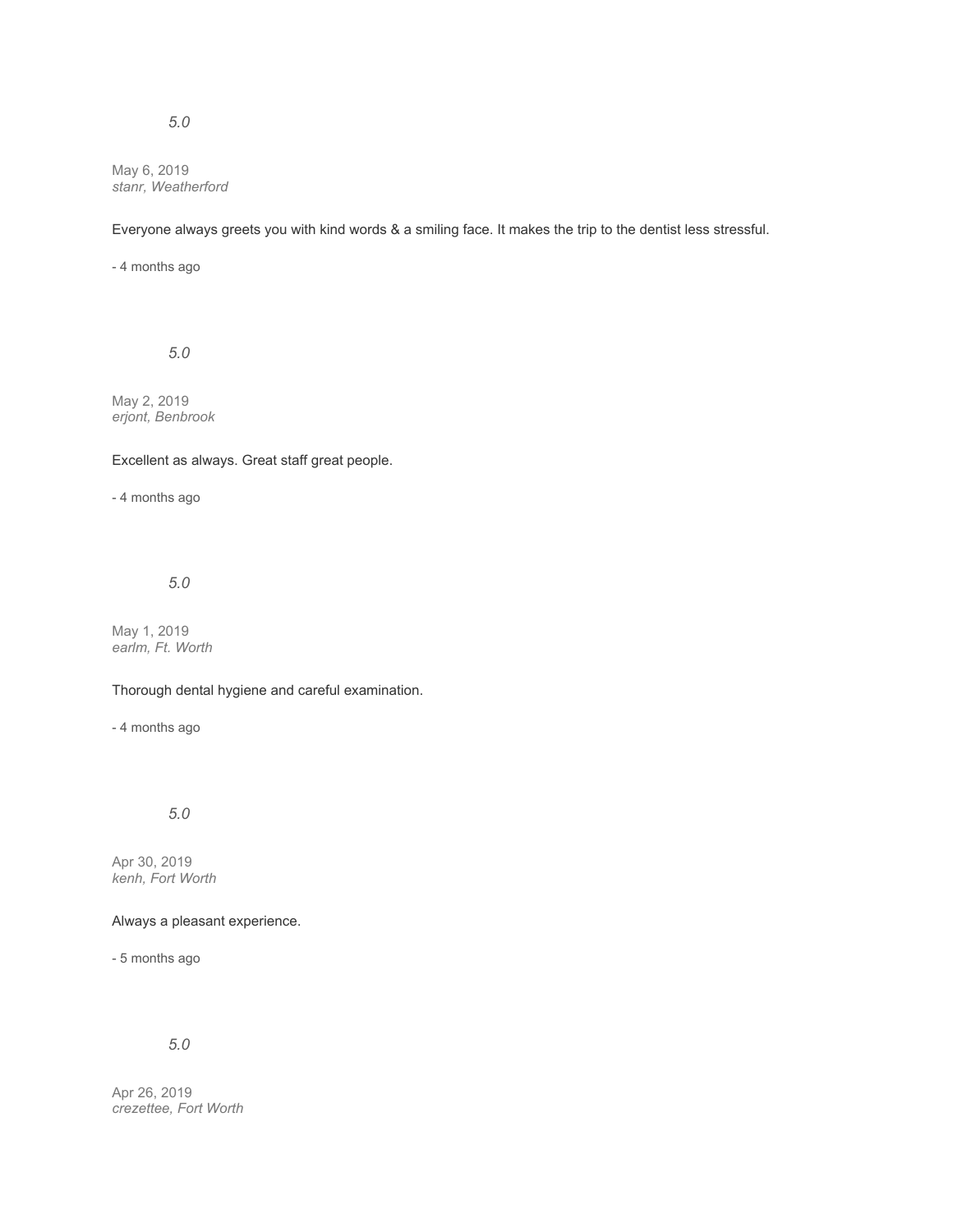May 6, 2019 *stanr, Weatherford*

Everyone always greets you with kind words & a smiling face. It makes the trip to the dentist less stressful.

- 4 months ago

*5.0*

May 2, 2019 *erjont, Benbrook*

## Excellent as always. Great staff great people.

- 4 months ago

## *5.0*

May 1, 2019 *earlm, Ft. Worth*

## Thorough dental hygiene and careful examination.

- 4 months ago

*5.0*

Apr 30, 2019 *kenh, Fort Worth*

## Always a pleasant experience.

- 5 months ago

# *5.0*

Apr 26, 2019 *crezettee, Fort Worth*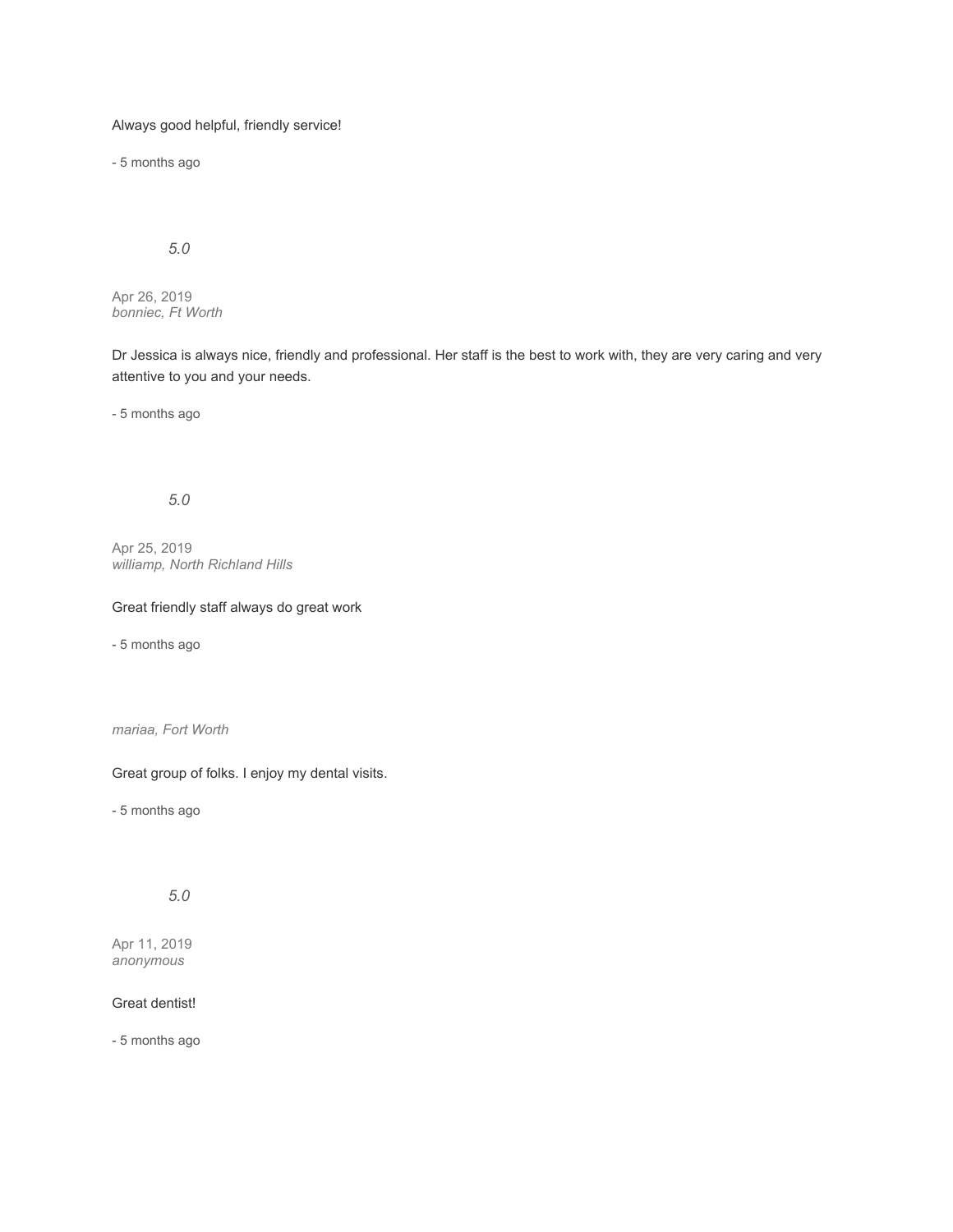# Always good helpful, friendly service!

- 5 months ago

# *5.0*

Apr 26, 2019 *bonniec, Ft Worth*

Dr Jessica is always nice, friendly and professional. Her staff is the best to work with, they are very caring and very attentive to you and your needs.

- 5 months ago

# *5.0*

Apr 25, 2019 *williamp, North Richland Hills*

# Great friendly staff always do great work

- 5 months ago

*mariaa, Fort Worth*

## Great group of folks. I enjoy my dental visits.

- 5 months ago

# *5.0*

Apr 11, 2019 *anonymous*

# Great dentist!

- 5 months ago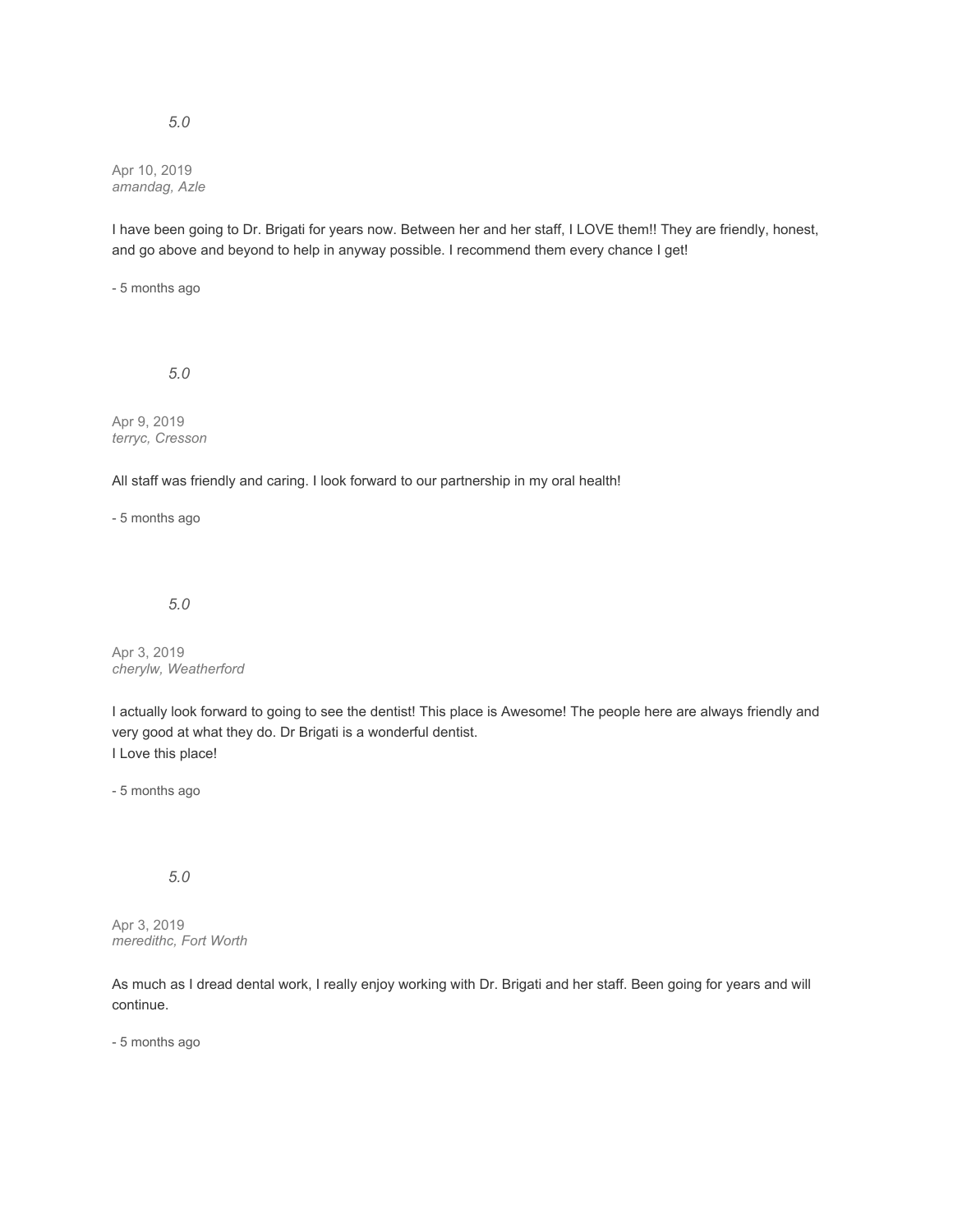Apr 10, 2019 *amandag, Azle*

I have been going to Dr. Brigati for years now. Between her and her staff, I LOVE them!! They are friendly, honest, and go above and beyond to help in anyway possible. I recommend them every chance I get!

- 5 months ago

*5.0*

Apr 9, 2019 *terryc, Cresson*

All staff was friendly and caring. I look forward to our partnership in my oral health!

- 5 months ago

*5.0*

Apr 3, 2019 *cherylw, Weatherford*

I actually look forward to going to see the dentist! This place is Awesome! The people here are always friendly and very good at what they do. Dr Brigati is a wonderful dentist. I Love this place!

- 5 months ago

*5.0*

Apr 3, 2019 *meredithc, Fort Worth*

As much as I dread dental work, I really enjoy working with Dr. Brigati and her staff. Been going for years and will continue.

- 5 months ago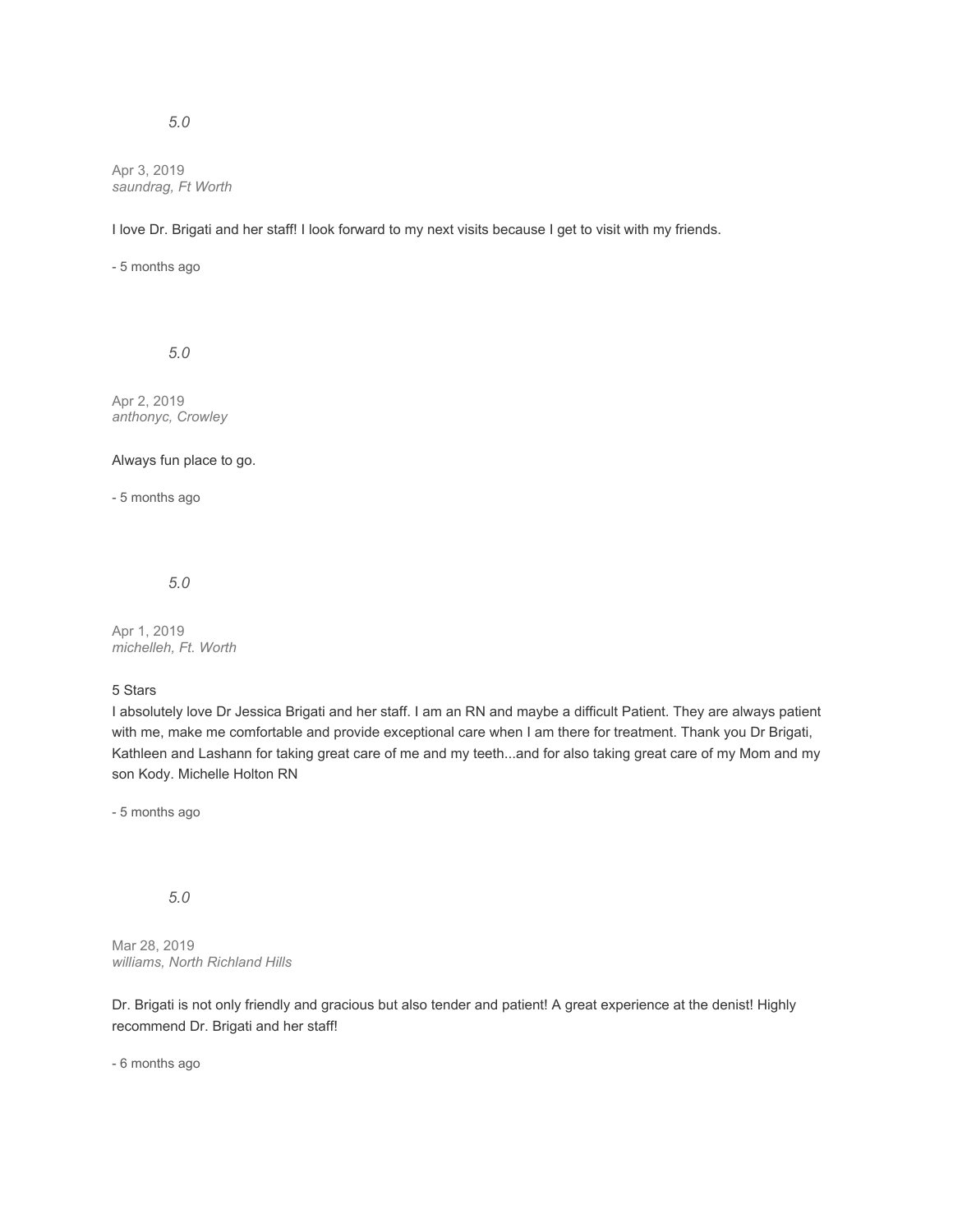Apr 3, 2019 *saundrag, Ft Worth*

I love Dr. Brigati and her staff! I look forward to my next visits because I get to visit with my friends.

- 5 months ago

*5.0*

Apr 2, 2019 *anthonyc, Crowley*

#### Always fun place to go.

- 5 months ago

*5.0*

Apr 1, 2019 *michelleh, Ft. Worth*

#### 5 Stars

I absolutely love Dr Jessica Brigati and her staff. I am an RN and maybe a difficult Patient. They are always patient with me, make me comfortable and provide exceptional care when I am there for treatment. Thank you Dr Brigati, Kathleen and Lashann for taking great care of me and my teeth...and for also taking great care of my Mom and my son Kody. Michelle Holton RN

- 5 months ago

# *5.0*

Mar 28, 2019 *williams, North Richland Hills*

Dr. Brigati is not only friendly and gracious but also tender and patient! A great experience at the denist! Highly recommend Dr. Brigati and her staff!

- 6 months ago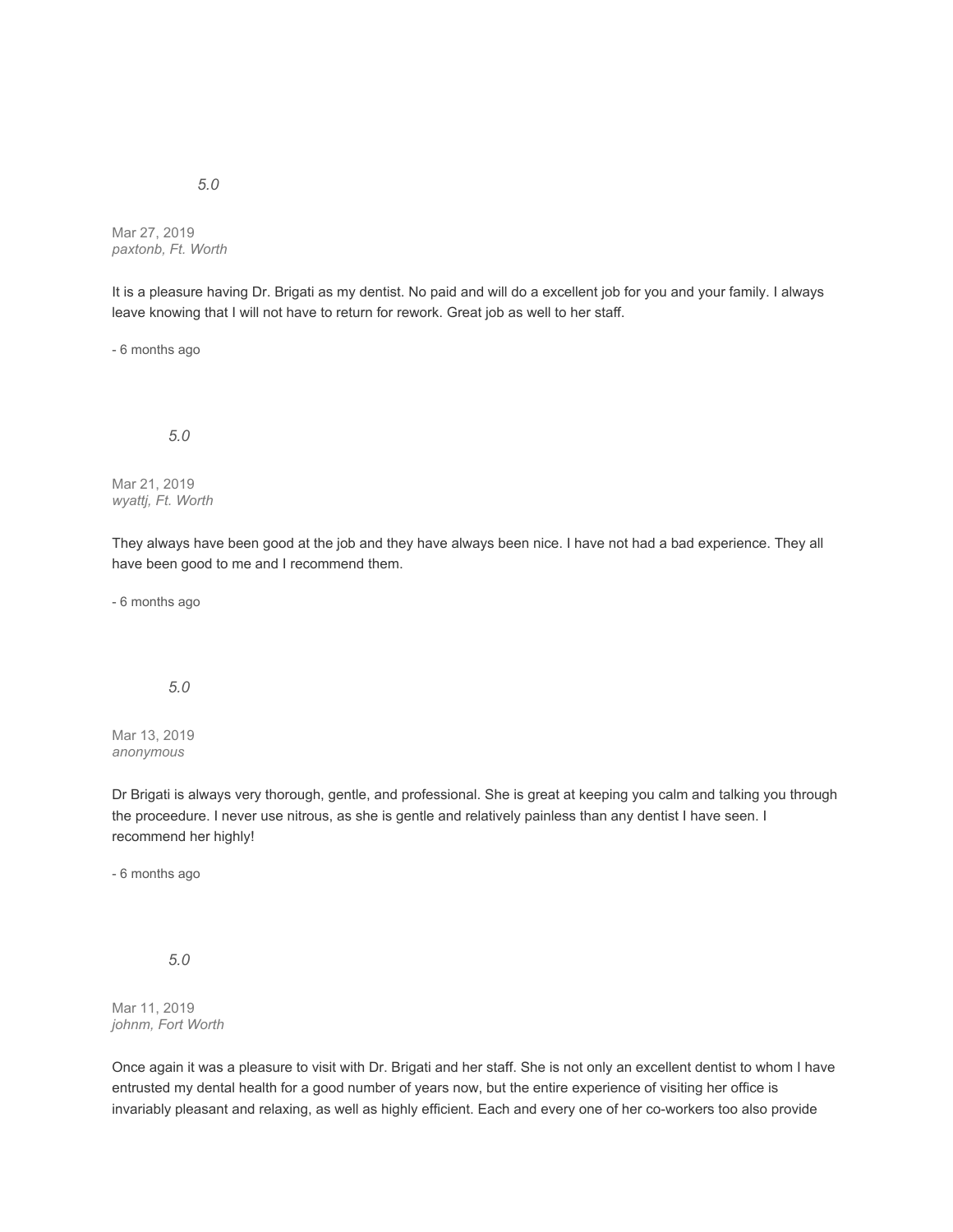Mar 27, 2019 *paxtonb, Ft. Worth*

It is a pleasure having Dr. Brigati as my dentist. No paid and will do a excellent job for you and your family. I always leave knowing that I will not have to return for rework. Great job as well to her staff.

- 6 months ago

*5.0*

Mar 21, 2019 *wyattj, Ft. Worth*

They always have been good at the job and they have always been nice. I have not had a bad experience. They all have been good to me and I recommend them.

- 6 months ago

*5.0*

Mar 13, 2019 *anonymous*

Dr Brigati is always very thorough, gentle, and professional. She is great at keeping you calm and talking you through the proceedure. I never use nitrous, as she is gentle and relatively painless than any dentist I have seen. I recommend her highly!

- 6 months ago

*5.0*

Mar 11, 2019 *johnm, Fort Worth*

Once again it was a pleasure to visit with Dr. Brigati and her staff. She is not only an excellent dentist to whom I have entrusted my dental health for a good number of years now, but the entire experience of visiting her office is invariably pleasant and relaxing, as well as highly efficient. Each and every one of her co-workers too also provide

*5.0*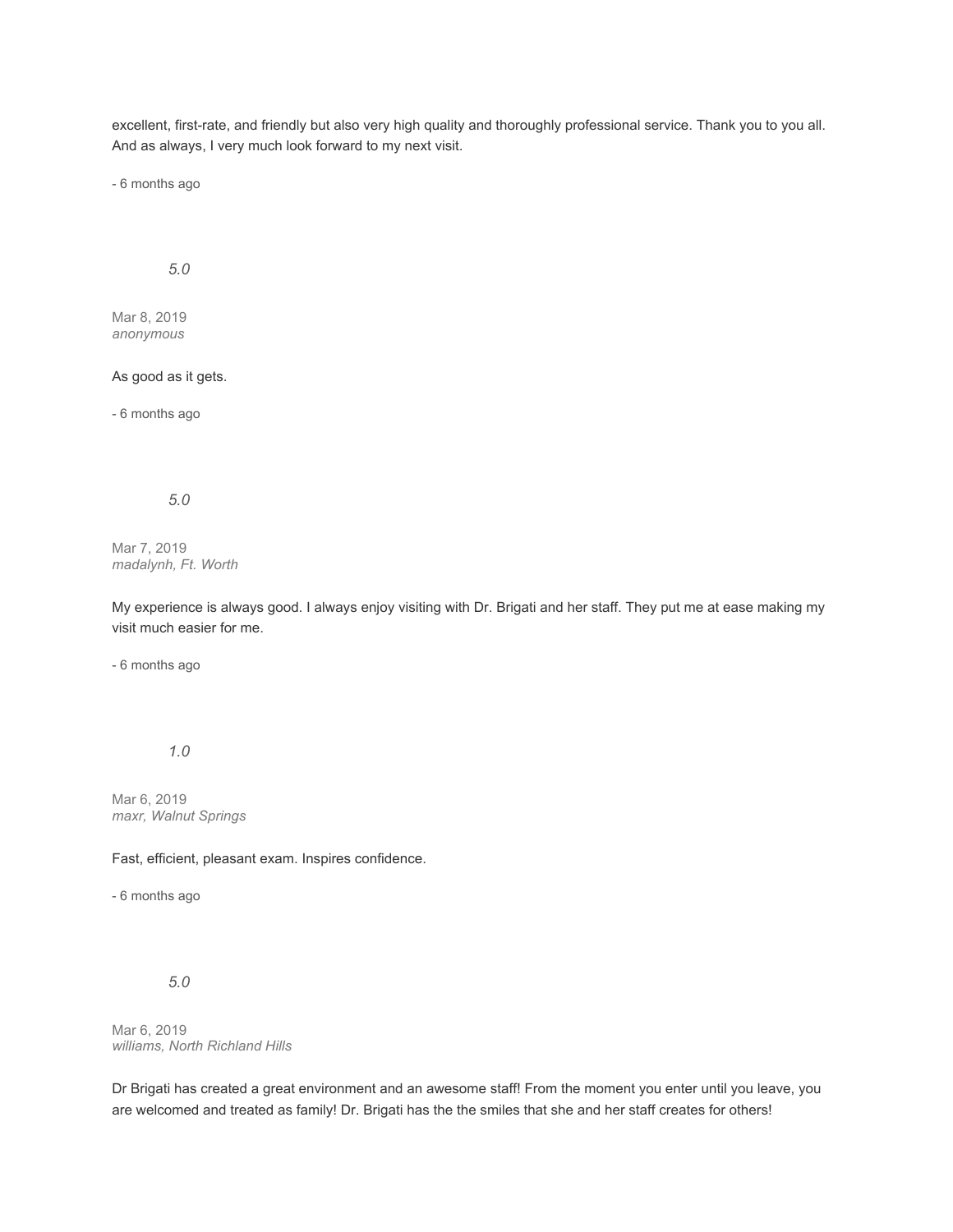excellent, first-rate, and friendly but also very high quality and thoroughly professional service. Thank you to you all. And as always, I very much look forward to my next visit.

- 6 months ago

# *5.0*

Mar 8, 2019 *anonymous*

# As good as it gets.

- 6 months ago

## *5.0*

Mar 7, 2019 *madalynh, Ft. Worth*

My experience is always good. I always enjoy visiting with Dr. Brigati and her staff. They put me at ease making my visit much easier for me.

- 6 months ago

*1.0*

Mar 6, 2019 *maxr, Walnut Springs*

Fast, efficient, pleasant exam. Inspires confidence.

- 6 months ago

### *5.0*

Mar 6, 2019 *williams, North Richland Hills*

Dr Brigati has created a great environment and an awesome staff! From the moment you enter until you leave, you are welcomed and treated as family! Dr. Brigati has the the smiles that she and her staff creates for others!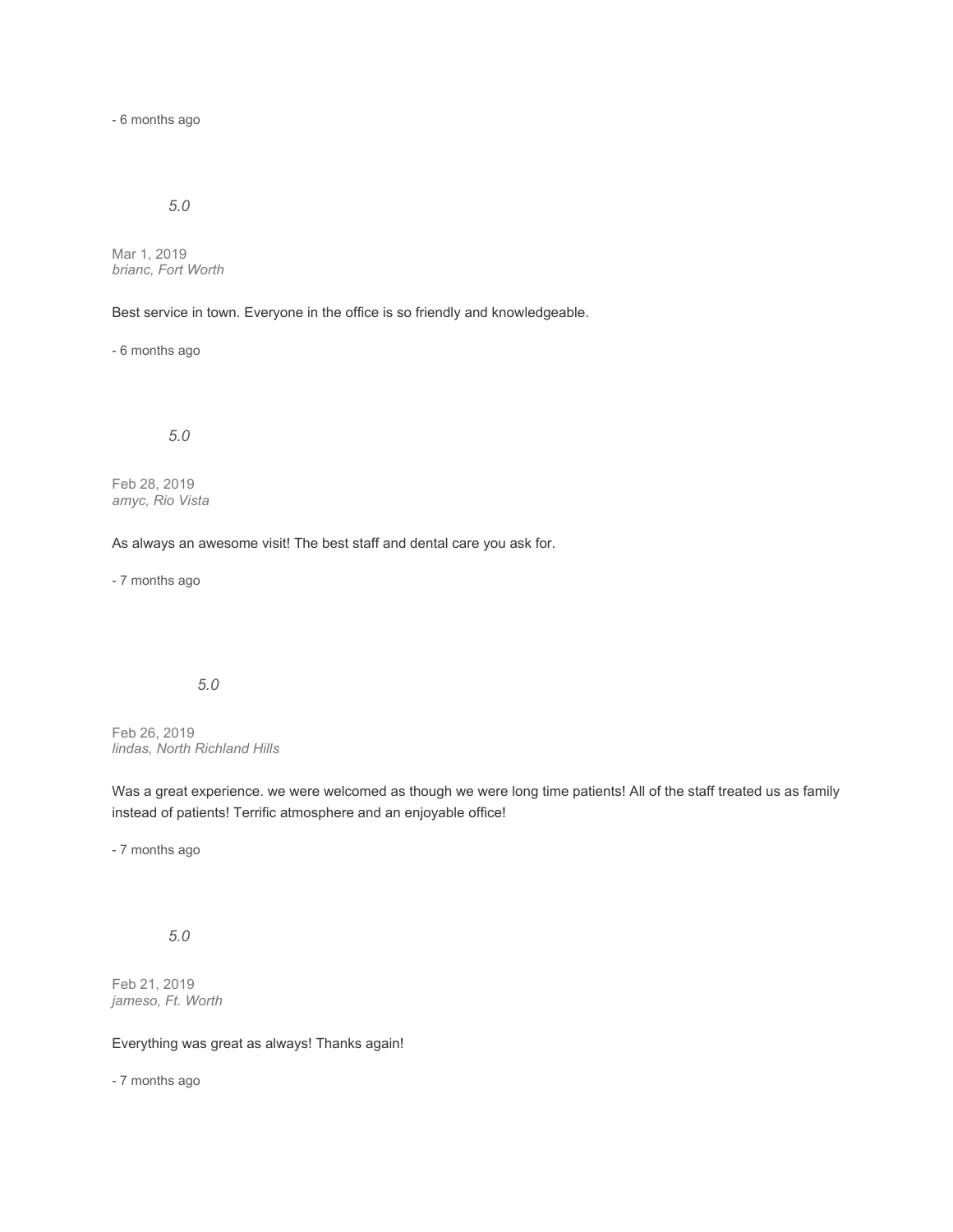- 6 months ago

# *5.0*

Mar 1, 2019 *brianc, Fort Worth*

Best service in town. Everyone in the office is so friendly and knowledgeable.

- 6 months ago

*5.0*

Feb 28, 2019 *amyc, Rio Vista*

As always an awesome visit! The best staff and dental care you ask for.

- 7 months ago

#### *5.0*

Feb 26, 2019 *lindas, North Richland Hills*

Was a great experience. we were welcomed as though we were long time patients! All of the staff treated us as family instead of patients! Terrific atmosphere and an enjoyable office!

- 7 months ago

*5.0*

Feb 21, 2019 *jameso, Ft. Worth*

Everything was great as always! Thanks again!

- 7 months ago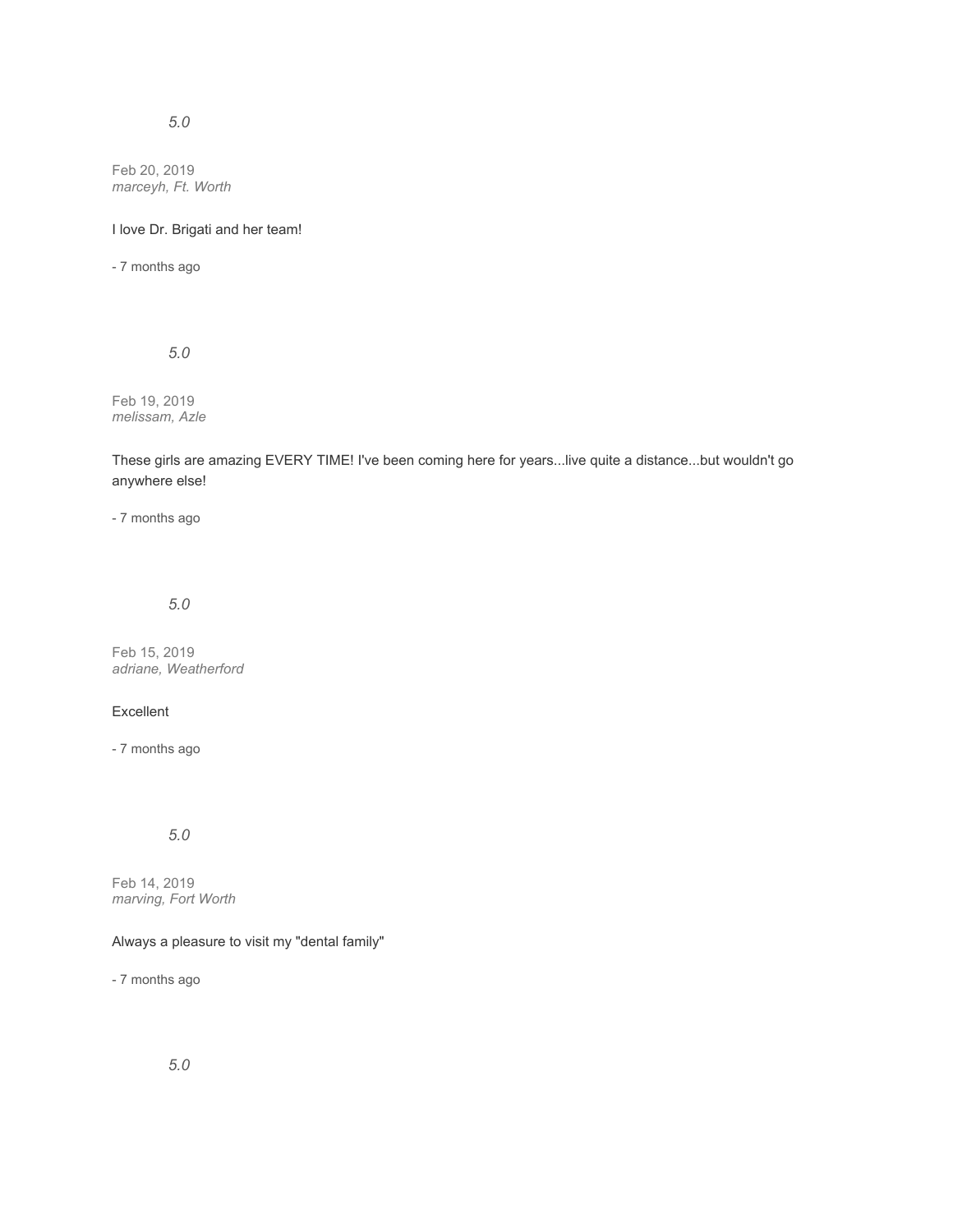Feb 20, 2019 *marceyh, Ft. Worth*

## I love Dr. Brigati and her team!

- 7 months ago

*5.0*

Feb 19, 2019 *melissam, Azle*

These girls are amazing EVERY TIME! I've been coming here for years...live quite a distance...but wouldn't go anywhere else!

- 7 months ago

*5.0*

Feb 15, 2019 *adriane, Weatherford*

# Excellent

- 7 months ago

# *5.0*

Feb 14, 2019 *marving, Fort Worth*

# Always a pleasure to visit my "dental family"

- 7 months ago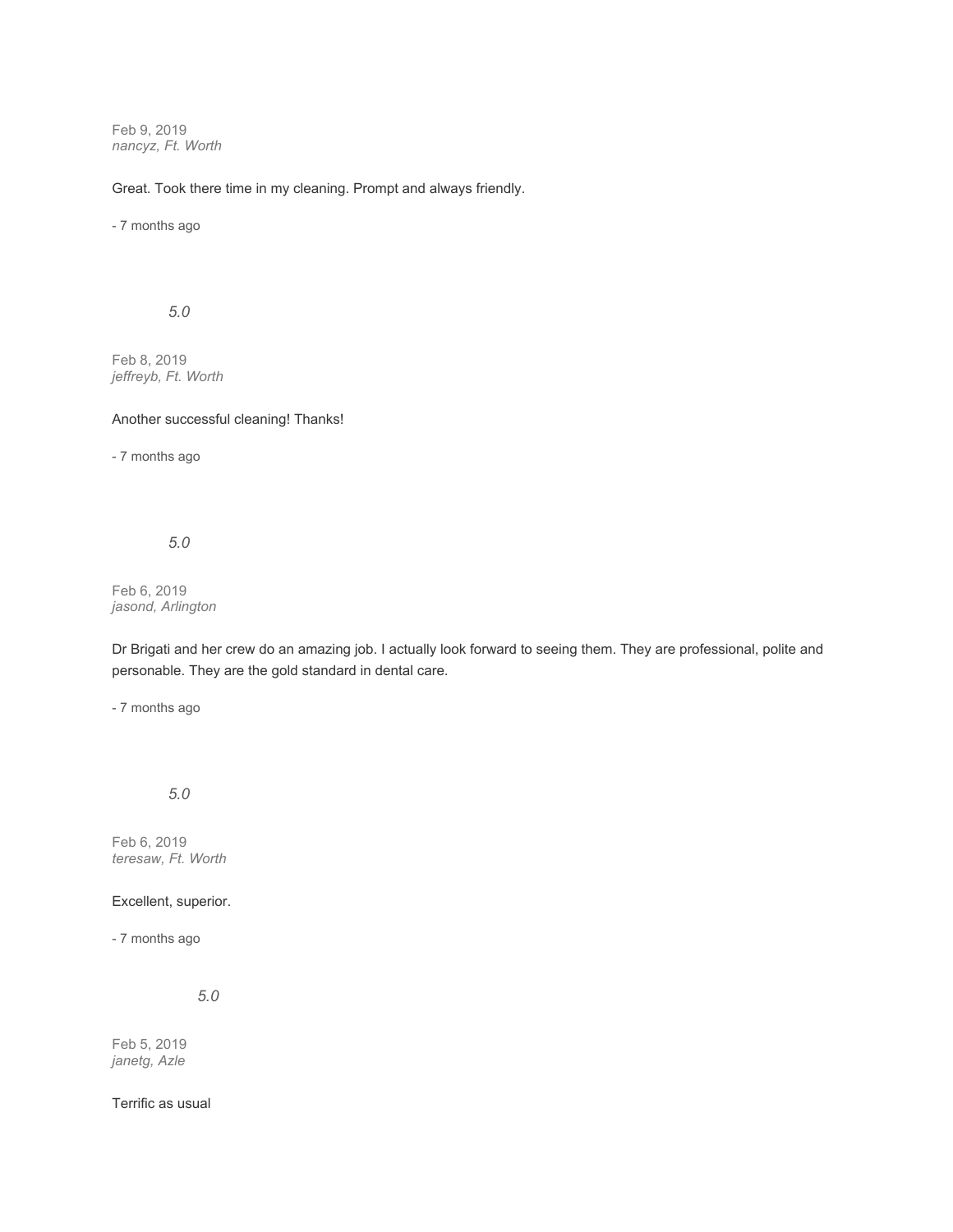Feb 9, 2019 *nancyz, Ft. Worth*

Great. Took there time in my cleaning. Prompt and always friendly.

- 7 months ago

*5.0*

Feb 8, 2019 *jeffreyb, Ft. Worth*

Another successful cleaning! Thanks!

- 7 months ago

*5.0*

Feb 6, 2019 *jasond, Arlington*

Dr Brigati and her crew do an amazing job. I actually look forward to seeing them. They are professional, polite and personable. They are the gold standard in dental care.

- 7 months ago

*5.0*

Feb 6, 2019 *teresaw, Ft. Worth*

Excellent, superior.

- 7 months ago

*5.0*

Feb 5, 2019 *janetg, Azle*

Terrific as usual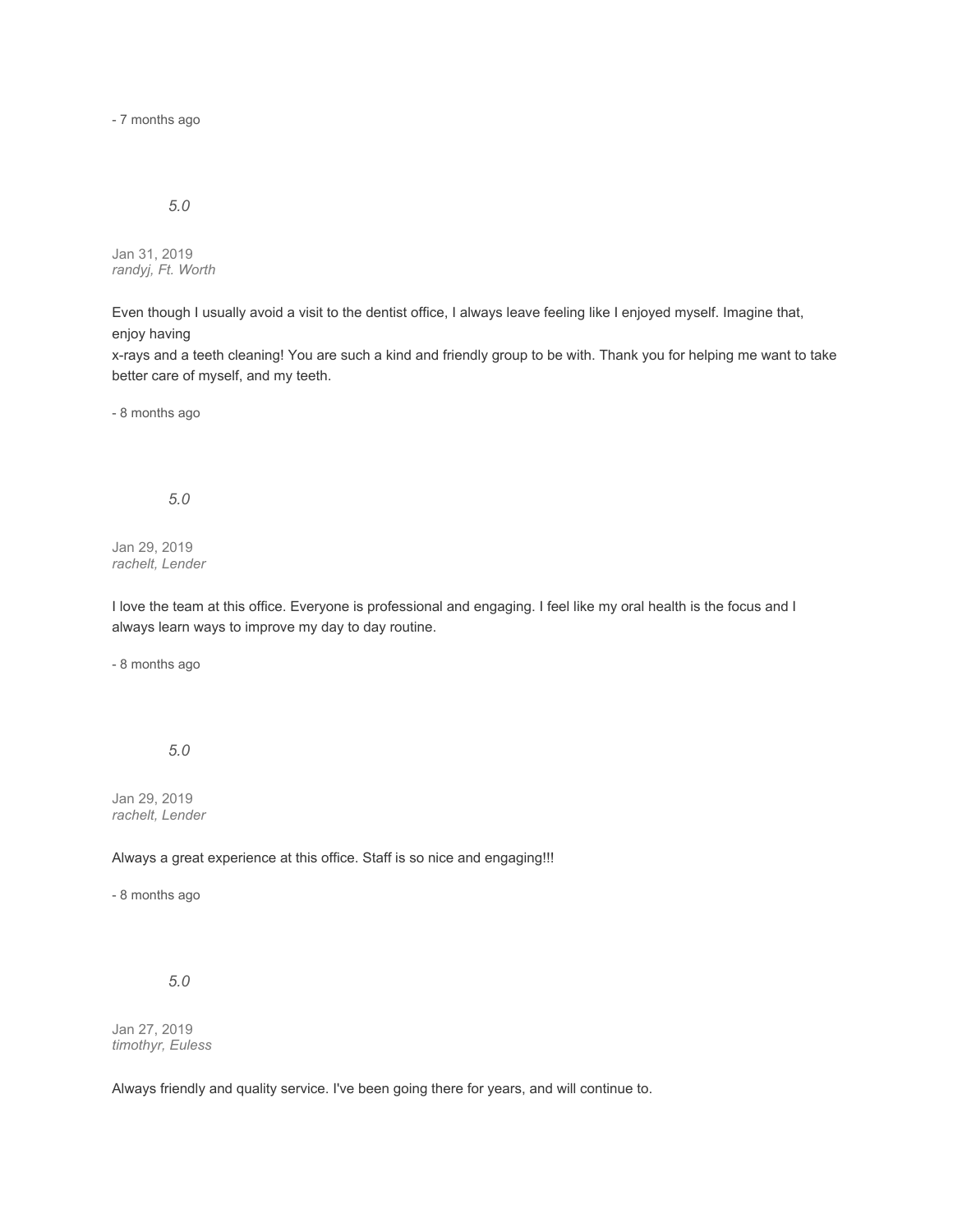- 7 months ago

# *5.0*

Jan 31, 2019 *randyj, Ft. Worth*

Even though I usually avoid a visit to the dentist office, I always leave feeling like I enjoyed myself. Imagine that, enjoy having

x-rays and a teeth cleaning! You are such a kind and friendly group to be with. Thank you for helping me want to take better care of myself, and my teeth.

- 8 months ago

*5.0*

Jan 29, 2019 *rachelt, Lender*

I love the team at this office. Everyone is professional and engaging. I feel like my oral health is the focus and I always learn ways to improve my day to day routine.

- 8 months ago

*5.0*

Jan 29, 2019 *rachelt, Lender*

Always a great experience at this office. Staff is so nice and engaging!!!

- 8 months ago

*5.0*

Jan 27, 2019 *timothyr, Euless*

Always friendly and quality service. I've been going there for years, and will continue to.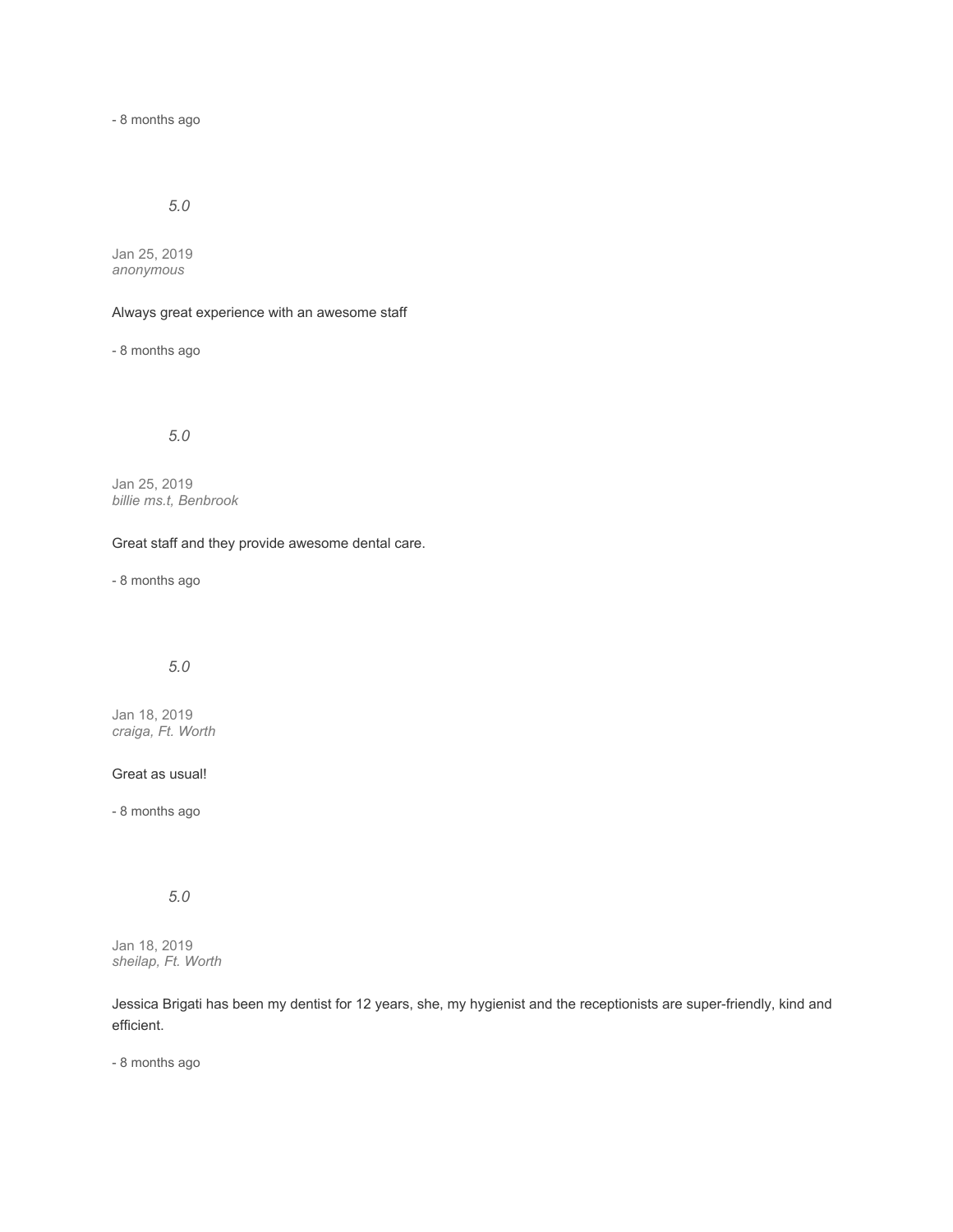- 8 months ago

# *5.0*

Jan 25, 2019 *anonymous*

## Always great experience with an awesome staff

- 8 months ago

# *5.0*

Jan 25, 2019 *billie ms.t, Benbrook*

## Great staff and they provide awesome dental care.

- 8 months ago

# *5.0*

Jan 18, 2019 *craiga, Ft. Worth*

#### Great as usual!

- 8 months ago

# *5.0*

Jan 18, 2019 *sheilap, Ft. Worth*

Jessica Brigati has been my dentist for 12 years, she, my hygienist and the receptionists are super-friendly, kind and efficient.

- 8 months ago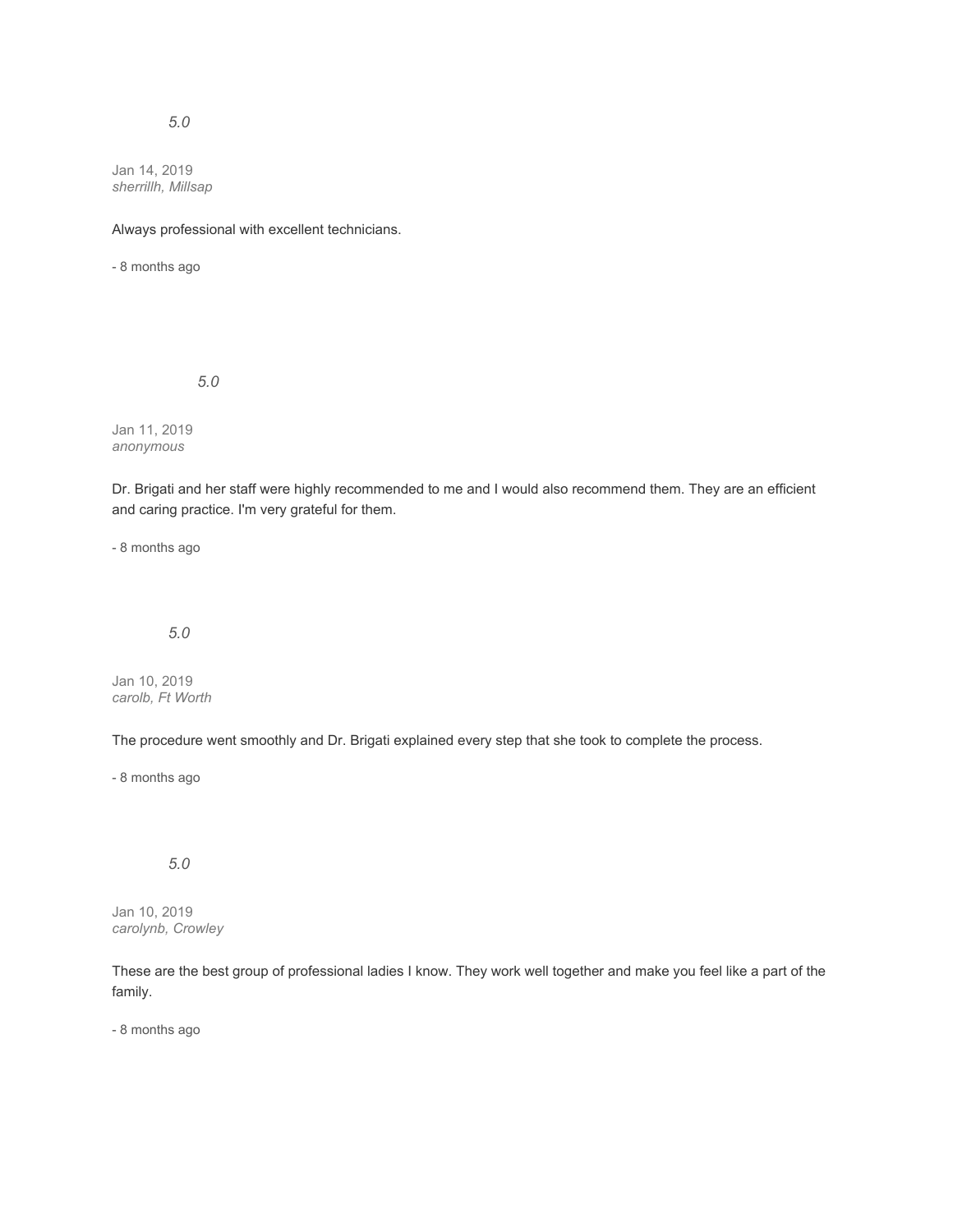Jan 14, 2019 *sherrillh, Millsap*

Always professional with excellent technicians.

- 8 months ago

*5.0*

Jan 11, 2019 *anonymous*

Dr. Brigati and her staff were highly recommended to me and I would also recommend them. They are an efficient and caring practice. I'm very grateful for them.

- 8 months ago

# *5.0*

Jan 10, 2019 *carolb, Ft Worth*

The procedure went smoothly and Dr. Brigati explained every step that she took to complete the process.

- 8 months ago

# *5.0*

Jan 10, 2019 *carolynb, Crowley*

These are the best group of professional ladies I know. They work well together and make you feel like a part of the family.

- 8 months ago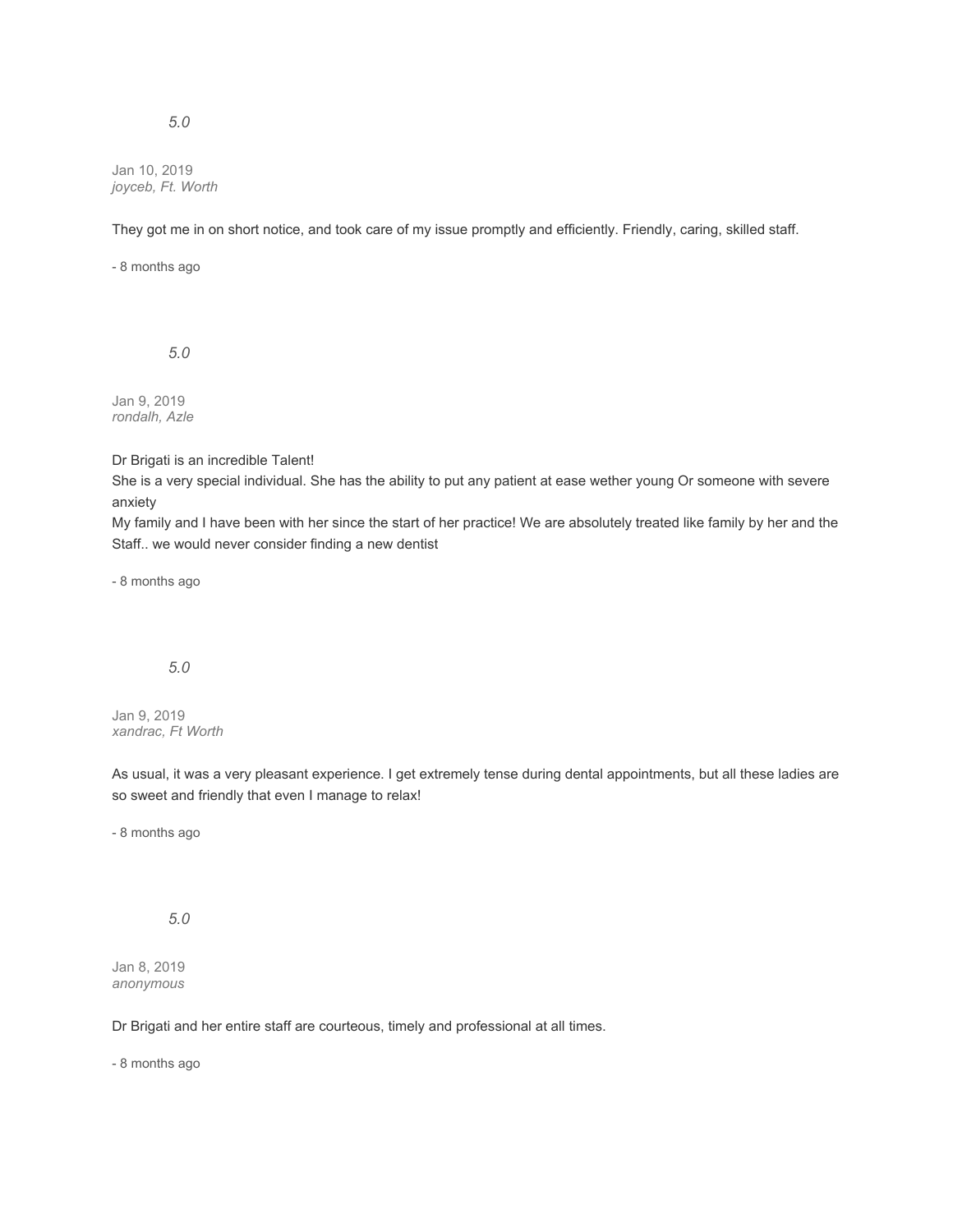Jan 10, 2019 *joyceb, Ft. Worth*

They got me in on short notice, and took care of my issue promptly and efficiently. Friendly, caring, skilled staff.

- 8 months ago

*5.0*

Jan 9, 2019 *rondalh, Azle*

Dr Brigati is an incredible Talent!

She is a very special individual. She has the ability to put any patient at ease wether young Or someone with severe anxiety

My family and I have been with her since the start of her practice! We are absolutely treated like family by her and the Staff.. we would never consider finding a new dentist

- 8 months ago

# *5.0*

Jan 9, 2019 *xandrac, Ft Worth*

As usual, it was a very pleasant experience. I get extremely tense during dental appointments, but all these ladies are so sweet and friendly that even I manage to relax!

- 8 months ago

*5.0*

Jan 8, 2019 *anonymous*

Dr Brigati and her entire staff are courteous, timely and professional at all times.

- 8 months ago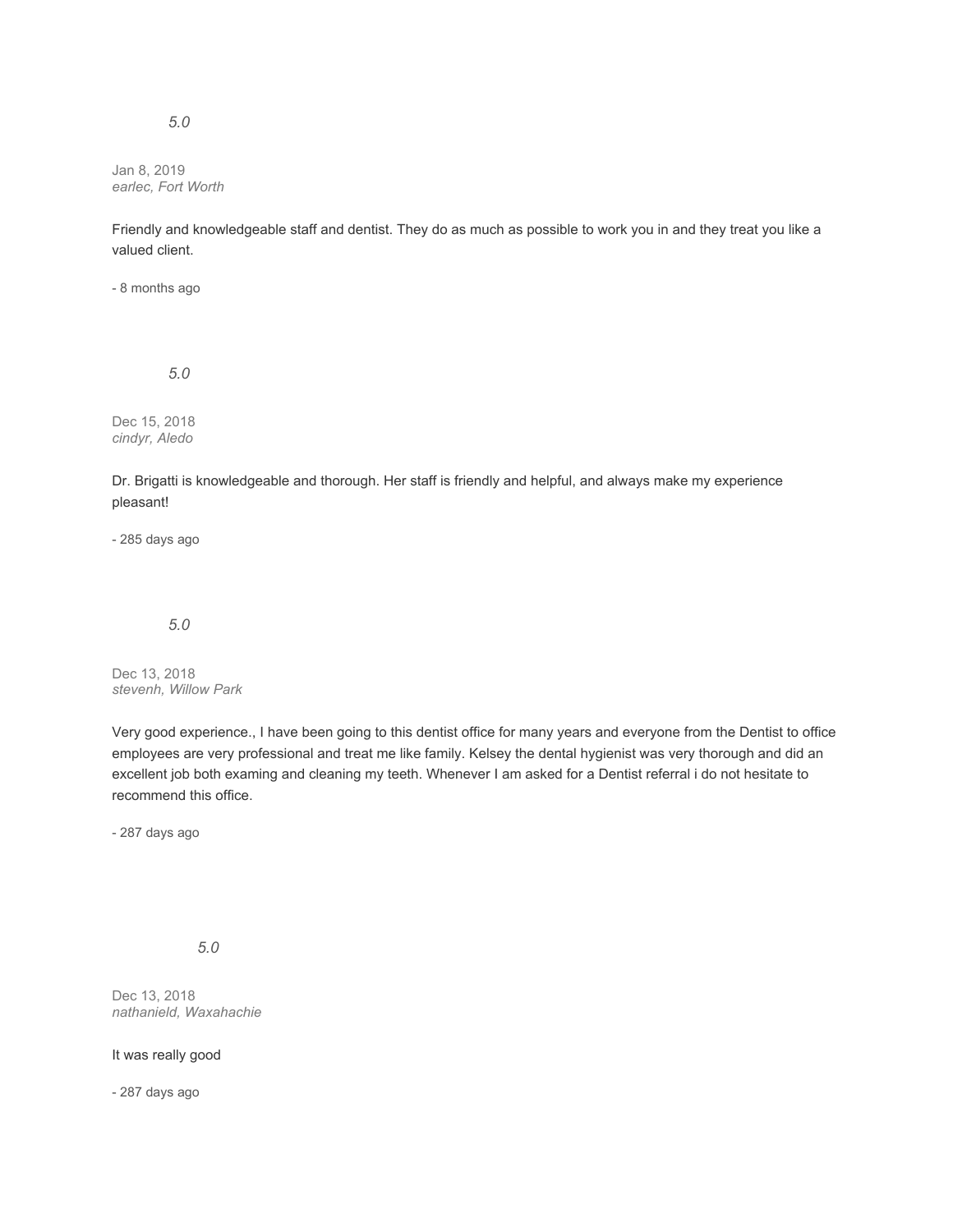Jan 8, 2019 *earlec, Fort Worth*

Friendly and knowledgeable staff and dentist. They do as much as possible to work you in and they treat you like a valued client.

- 8 months ago

*5.0*

Dec 15, 2018 *cindyr, Aledo*

Dr. Brigatti is knowledgeable and thorough. Her staff is friendly and helpful, and always make my experience pleasant!

- 285 days ago

# *5.0*

Dec 13, 2018 *stevenh, Willow Park*

Very good experience., I have been going to this dentist office for many years and everyone from the Dentist to office employees are very professional and treat me like family. Kelsey the dental hygienist was very thorough and did an excellent job both examing and cleaning my teeth. Whenever I am asked for a Dentist referral i do not hesitate to recommend this office.

- 287 days ago

*5.0*

Dec 13, 2018 *nathanield, Waxahachie*

It was really good

- 287 days ago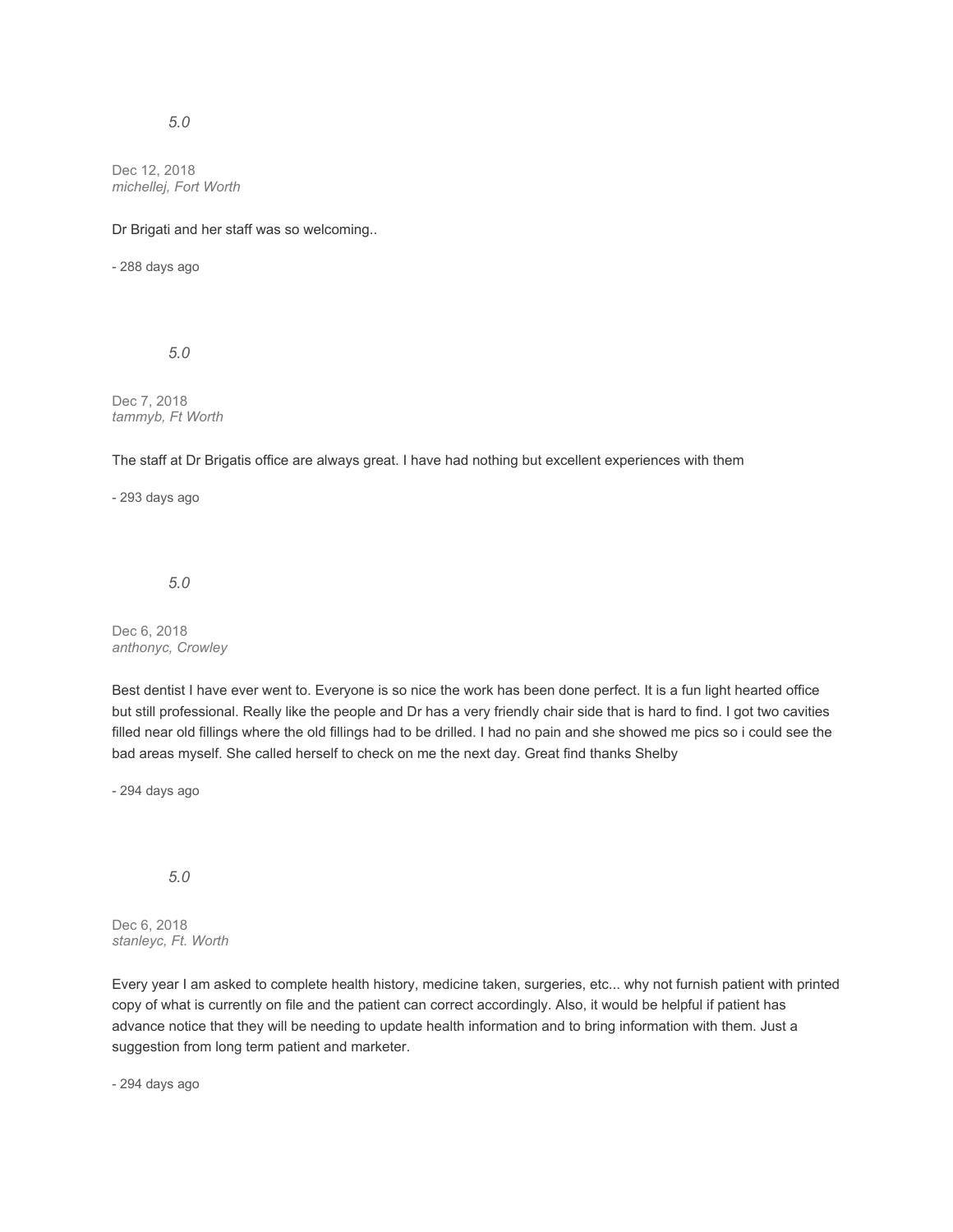Dec 12, 2018 *michellej, Fort Worth*

Dr Brigati and her staff was so welcoming..

- 288 days ago

*5.0*

Dec 7, 2018 *tammyb, Ft Worth*

The staff at Dr Brigatis office are always great. I have had nothing but excellent experiences with them

- 293 days ago

*5.0*

Dec 6, 2018 *anthonyc, Crowley*

Best dentist I have ever went to. Everyone is so nice the work has been done perfect. It is a fun light hearted office but still professional. Really like the people and Dr has a very friendly chair side that is hard to find. I got two cavities filled near old fillings where the old fillings had to be drilled. I had no pain and she showed me pics so i could see the bad areas myself. She called herself to check on me the next day. Great find thanks Shelby

- 294 days ago

*5.0*

Dec 6, 2018 *stanleyc, Ft. Worth*

Every year I am asked to complete health history, medicine taken, surgeries, etc... why not furnish patient with printed copy of what is currently on file and the patient can correct accordingly. Also, it would be helpful if patient has advance notice that they will be needing to update health information and to bring information with them. Just a suggestion from long term patient and marketer.

- 294 days ago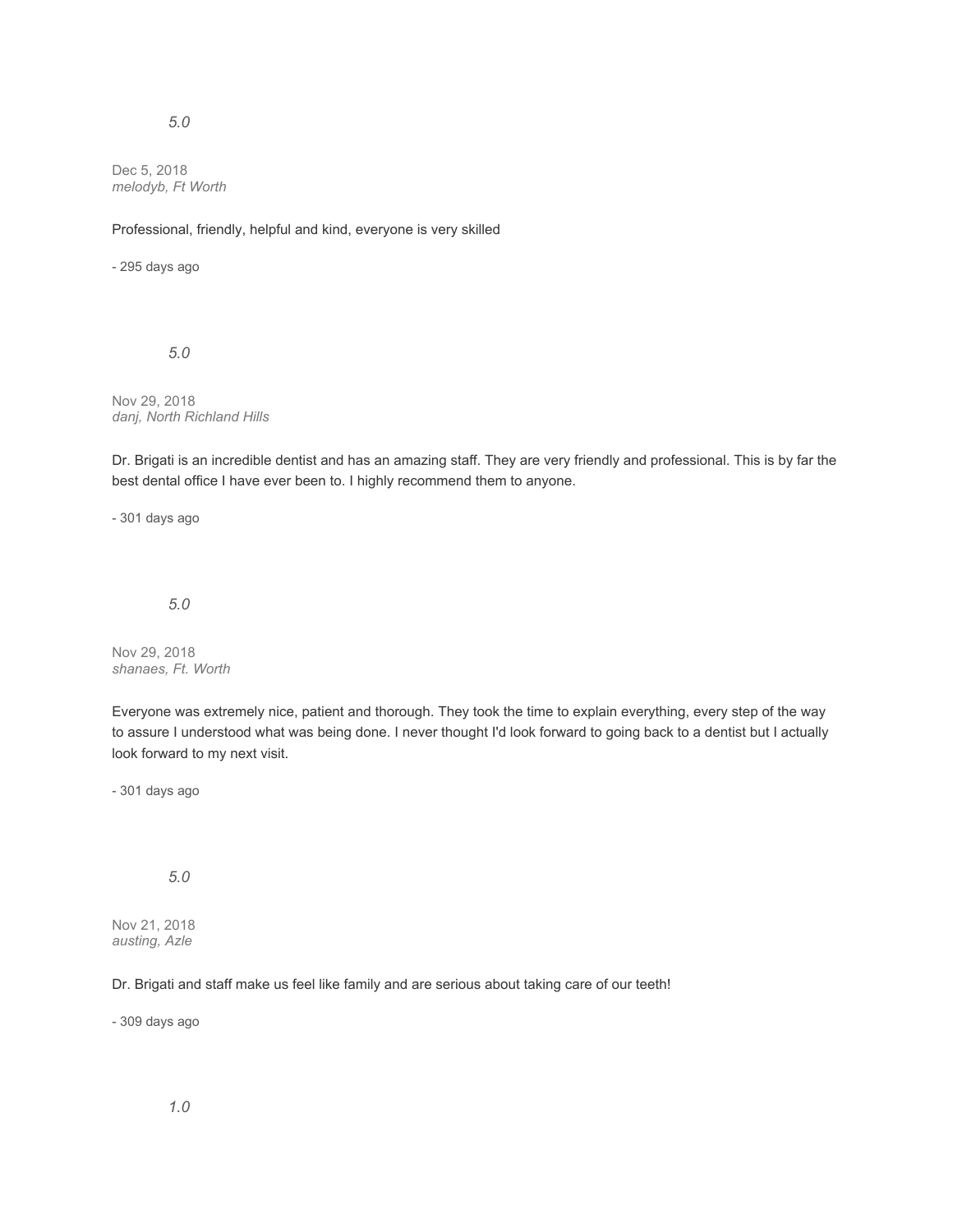Dec 5, 2018 *melodyb, Ft Worth*

#### Professional, friendly, helpful and kind, everyone is very skilled

- 295 days ago

*5.0*

Nov 29, 2018 *danj, North Richland Hills*

Dr. Brigati is an incredible dentist and has an amazing staff. They are very friendly and professional. This is by far the best dental office I have ever been to. I highly recommend them to anyone.

- 301 days ago

#### *5.0*

Nov 29, 2018 *shanaes, Ft. Worth*

Everyone was extremely nice, patient and thorough. They took the time to explain everything, every step of the way to assure I understood what was being done. I never thought I'd look forward to going back to a dentist but I actually look forward to my next visit.

- 301 days ago

*5.0*

Nov 21, 2018 *austing, Azle*

Dr. Brigati and staff make us feel like family and are serious about taking care of our teeth!

- 309 days ago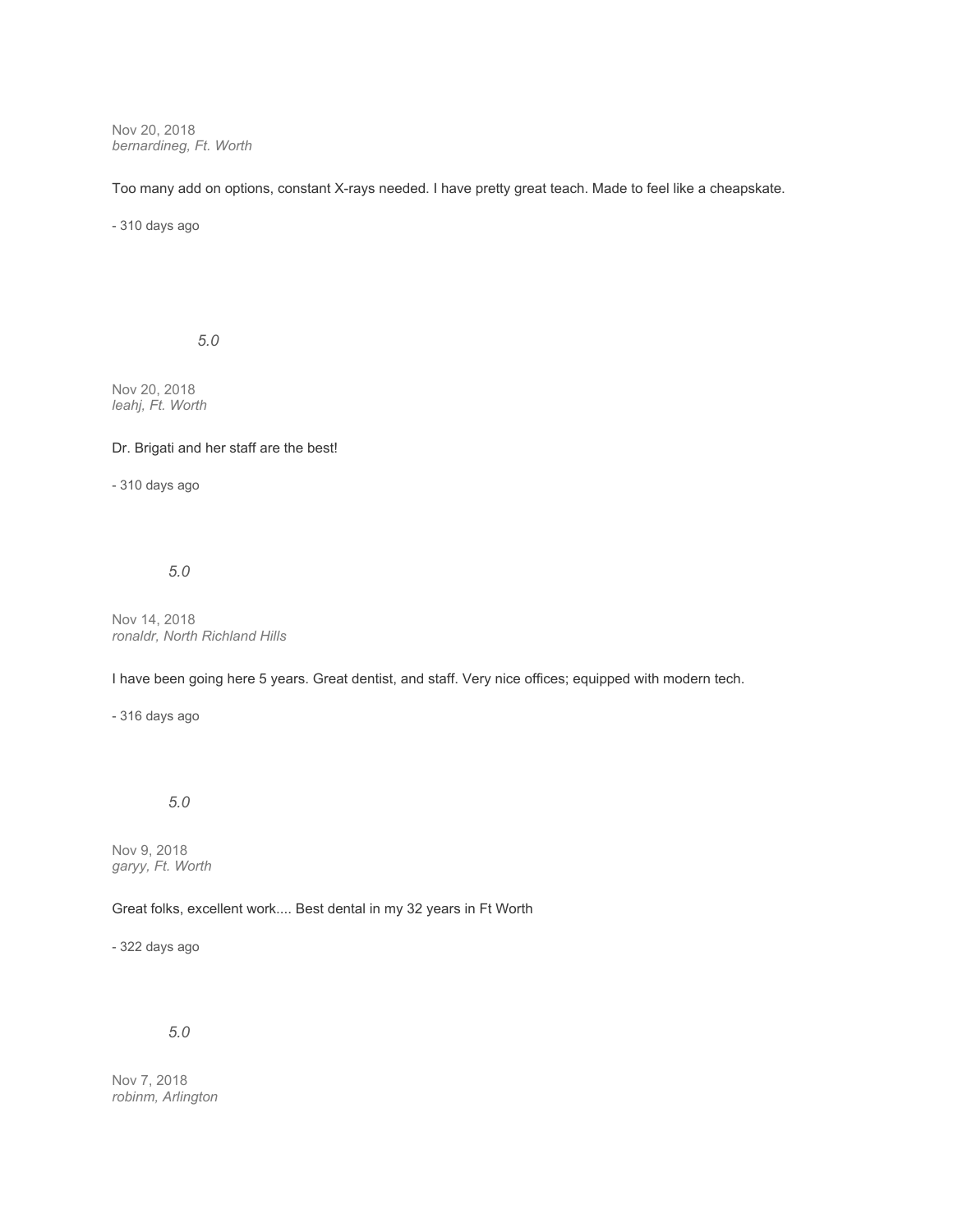Nov 20, 2018 *bernardineg, Ft. Worth*

Too many add on options, constant X-rays needed. I have pretty great teach. Made to feel like a cheapskate.

- 310 days ago

*5.0*

Nov 20, 2018 *leahj, Ft. Worth*

#### Dr. Brigati and her staff are the best!

- 310 days ago

*5.0*

Nov 14, 2018 *ronaldr, North Richland Hills*

I have been going here 5 years. Great dentist, and staff. Very nice offices; equipped with modern tech.

- 316 days ago

# *5.0*

Nov 9, 2018 *garyy, Ft. Worth*

# Great folks, excellent work.... Best dental in my 32 years in Ft Worth

- 322 days ago

# *5.0*

Nov 7, 2018 *robinm, Arlington*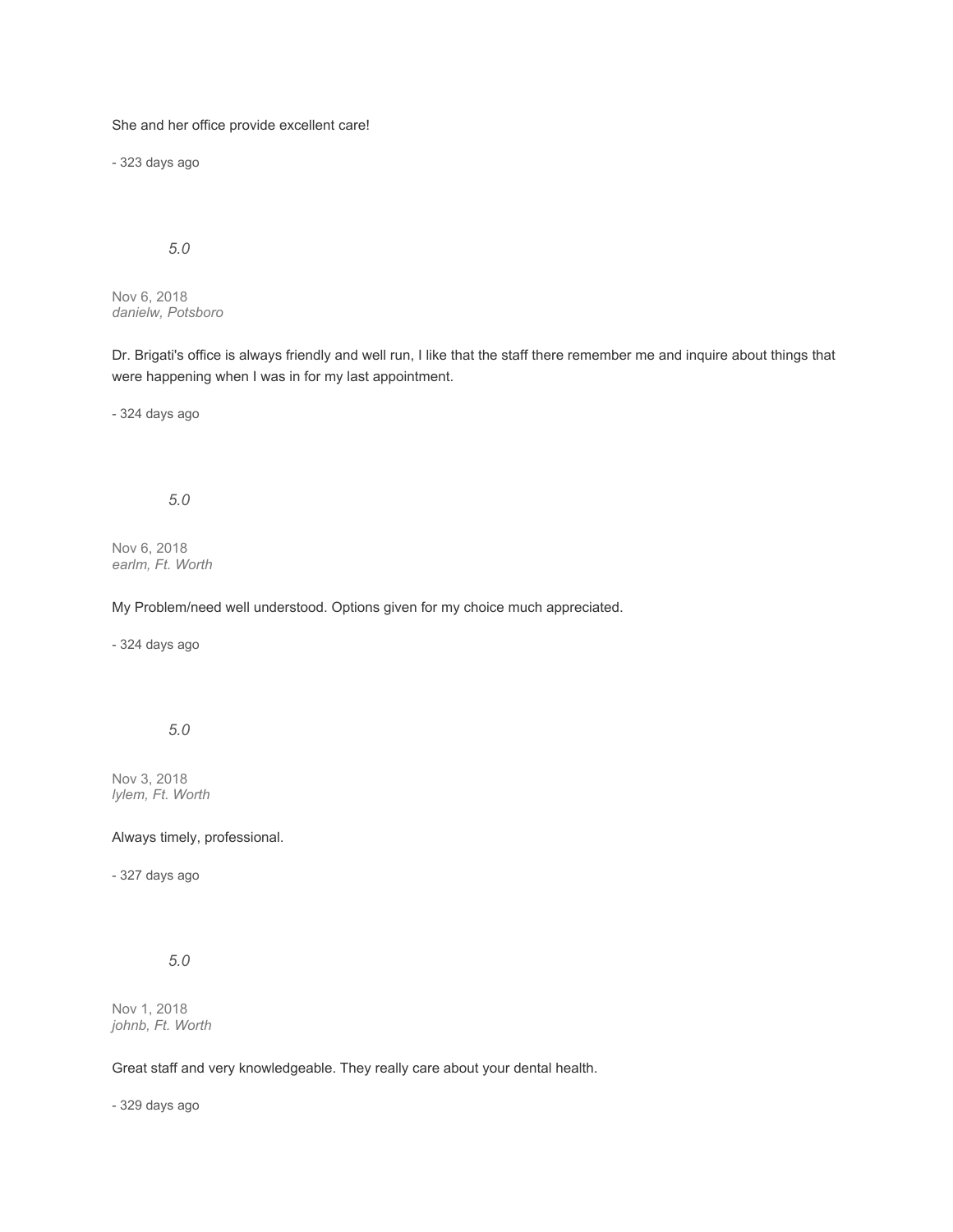She and her office provide excellent care!

- 323 days ago

# *5.0*

Nov 6, 2018 *danielw, Potsboro*

Dr. Brigati's office is always friendly and well run, I like that the staff there remember me and inquire about things that were happening when I was in for my last appointment.

- 324 days ago

# *5.0*

Nov 6, 2018 *earlm, Ft. Worth*

## My Problem/need well understood. Options given for my choice much appreciated.

- 324 days ago

# *5.0*

Nov 3, 2018 *lylem, Ft. Worth*

#### Always timely, professional.

- 327 days ago

*5.0*

Nov 1, 2018 *johnb, Ft. Worth*

## Great staff and very knowledgeable. They really care about your dental health.

- 329 days ago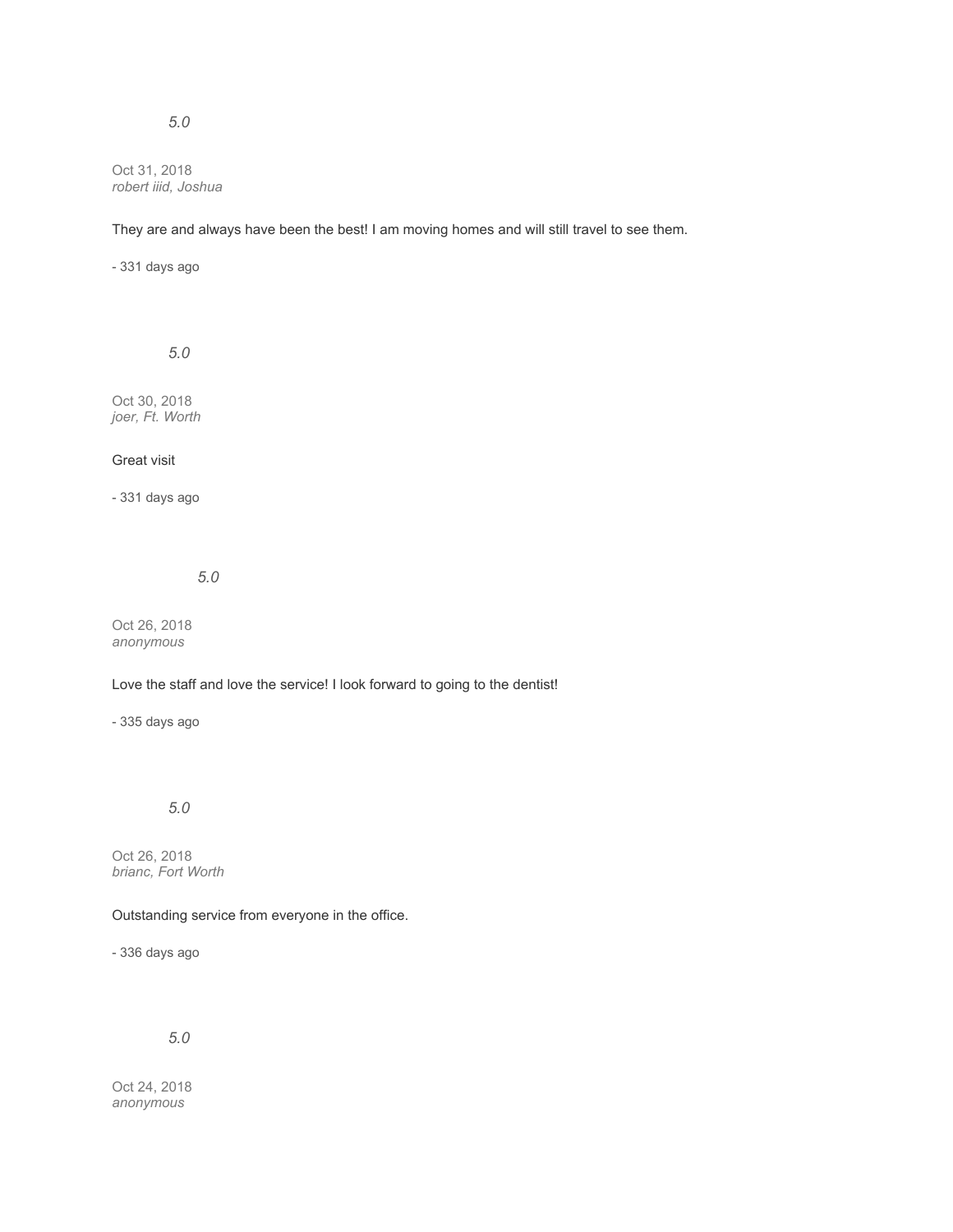Oct 31, 2018 *robert iiid, Joshua*

## They are and always have been the best! I am moving homes and will still travel to see them.

- 331 days ago

*5.0*

Oct 30, 2018 *joer, Ft. Worth*

# Great visit

- 331 days ago

*5.0*

Oct 26, 2018 *anonymous*

# Love the staff and love the service! I look forward to going to the dentist!

- 335 days ago

# *5.0*

Oct 26, 2018 *brianc, Fort Worth*

## Outstanding service from everyone in the office.

- 336 days ago

*5.0*

Oct 24, 2018 *anonymous*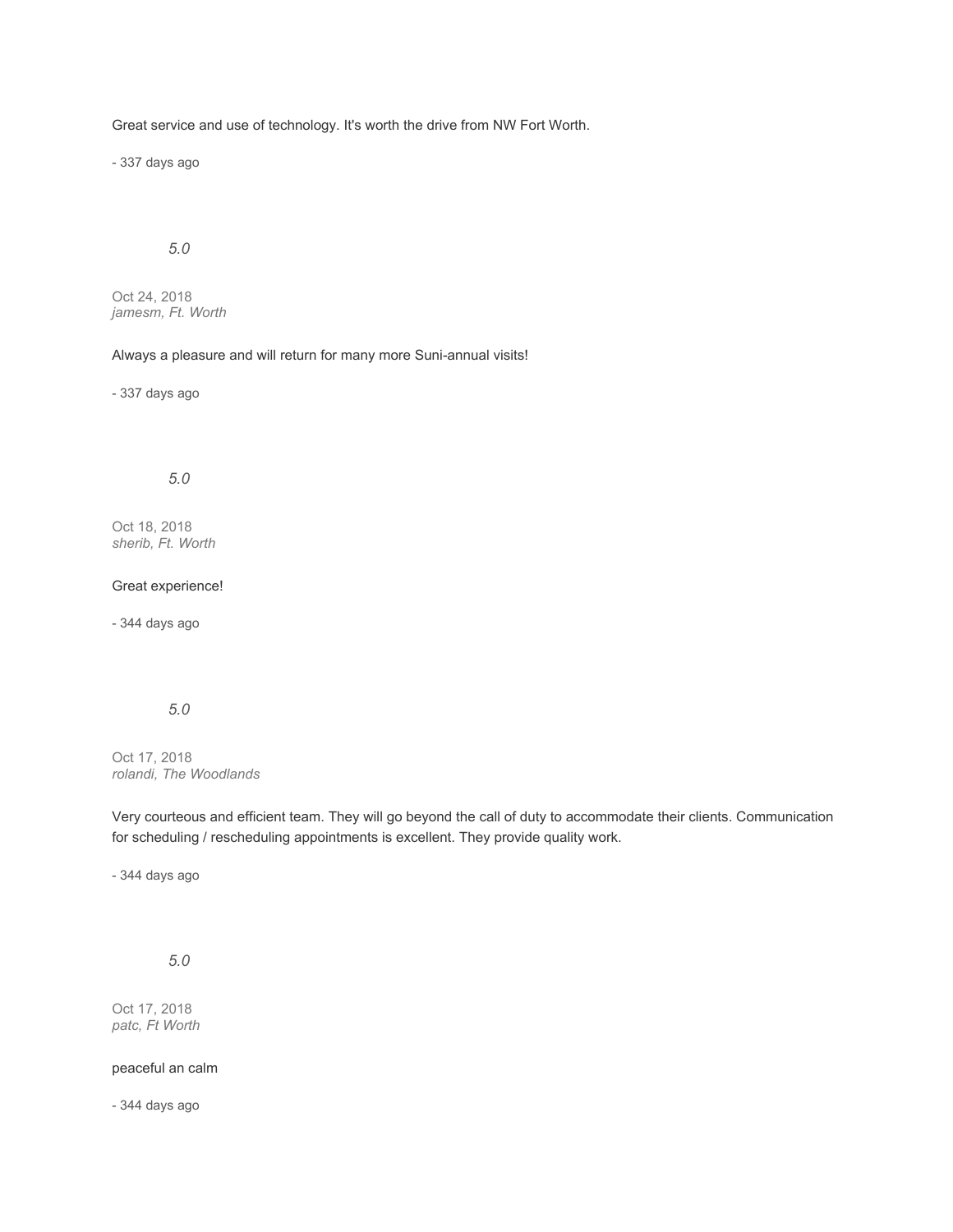Great service and use of technology. It's worth the drive from NW Fort Worth.

- 337 days ago

# *5.0*

Oct 24, 2018 *jamesm, Ft. Worth*

### Always a pleasure and will return for many more Suni-annual visits!

- 337 days ago

# *5.0*

Oct 18, 2018 *sherib, Ft. Worth*

#### Great experience!

- 344 days ago

# *5.0*

Oct 17, 2018 *rolandi, The Woodlands*

Very courteous and efficient team. They will go beyond the call of duty to accommodate their clients. Communication for scheduling / rescheduling appointments is excellent. They provide quality work.

- 344 days ago

*5.0*

Oct 17, 2018 *patc, Ft Worth*

### peaceful an calm

- 344 days ago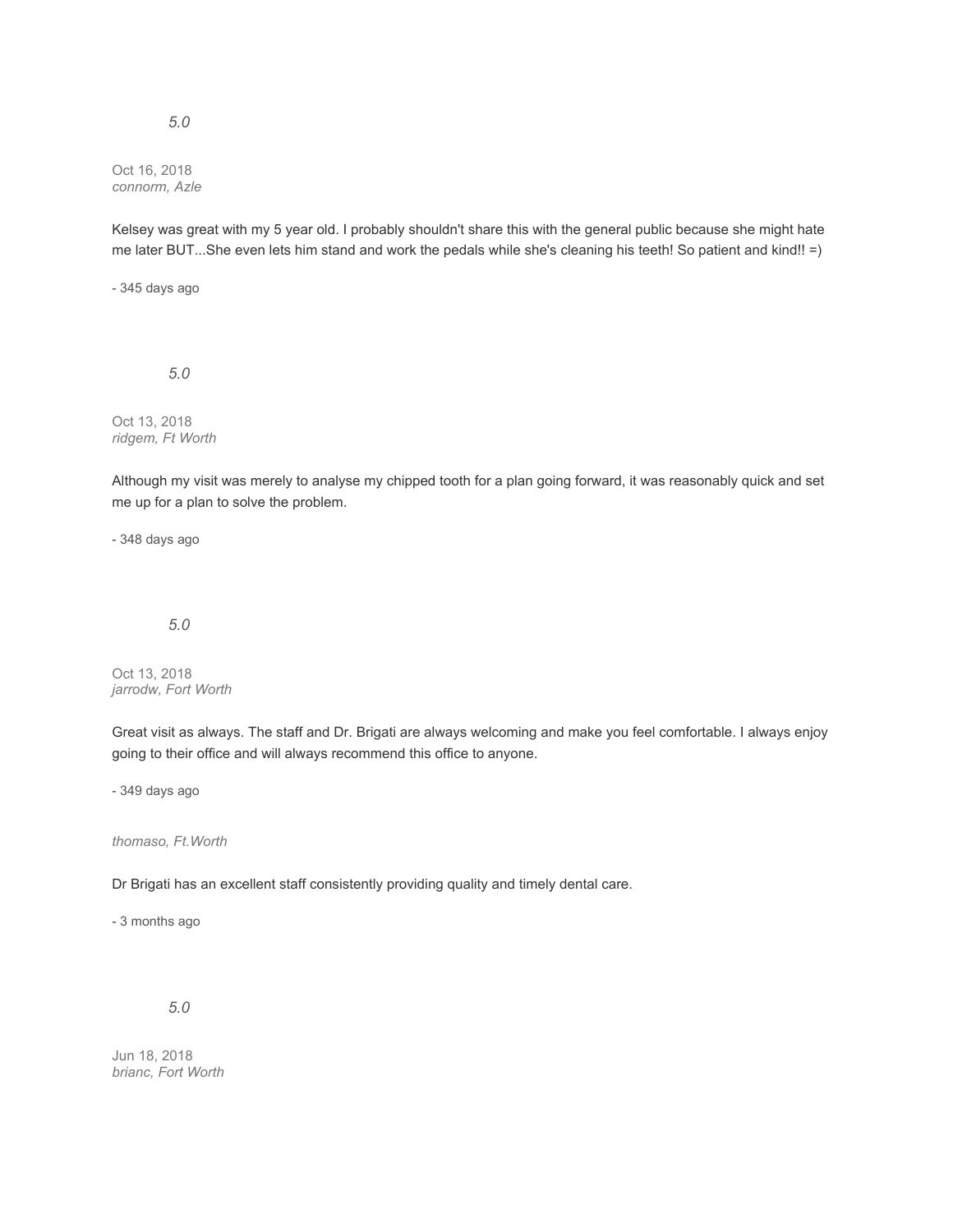#### Oct 16, 2018 *connorm, Azle*

Kelsey was great with my 5 year old. I probably shouldn't share this with the general public because she might hate me later BUT...She even lets him stand and work the pedals while she's cleaning his teeth! So patient and kind!! =)

- 345 days ago

*5.0*

Oct 13, 2018 *ridgem, Ft Worth*

Although my visit was merely to analyse my chipped tooth for a plan going forward, it was reasonably quick and set me up for a plan to solve the problem.

- 348 days ago

# *5.0*

Oct 13, 2018 *jarrodw, Fort Worth*

Great visit as always. The staff and Dr. Brigati are always welcoming and make you feel comfortable. I always enjoy going to their office and will always recommend this office to anyone.

- 349 days ago

*thomaso, Ft.Worth*

Dr Brigati has an excellent staff consistently providing quality and timely dental care.

- 3 months ago

*5.0*

Jun 18, 2018 *brianc, Fort Worth*

# *5.0*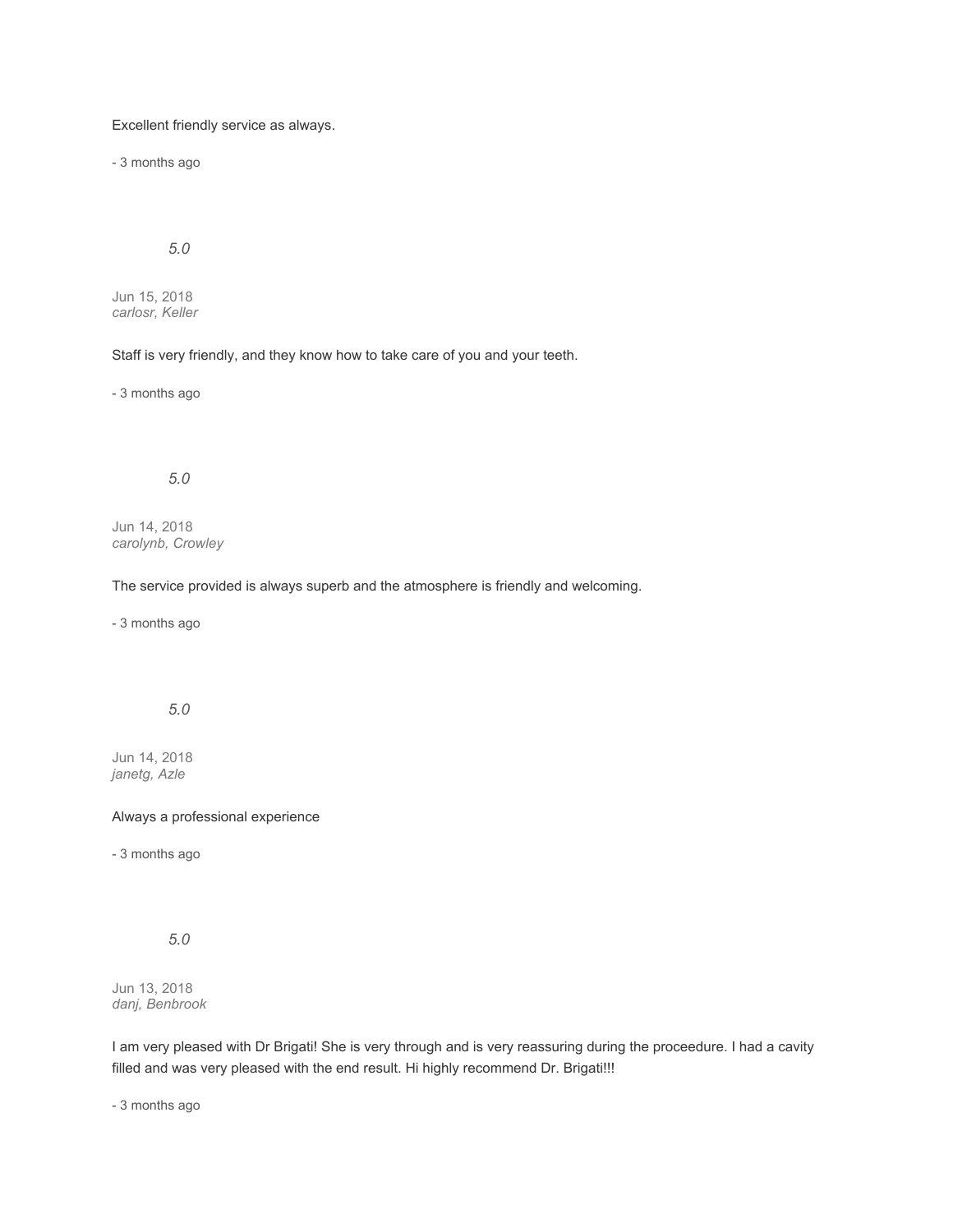# Excellent friendly service as always.

- 3 months ago

# *5.0*

Jun 15, 2018 *carlosr, Keller*

### Staff is very friendly, and they know how to take care of you and your teeth.

- 3 months ago

# *5.0*

Jun 14, 2018 *carolynb, Crowley*

#### The service provided is always superb and the atmosphere is friendly and welcoming.

- 3 months ago

# *5.0*

Jun 14, 2018 *janetg, Azle*

#### Always a professional experience

- 3 months ago

# *5.0*

Jun 13, 2018 *danj, Benbrook*

I am very pleased with Dr Brigati! She is very through and is very reassuring during the proceedure. I had a cavity filled and was very pleased with the end result. Hi highly recommend Dr. Brigati!!!

- 3 months ago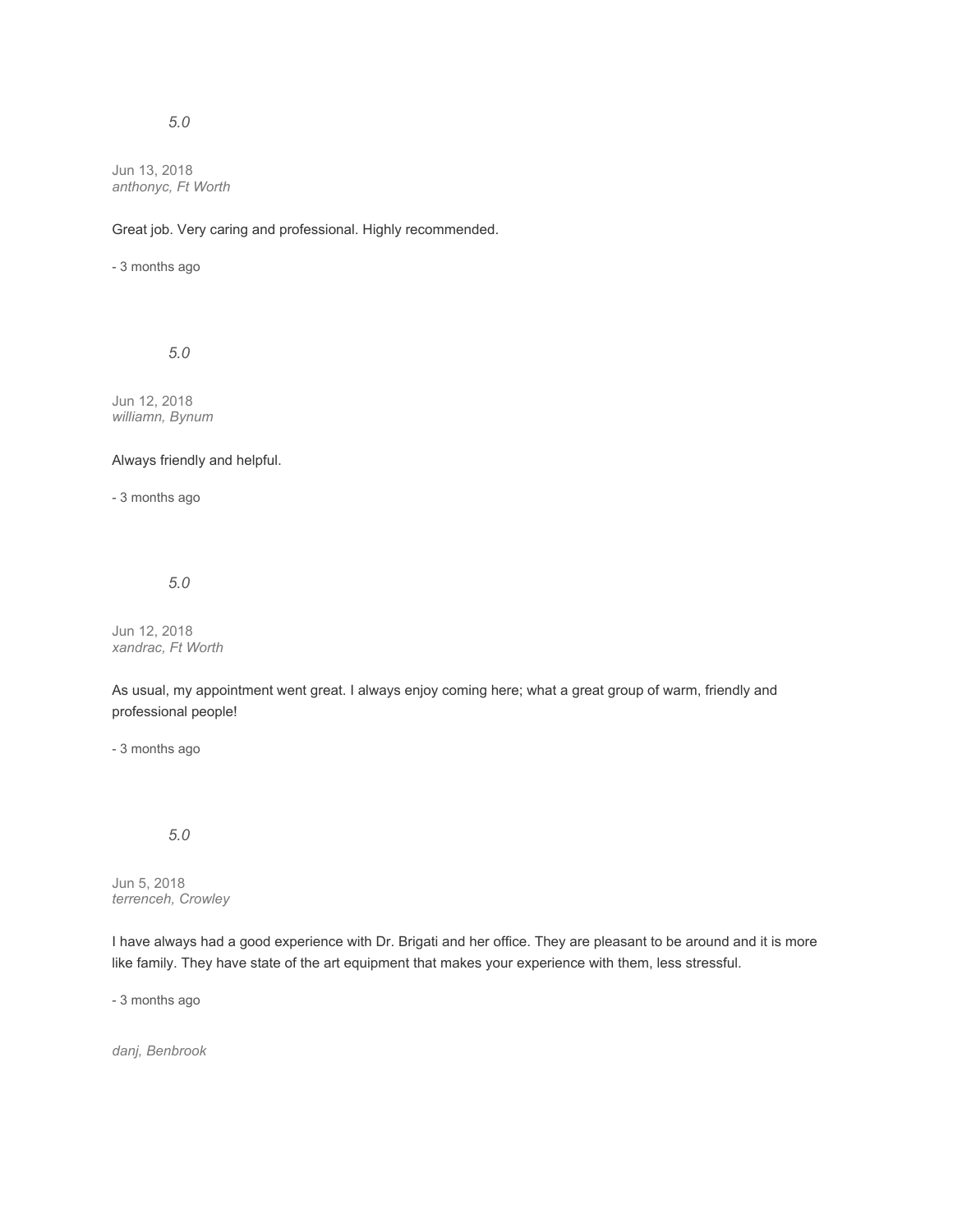## *5.0*

Jun 13, 2018 *anthonyc, Ft Worth*

Great job. Very caring and professional. Highly recommended.

- 3 months ago

*5.0*

Jun 12, 2018 *williamn, Bynum*

#### Always friendly and helpful.

- 3 months ago

*5.0*

Jun 12, 2018 *xandrac, Ft Worth*

As usual, my appointment went great. I always enjoy coming here; what a great group of warm, friendly and professional people!

- 3 months ago

# *5.0*

Jun 5, 2018 *terrenceh, Crowley*

I have always had a good experience with Dr. Brigati and her office. They are pleasant to be around and it is more like family. They have state of the art equipment that makes your experience with them, less stressful.

- 3 months ago

*danj, Benbrook*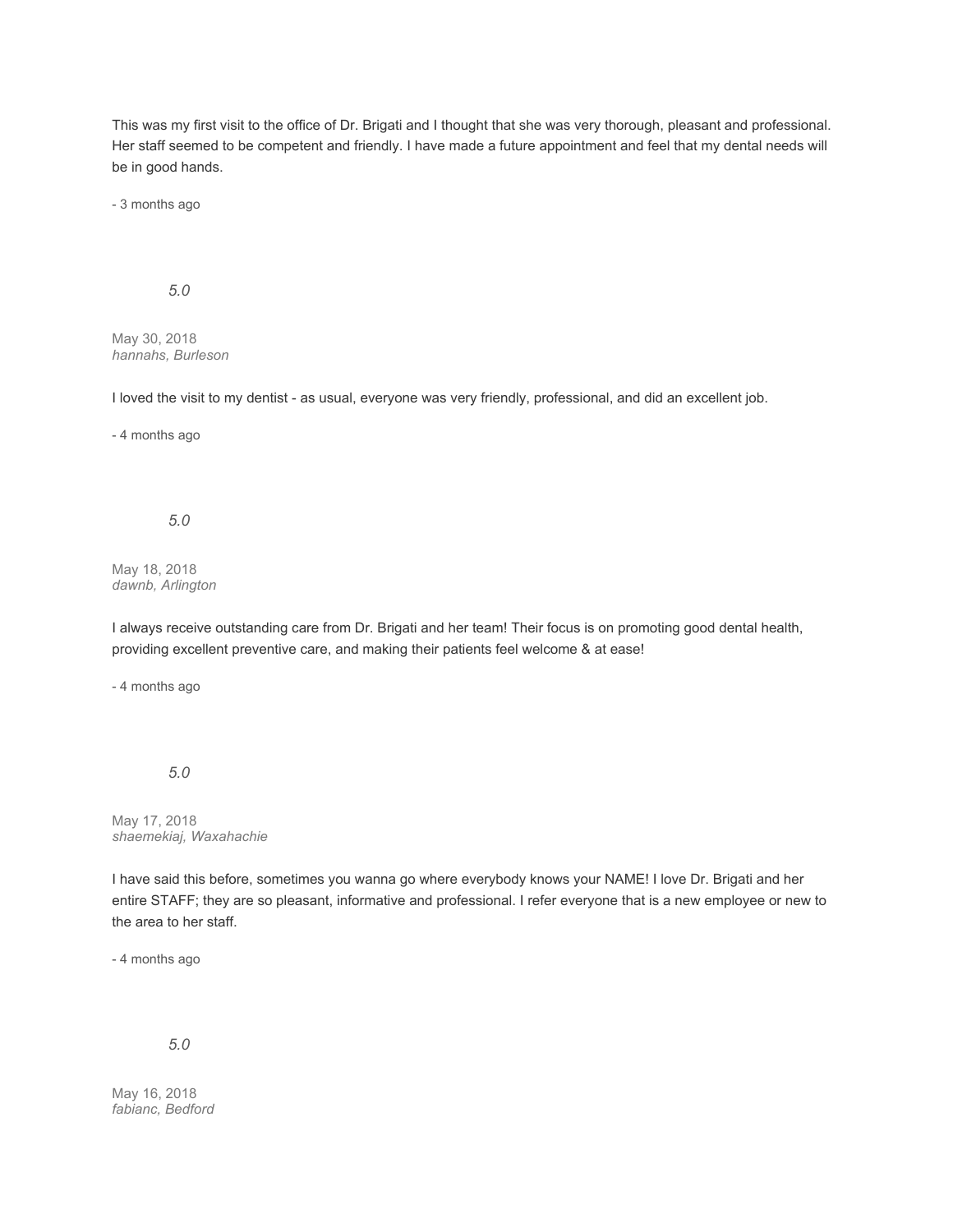This was my first visit to the office of Dr. Brigati and I thought that she was very thorough, pleasant and professional. Her staff seemed to be competent and friendly. I have made a future appointment and feel that my dental needs will be in good hands.

- 3 months ago

### *5.0*

May 30, 2018 *hannahs, Burleson*

I loved the visit to my dentist - as usual, everyone was very friendly, professional, and did an excellent job.

- 4 months ago

#### *5.0*

May 18, 2018 *dawnb, Arlington*

I always receive outstanding care from Dr. Brigati and her team! Their focus is on promoting good dental health, providing excellent preventive care, and making their patients feel welcome & at ease!

- 4 months ago

*5.0*

May 17, 2018 *shaemekiaj, Waxahachie*

I have said this before, sometimes you wanna go where everybody knows your NAME! I love Dr. Brigati and her entire STAFF; they are so pleasant, informative and professional. I refer everyone that is a new employee or new to the area to her staff.

- 4 months ago

#### *5.0*

May 16, 2018 *fabianc, Bedford*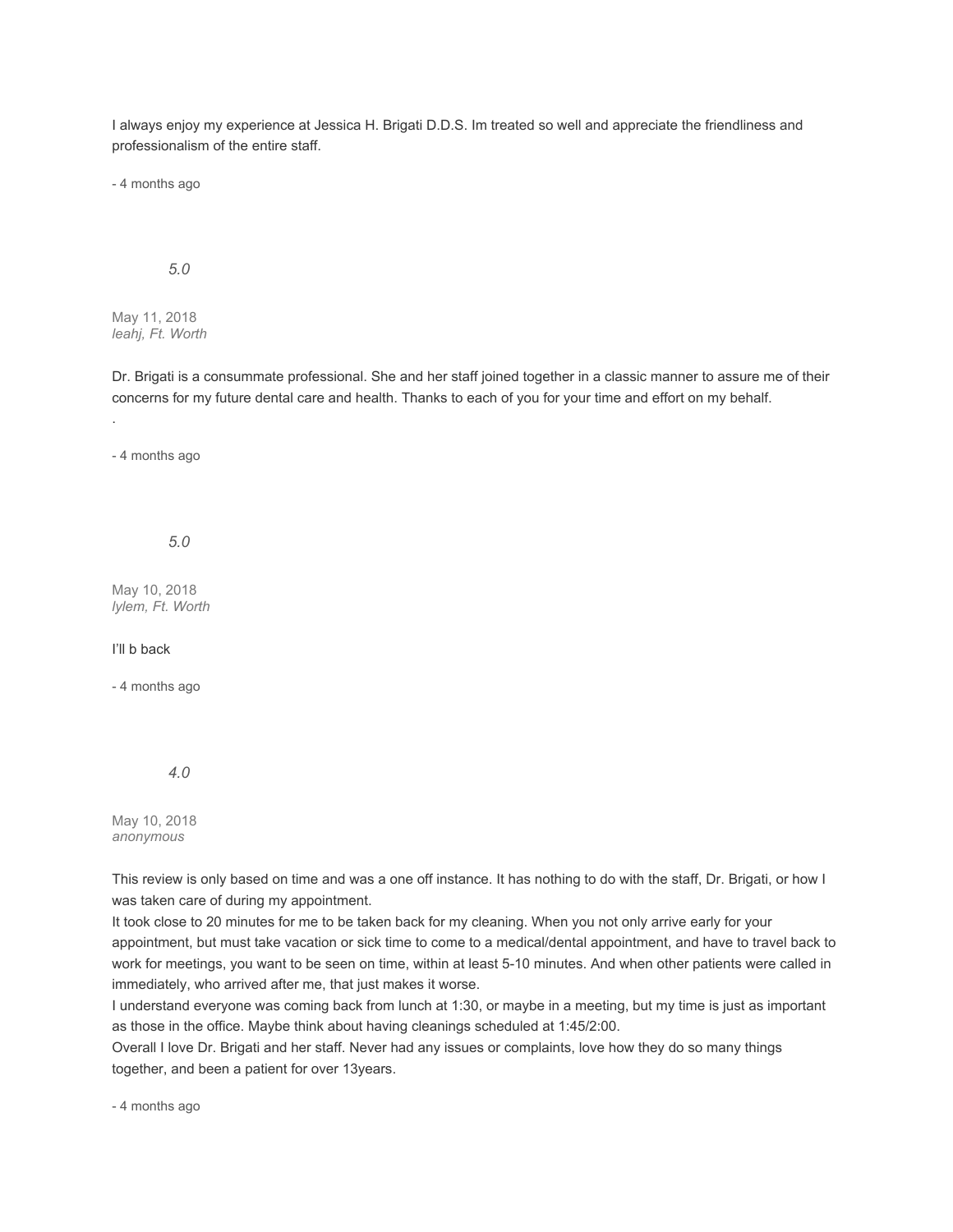I always enjoy my experience at Jessica H. Brigati D.D.S. Im treated so well and appreciate the friendliness and professionalism of the entire staff.

- 4 months ago

#### *5.0*

May 11, 2018 *leahj, Ft. Worth*

Dr. Brigati is a consummate professional. She and her staff joined together in a classic manner to assure me of their concerns for my future dental care and health. Thanks to each of you for your time and effort on my behalf.

- 4 months ago

.

*5.0*

May 10, 2018 *lylem, Ft. Worth*

#### I'll b back

- 4 months ago

*4.0*

May 10, 2018 *anonymous*

This review is only based on time and was a one off instance. It has nothing to do with the staff, Dr. Brigati, or how I was taken care of during my appointment.

It took close to 20 minutes for me to be taken back for my cleaning. When you not only arrive early for your appointment, but must take vacation or sick time to come to a medical/dental appointment, and have to travel back to work for meetings, you want to be seen on time, within at least 5-10 minutes. And when other patients were called in immediately, who arrived after me, that just makes it worse.

I understand everyone was coming back from lunch at 1:30, or maybe in a meeting, but my time is just as important as those in the office. Maybe think about having cleanings scheduled at 1:45/2:00.

Overall I love Dr. Brigati and her staff. Never had any issues or complaints, love how they do so many things together, and been a patient for over 13years.

- 4 months ago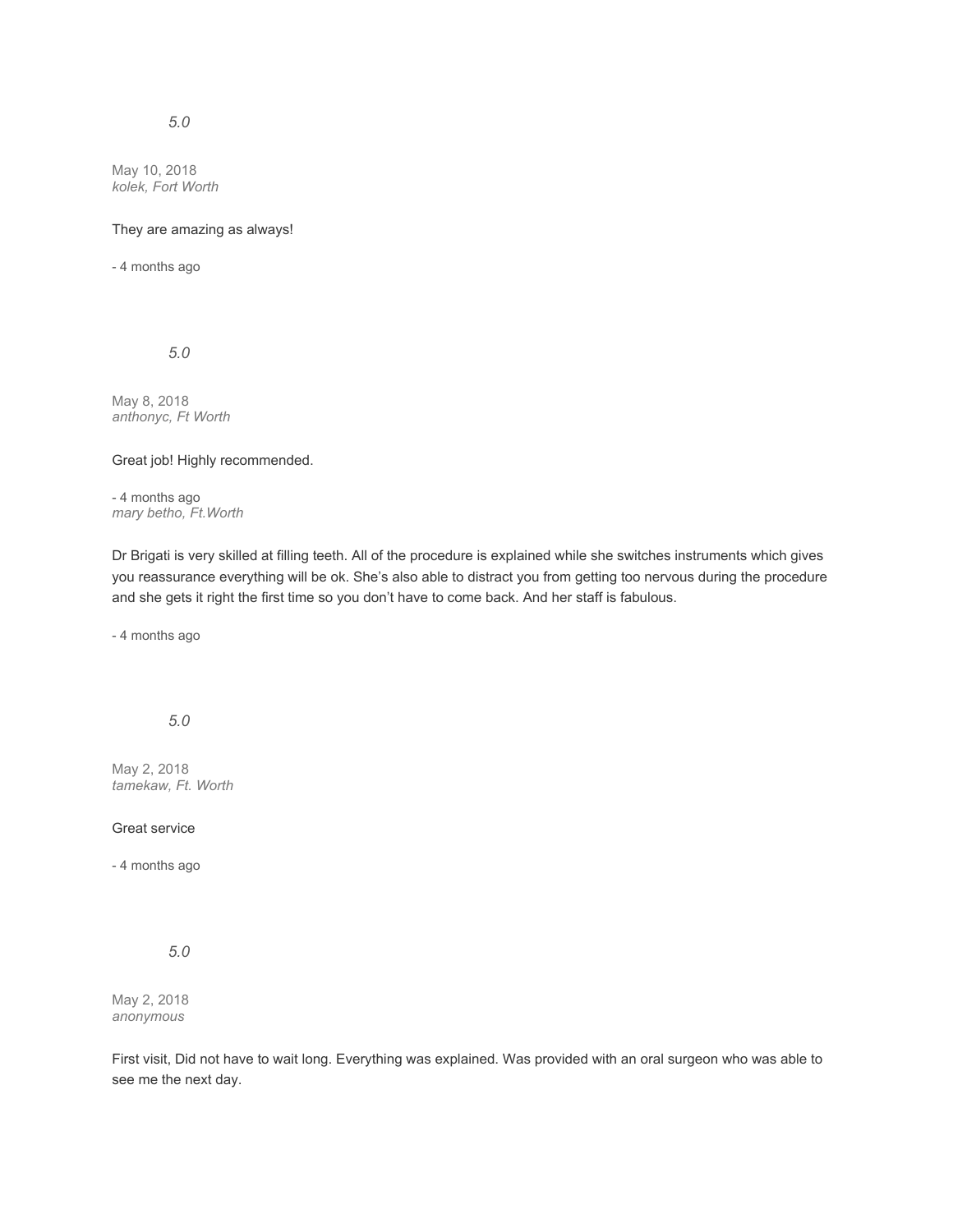# *5.0*

May 10, 2018 *kolek, Fort Worth*

#### They are amazing as always!

- 4 months ago

*5.0*

May 8, 2018 *anthonyc, Ft Worth*

Great job! Highly recommended.

- 4 months ago *mary betho, Ft.Worth*

Dr Brigati is very skilled at filling teeth. All of the procedure is explained while she switches instruments which gives you reassurance everything will be ok. She's also able to distract you from getting too nervous during the procedure and she gets it right the first time so you don't have to come back. And her staff is fabulous.

- 4 months ago

*5.0*

May 2, 2018 *tamekaw, Ft. Worth*

#### Great service

- 4 months ago

*5.0*

May 2, 2018 *anonymous*

First visit, Did not have to wait long. Everything was explained. Was provided with an oral surgeon who was able to see me the next day.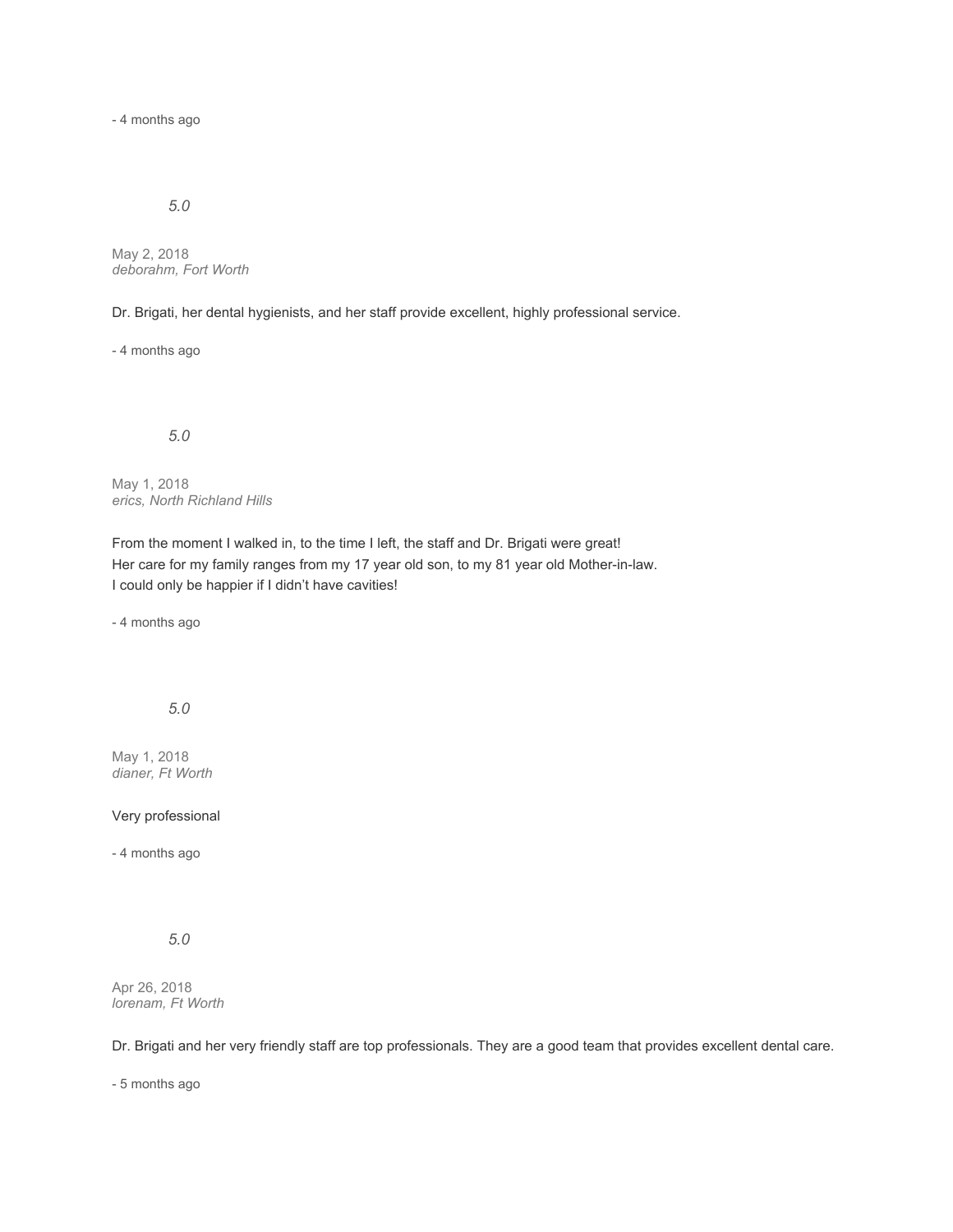- 4 months ago

### *5.0*

May 2, 2018 *deborahm, Fort Worth*

Dr. Brigati, her dental hygienists, and her staff provide excellent, highly professional service.

- 4 months ago

*5.0*

May 1, 2018 *erics, North Richland Hills*

From the moment I walked in, to the time I left, the staff and Dr. Brigati were great! Her care for my family ranges from my 17 year old son, to my 81 year old Mother-in-law. I could only be happier if I didn't have cavities!

- 4 months ago

*5.0*

May 1, 2018 *dianer, Ft Worth*

#### Very professional

- 4 months ago

*5.0*

Apr 26, 2018 *lorenam, Ft Worth*

Dr. Brigati and her very friendly staff are top professionals. They are a good team that provides excellent dental care.

- 5 months ago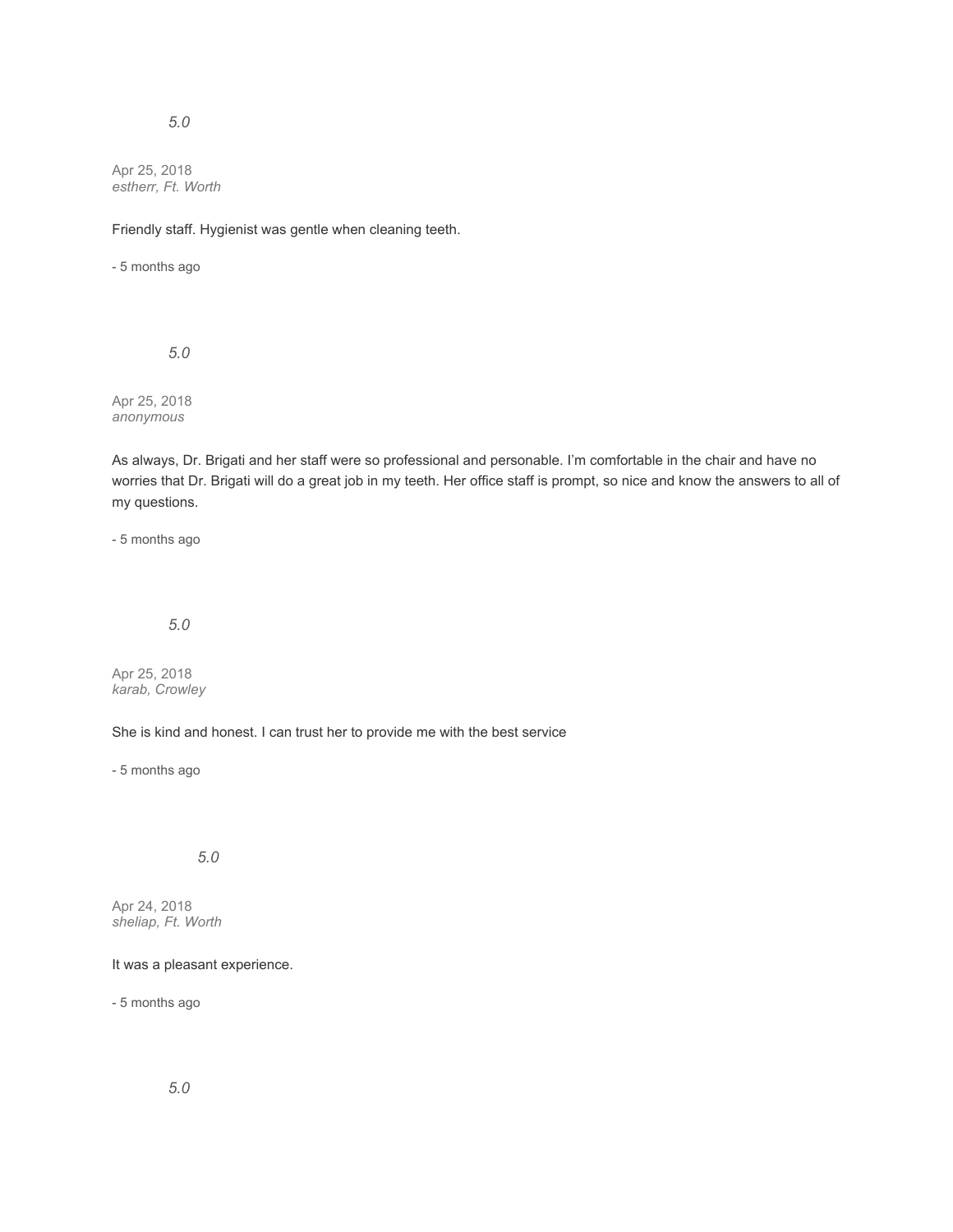# *5.0*

Apr 25, 2018 *estherr, Ft. Worth*

Friendly staff. Hygienist was gentle when cleaning teeth.

- 5 months ago

*5.0*

Apr 25, 2018 *anonymous*

As always, Dr. Brigati and her staff were so professional and personable. I'm comfortable in the chair and have no worries that Dr. Brigati will do a great job in my teeth. Her office staff is prompt, so nice and know the answers to all of my questions.

- 5 months ago

# *5.0*

Apr 25, 2018 *karab, Crowley*

She is kind and honest. I can trust her to provide me with the best service

- 5 months ago

*5.0*

Apr 24, 2018 *sheliap, Ft. Worth*

#### It was a pleasant experience.

- 5 months ago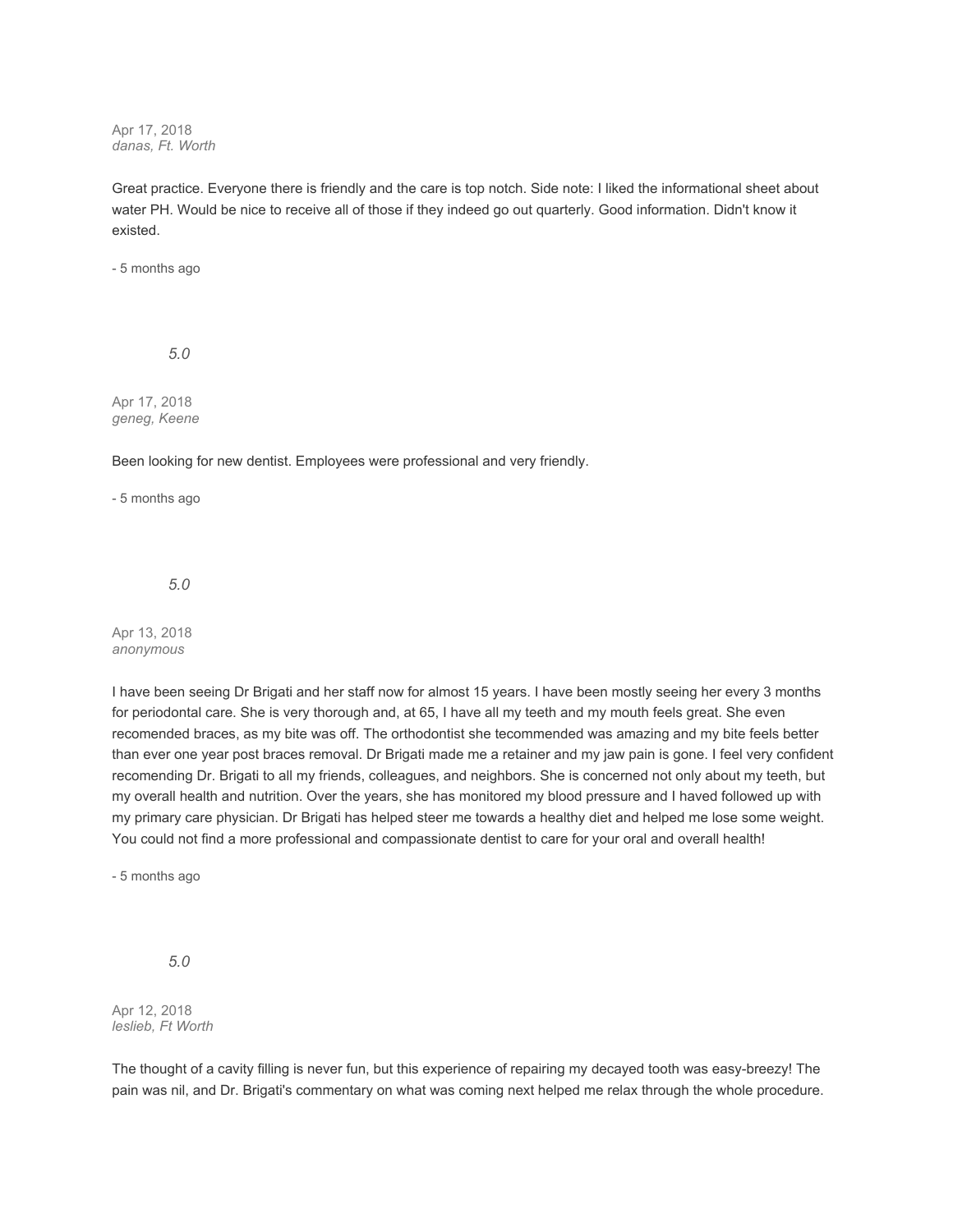Apr 17, 2018 *danas, Ft. Worth*

Great practice. Everyone there is friendly and the care is top notch. Side note: I liked the informational sheet about water PH. Would be nice to receive all of those if they indeed go out quarterly. Good information. Didn't know it existed.

- 5 months ago

*5.0*

Apr 17, 2018 *geneg, Keene*

Been looking for new dentist. Employees were professional and very friendly.

- 5 months ago

*5.0*

Apr 13, 2018 *anonymous*

I have been seeing Dr Brigati and her staff now for almost 15 years. I have been mostly seeing her every 3 months for periodontal care. She is very thorough and, at 65, I have all my teeth and my mouth feels great. She even recomended braces, as my bite was off. The orthodontist she tecommended was amazing and my bite feels better than ever one year post braces removal. Dr Brigati made me a retainer and my jaw pain is gone. I feel very confident recomending Dr. Brigati to all my friends, colleagues, and neighbors. She is concerned not only about my teeth, but my overall health and nutrition. Over the years, she has monitored my blood pressure and I haved followed up with my primary care physician. Dr Brigati has helped steer me towards a healthy diet and helped me lose some weight. You could not find a more professional and compassionate dentist to care for your oral and overall health!

- 5 months ago

*5.0*

Apr 12, 2018 *leslieb, Ft Worth*

The thought of a cavity filling is never fun, but this experience of repairing my decayed tooth was easy-breezy! The pain was nil, and Dr. Brigati's commentary on what was coming next helped me relax through the whole procedure.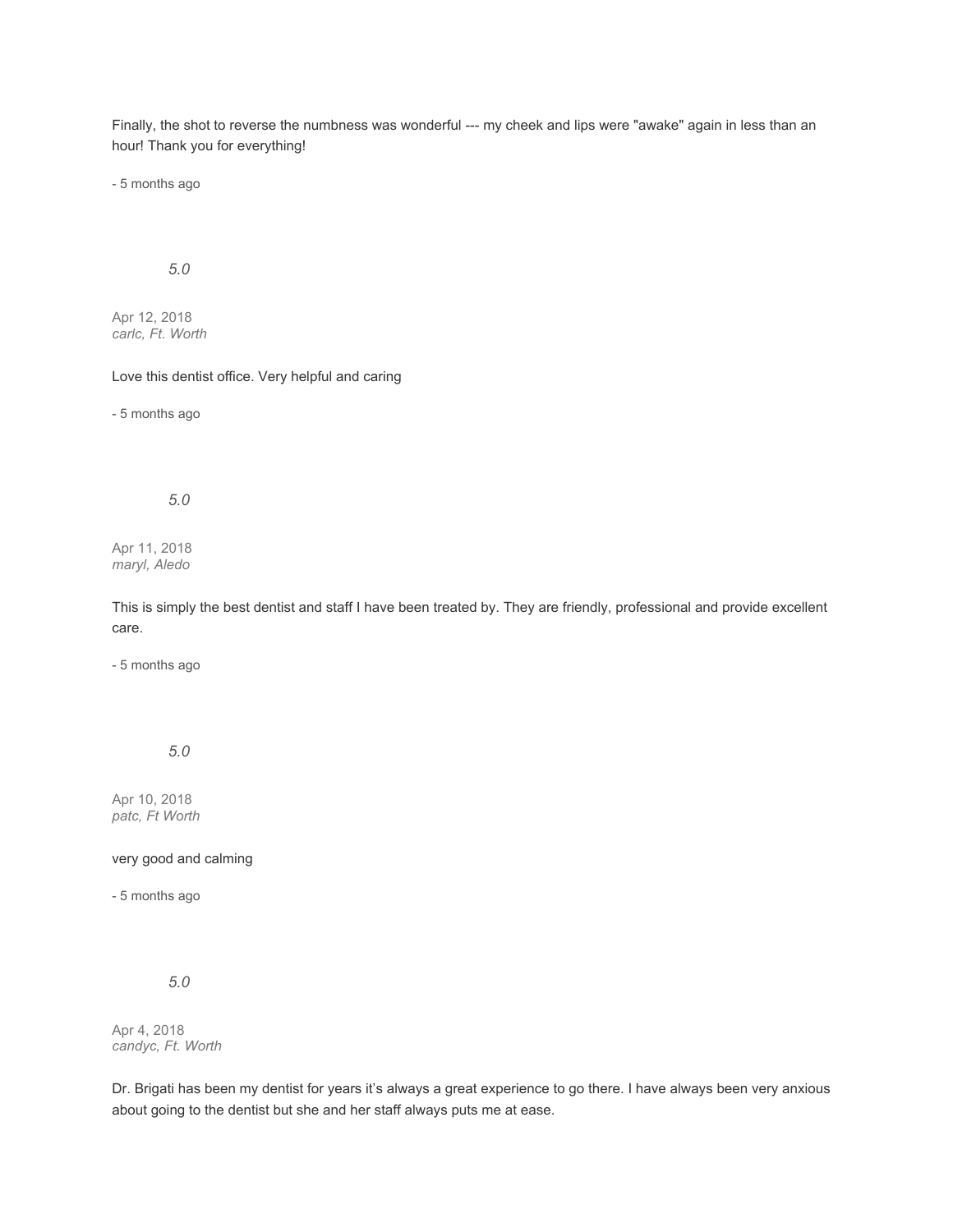Finally, the shot to reverse the numbness was wonderful --- my cheek and lips were "awake" again in less than an hour! Thank you for everything!

- 5 months ago

## *5.0*

Apr 12, 2018 *carlc, Ft. Worth*

Love this dentist office. Very helpful and caring

- 5 months ago

## *5.0*

Apr 11, 2018 *maryl, Aledo*

This is simply the best dentist and staff I have been treated by. They are friendly, professional and provide excellent care.

- 5 months ago

*5.0*

Apr 10, 2018 *patc, Ft Worth*

very good and calming

- 5 months ago

*5.0*

Apr 4, 2018 *candyc, Ft. Worth*

Dr. Brigati has been my dentist for years it's always a great experience to go there. I have always been very anxious about going to the dentist but she and her staff always puts me at ease.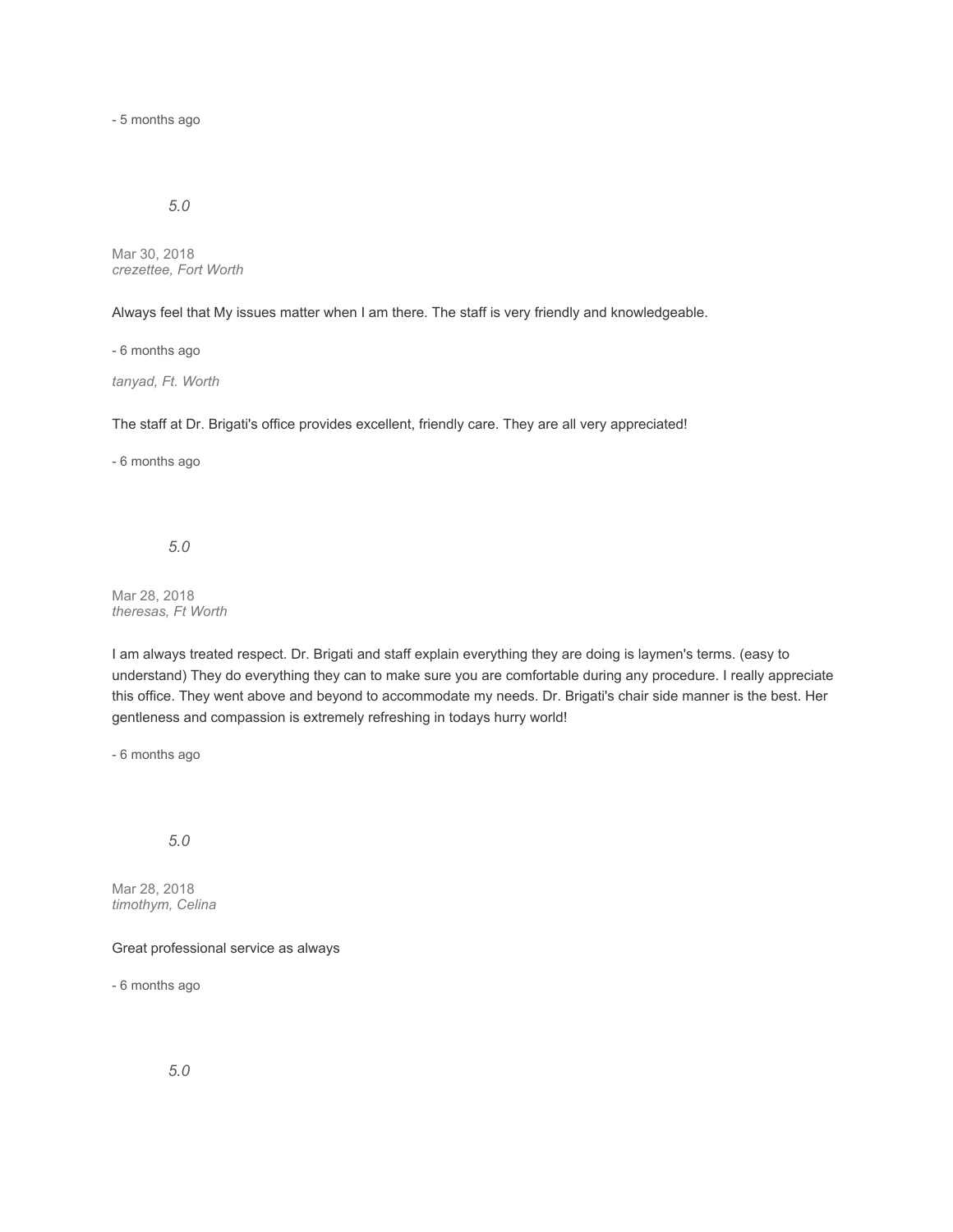- 5 months ago

### *5.0*

Mar 30, 2018 *crezettee, Fort Worth*

Always feel that My issues matter when I am there. The staff is very friendly and knowledgeable.

- 6 months ago

*tanyad, Ft. Worth*

The staff at Dr. Brigati's office provides excellent, friendly care. They are all very appreciated!

- 6 months ago

# *5.0*

Mar 28, 2018 *theresas, Ft Worth*

I am always treated respect. Dr. Brigati and staff explain everything they are doing is laymen's terms. (easy to understand) They do everything they can to make sure you are comfortable during any procedure. I really appreciate this office. They went above and beyond to accommodate my needs. Dr. Brigati's chair side manner is the best. Her gentleness and compassion is extremely refreshing in todays hurry world!

- 6 months ago

### *5.0*

Mar 28, 2018 *timothym, Celina*

#### Great professional service as always

- 6 months ago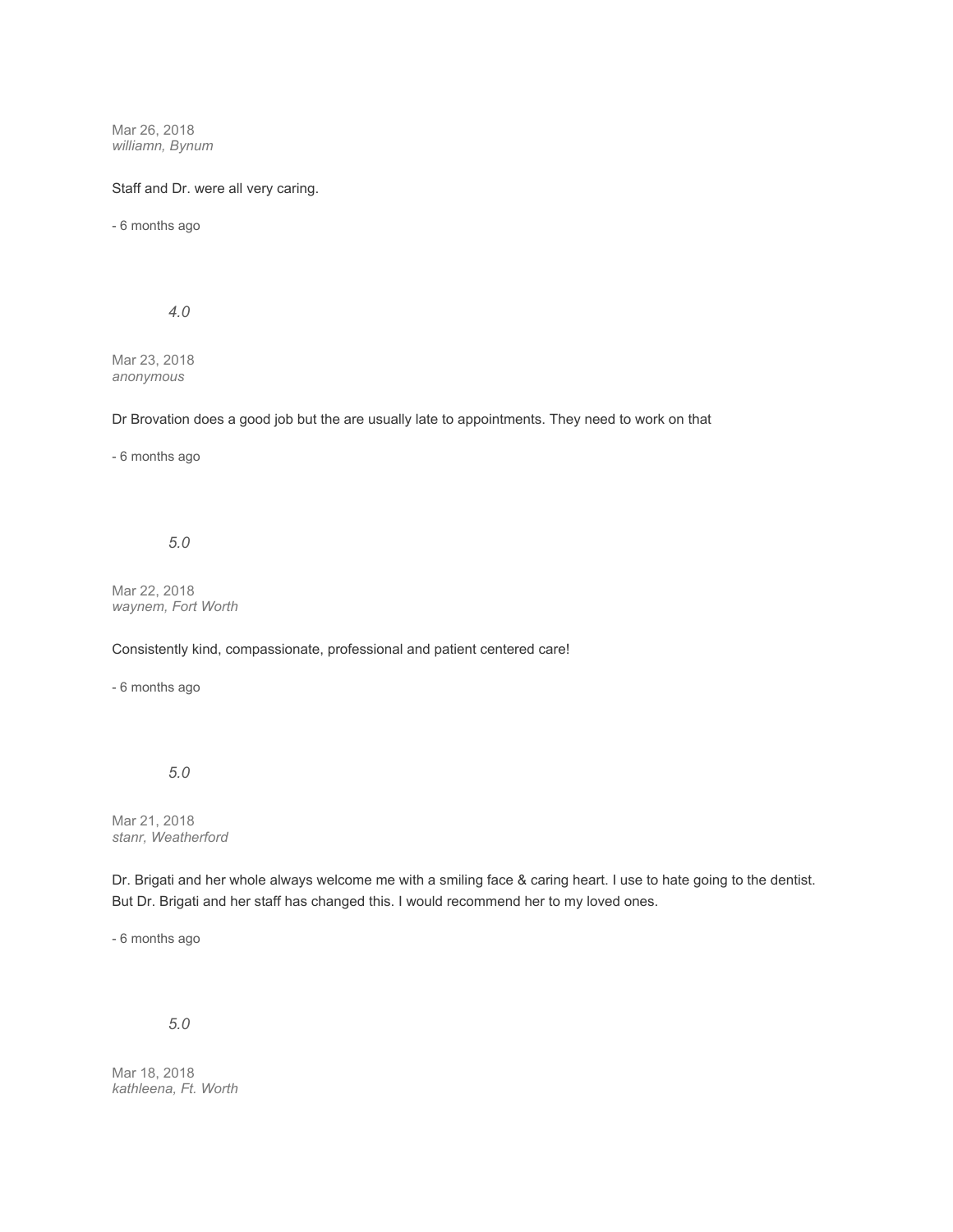Mar 26, 2018 *williamn, Bynum*

#### Staff and Dr. were all very caring.

- 6 months ago

*4.0*

Mar 23, 2018 *anonymous*

Dr Brovation does a good job but the are usually late to appointments. They need to work on that

- 6 months ago

*5.0*

Mar 22, 2018 *waynem, Fort Worth*

Consistently kind, compassionate, professional and patient centered care!

- 6 months ago

*5.0*

Mar 21, 2018 *stanr, Weatherford*

Dr. Brigati and her whole always welcome me with a smiling face & caring heart. I use to hate going to the dentist. But Dr. Brigati and her staff has changed this. I would recommend her to my loved ones.

- 6 months ago

*5.0*

Mar 18, 2018 *kathleena, Ft. Worth*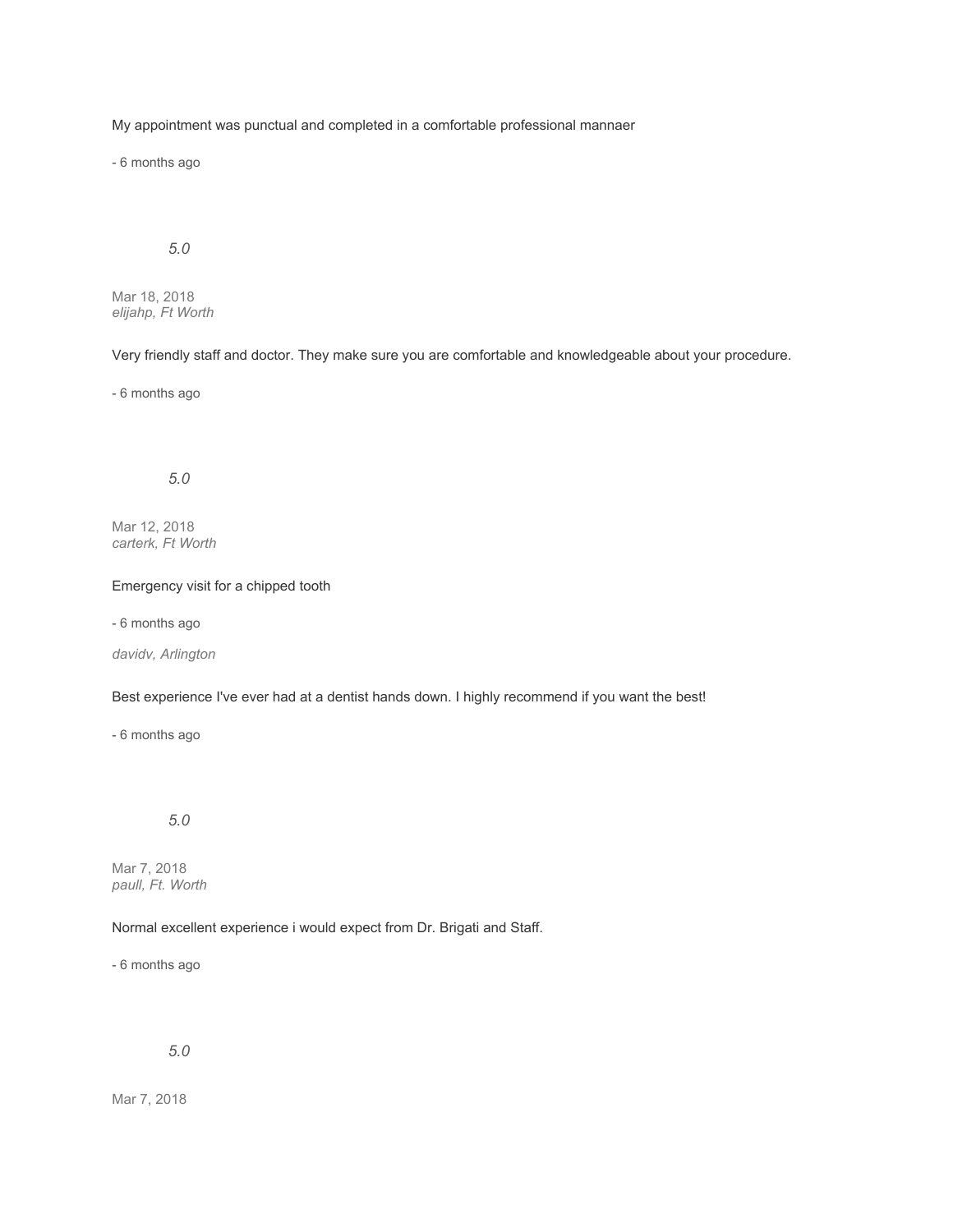My appointment was punctual and completed in a comfortable professional mannaer

- 6 months ago

# *5.0*

Mar 18, 2018 *elijahp, Ft Worth*

Very friendly staff and doctor. They make sure you are comfortable and knowledgeable about your procedure.

- 6 months ago

### *5.0*

Mar 12, 2018 *carterk, Ft Worth*

#### Emergency visit for a chipped tooth

- 6 months ago

*davidv, Arlington*

Best experience I've ever had at a dentist hands down. I highly recommend if you want the best!

- 6 months ago

# *5.0*

Mar 7, 2018 *paull, Ft. Worth*

#### Normal excellent experience i would expect from Dr. Brigati and Staff.

- 6 months ago

*5.0*

Mar 7, 2018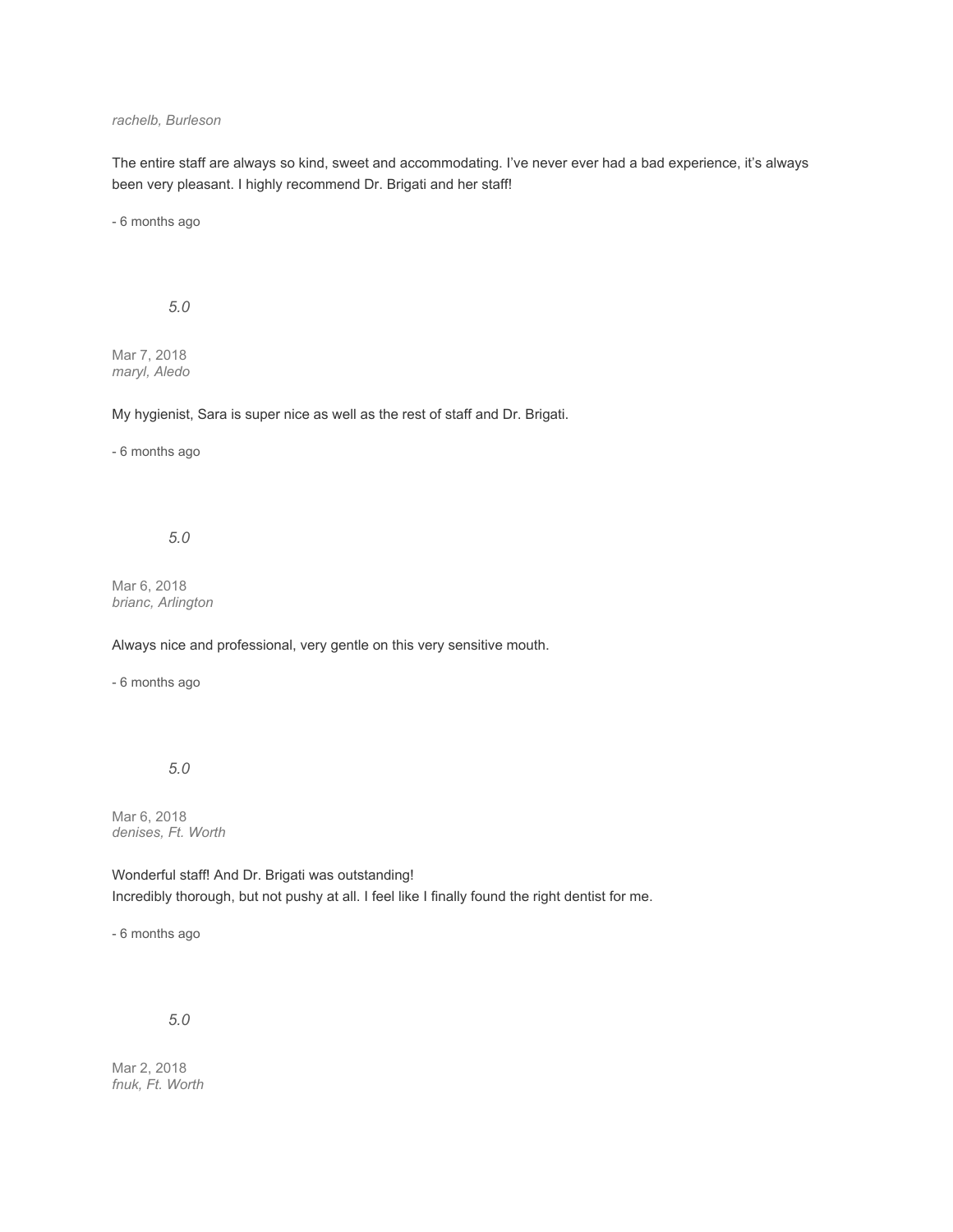#### *rachelb, Burleson*

The entire staff are always so kind, sweet and accommodating. I've never ever had a bad experience, it's always been very pleasant. I highly recommend Dr. Brigati and her staff!

- 6 months ago

*5.0*

Mar 7, 2018 *maryl, Aledo*

My hygienist, Sara is super nice as well as the rest of staff and Dr. Brigati.

- 6 months ago

*5.0*

Mar 6, 2018 *brianc, Arlington*

Always nice and professional, very gentle on this very sensitive mouth.

- 6 months ago

*5.0*

Mar 6, 2018 *denises, Ft. Worth*

Wonderful staff! And Dr. Brigati was outstanding! Incredibly thorough, but not pushy at all. I feel like I finally found the right dentist for me.

- 6 months ago

*5.0*

Mar 2, 2018 *fnuk, Ft. Worth*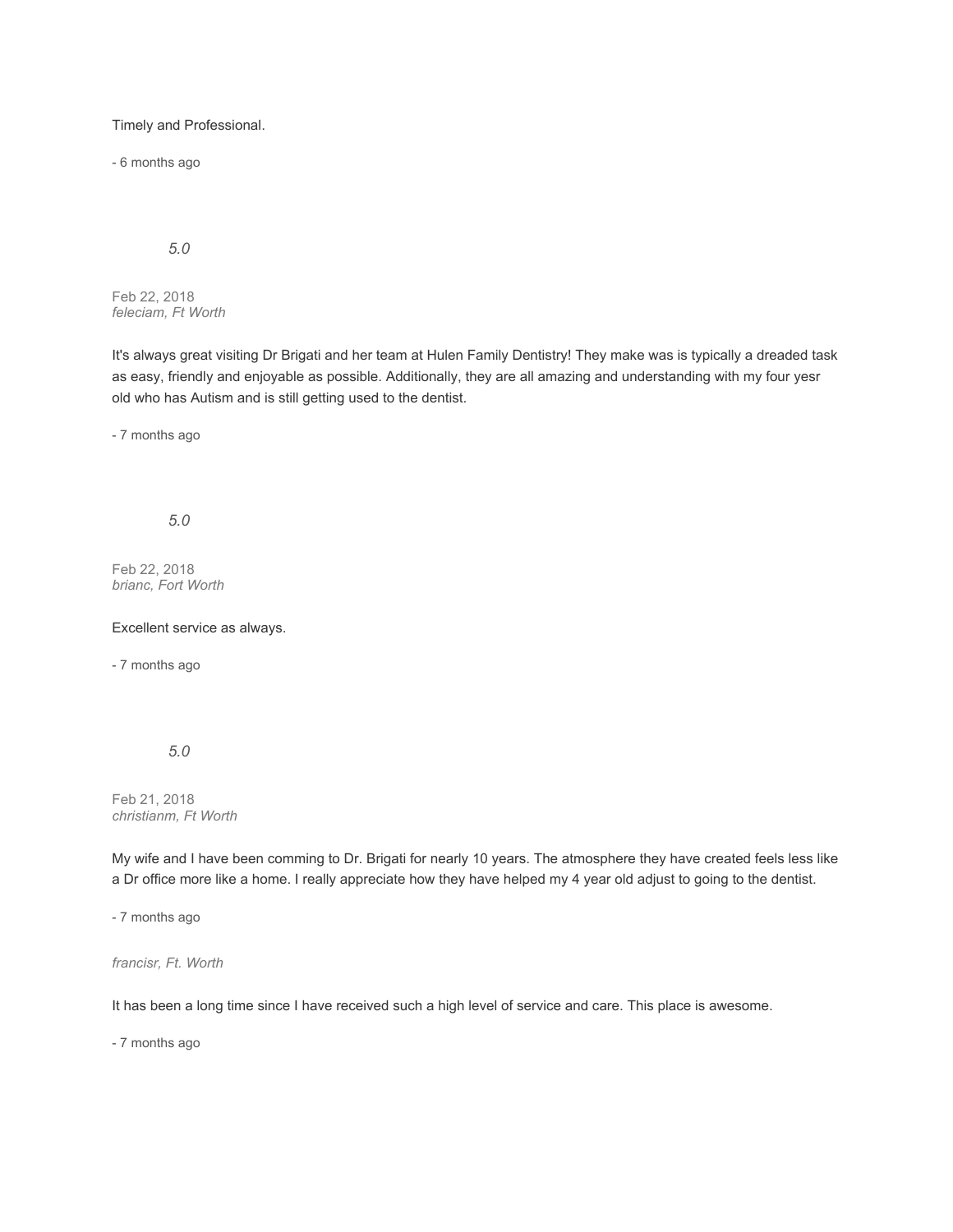Timely and Professional.

- 6 months ago

*5.0*

Feb 22, 2018 *feleciam, Ft Worth*

It's always great visiting Dr Brigati and her team at Hulen Family Dentistry! They make was is typically a dreaded task as easy, friendly and enjoyable as possible. Additionally, they are all amazing and understanding with my four yesr old who has Autism and is still getting used to the dentist.

- 7 months ago

*5.0*

Feb 22, 2018 *brianc, Fort Worth*

Excellent service as always.

- 7 months ago

*5.0*

Feb 21, 2018 *christianm, Ft Worth*

My wife and I have been comming to Dr. Brigati for nearly 10 years. The atmosphere they have created feels less like a Dr office more like a home. I really appreciate how they have helped my 4 year old adjust to going to the dentist.

- 7 months ago

*francisr, Ft. Worth*

It has been a long time since I have received such a high level of service and care. This place is awesome.

- 7 months ago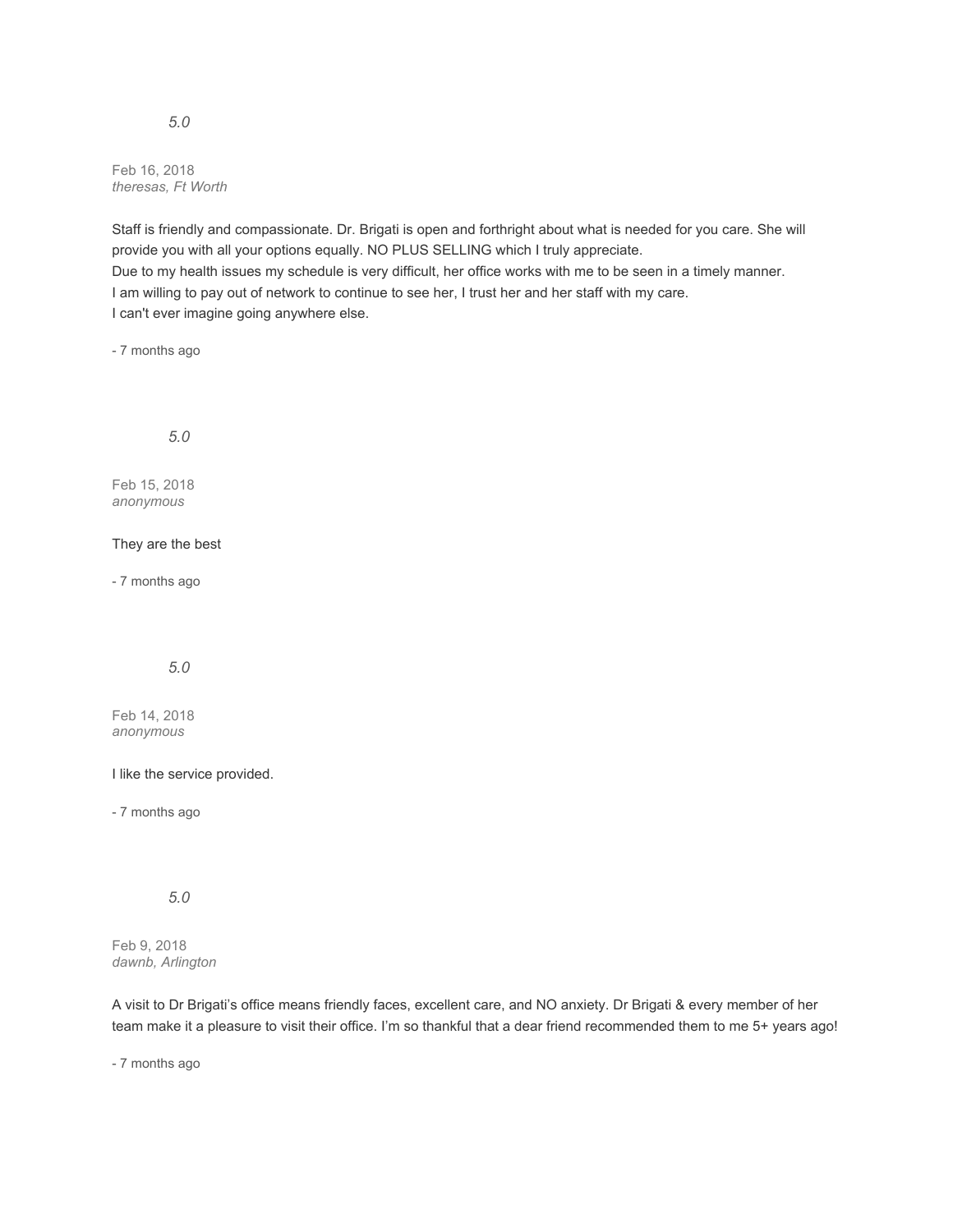Feb 16, 2018 *theresas, Ft Worth*

Staff is friendly and compassionate. Dr. Brigati is open and forthright about what is needed for you care. She will provide you with all your options equally. NO PLUS SELLING which I truly appreciate. Due to my health issues my schedule is very difficult, her office works with me to be seen in a timely manner. I am willing to pay out of network to continue to see her, I trust her and her staff with my care. I can't ever imagine going anywhere else.

- 7 months ago

*5.0*

Feb 15, 2018 *anonymous*

They are the best

- 7 months ago

*5.0*

Feb 14, 2018 *anonymous*

I like the service provided.

- 7 months ago

*5.0*

Feb 9, 2018 *dawnb, Arlington*

A visit to Dr Brigati's office means friendly faces, excellent care, and NO anxiety. Dr Brigati & every member of her team make it a pleasure to visit their office. I'm so thankful that a dear friend recommended them to me 5+ years ago!

- 7 months ago

*5.0*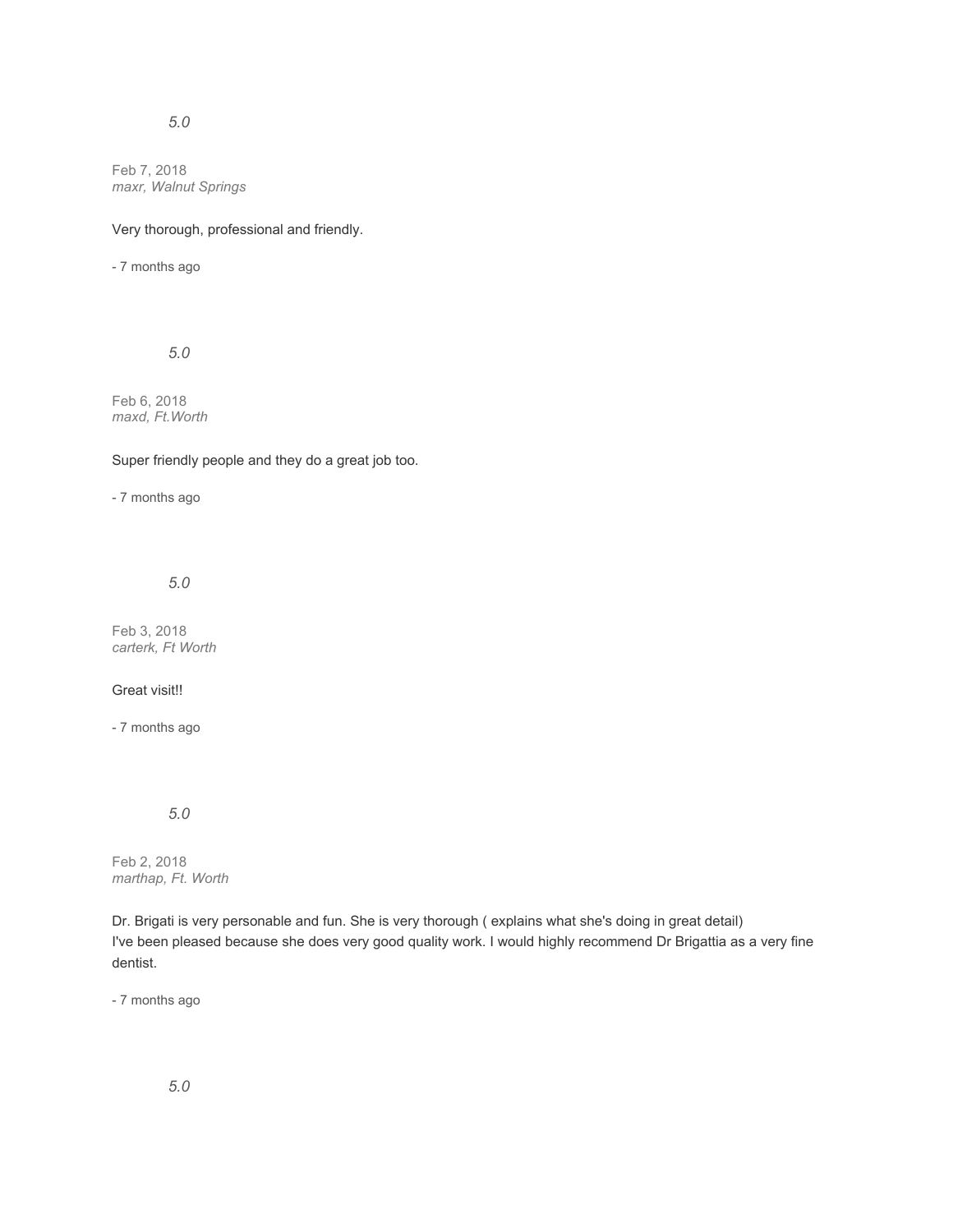# *5.0*

Feb 7, 2018 *maxr, Walnut Springs*

### Very thorough, professional and friendly.

- 7 months ago

*5.0*

Feb 6, 2018 *maxd, Ft.Worth*

Super friendly people and they do a great job too.

- 7 months ago

*5.0*

Feb 3, 2018 *carterk, Ft Worth*

#### Great visit!!

- 7 months ago

*5.0*

Feb 2, 2018 *marthap, Ft. Worth*

Dr. Brigati is very personable and fun. She is very thorough ( explains what she's doing in great detail) I've been pleased because she does very good quality work. I would highly recommend Dr Brigattia as a very fine dentist.

- 7 months ago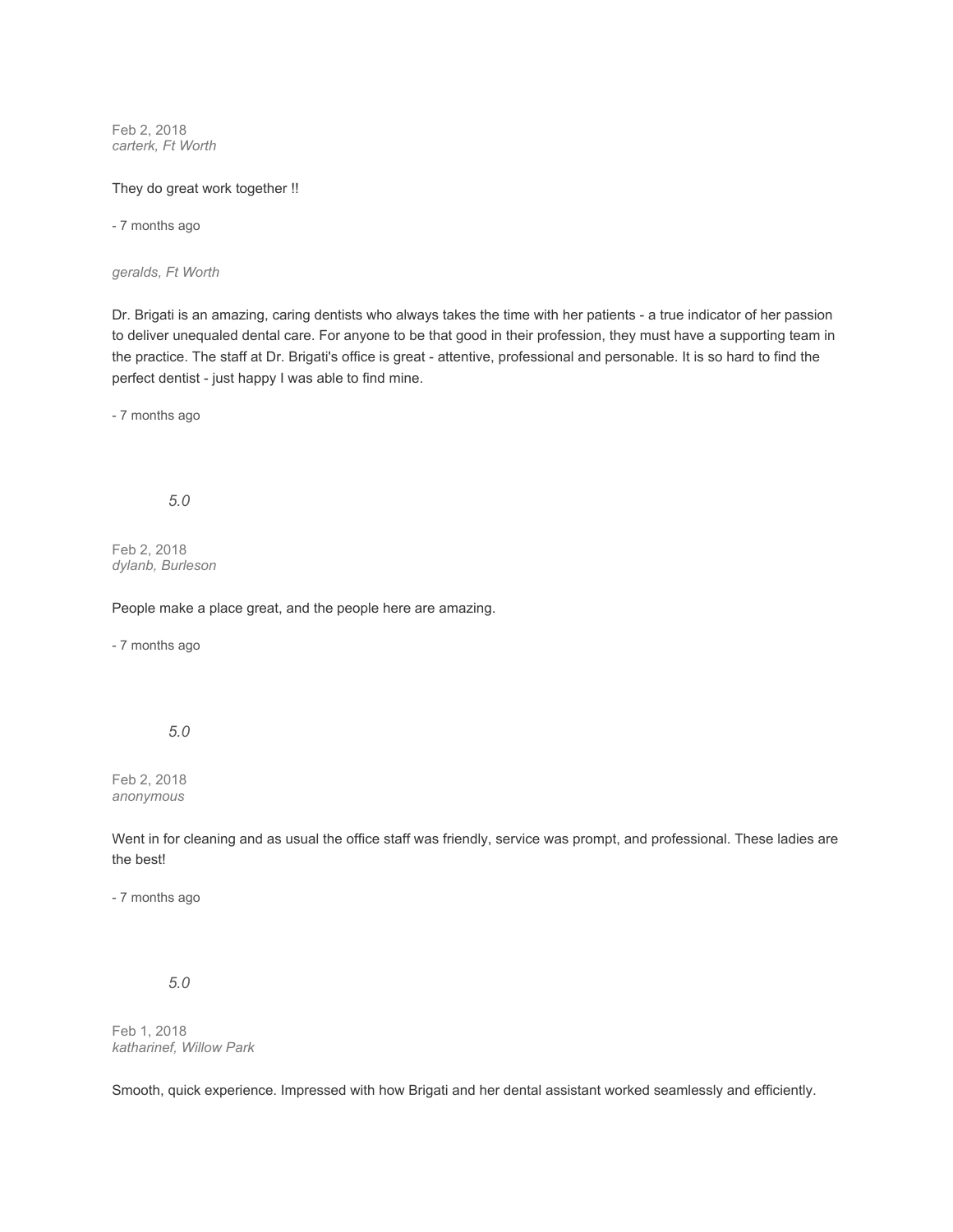Feb 2, 2018 *carterk, Ft Worth*

#### They do great work together !!

- 7 months ago

*geralds, Ft Worth*

Dr. Brigati is an amazing, caring dentists who always takes the time with her patients - a true indicator of her passion to deliver unequaled dental care. For anyone to be that good in their profession, they must have a supporting team in the practice. The staff at Dr. Brigati's office is great - attentive, professional and personable. It is so hard to find the perfect dentist - just happy I was able to find mine.

- 7 months ago

*5.0*

Feb 2, 2018 *dylanb, Burleson*

People make a place great, and the people here are amazing.

- 7 months ago

*5.0*

Feb 2, 2018 *anonymous*

Went in for cleaning and as usual the office staff was friendly, service was prompt, and professional. These ladies are the best!

- 7 months ago

*5.0*

Feb 1, 2018 *katharinef, Willow Park*

Smooth, quick experience. Impressed with how Brigati and her dental assistant worked seamlessly and efficiently.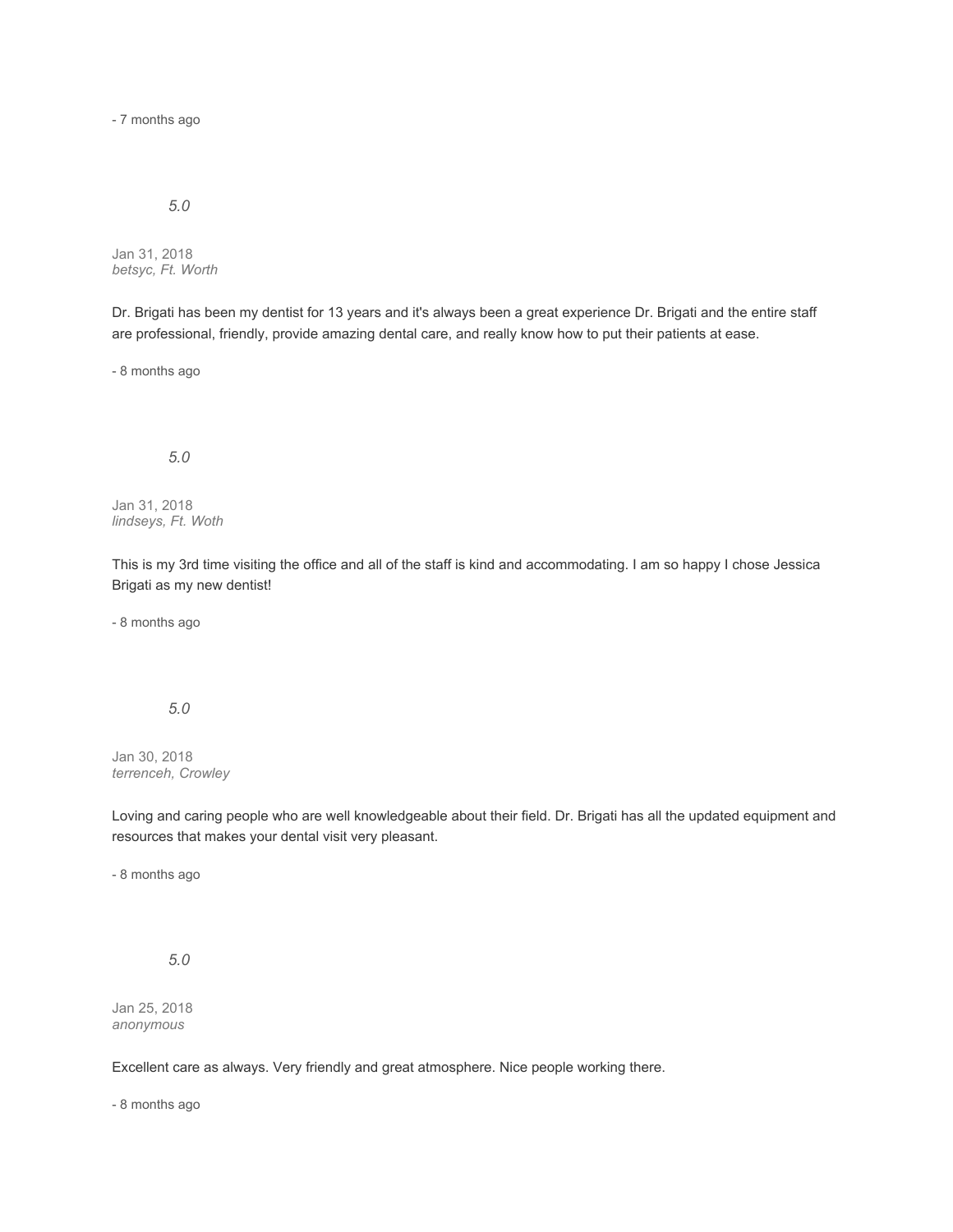- 7 months ago

### *5.0*

Jan 31, 2018 *betsyc, Ft. Worth*

Dr. Brigati has been my dentist for 13 years and it's always been a great experience Dr. Brigati and the entire staff are professional, friendly, provide amazing dental care, and really know how to put their patients at ease.

- 8 months ago

# *5.0*

Jan 31, 2018 *lindseys, Ft. Woth*

This is my 3rd time visiting the office and all of the staff is kind and accommodating. I am so happy I chose Jessica Brigati as my new dentist!

- 8 months ago

### *5.0*

Jan 30, 2018 *terrenceh, Crowley*

Loving and caring people who are well knowledgeable about their field. Dr. Brigati has all the updated equipment and resources that makes your dental visit very pleasant.

- 8 months ago

*5.0*

Jan 25, 2018 *anonymous*

Excellent care as always. Very friendly and great atmosphere. Nice people working there.

- 8 months ago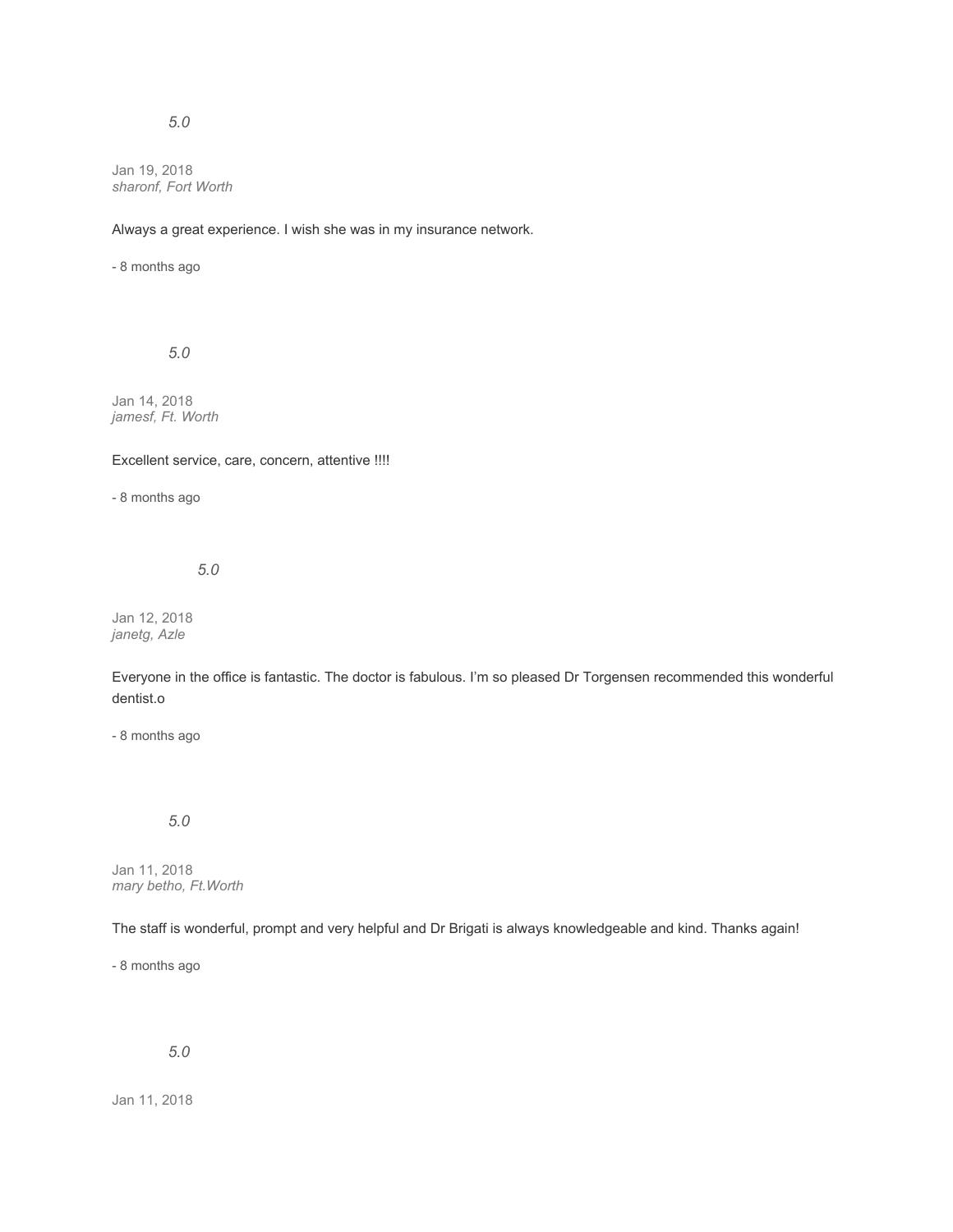## *5.0*

Jan 19, 2018 *sharonf, Fort Worth*

Always a great experience. I wish she was in my insurance network.

- 8 months ago

*5.0*

Jan 14, 2018 *jamesf, Ft. Worth*

Excellent service, care, concern, attentive !!!!

- 8 months ago

*5.0*

Jan 12, 2018 *janetg, Azle*

Everyone in the office is fantastic. The doctor is fabulous. I'm so pleased Dr Torgensen recommended this wonderful dentist.o

- 8 months ago

# *5.0*

Jan 11, 2018 *mary betho, Ft.Worth*

The staff is wonderful, prompt and very helpful and Dr Brigati is always knowledgeable and kind. Thanks again!

- 8 months ago

*5.0*

Jan 11, 2018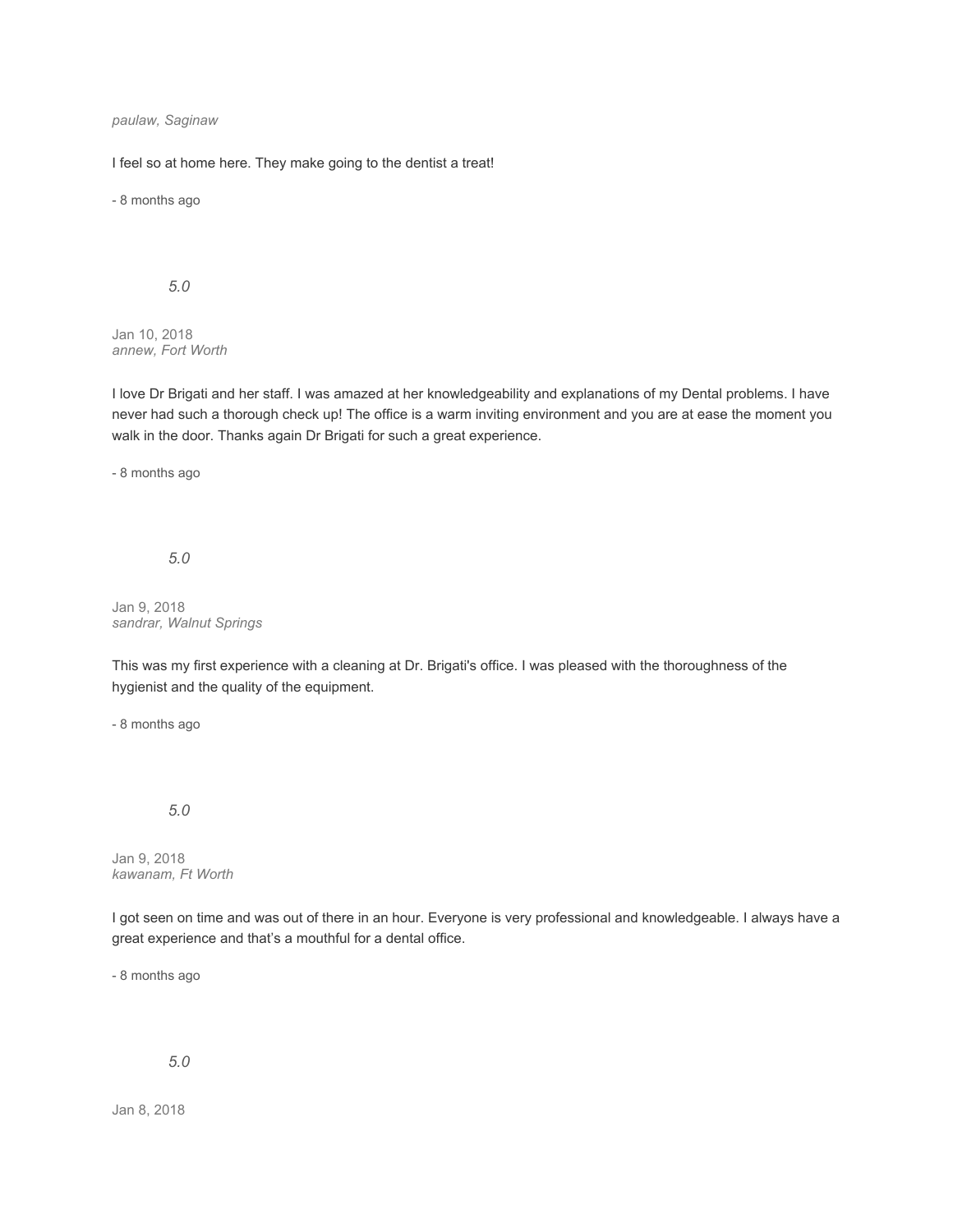### *paulaw, Saginaw*

I feel so at home here. They make going to the dentist a treat!

- 8 months ago

#### *5.0*

Jan 10, 2018 *annew, Fort Worth*

I love Dr Brigati and her staff. I was amazed at her knowledgeability and explanations of my Dental problems. I have never had such a thorough check up! The office is a warm inviting environment and you are at ease the moment you walk in the door. Thanks again Dr Brigati for such a great experience.

- 8 months ago

*5.0*

Jan 9, 2018 *sandrar, Walnut Springs*

This was my first experience with a cleaning at Dr. Brigati's office. I was pleased with the thoroughness of the hygienist and the quality of the equipment.

- 8 months ago

#### *5.0*

Jan 9, 2018 *kawanam, Ft Worth*

I got seen on time and was out of there in an hour. Everyone is very professional and knowledgeable. I always have a great experience and that's a mouthful for a dental office.

- 8 months ago

# *5.0*

Jan 8, 2018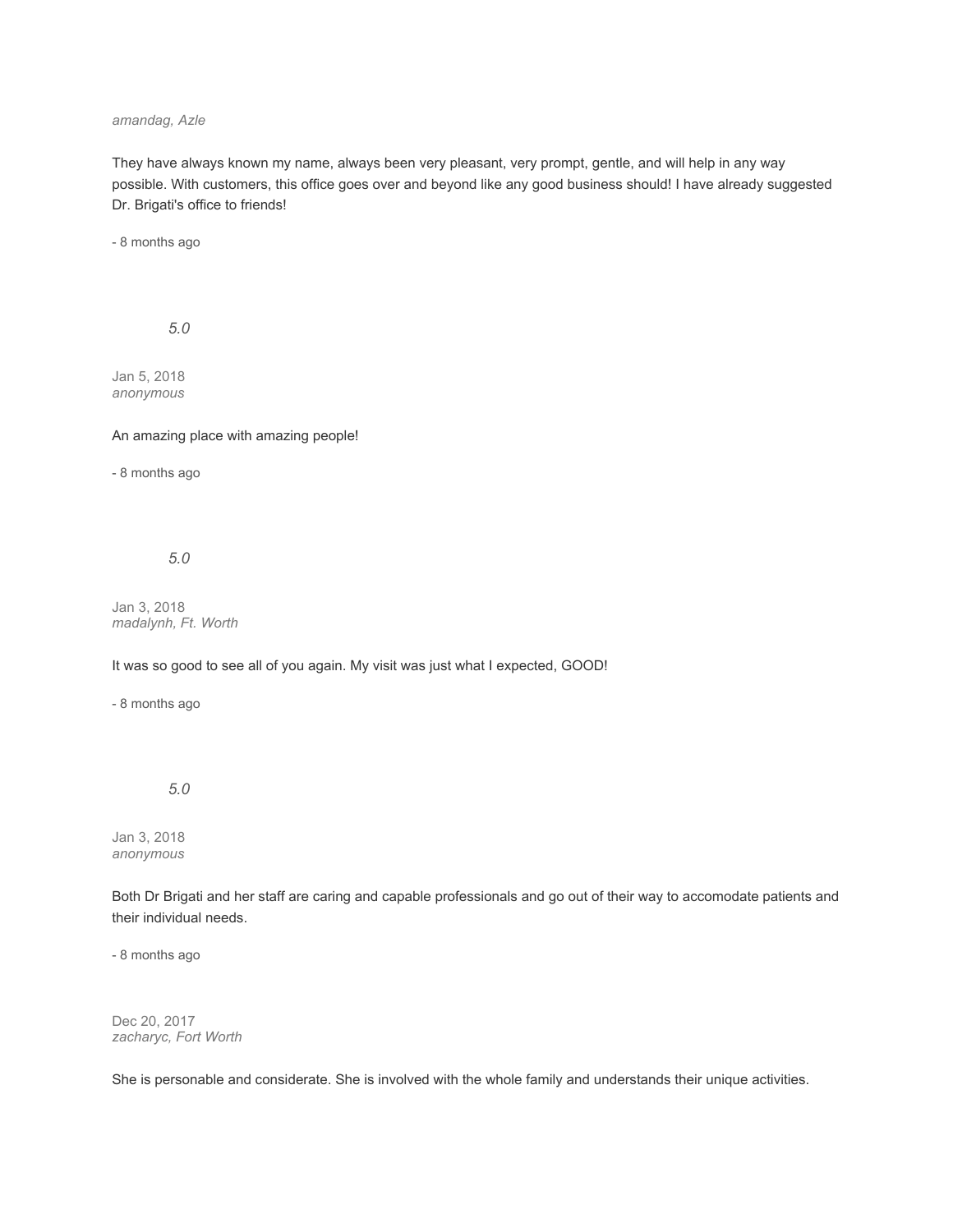#### *amandag, Azle*

They have always known my name, always been very pleasant, very prompt, gentle, and will help in any way possible. With customers, this office goes over and beyond like any good business should! I have already suggested Dr. Brigati's office to friends!

- 8 months ago

*5.0*

Jan 5, 2018 *anonymous*

#### An amazing place with amazing people!

- 8 months ago

#### *5.0*

Jan 3, 2018 *madalynh, Ft. Worth*

### It was so good to see all of you again. My visit was just what I expected, GOOD!

- 8 months ago

#### *5.0*

Jan 3, 2018 *anonymous*

Both Dr Brigati and her staff are caring and capable professionals and go out of their way to accomodate patients and their individual needs.

- 8 months ago

Dec 20, 2017 *zacharyc, Fort Worth*

She is personable and considerate. She is involved with the whole family and understands their unique activities.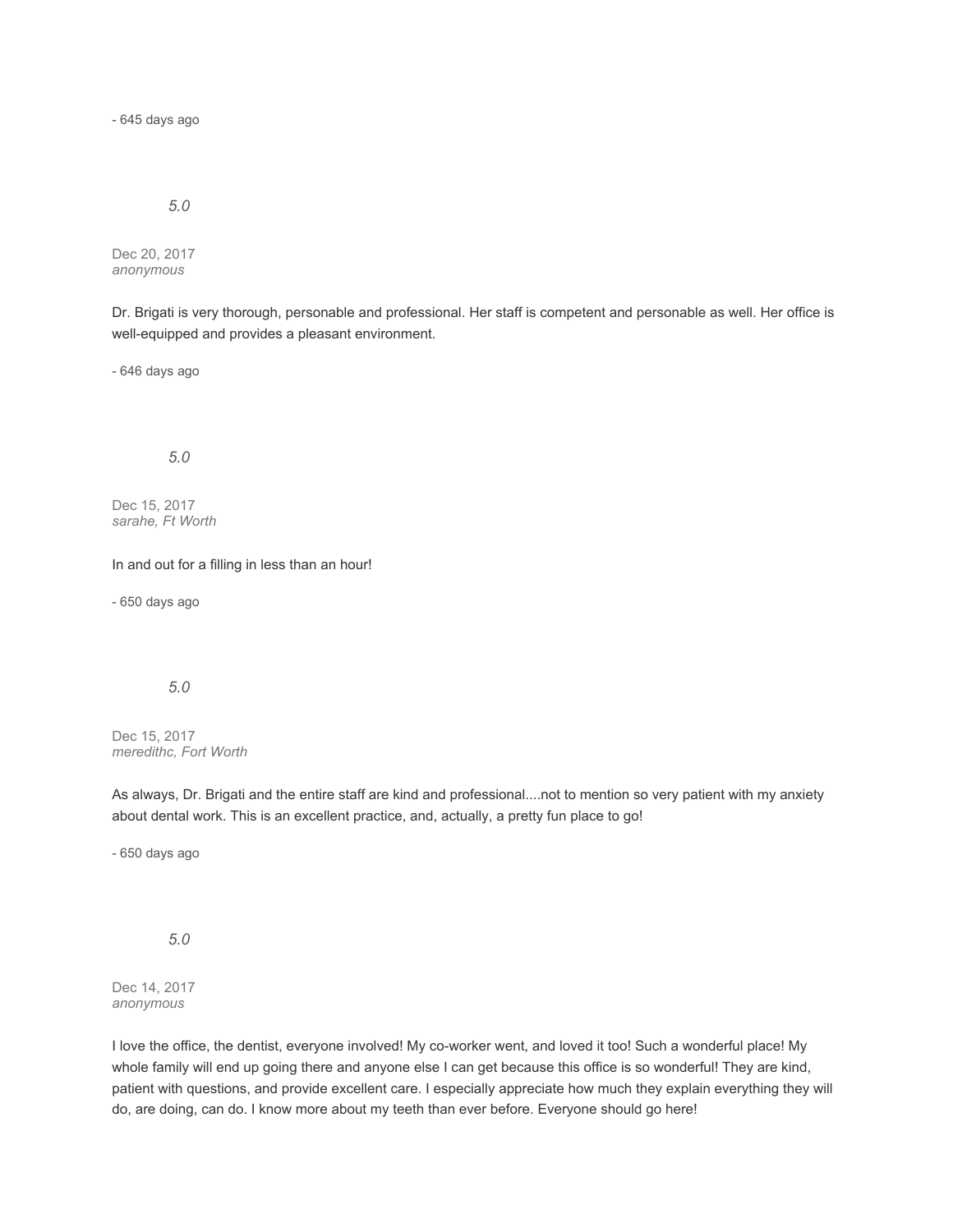- 645 days ago

#### *5.0*

Dec 20, 2017 *anonymous*

Dr. Brigati is very thorough, personable and professional. Her staff is competent and personable as well. Her office is well-equipped and provides a pleasant environment.

- 646 days ago

# *5.0*

Dec 15, 2017 *sarahe, Ft Worth*

In and out for a filling in less than an hour!

- 650 days ago

### *5.0*

Dec 15, 2017 *meredithc, Fort Worth*

As always, Dr. Brigati and the entire staff are kind and professional....not to mention so very patient with my anxiety about dental work. This is an excellent practice, and, actually, a pretty fun place to go!

- 650 days ago

*5.0*

Dec 14, 2017 *anonymous*

I love the office, the dentist, everyone involved! My co-worker went, and loved it too! Such a wonderful place! My whole family will end up going there and anyone else I can get because this office is so wonderful! They are kind, patient with questions, and provide excellent care. I especially appreciate how much they explain everything they will do, are doing, can do. I know more about my teeth than ever before. Everyone should go here!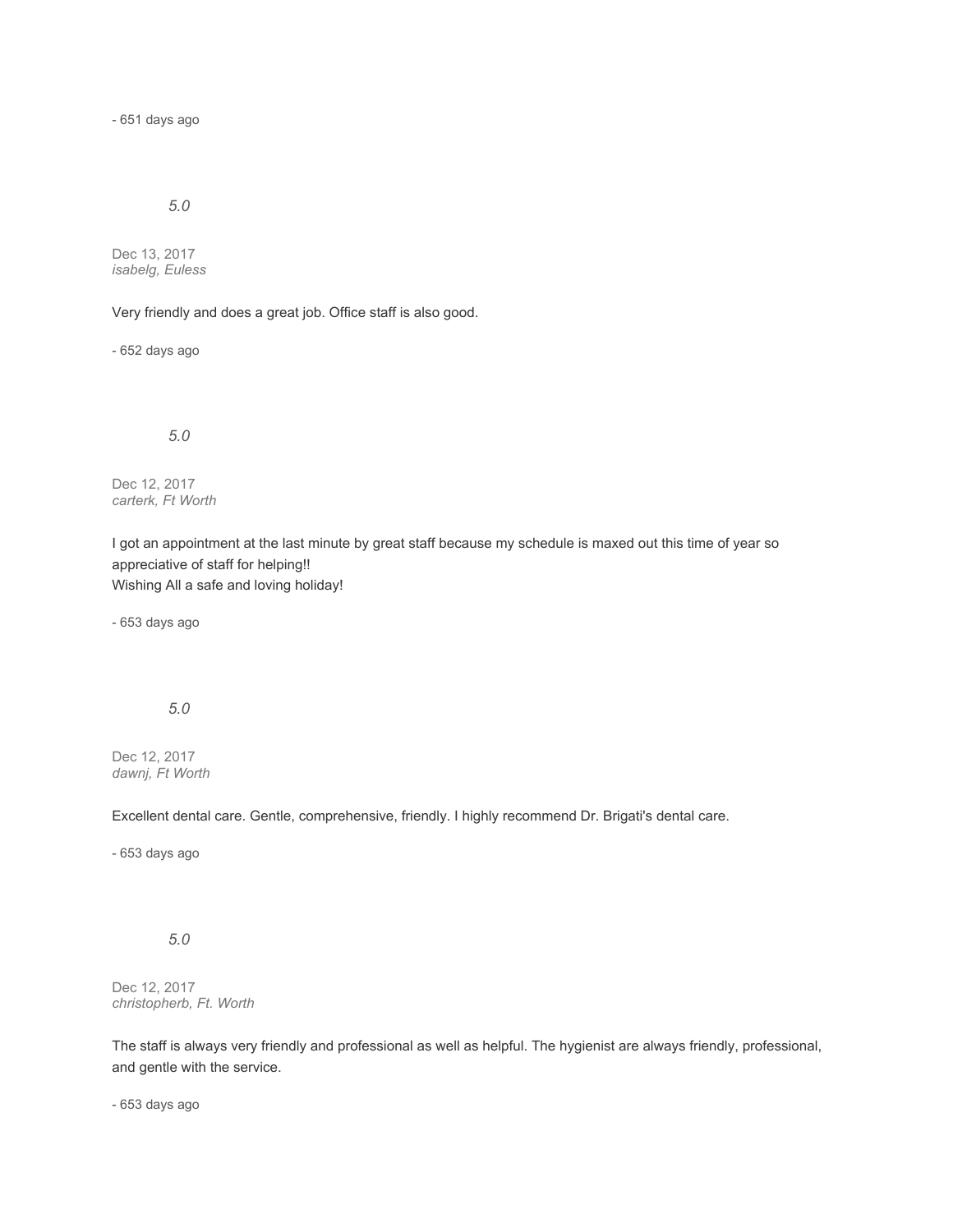- 651 days ago

# *5.0*

Dec 13, 2017 *isabelg, Euless*

Very friendly and does a great job. Office staff is also good.

- 652 days ago

*5.0*

Dec 12, 2017 *carterk, Ft Worth*

I got an appointment at the last minute by great staff because my schedule is maxed out this time of year so appreciative of staff for helping!! Wishing All a safe and loving holiday!

- 653 days ago

*5.0*

Dec 12, 2017 *dawnj, Ft Worth*

Excellent dental care. Gentle, comprehensive, friendly. I highly recommend Dr. Brigati's dental care.

- 653 days ago

*5.0*

Dec 12, 2017 *christopherb, Ft. Worth*

The staff is always very friendly and professional as well as helpful. The hygienist are always friendly, professional, and gentle with the service.

- 653 days ago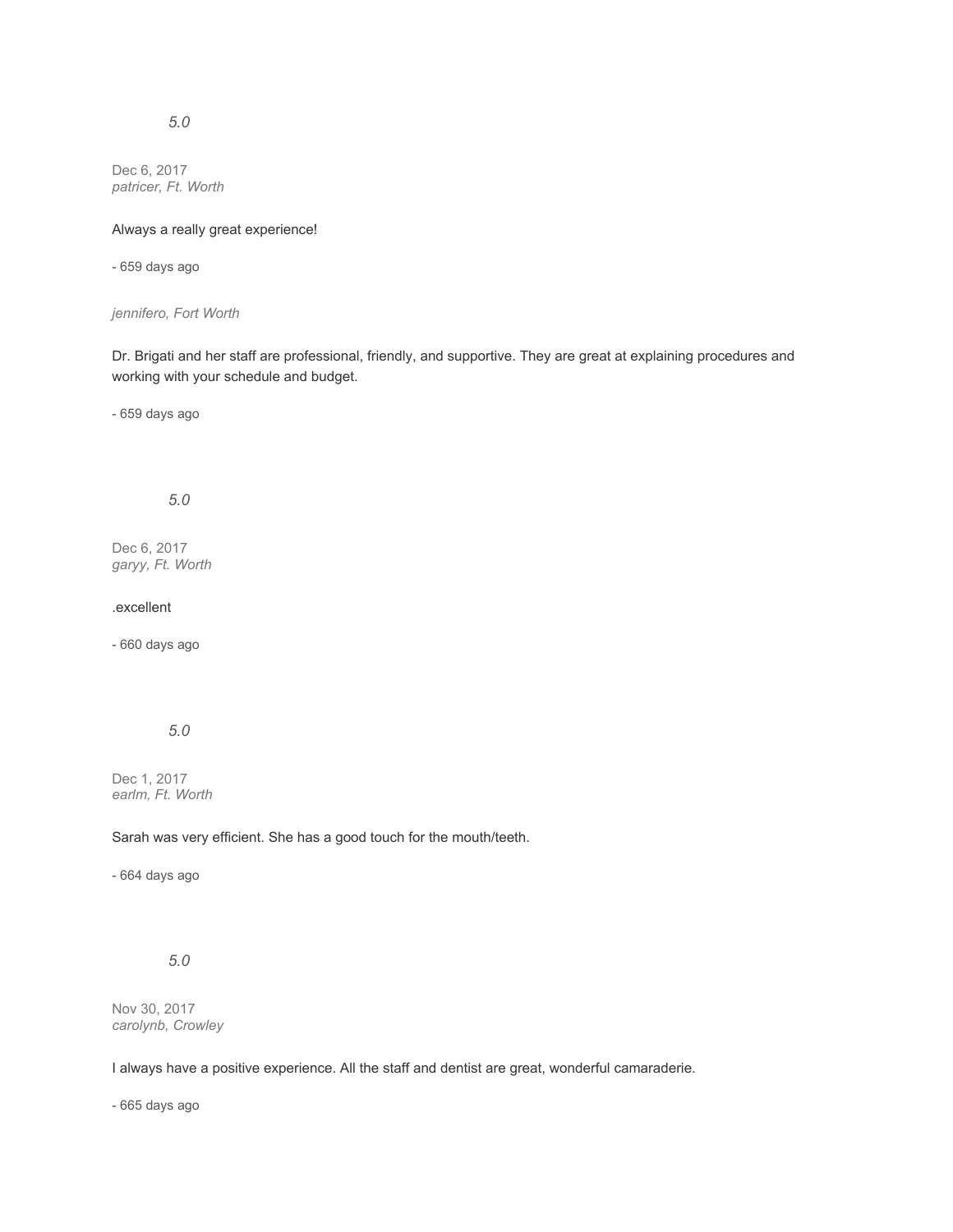# *5.0*

Dec 6, 2017 *patricer, Ft. Worth*

### Always a really great experience!

- 659 days ago

#### *jennifero, Fort Worth*

Dr. Brigati and her staff are professional, friendly, and supportive. They are great at explaining procedures and working with your schedule and budget.

- 659 days ago

# *5.0*

Dec 6, 2017 *garyy, Ft. Worth*

### .excellent

- 660 days ago

# *5.0*

Dec 1, 2017 *earlm, Ft. Worth*

Sarah was very efficient. She has a good touch for the mouth/teeth.

- 664 days ago

# *5.0*

Nov 30, 2017 *carolynb, Crowley*

I always have a positive experience. All the staff and dentist are great, wonderful camaraderie.

- 665 days ago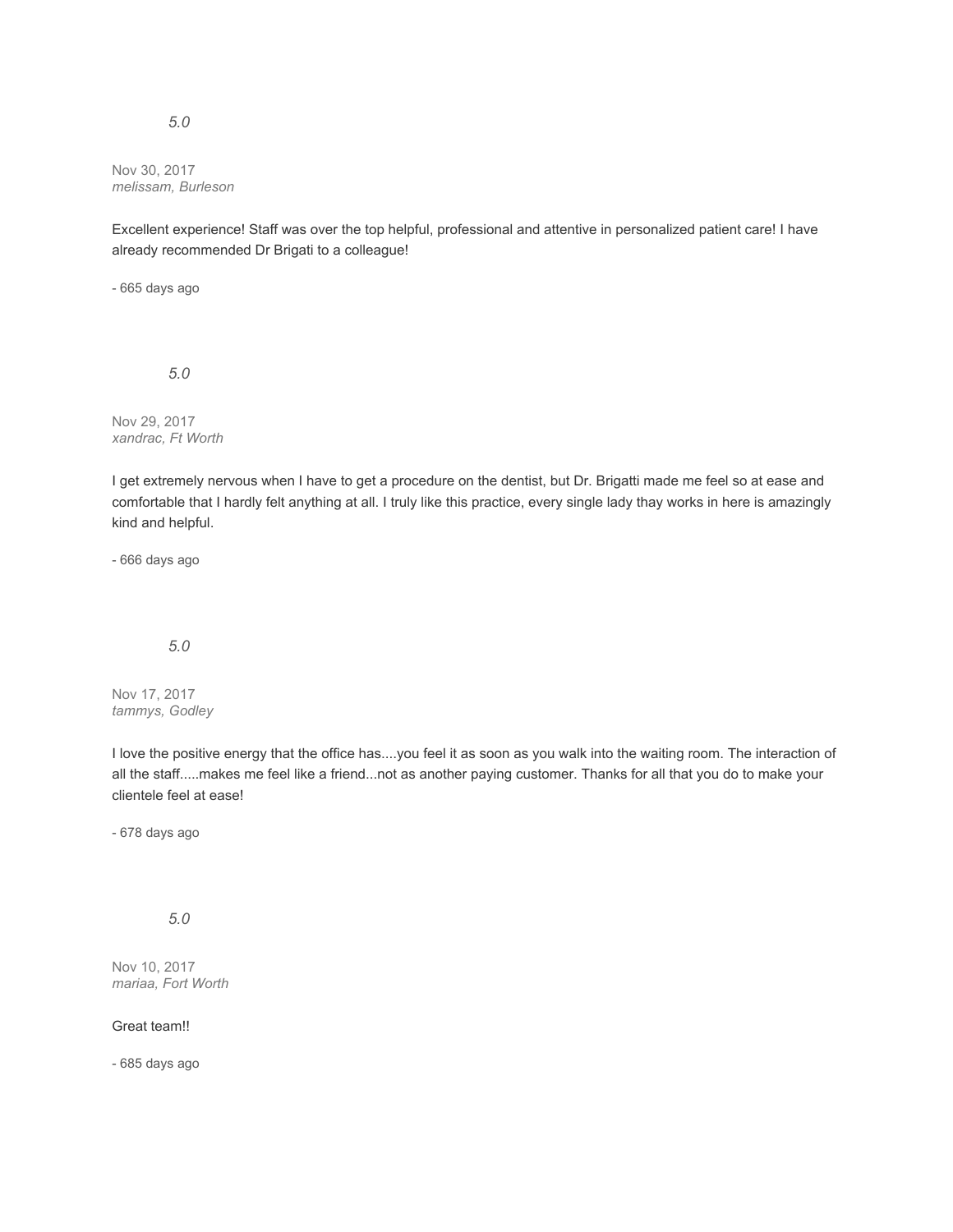#### Nov 30, 2017 *melissam, Burleson*

Excellent experience! Staff was over the top helpful, professional and attentive in personalized patient care! I have already recommended Dr Brigati to a colleague!

- 665 days ago

*5.0*

Nov 29, 2017 *xandrac, Ft Worth*

I get extremely nervous when I have to get a procedure on the dentist, but Dr. Brigatti made me feel so at ease and comfortable that I hardly felt anything at all. I truly like this practice, every single lady thay works in here is amazingly kind and helpful.

- 666 days ago

# *5.0*

Nov 17, 2017 *tammys, Godley*

I love the positive energy that the office has....you feel it as soon as you walk into the waiting room. The interaction of all the staff.....makes me feel like a friend...not as another paying customer. Thanks for all that you do to make your clientele feel at ease!

- 678 days ago

# *5.0*

Nov 10, 2017 *mariaa, Fort Worth*

# Great team!!

- 685 days ago

#### *5.0*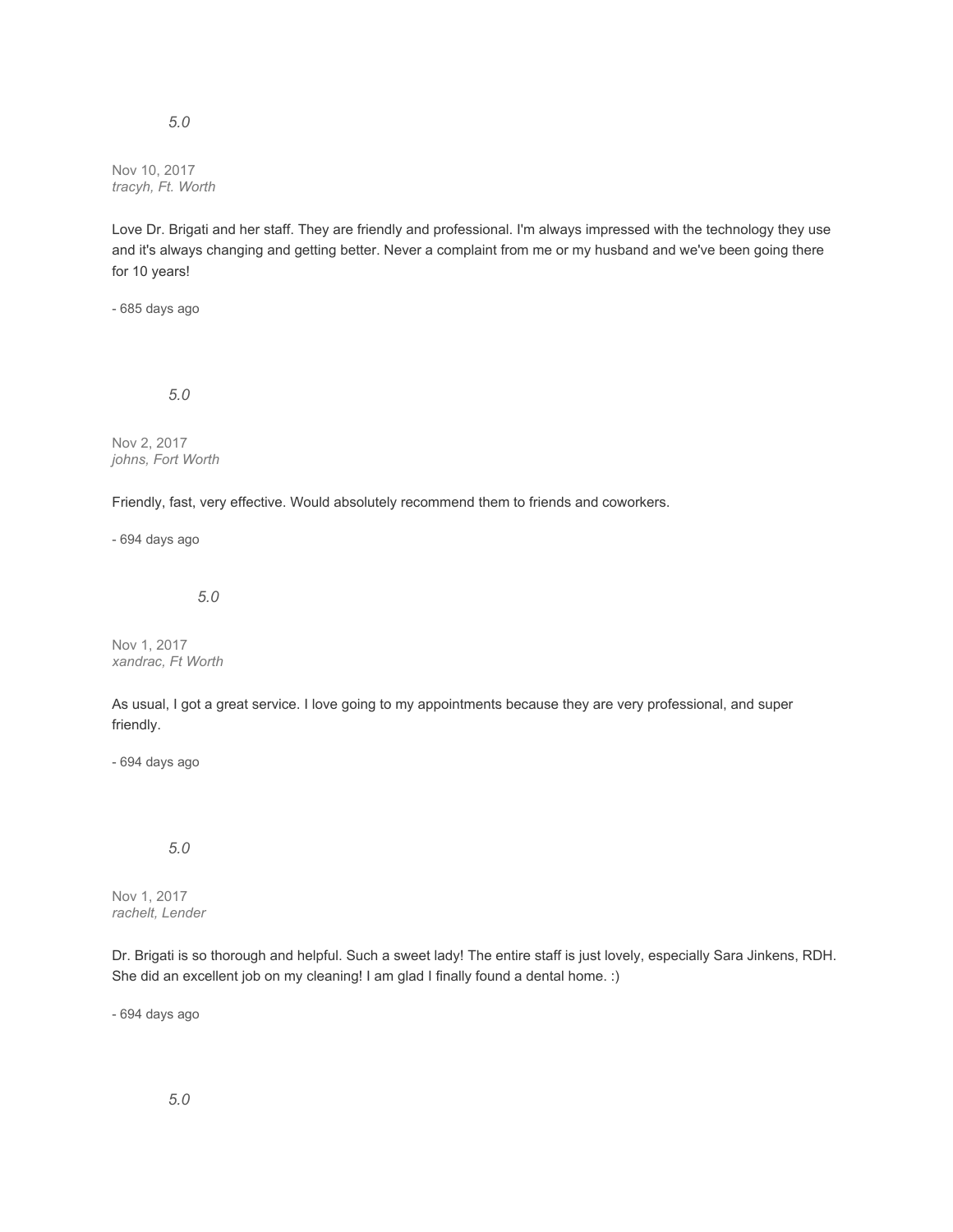Nov 10, 2017 *tracyh, Ft. Worth*

*5.0*

Love Dr. Brigati and her staff. They are friendly and professional. I'm always impressed with the technology they use and it's always changing and getting better. Never a complaint from me or my husband and we've been going there for 10 years!

- 685 days ago

*5.0*

Nov 2, 2017 *johns, Fort Worth*

Friendly, fast, very effective. Would absolutely recommend them to friends and coworkers.

- 694 days ago

*5.0*

Nov 1, 2017 *xandrac, Ft Worth*

As usual, I got a great service. I love going to my appointments because they are very professional, and super friendly.

- 694 days ago

*5.0*

Nov 1, 2017 *rachelt, Lender*

Dr. Brigati is so thorough and helpful. Such a sweet lady! The entire staff is just lovely, especially Sara Jinkens, RDH. She did an excellent job on my cleaning! I am glad I finally found a dental home. :)

- 694 days ago

*5.0*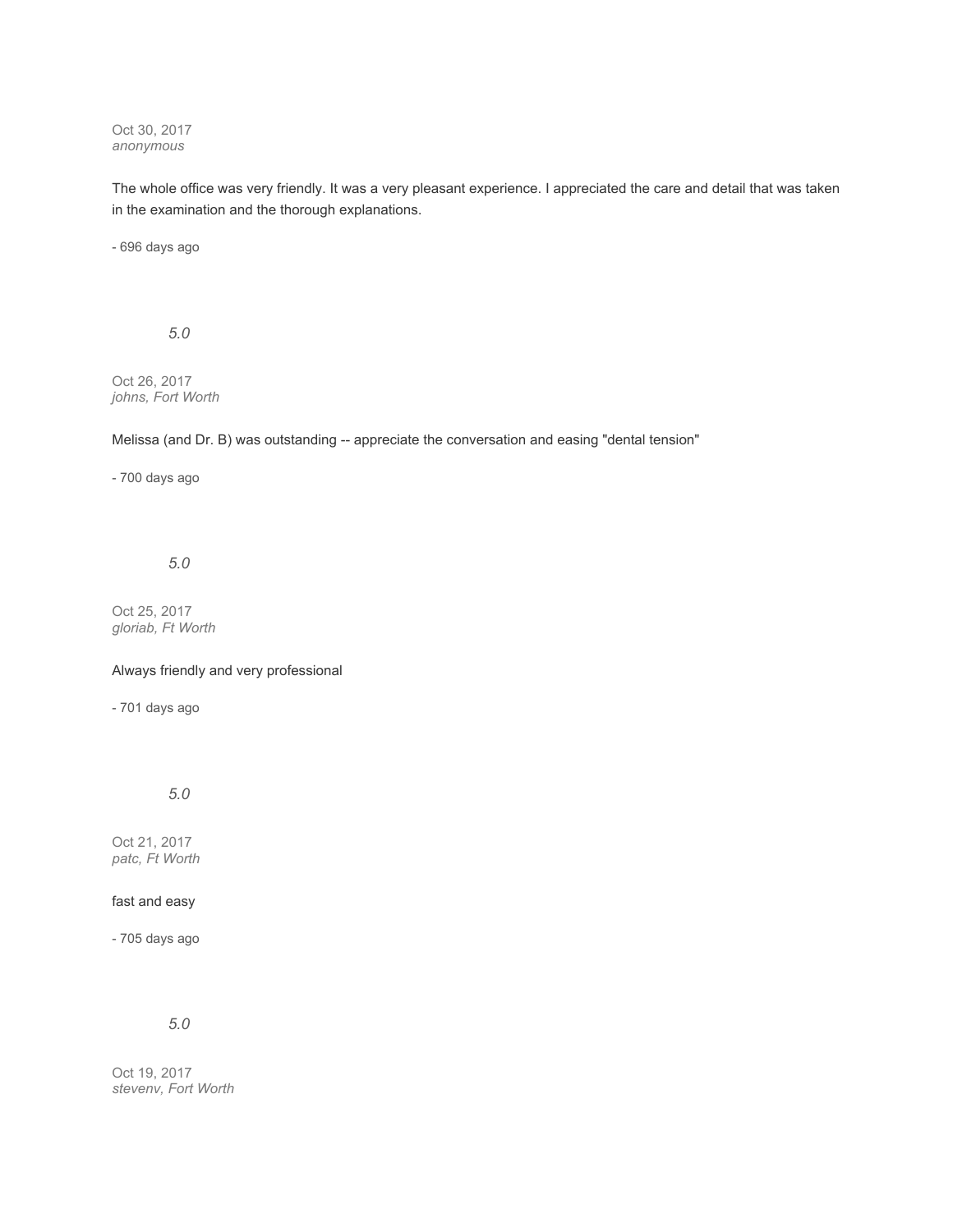Oct 30, 2017 *anonymous*

The whole office was very friendly. It was a very pleasant experience. I appreciated the care and detail that was taken in the examination and the thorough explanations.

- 696 days ago

*5.0*

Oct 26, 2017 *johns, Fort Worth*

Melissa (and Dr. B) was outstanding -- appreciate the conversation and easing "dental tension"

- 700 days ago

# *5.0*

Oct 25, 2017 *gloriab, Ft Worth*

Always friendly and very professional

- 701 days ago

*5.0*

Oct 21, 2017 *patc, Ft Worth*

fast and easy

- 705 days ago

*5.0*

Oct 19, 2017 *stevenv, Fort Worth*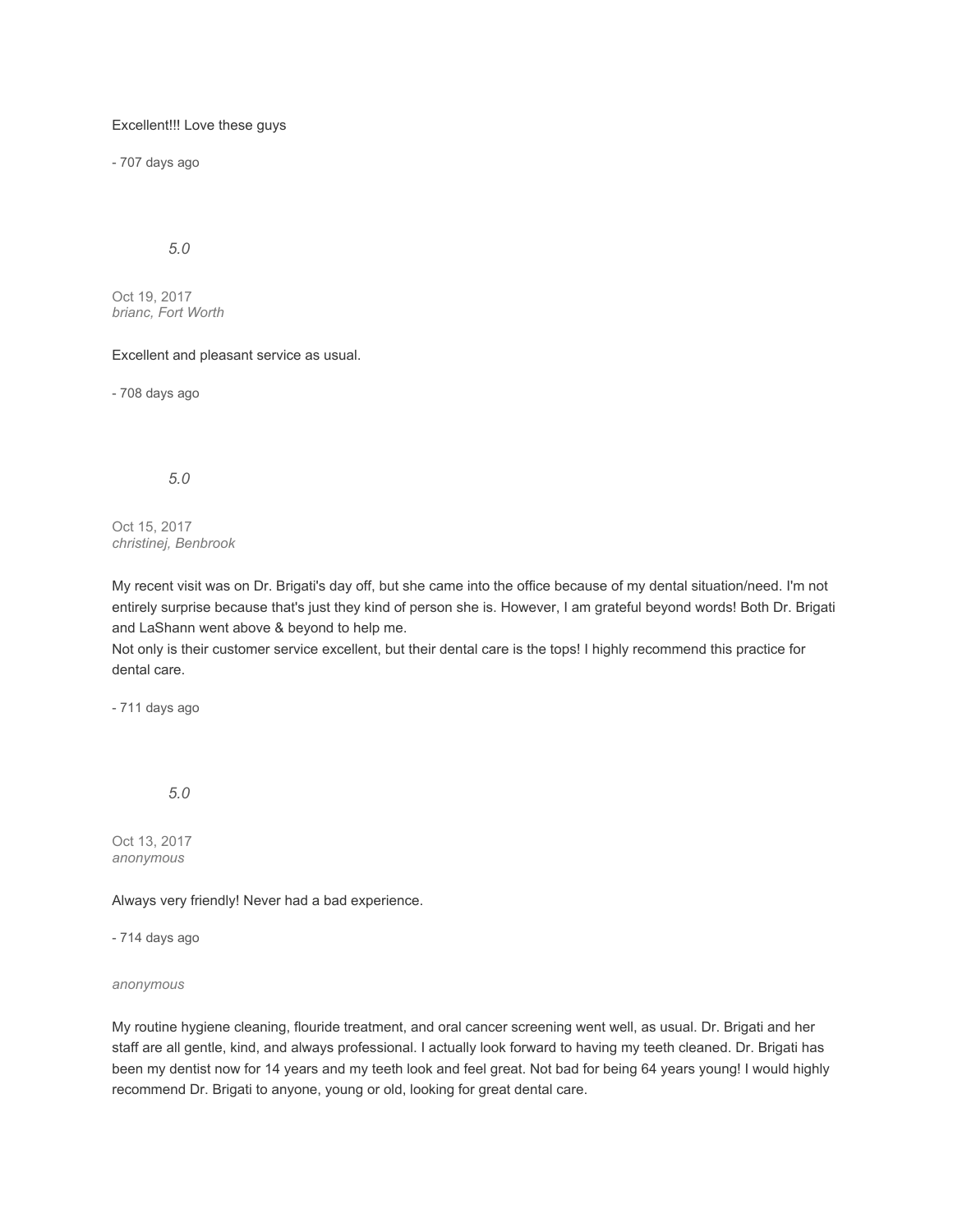#### Excellent!!! Love these guys

- 707 days ago

*5.0*

Oct 19, 2017 *brianc, Fort Worth*

#### Excellent and pleasant service as usual.

- 708 days ago

### *5.0*

Oct 15, 2017 *christinej, Benbrook*

My recent visit was on Dr. Brigati's day off, but she came into the office because of my dental situation/need. I'm not entirely surprise because that's just they kind of person she is. However, I am grateful beyond words! Both Dr. Brigati and LaShann went above & beyond to help me.

Not only is their customer service excellent, but their dental care is the tops! I highly recommend this practice for dental care.

- 711 days ago

*5.0*

Oct 13, 2017 *anonymous*

Always very friendly! Never had a bad experience.

- 714 days ago

*anonymous*

My routine hygiene cleaning, flouride treatment, and oral cancer screening went well, as usual. Dr. Brigati and her staff are all gentle, kind, and always professional. I actually look forward to having my teeth cleaned. Dr. Brigati has been my dentist now for 14 years and my teeth look and feel great. Not bad for being 64 years young! I would highly recommend Dr. Brigati to anyone, young or old, looking for great dental care.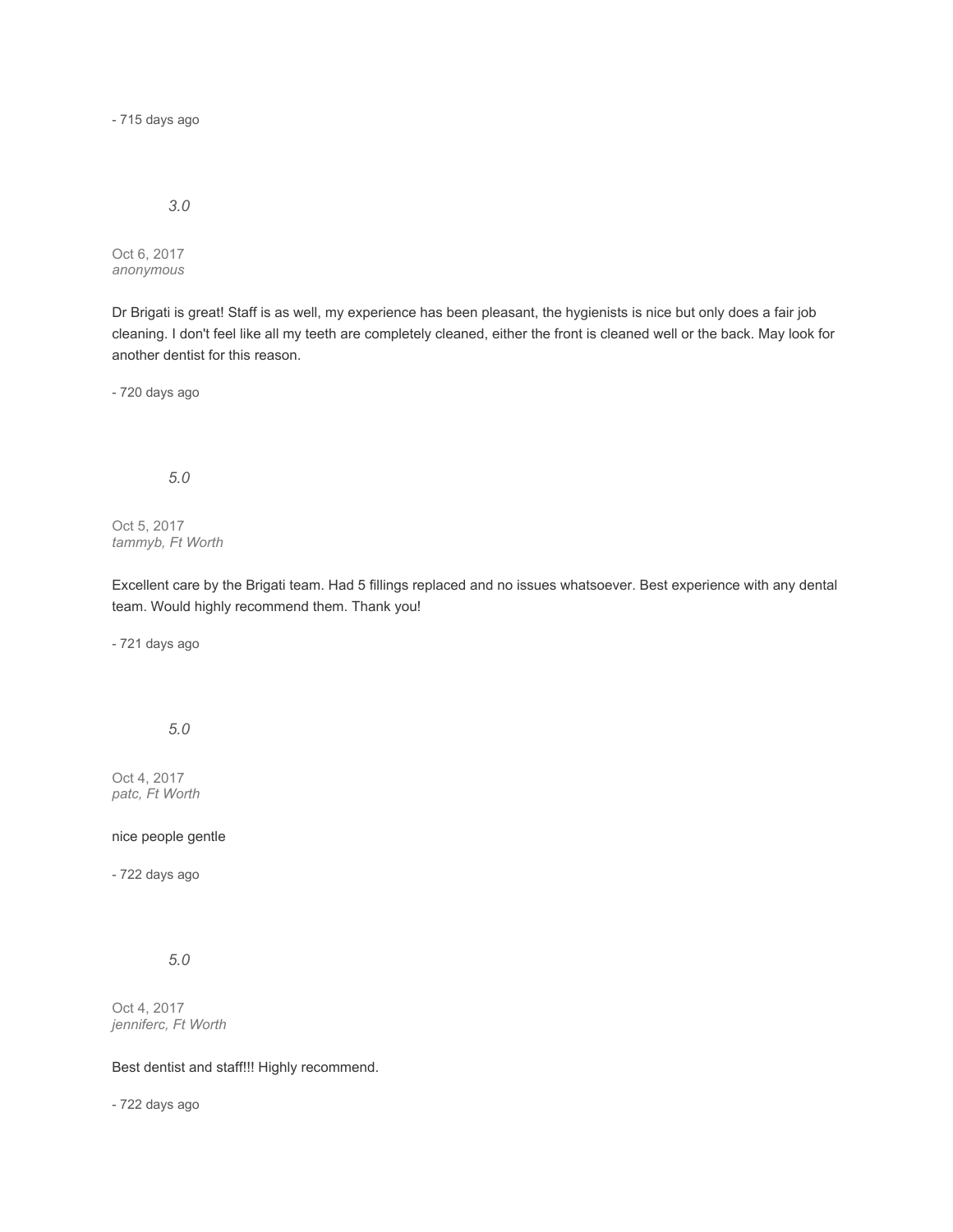- 715 days ago

*3.0*

Oct 6, 2017 *anonymous*

Dr Brigati is great! Staff is as well, my experience has been pleasant, the hygienists is nice but only does a fair job cleaning. I don't feel like all my teeth are completely cleaned, either the front is cleaned well or the back. May look for another dentist for this reason.

- 720 days ago

*5.0*

Oct 5, 2017 *tammyb, Ft Worth*

Excellent care by the Brigati team. Had 5 fillings replaced and no issues whatsoever. Best experience with any dental team. Would highly recommend them. Thank you!

- 721 days ago

*5.0*

Oct 4, 2017 *patc, Ft Worth*

nice people gentle

- 722 days ago

*5.0*

Oct 4, 2017 *jenniferc, Ft Worth*

Best dentist and staff!!! Highly recommend.

- 722 days ago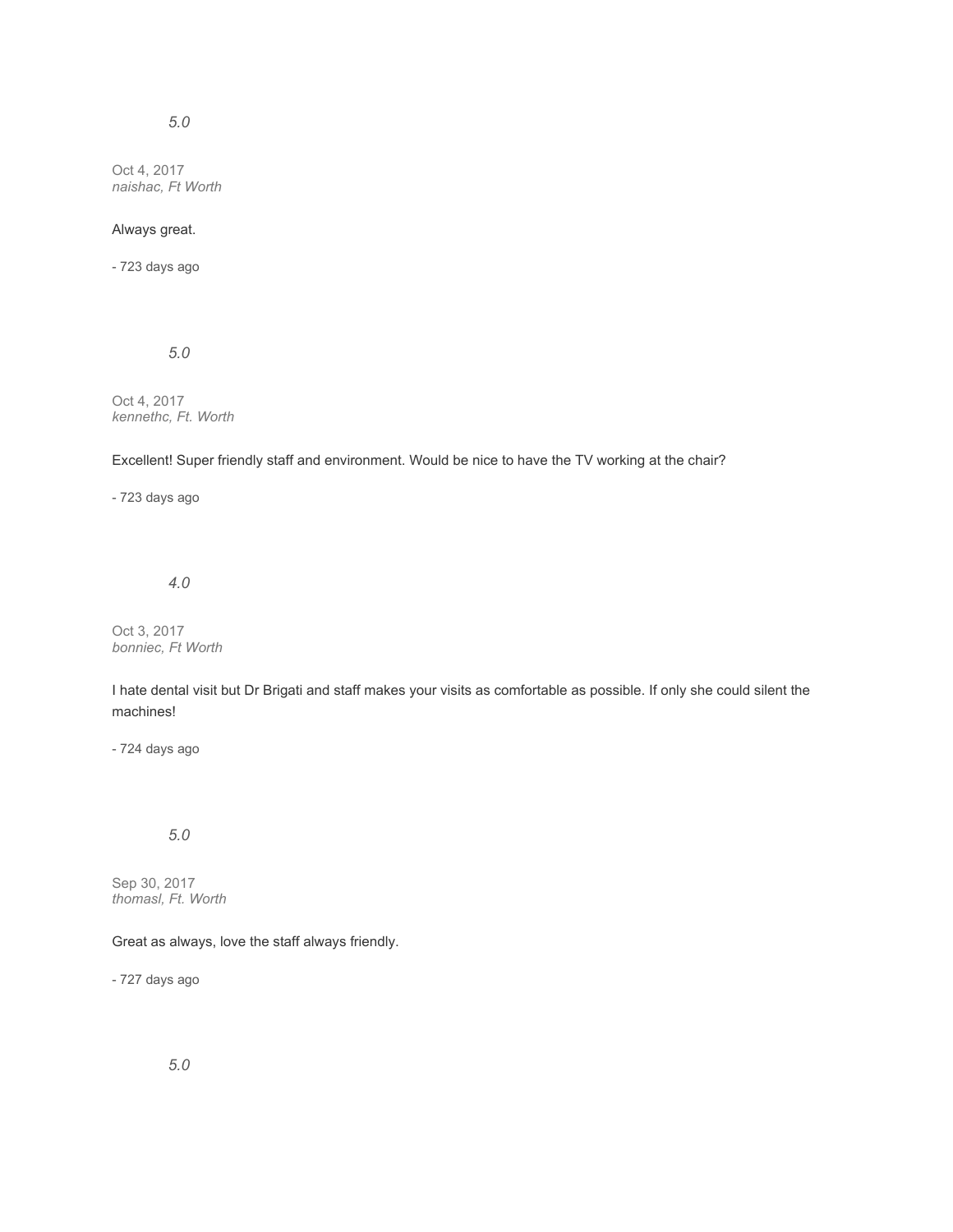# *5.0*

Oct 4, 2017 *naishac, Ft Worth*

### Always great.

- 723 days ago

*5.0*

Oct 4, 2017 *kennethc, Ft. Worth*

Excellent! Super friendly staff and environment. Would be nice to have the TV working at the chair?

- 723 days ago

*4.0*

Oct 3, 2017 *bonniec, Ft Worth*

I hate dental visit but Dr Brigati and staff makes your visits as comfortable as possible. If only she could silent the machines!

- 724 days ago

# *5.0*

Sep 30, 2017 *thomasl, Ft. Worth*

Great as always, love the staff always friendly.

- 727 days ago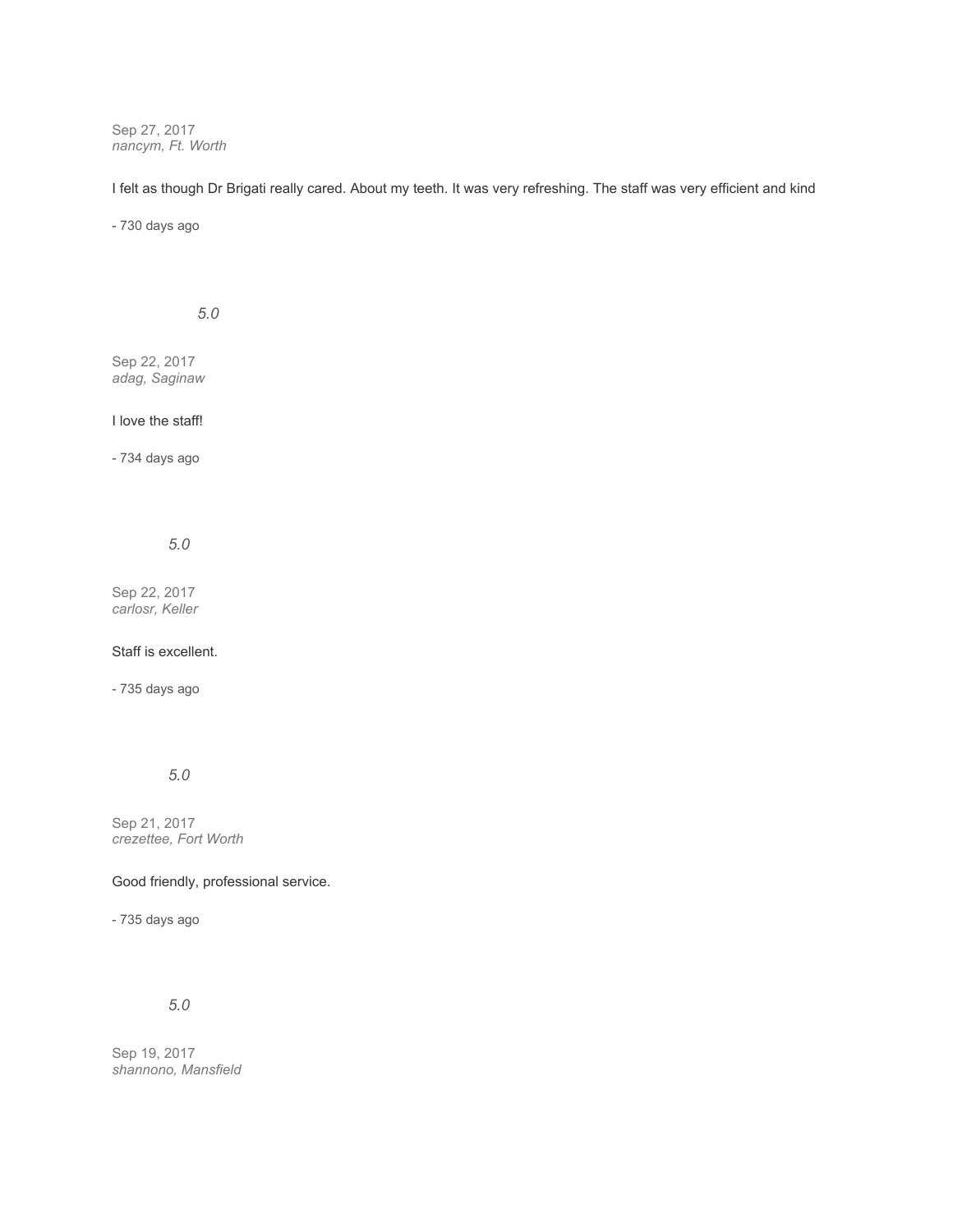Sep 27, 2017 *nancym, Ft. Worth*

I felt as though Dr Brigati really cared. About my teeth. It was very refreshing. The staff was very efficient and kind

- 730 days ago

*5.0*

Sep 22, 2017 *adag, Saginaw*

### I love the staff!

- 734 days ago

*5.0*

Sep 22, 2017 *carlosr, Keller*

### Staff is excellent.

- 735 days ago

*5.0*

Sep 21, 2017 *crezettee, Fort Worth*

Good friendly, professional service.

- 735 days ago

## *5.0*

Sep 19, 2017 *shannono, Mansfield*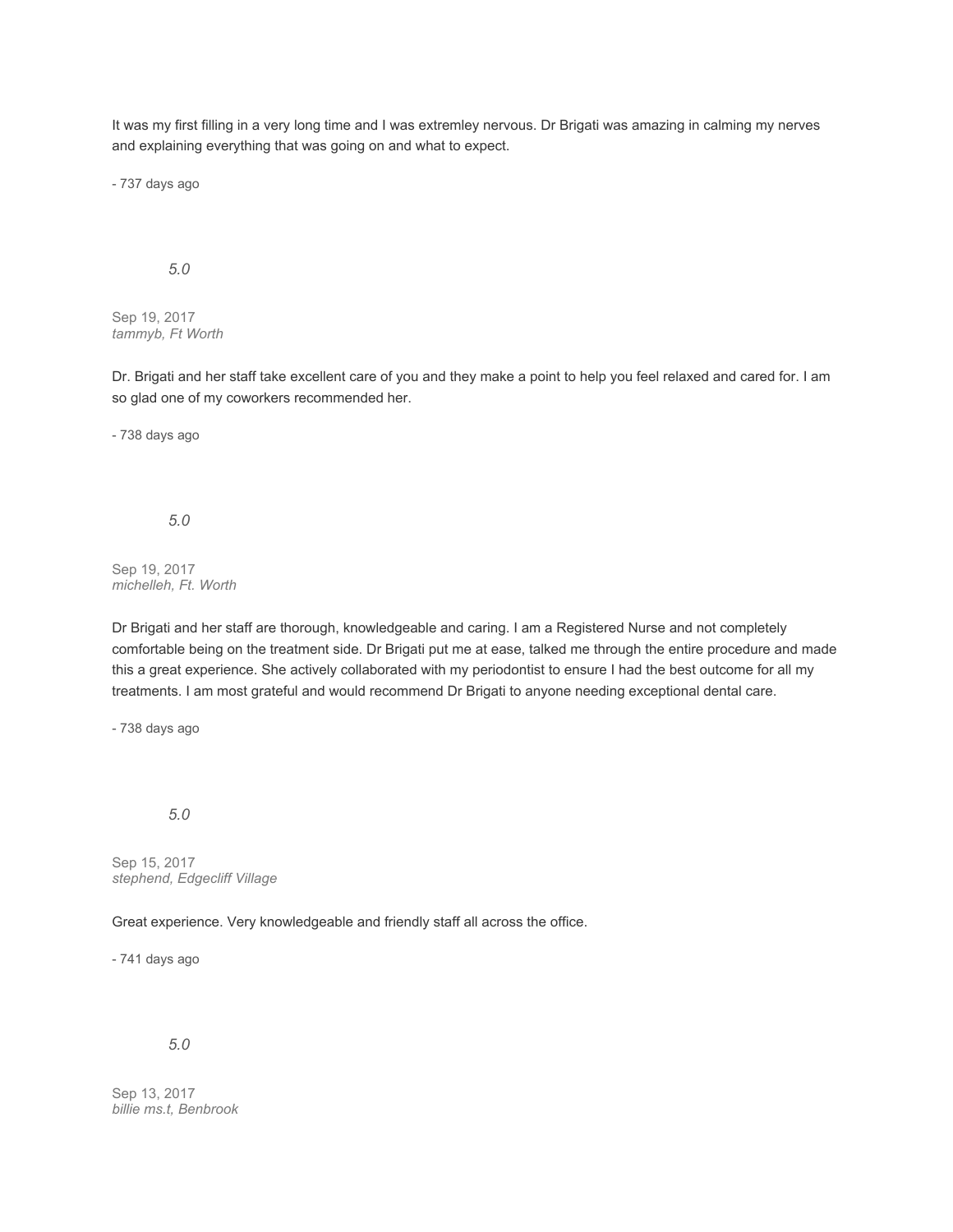It was my first filling in a very long time and I was extremley nervous. Dr Brigati was amazing in calming my nerves and explaining everything that was going on and what to expect.

- 737 days ago

#### *5.0*

Sep 19, 2017 *tammyb, Ft Worth*

Dr. Brigati and her staff take excellent care of you and they make a point to help you feel relaxed and cared for. I am so glad one of my coworkers recommended her.

- 738 days ago

*5.0*

Sep 19, 2017 *michelleh, Ft. Worth*

Dr Brigati and her staff are thorough, knowledgeable and caring. I am a Registered Nurse and not completely comfortable being on the treatment side. Dr Brigati put me at ease, talked me through the entire procedure and made this a great experience. She actively collaborated with my periodontist to ensure I had the best outcome for all my treatments. I am most grateful and would recommend Dr Brigati to anyone needing exceptional dental care.

- 738 days ago

*5.0*

Sep 15, 2017 *stephend, Edgecliff Village*

Great experience. Very knowledgeable and friendly staff all across the office.

- 741 days ago

*5.0*

Sep 13, 2017 *billie ms.t, Benbrook*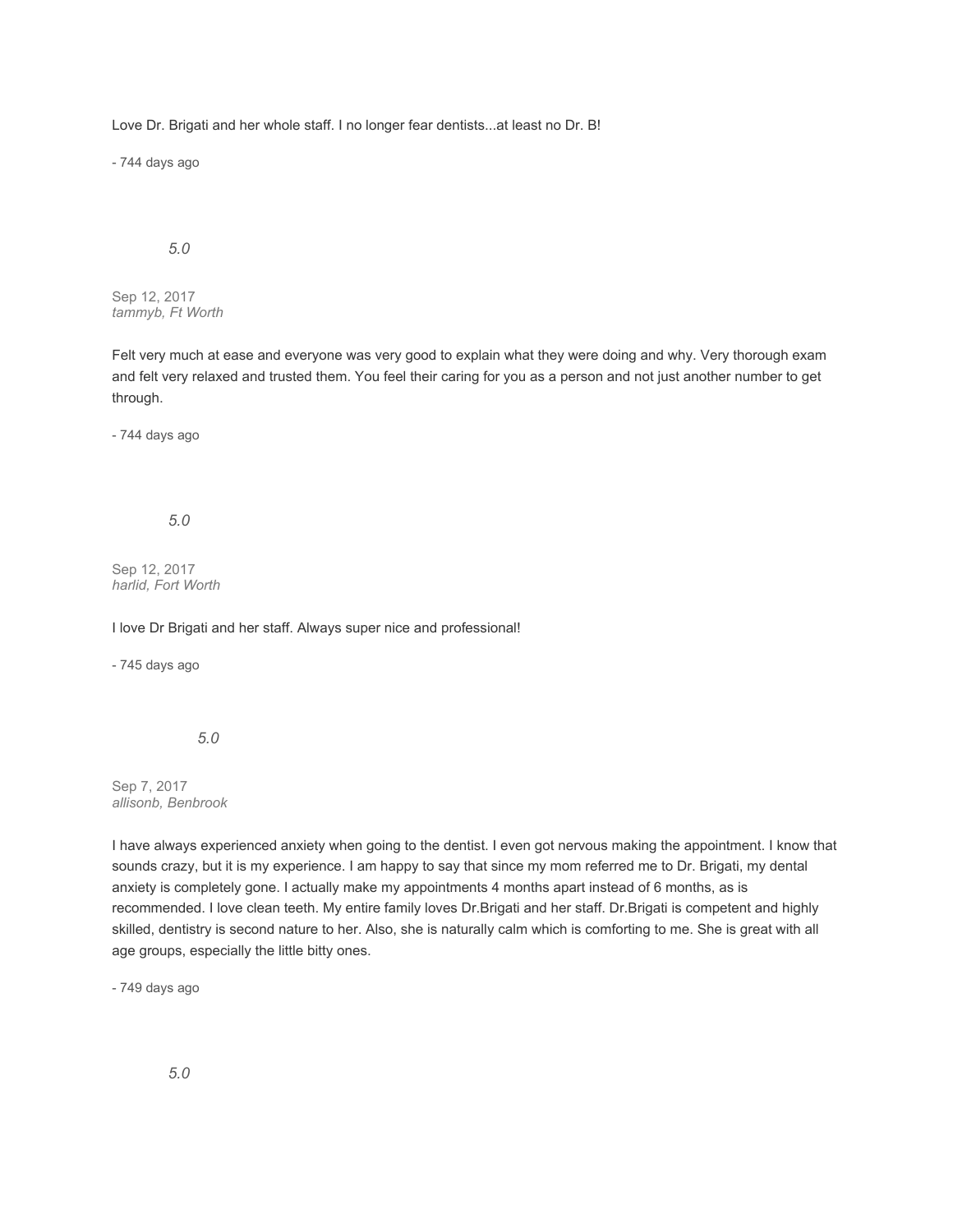Love Dr. Brigati and her whole staff. I no longer fear dentists...at least no Dr. B!

- 744 days ago

# *5.0*

Sep 12, 2017 *tammyb, Ft Worth*

Felt very much at ease and everyone was very good to explain what they were doing and why. Very thorough exam and felt very relaxed and trusted them. You feel their caring for you as a person and not just another number to get through.

- 744 days ago

### *5.0*

Sep 12, 2017 *harlid, Fort Worth*

I love Dr Brigati and her staff. Always super nice and professional!

- 745 days ago

*5.0*

Sep 7, 2017 *allisonb, Benbrook*

I have always experienced anxiety when going to the dentist. I even got nervous making the appointment. I know that sounds crazy, but it is my experience. I am happy to say that since my mom referred me to Dr. Brigati, my dental anxiety is completely gone. I actually make my appointments 4 months apart instead of 6 months, as is recommended. I love clean teeth. My entire family loves Dr.Brigati and her staff. Dr.Brigati is competent and highly skilled, dentistry is second nature to her. Also, she is naturally calm which is comforting to me. She is great with all age groups, especially the little bitty ones.

- 749 days ago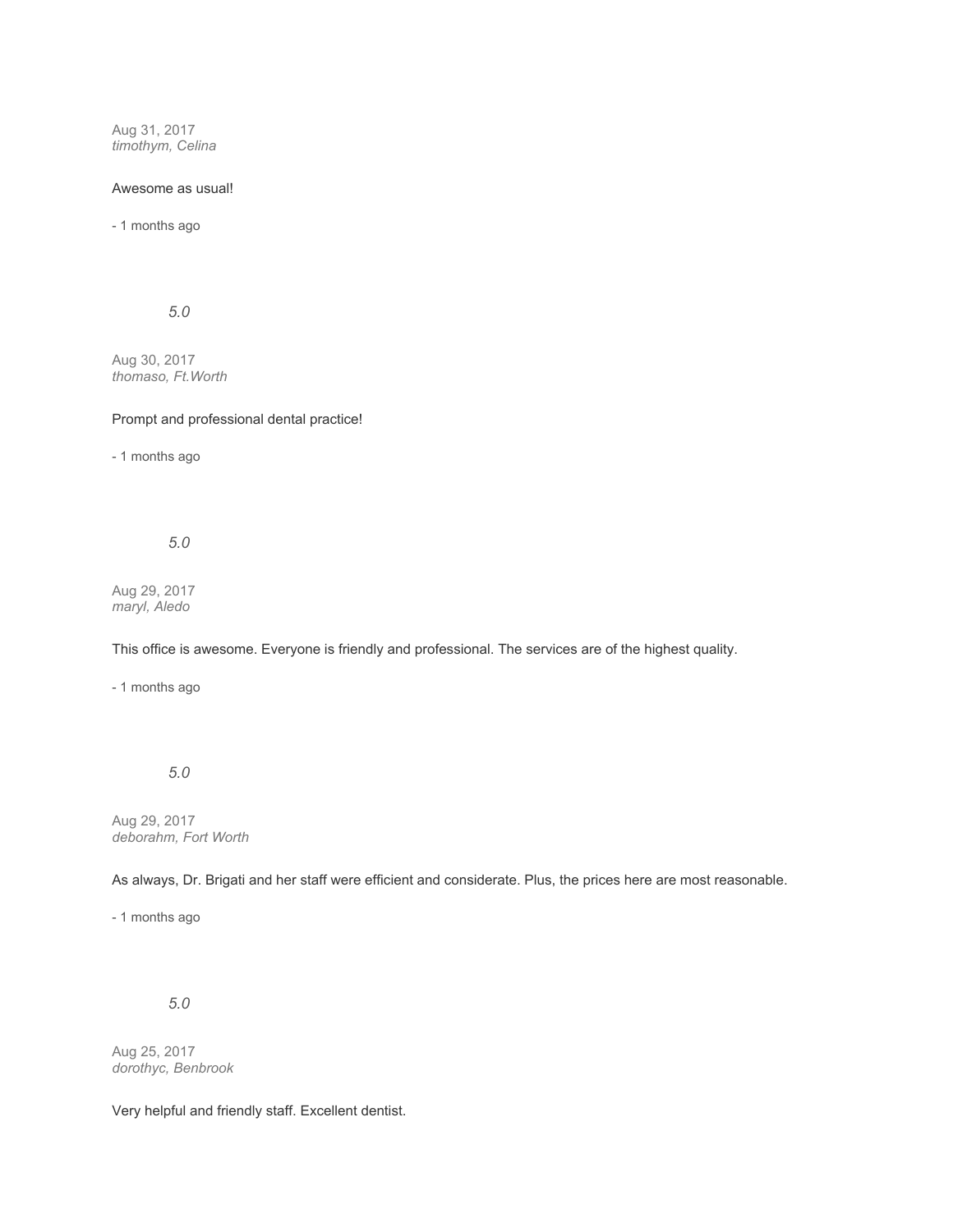Aug 31, 2017 *timothym, Celina*

#### Awesome as usual!

- 1 months ago

*5.0*

Aug 30, 2017 *thomaso, Ft.Worth*

### Prompt and professional dental practice!

- 1 months ago

*5.0*

Aug 29, 2017 *maryl, Aledo*

This office is awesome. Everyone is friendly and professional. The services are of the highest quality.

- 1 months ago

*5.0*

Aug 29, 2017 *deborahm, Fort Worth*

As always, Dr. Brigati and her staff were efficient and considerate. Plus, the prices here are most reasonable.

- 1 months ago

*5.0*

Aug 25, 2017 *dorothyc, Benbrook*

Very helpful and friendly staff. Excellent dentist.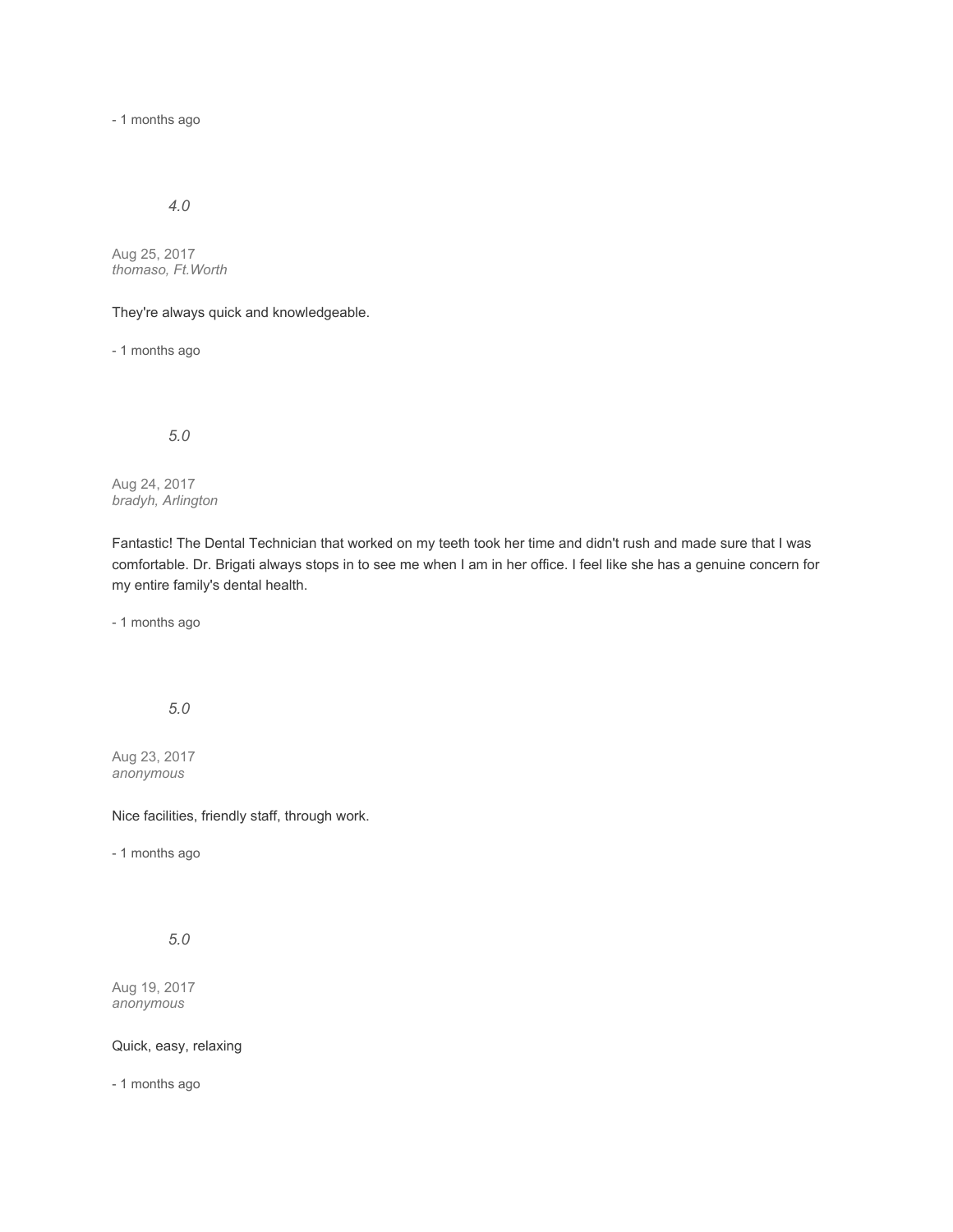- 1 months ago

## *4.0*

Aug 25, 2017 *thomaso, Ft.Worth*

They're always quick and knowledgeable.

- 1 months ago

*5.0*

Aug 24, 2017 *bradyh, Arlington*

Fantastic! The Dental Technician that worked on my teeth took her time and didn't rush and made sure that I was comfortable. Dr. Brigati always stops in to see me when I am in her office. I feel like she has a genuine concern for my entire family's dental health.

- 1 months ago

*5.0*

Aug 23, 2017 *anonymous*

Nice facilities, friendly staff, through work.

- 1 months ago

*5.0*

Aug 19, 2017 *anonymous*

Quick, easy, relaxing

- 1 months ago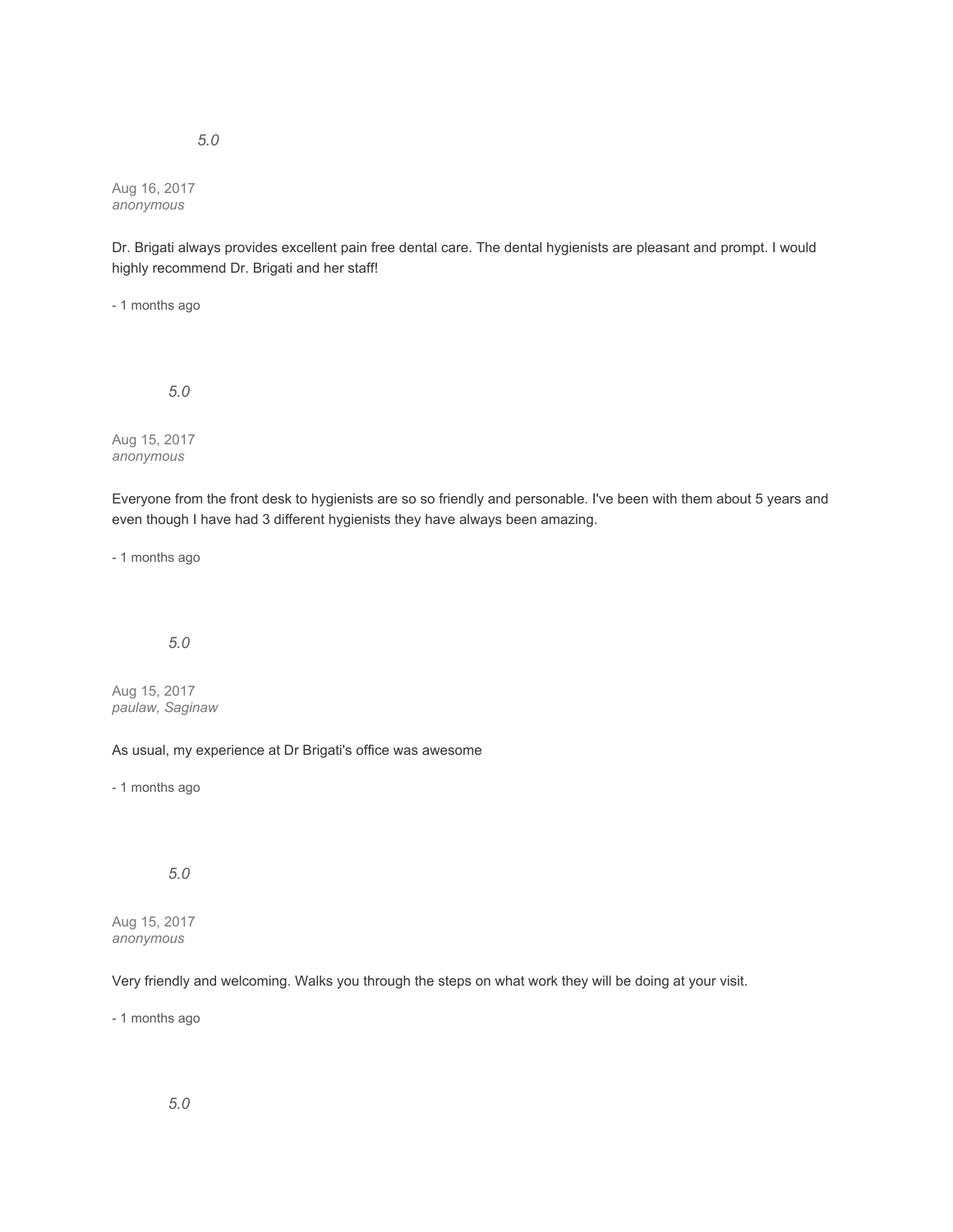Aug 16, 2017 *anonymous*

Dr. Brigati always provides excellent pain free dental care. The dental hygienists are pleasant and prompt. I would highly recommend Dr. Brigati and her staff!

- 1 months ago

*5.0*

Aug 15, 2017 *anonymous*

Everyone from the front desk to hygienists are so so friendly and personable. I've been with them about 5 years and even though I have had 3 different hygienists they have always been amazing.

- 1 months ago

*5.0*

Aug 15, 2017 *paulaw, Saginaw*

As usual, my experience at Dr Brigati's office was awesome

- 1 months ago

*5.0*

Aug 15, 2017 *anonymous*

Very friendly and welcoming. Walks you through the steps on what work they will be doing at your visit.

- 1 months ago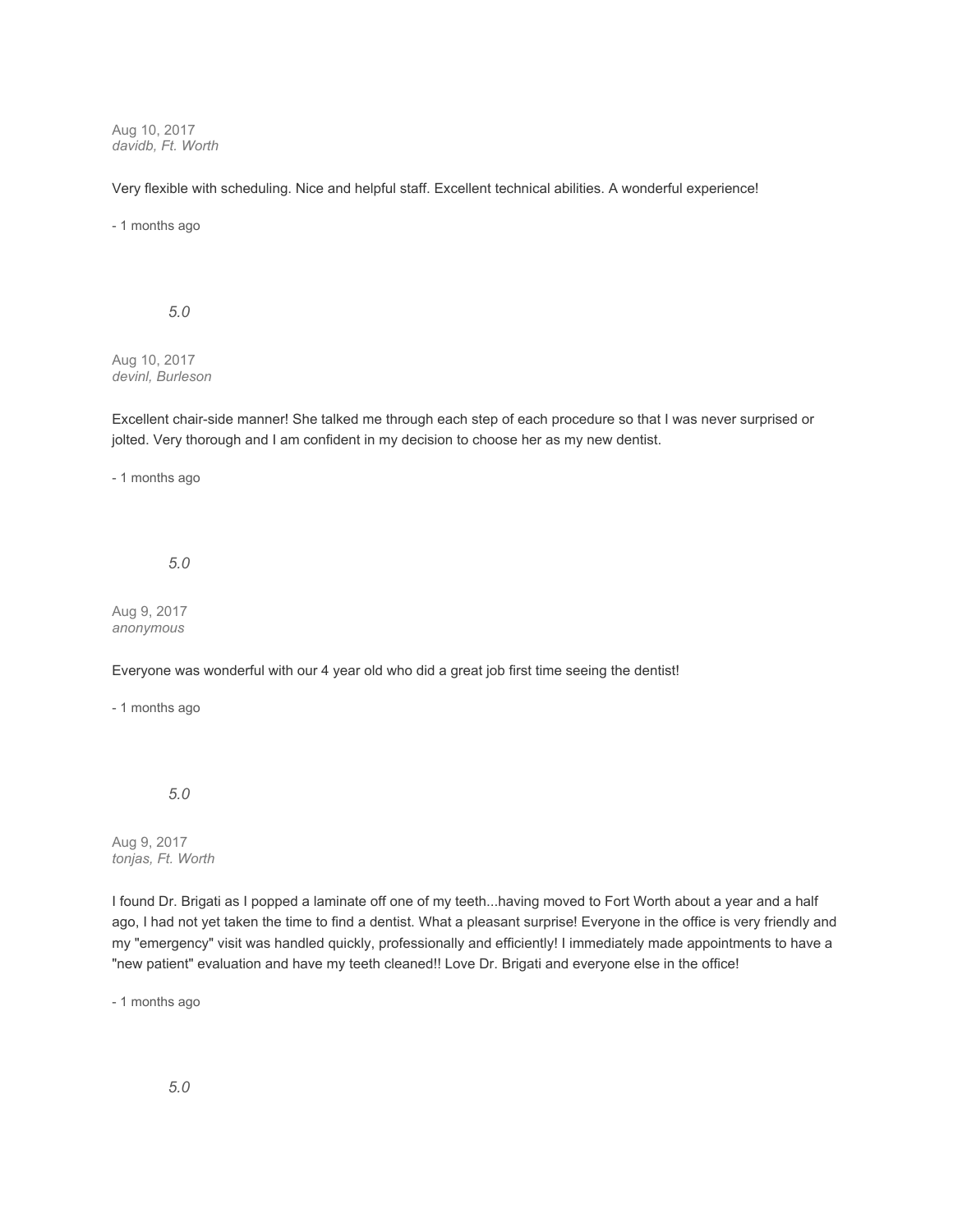Aug 10, 2017 *davidb, Ft. Worth*

Very flexible with scheduling. Nice and helpful staff. Excellent technical abilities. A wonderful experience!

- 1 months ago

*5.0*

Aug 10, 2017 *devinl, Burleson*

Excellent chair-side manner! She talked me through each step of each procedure so that I was never surprised or jolted. Very thorough and I am confident in my decision to choose her as my new dentist.

- 1 months ago

*5.0*

Aug 9, 2017 *anonymous*

Everyone was wonderful with our 4 year old who did a great job first time seeing the dentist!

- 1 months ago

*5.0*

Aug 9, 2017 *tonjas, Ft. Worth*

I found Dr. Brigati as I popped a laminate off one of my teeth...having moved to Fort Worth about a year and a half ago, I had not yet taken the time to find a dentist. What a pleasant surprise! Everyone in the office is very friendly and my "emergency" visit was handled quickly, professionally and efficiently! I immediately made appointments to have a "new patient" evaluation and have my teeth cleaned!! Love Dr. Brigati and everyone else in the office!

- 1 months ago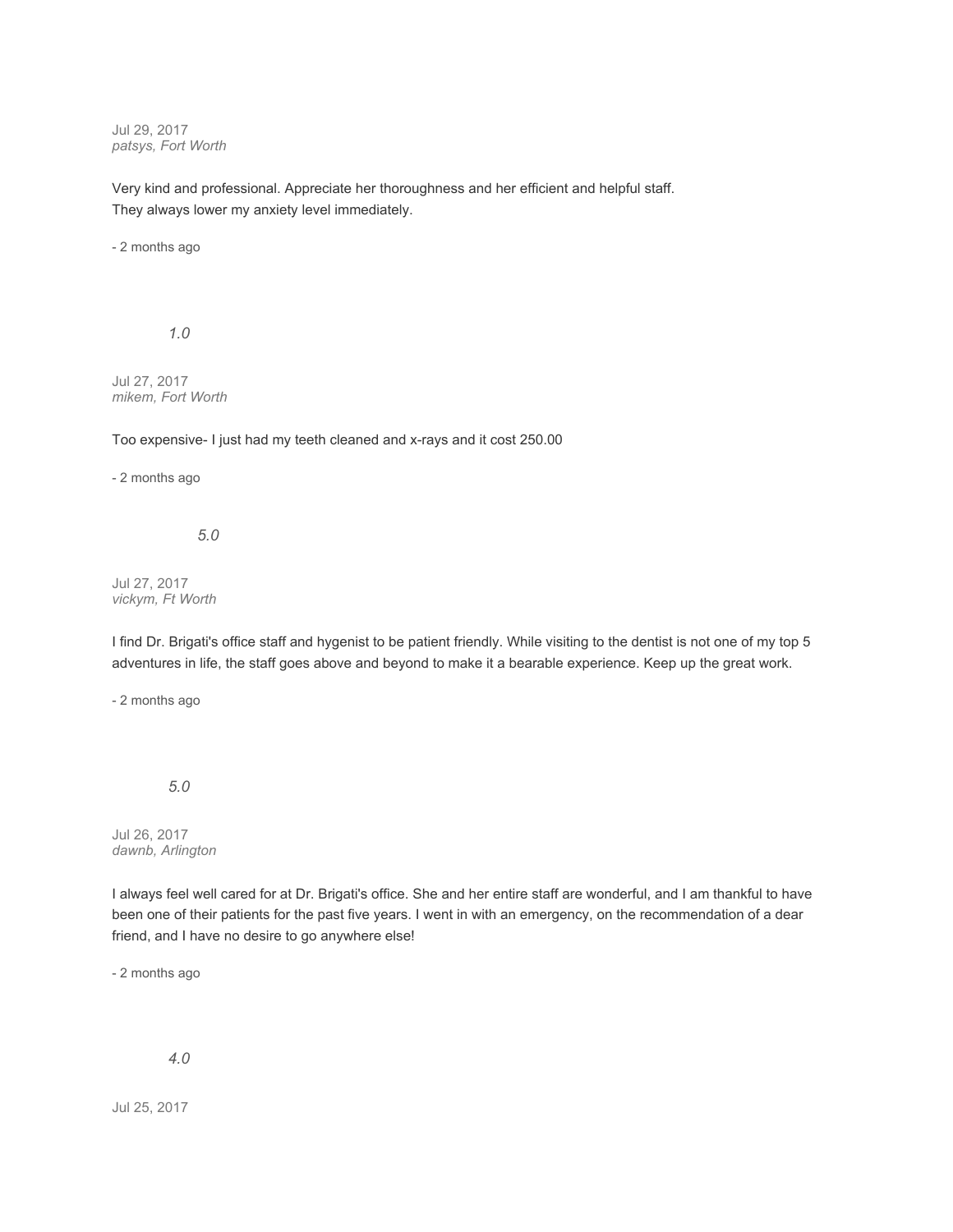Jul 29, 2017 *patsys, Fort Worth*

Very kind and professional. Appreciate her thoroughness and her efficient and helpful staff. They always lower my anxiety level immediately.

- 2 months ago

*1.0*

Jul 27, 2017 *mikem, Fort Worth*

Too expensive- I just had my teeth cleaned and x-rays and it cost 250.00

- 2 months ago

*5.0*

Jul 27, 2017 *vickym, Ft Worth*

I find Dr. Brigati's office staff and hygenist to be patient friendly. While visiting to the dentist is not one of my top 5 adventures in life, the staff goes above and beyond to make it a bearable experience. Keep up the great work.

- 2 months ago

*5.0*

Jul 26, 2017 *dawnb, Arlington*

I always feel well cared for at Dr. Brigati's office. She and her entire staff are wonderful, and I am thankful to have been one of their patients for the past five years. I went in with an emergency, on the recommendation of a dear friend, and I have no desire to go anywhere else!

- 2 months ago

*4.0*

Jul 25, 2017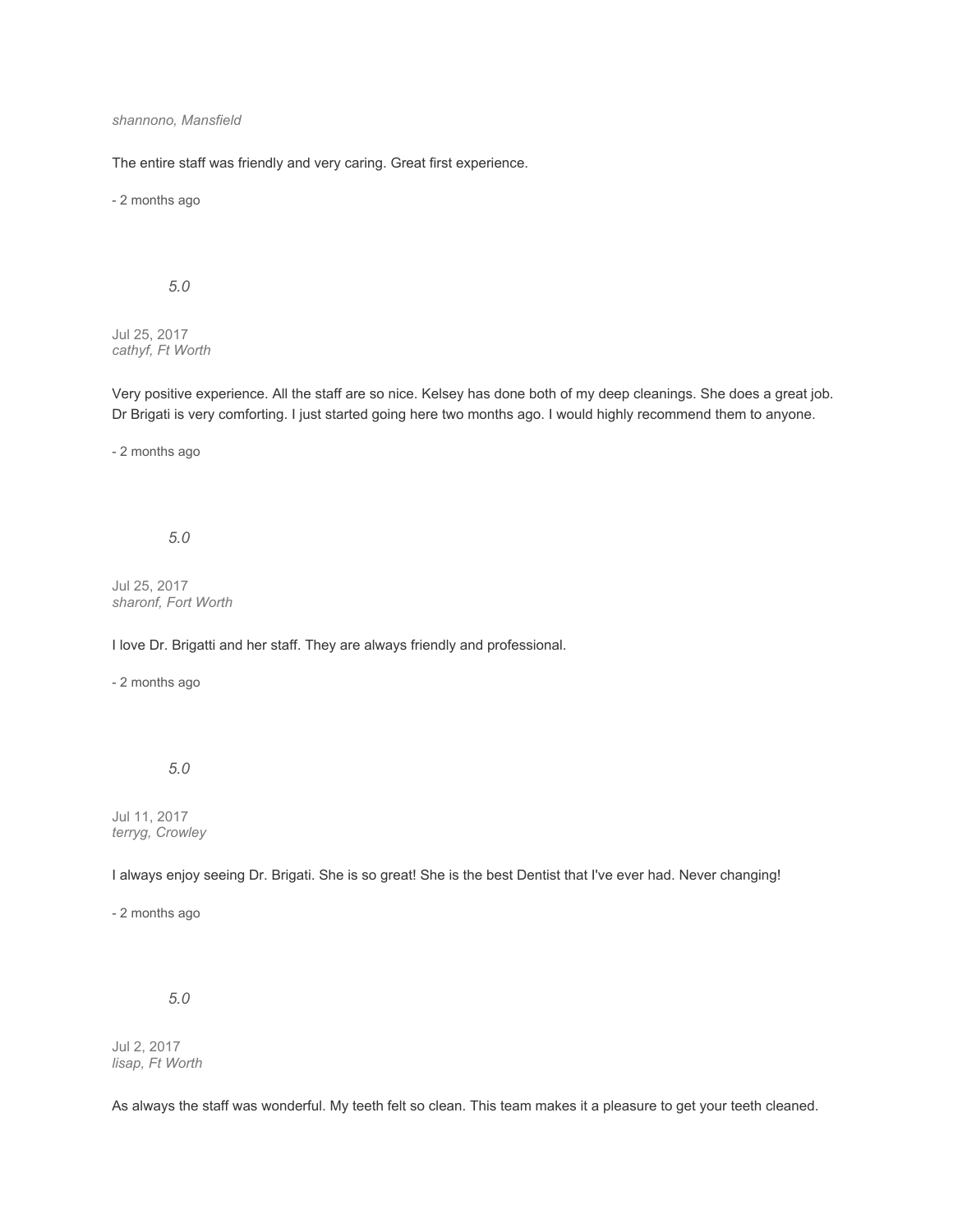### *shannono, Mansfield*

The entire staff was friendly and very caring. Great first experience.

- 2 months ago

*5.0*

Jul 25, 2017 *cathyf, Ft Worth*

Very positive experience. All the staff are so nice. Kelsey has done both of my deep cleanings. She does a great job. Dr Brigati is very comforting. I just started going here two months ago. I would highly recommend them to anyone.

- 2 months ago

*5.0*

Jul 25, 2017 *sharonf, Fort Worth*

I love Dr. Brigatti and her staff. They are always friendly and professional.

- 2 months ago

# *5.0*

Jul 11, 2017 *terryg, Crowley*

I always enjoy seeing Dr. Brigati. She is so great! She is the best Dentist that I've ever had. Never changing!

- 2 months ago

*5.0*

Jul 2, 2017 *lisap, Ft Worth*

As always the staff was wonderful. My teeth felt so clean. This team makes it a pleasure to get your teeth cleaned.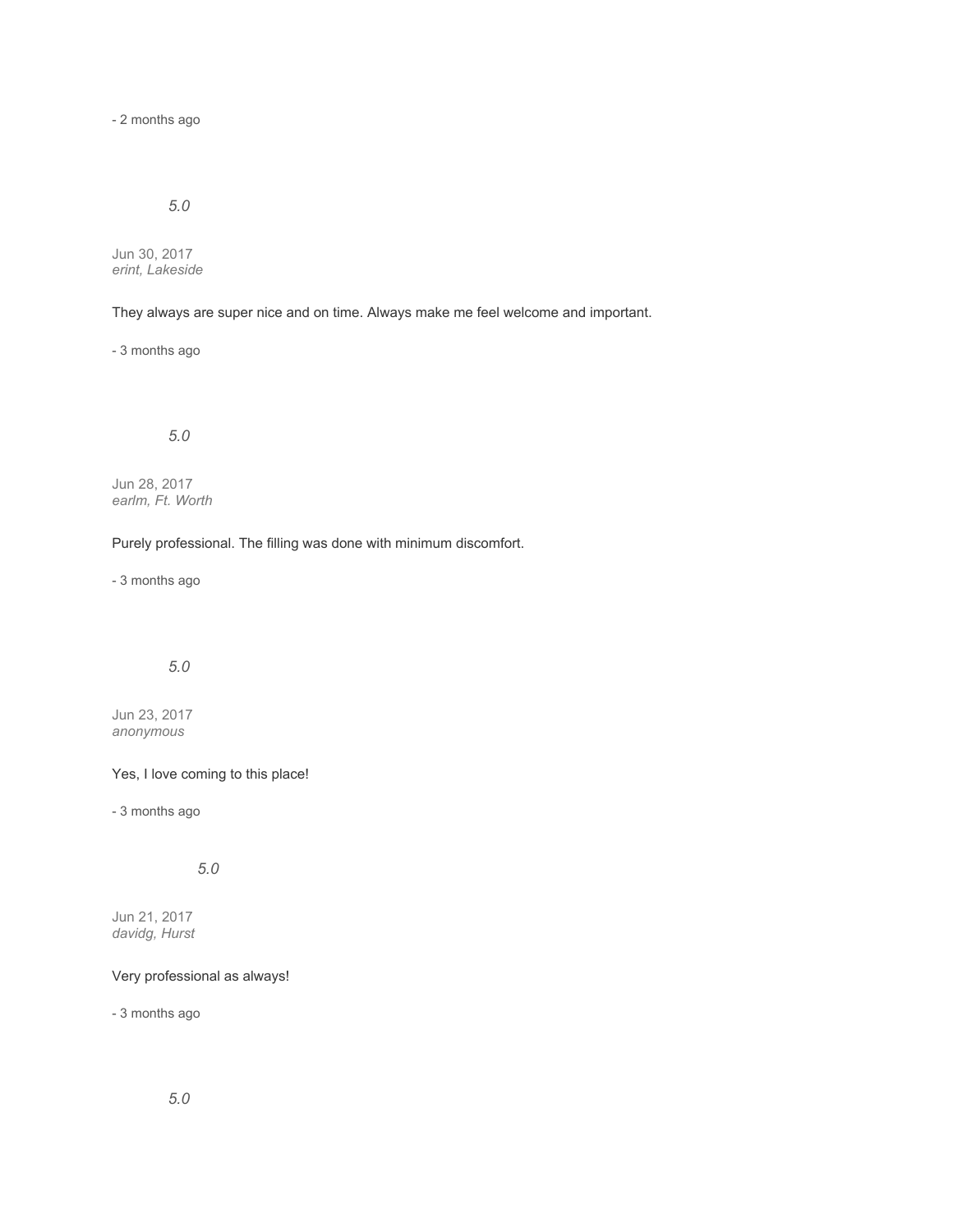- 2 months ago

# *5.0*

Jun 30, 2017 *erint, Lakeside*

They always are super nice and on time. Always make me feel welcome and important.

- 3 months ago

*5.0*

Jun 28, 2017 *earlm, Ft. Worth*

Purely professional. The filling was done with minimum discomfort.

- 3 months ago

# *5.0*

Jun 23, 2017 *anonymous*

Yes, I love coming to this place!

- 3 months ago

*5.0*

Jun 21, 2017 *davidg, Hurst*

## Very professional as always!

- 3 months ago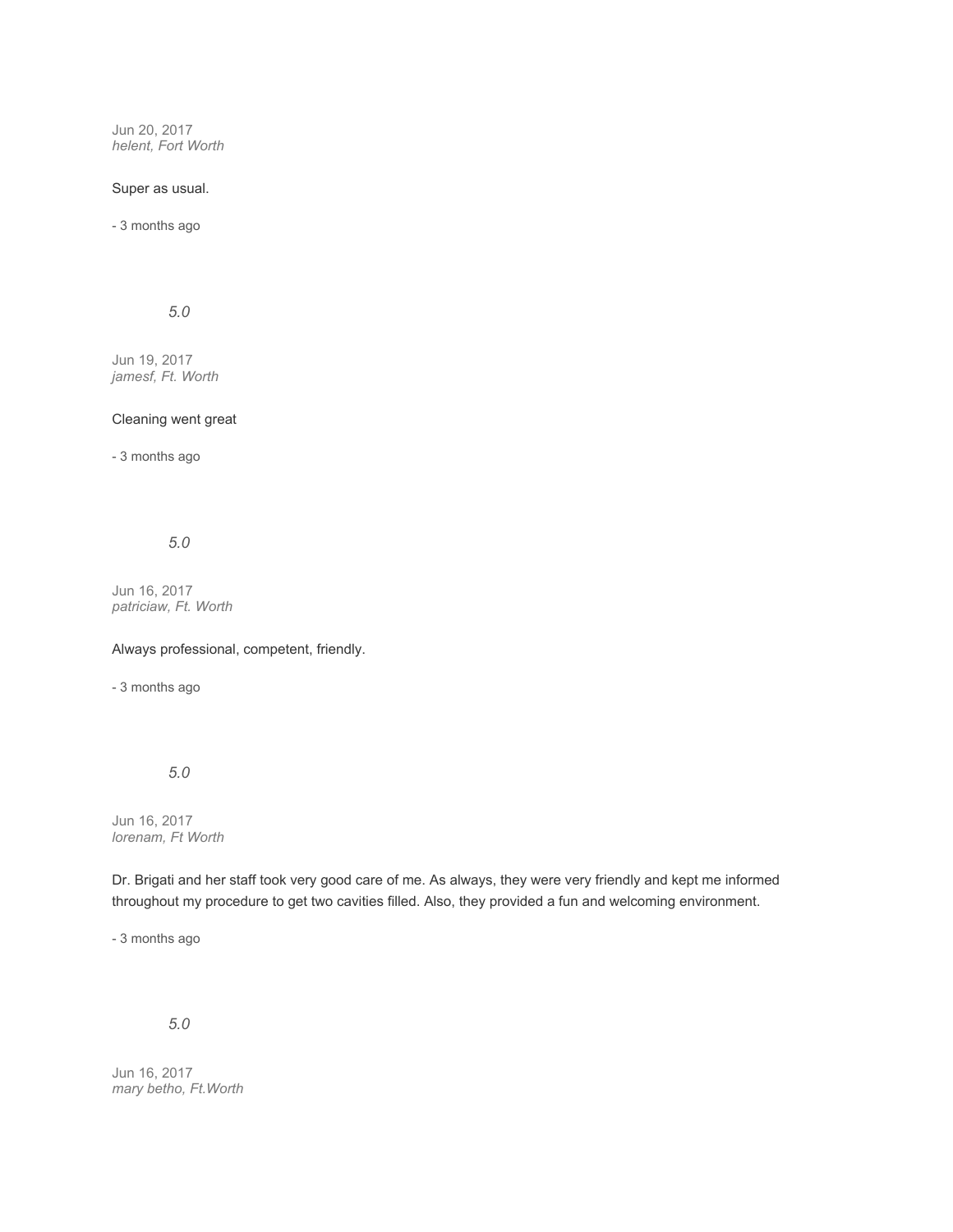Jun 20, 2017 *helent, Fort Worth*

### Super as usual.

- 3 months ago

## *5.0*

Jun 19, 2017 *jamesf, Ft. Worth*

### Cleaning went great

- 3 months ago

*5.0*

Jun 16, 2017 *patriciaw, Ft. Worth*

Always professional, competent, friendly.

- 3 months ago

*5.0*

Jun 16, 2017 *lorenam, Ft Worth*

Dr. Brigati and her staff took very good care of me. As always, they were very friendly and kept me informed throughout my procedure to get two cavities filled. Also, they provided a fun and welcoming environment.

- 3 months ago

# *5.0*

Jun 16, 2017 *mary betho, Ft.Worth*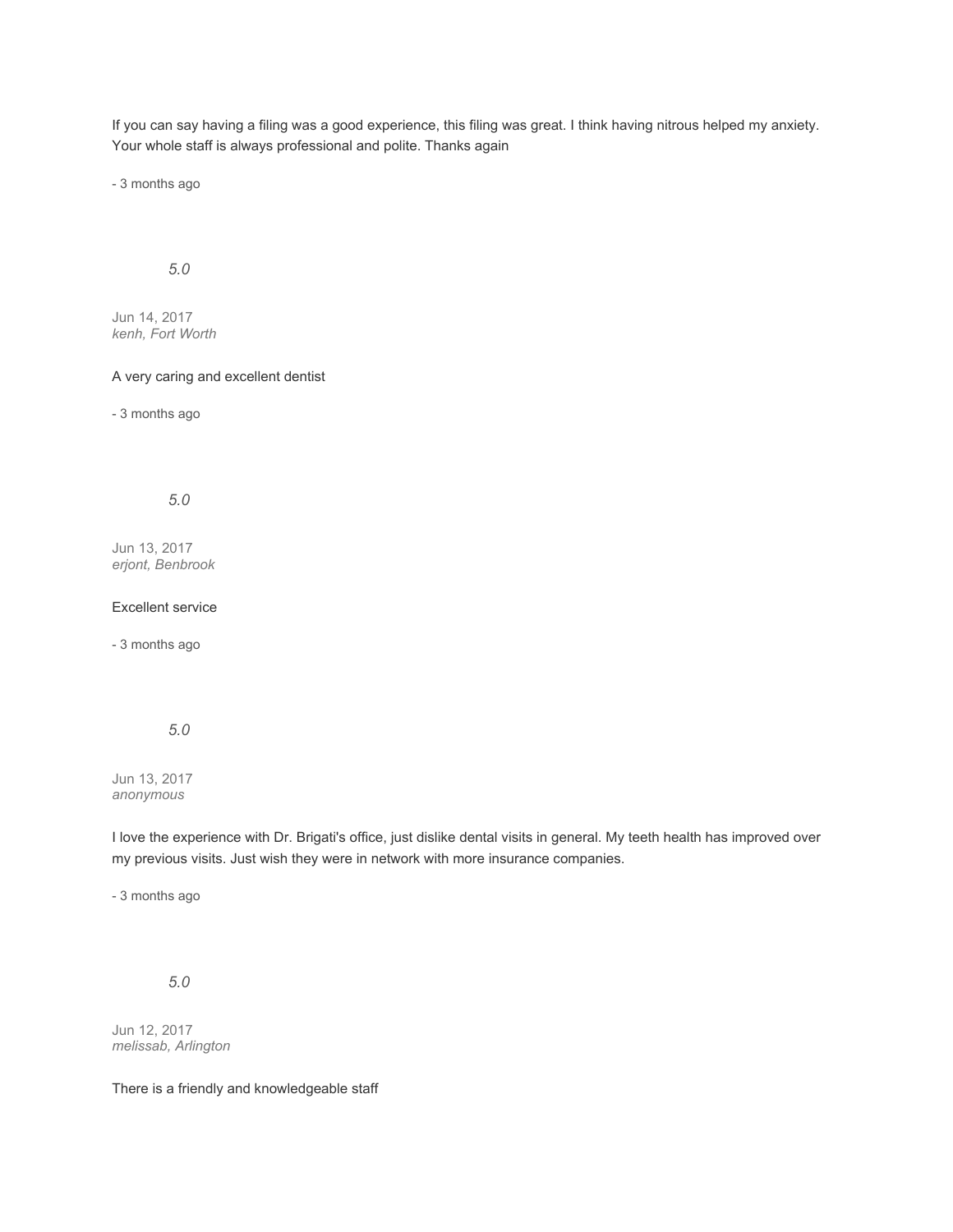If you can say having a filing was a good experience, this filing was great. I think having nitrous helped my anxiety. Your whole staff is always professional and polite. Thanks again

- 3 months ago

### *5.0*

Jun 14, 2017 *kenh, Fort Worth*

### A very caring and excellent dentist

- 3 months ago

*5.0*

Jun 13, 2017 *erjont, Benbrook*

### Excellent service

- 3 months ago

### *5.0*

Jun 13, 2017 *anonymous*

I love the experience with Dr. Brigati's office, just dislike dental visits in general. My teeth health has improved over my previous visits. Just wish they were in network with more insurance companies.

- 3 months ago

*5.0*

Jun 12, 2017 *melissab, Arlington*

There is a friendly and knowledgeable staff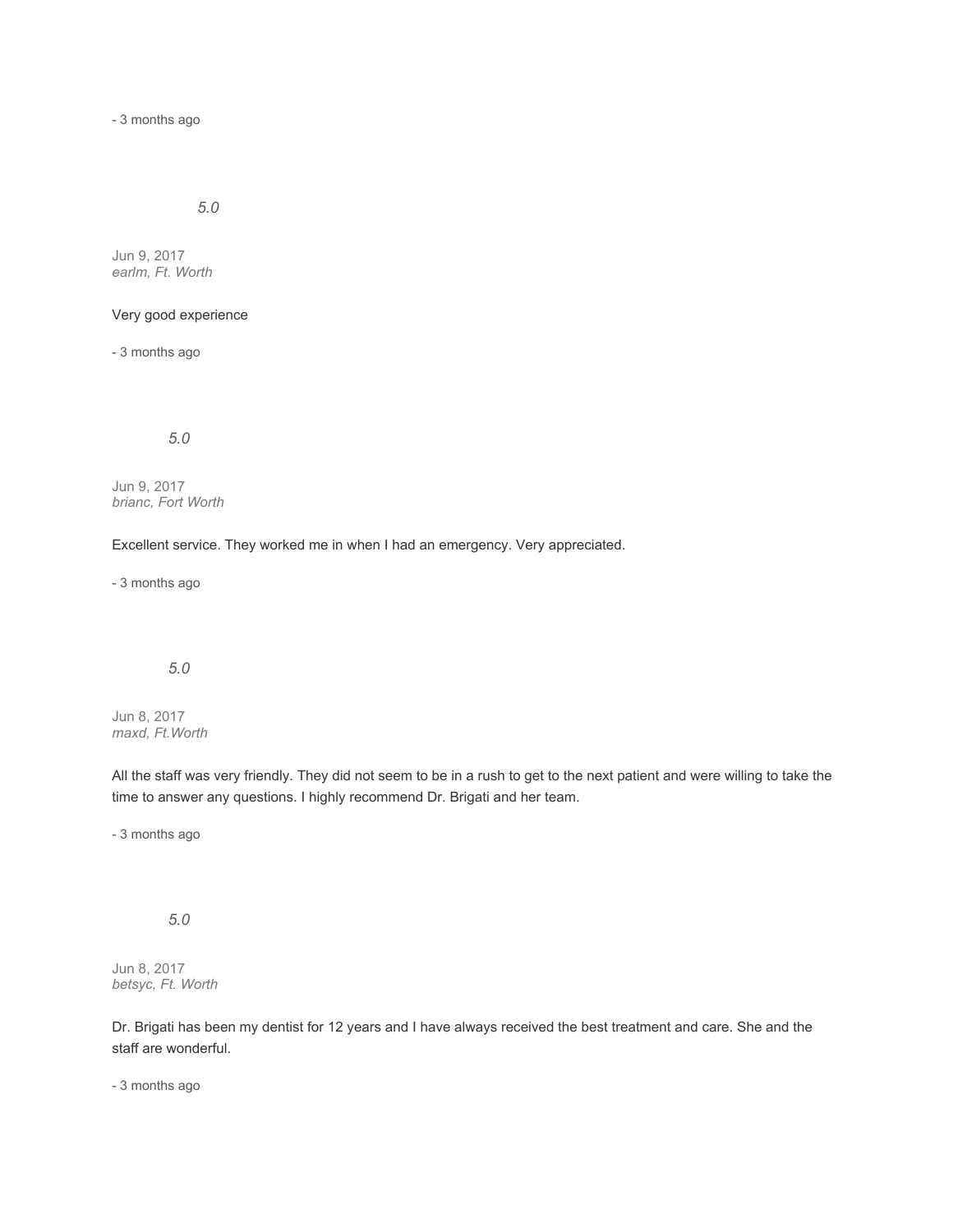- 3 months ago

*5.0*

Jun 9, 2017 *earlm, Ft. Worth*

# Very good experience

- 3 months ago

*5.0*

Jun 9, 2017 *brianc, Fort Worth*

Excellent service. They worked me in when I had an emergency. Very appreciated.

- 3 months ago

# *5.0*

Jun 8, 2017 *maxd, Ft.Worth*

All the staff was very friendly. They did not seem to be in a rush to get to the next patient and were willing to take the time to answer any questions. I highly recommend Dr. Brigati and her team.

- 3 months ago

# *5.0*

Jun 8, 2017 *betsyc, Ft. Worth*

Dr. Brigati has been my dentist for 12 years and I have always received the best treatment and care. She and the staff are wonderful.

- 3 months ago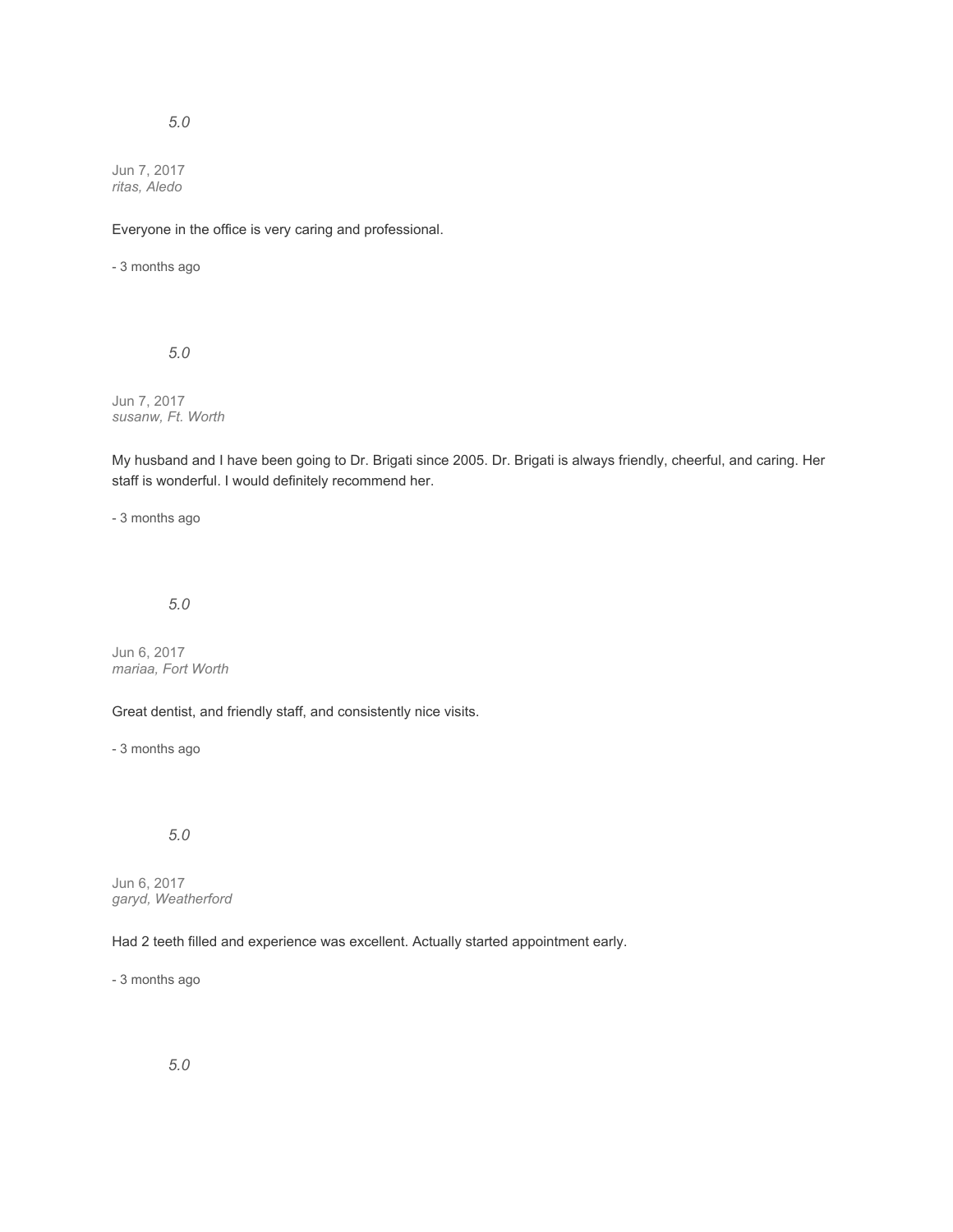## *5.0*

Jun 7, 2017 *ritas, Aledo*

Everyone in the office is very caring and professional.

- 3 months ago

*5.0*

Jun 7, 2017 *susanw, Ft. Worth*

My husband and I have been going to Dr. Brigati since 2005. Dr. Brigati is always friendly, cheerful, and caring. Her staff is wonderful. I would definitely recommend her.

- 3 months ago

*5.0*

Jun 6, 2017 *mariaa, Fort Worth*

Great dentist, and friendly staff, and consistently nice visits.

- 3 months ago

## *5.0*

Jun 6, 2017 *garyd, Weatherford*

Had 2 teeth filled and experience was excellent. Actually started appointment early.

- 3 months ago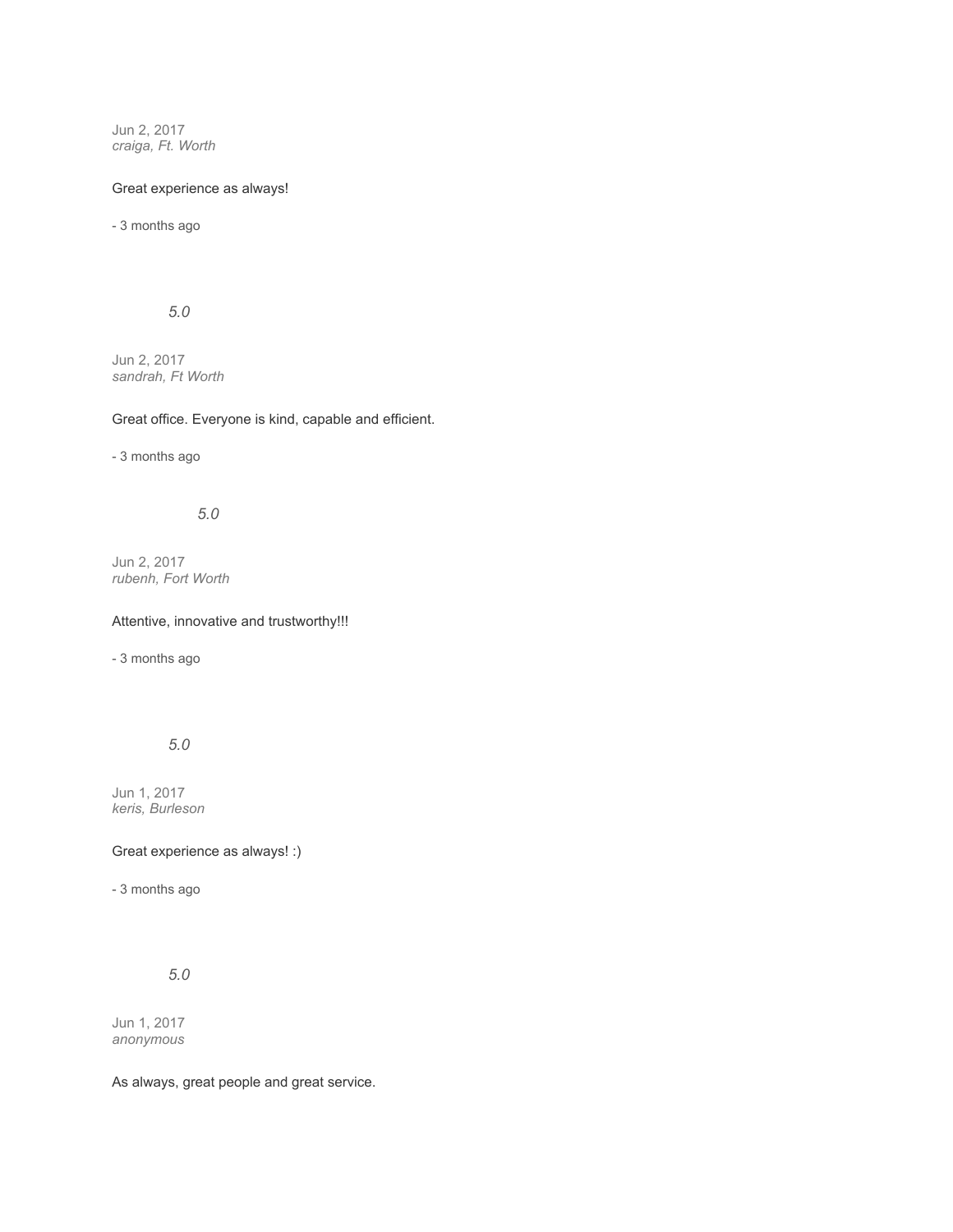Jun 2, 2017 *craiga, Ft. Worth*

## Great experience as always!

- 3 months ago

## *5.0*

Jun 2, 2017 *sandrah, Ft Worth*

### Great office. Everyone is kind, capable and efficient.

- 3 months ago

# *5.0*

Jun 2, 2017 *rubenh, Fort Worth*

Attentive, innovative and trustworthy!!!

- 3 months ago

### *5.0*

Jun 1, 2017 *keris, Burleson*

Great experience as always! :)

- 3 months ago

# *5.0*

Jun 1, 2017 *anonymous*

As always, great people and great service.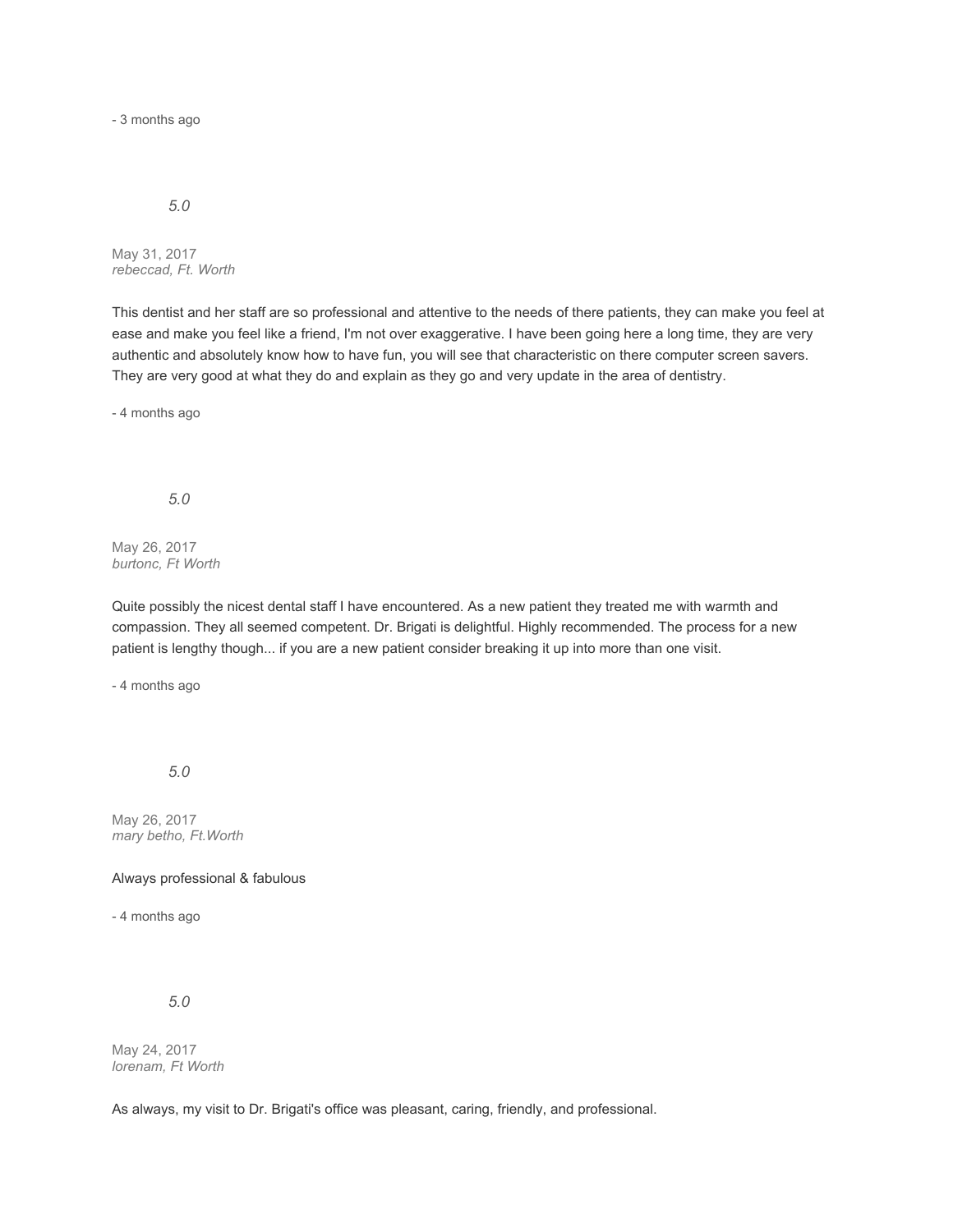- 3 months ago

### *5.0*

May 31, 2017 *rebeccad, Ft. Worth*

This dentist and her staff are so professional and attentive to the needs of there patients, they can make you feel at ease and make you feel like a friend, I'm not over exaggerative. I have been going here a long time, they are very authentic and absolutely know how to have fun, you will see that characteristic on there computer screen savers. They are very good at what they do and explain as they go and very update in the area of dentistry.

- 4 months ago

*5.0*

May 26, 2017 *burtonc, Ft Worth*

Quite possibly the nicest dental staff I have encountered. As a new patient they treated me with warmth and compassion. They all seemed competent. Dr. Brigati is delightful. Highly recommended. The process for a new patient is lengthy though... if you are a new patient consider breaking it up into more than one visit.

- 4 months ago

*5.0*

May 26, 2017 *mary betho, Ft.Worth*

Always professional & fabulous

- 4 months ago

*5.0*

May 24, 2017 *lorenam, Ft Worth*

As always, my visit to Dr. Brigati's office was pleasant, caring, friendly, and professional.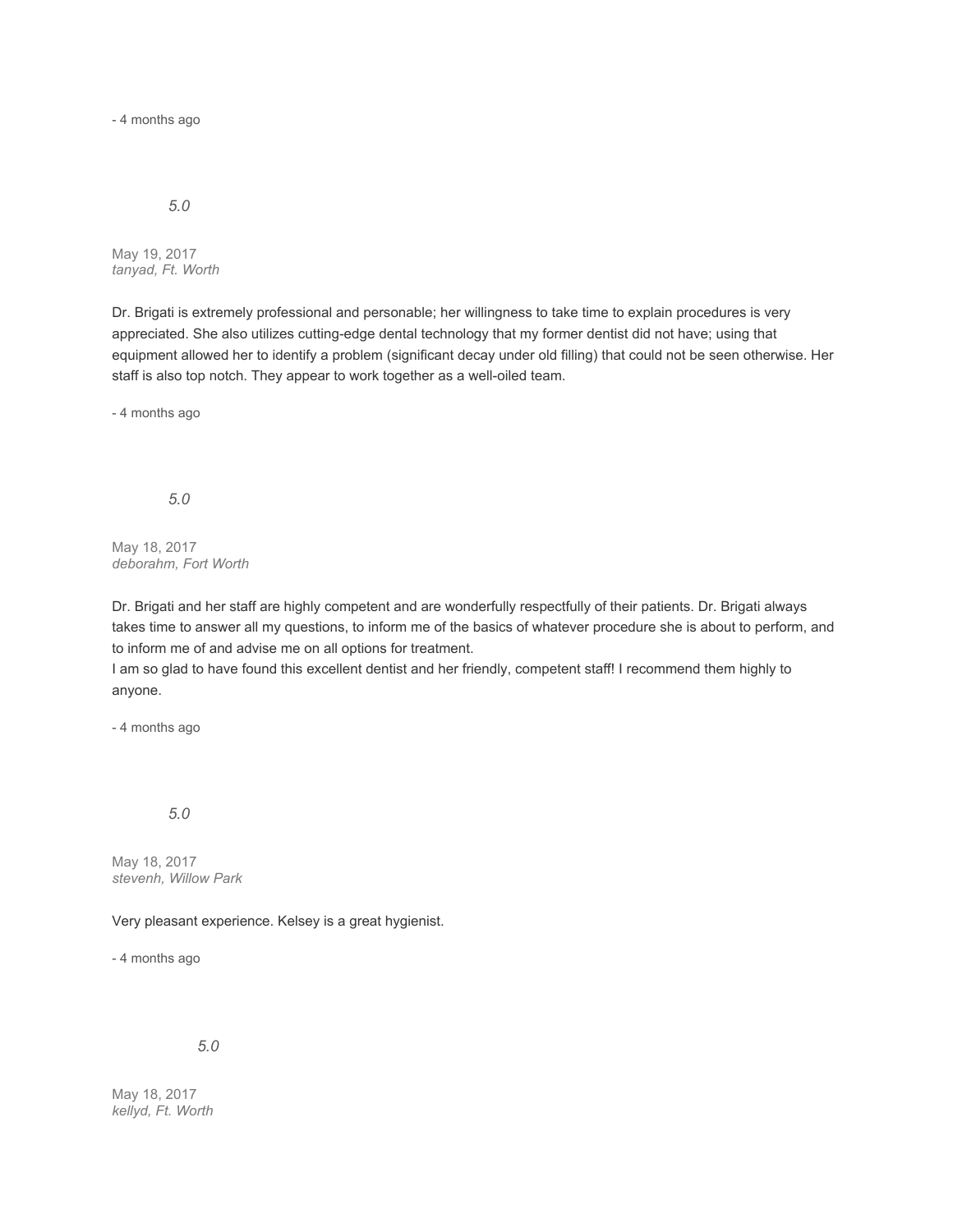- 4 months ago

### *5.0*

May 19, 2017 *tanyad, Ft. Worth*

Dr. Brigati is extremely professional and personable; her willingness to take time to explain procedures is very appreciated. She also utilizes cutting-edge dental technology that my former dentist did not have; using that equipment allowed her to identify a problem (significant decay under old filling) that could not be seen otherwise. Her staff is also top notch. They appear to work together as a well-oiled team.

- 4 months ago

*5.0*

May 18, 2017 *deborahm, Fort Worth*

Dr. Brigati and her staff are highly competent and are wonderfully respectfully of their patients. Dr. Brigati always takes time to answer all my questions, to inform me of the basics of whatever procedure she is about to perform, and to inform me of and advise me on all options for treatment.

I am so glad to have found this excellent dentist and her friendly, competent staff! I recommend them highly to anyone.

- 4 months ago

## *5.0*

May 18, 2017 *stevenh, Willow Park*

Very pleasant experience. Kelsey is a great hygienist.

- 4 months ago

*5.0*

May 18, 2017 *kellyd, Ft. Worth*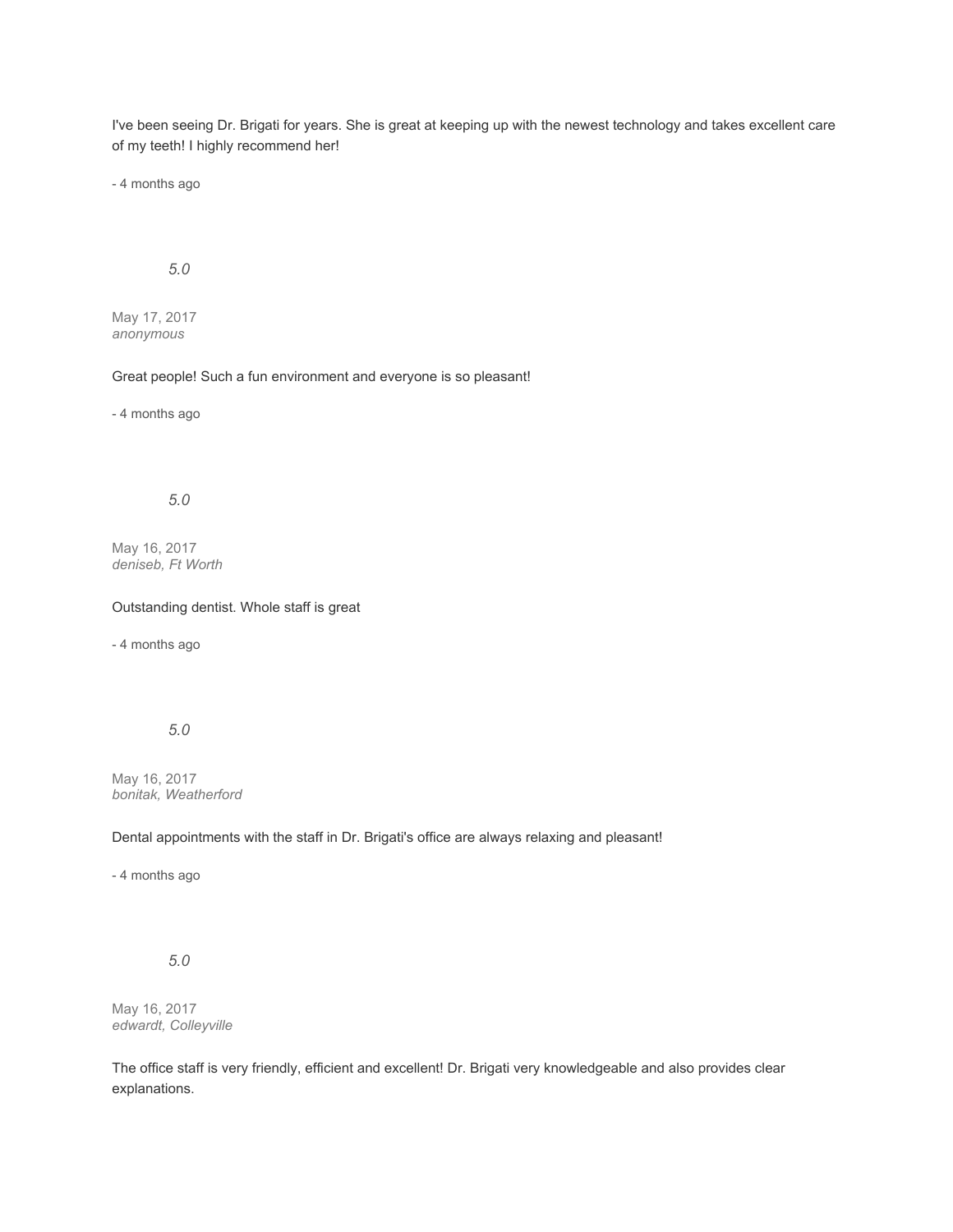I've been seeing Dr. Brigati for years. She is great at keeping up with the newest technology and takes excellent care of my teeth! I highly recommend her!

- 4 months ago

## *5.0*

May 17, 2017 *anonymous*

### Great people! Such a fun environment and everyone is so pleasant!

- 4 months ago

### *5.0*

May 16, 2017 *deniseb, Ft Worth*

#### Outstanding dentist. Whole staff is great

- 4 months ago

### *5.0*

May 16, 2017 *bonitak, Weatherford*

### Dental appointments with the staff in Dr. Brigati's office are always relaxing and pleasant!

- 4 months ago

## *5.0*

May 16, 2017 *edwardt, Colleyville*

The office staff is very friendly, efficient and excellent! Dr. Brigati very knowledgeable and also provides clear explanations.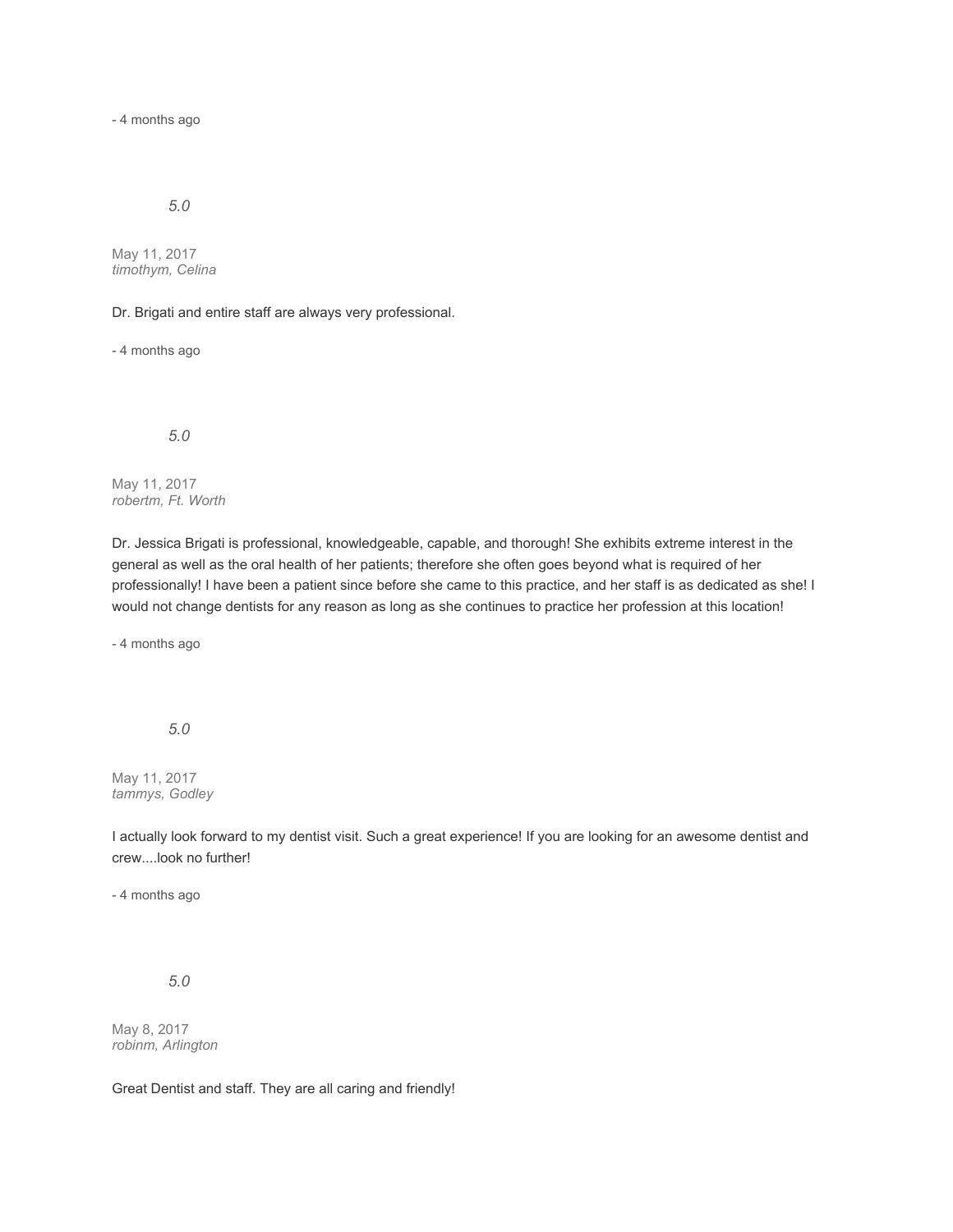- 4 months ago

## *5.0*

May 11, 2017 *timothym, Celina*

Dr. Brigati and entire staff are always very professional.

- 4 months ago

*5.0*

May 11, 2017 *robertm, Ft. Worth*

Dr. Jessica Brigati is professional, knowledgeable, capable, and thorough! She exhibits extreme interest in the general as well as the oral health of her patients; therefore she often goes beyond what is required of her professionally! I have been a patient since before she came to this practice, and her staff is as dedicated as she! I would not change dentists for any reason as long as she continues to practice her profession at this location!

- 4 months ago

*5.0*

May 11, 2017 *tammys, Godley*

I actually look forward to my dentist visit. Such a great experience! If you are looking for an awesome dentist and crew....look no further!

- 4 months ago

*5.0*

May 8, 2017 *robinm, Arlington*

Great Dentist and staff. They are all caring and friendly!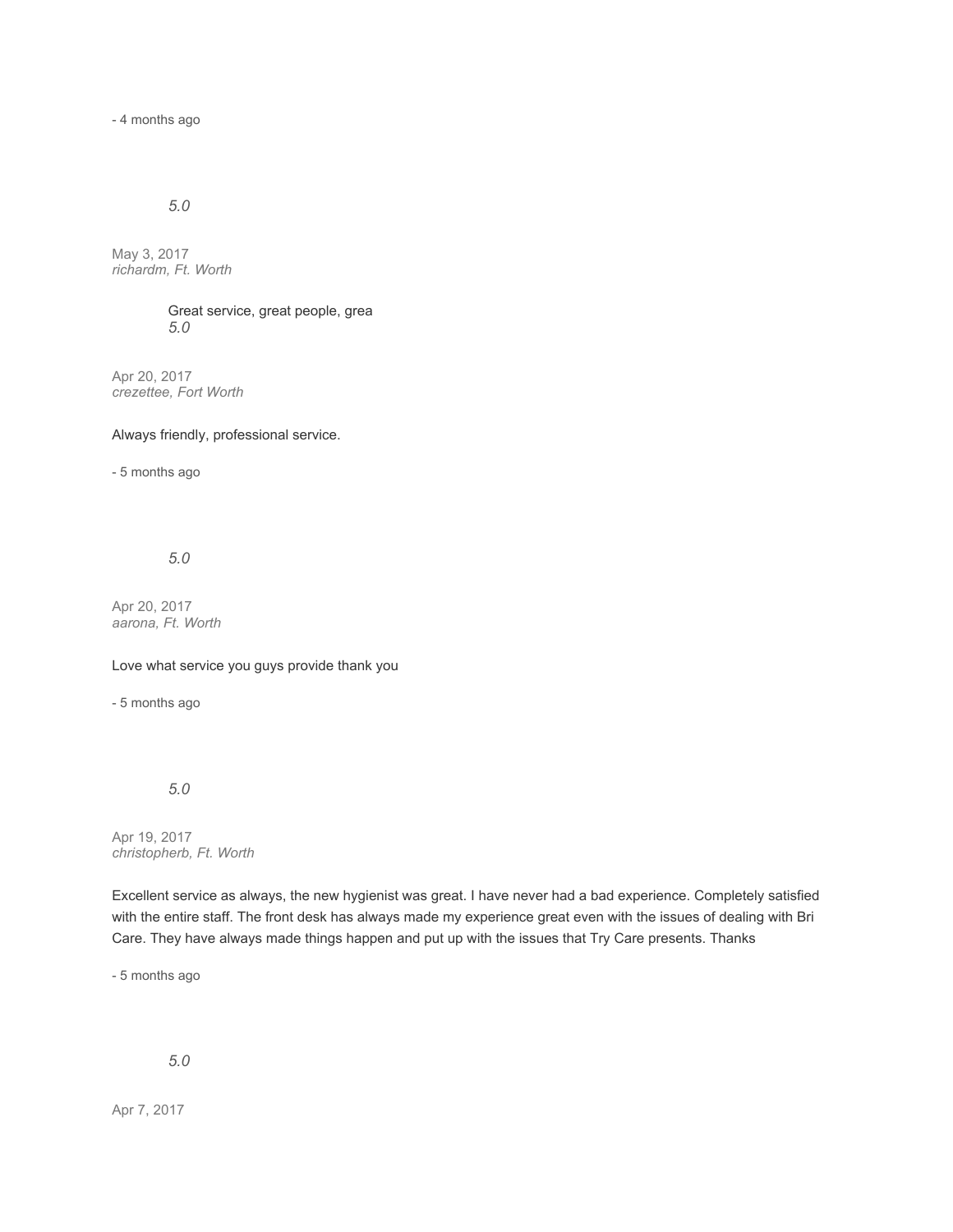- 4 months ago

## *5.0*

May 3, 2017 *richardm, Ft. Worth*

> Great service, great people, grea *5.0*

Apr 20, 2017 *crezettee, Fort Worth*

Always friendly, professional service.

- 5 months ago

### *5.0*

Apr 20, 2017 *aarona, Ft. Worth*

Love what service you guys provide thank you

- 5 months ago

### *5.0*

Apr 19, 2017 *christopherb, Ft. Worth*

Excellent service as always, the new hygienist was great. I have never had a bad experience. Completely satisfied with the entire staff. The front desk has always made my experience great even with the issues of dealing with Bri Care. They have always made things happen and put up with the issues that Try Care presents. Thanks

- 5 months ago

## *5.0*

Apr 7, 2017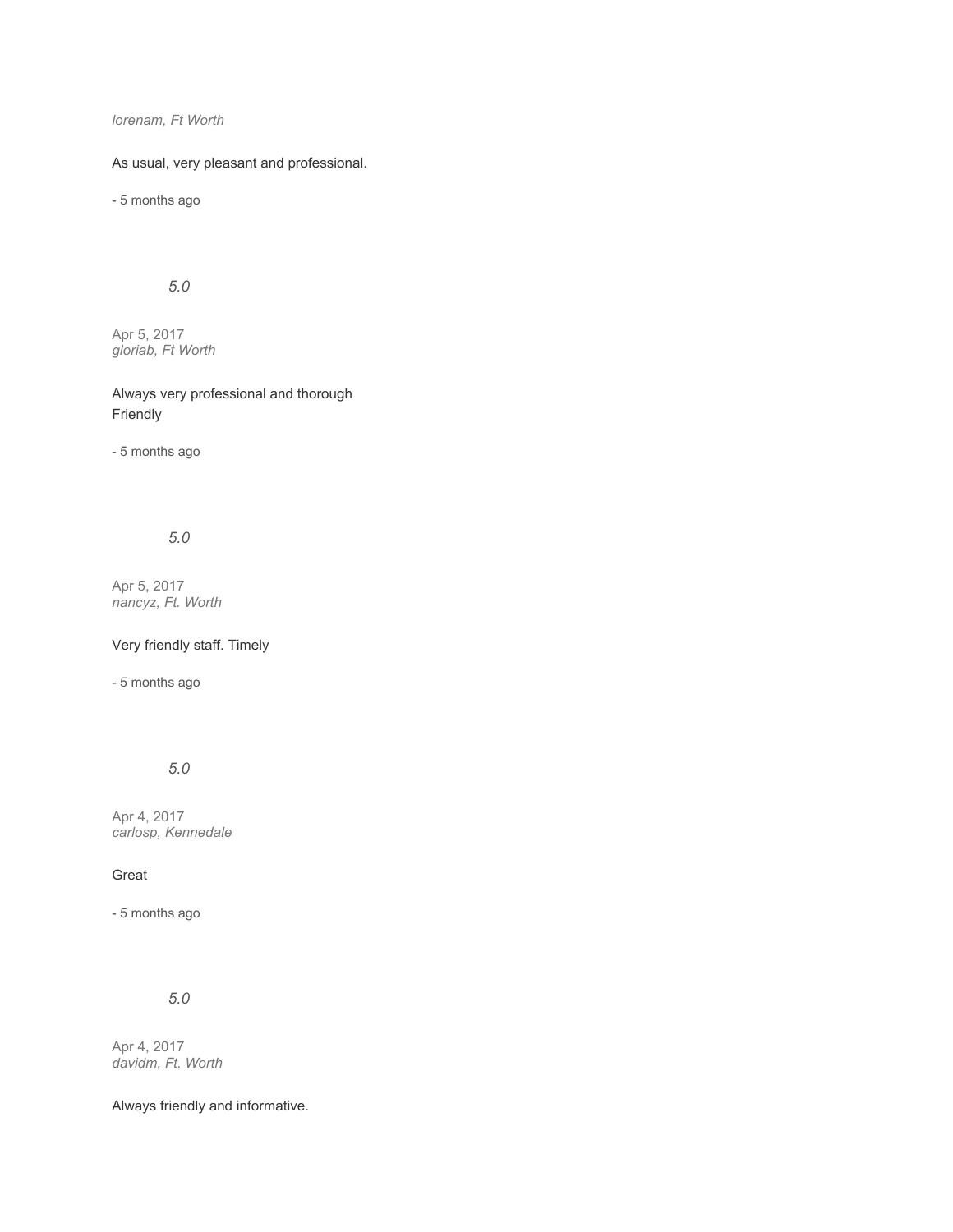*lorenam, Ft Worth*

As usual, very pleasant and professional.

- 5 months ago

*5.0*

Apr 5, 2017 *gloriab, Ft Worth*

Always very professional and thorough Friendly

- 5 months ago

*5.0*

Apr 5, 2017 *nancyz, Ft. Worth*

Very friendly staff. Timely

- 5 months ago

# *5.0*

Apr 4, 2017 *carlosp, Kennedale*

Great

- 5 months ago

*5.0*

Apr 4, 2017 *davidm, Ft. Worth*

Always friendly and informative.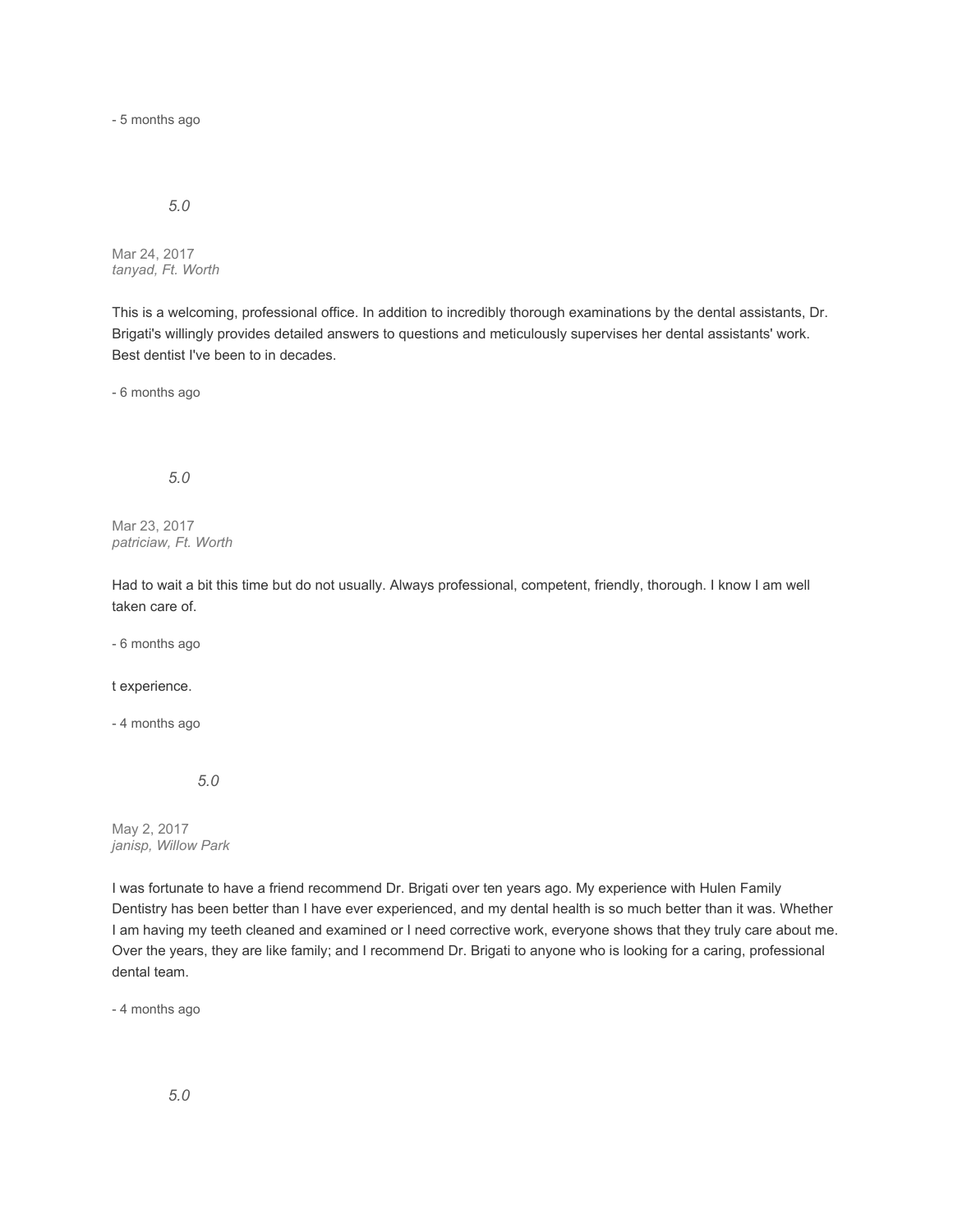- 5 months ago

### *5.0*

Mar 24, 2017 *tanyad, Ft. Worth*

This is a welcoming, professional office. In addition to incredibly thorough examinations by the dental assistants, Dr. Brigati's willingly provides detailed answers to questions and meticulously supervises her dental assistants' work. Best dentist I've been to in decades.

- 6 months ago

*5.0*

Mar 23, 2017 *patriciaw, Ft. Worth*

Had to wait a bit this time but do not usually. Always professional, competent, friendly, thorough. I know I am well taken care of.

- 6 months ago

#### t experience.

- 4 months ago

*5.0*

May 2, 2017 *janisp, Willow Park*

I was fortunate to have a friend recommend Dr. Brigati over ten years ago. My experience with Hulen Family Dentistry has been better than I have ever experienced, and my dental health is so much better than it was. Whether I am having my teeth cleaned and examined or I need corrective work, everyone shows that they truly care about me. Over the years, they are like family; and I recommend Dr. Brigati to anyone who is looking for a caring, professional dental team.

- 4 months ago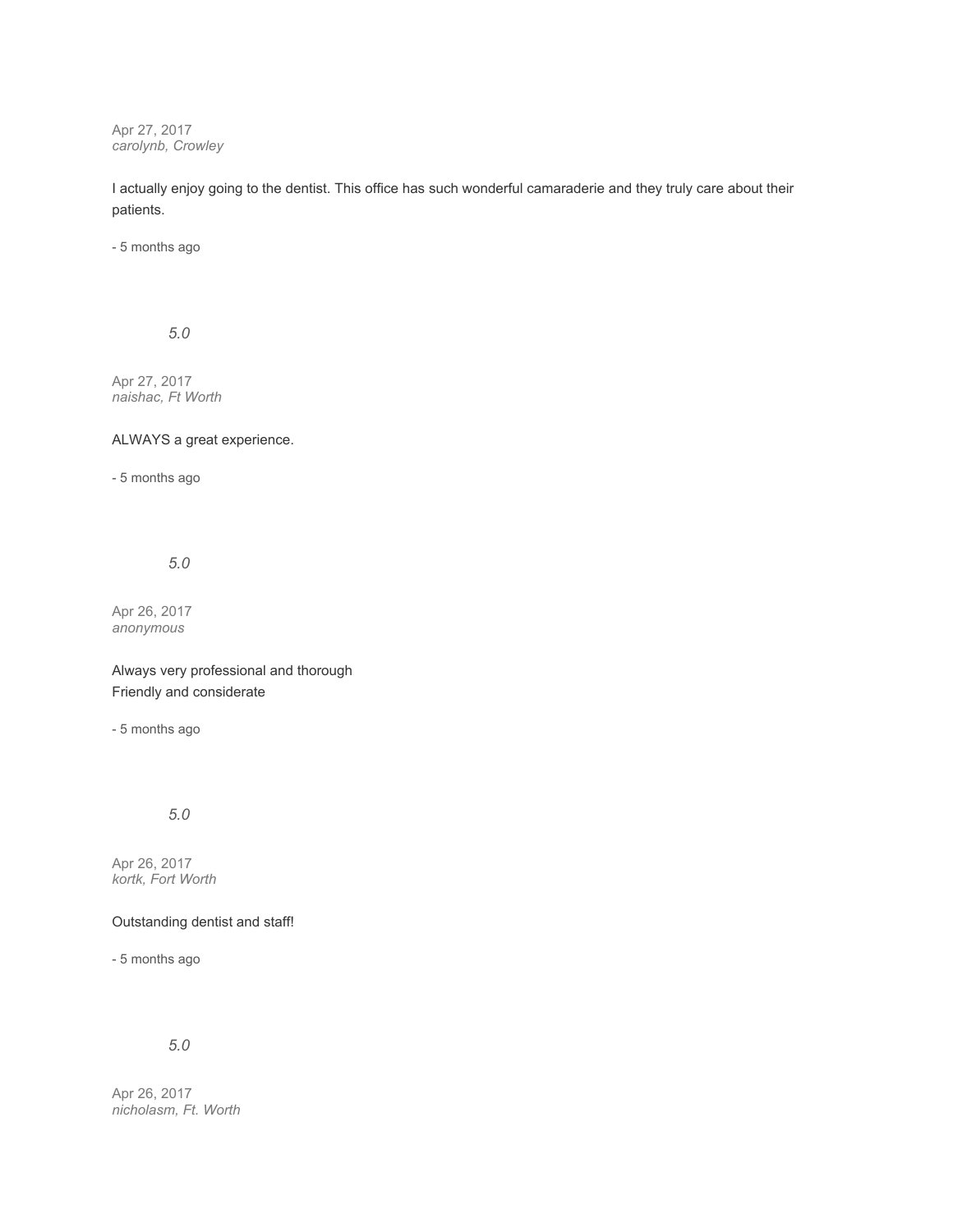Apr 27, 2017 *carolynb, Crowley*

I actually enjoy going to the dentist. This office has such wonderful camaraderie and they truly care about their patients.

- 5 months ago

*5.0*

Apr 27, 2017 *naishac, Ft Worth*

ALWAYS a great experience.

- 5 months ago

## *5.0*

Apr 26, 2017 *anonymous*

Always very professional and thorough Friendly and considerate

- 5 months ago

*5.0*

Apr 26, 2017 *kortk, Fort Worth*

Outstanding dentist and staff!

- 5 months ago

# *5.0*

Apr 26, 2017 *nicholasm, Ft. Worth*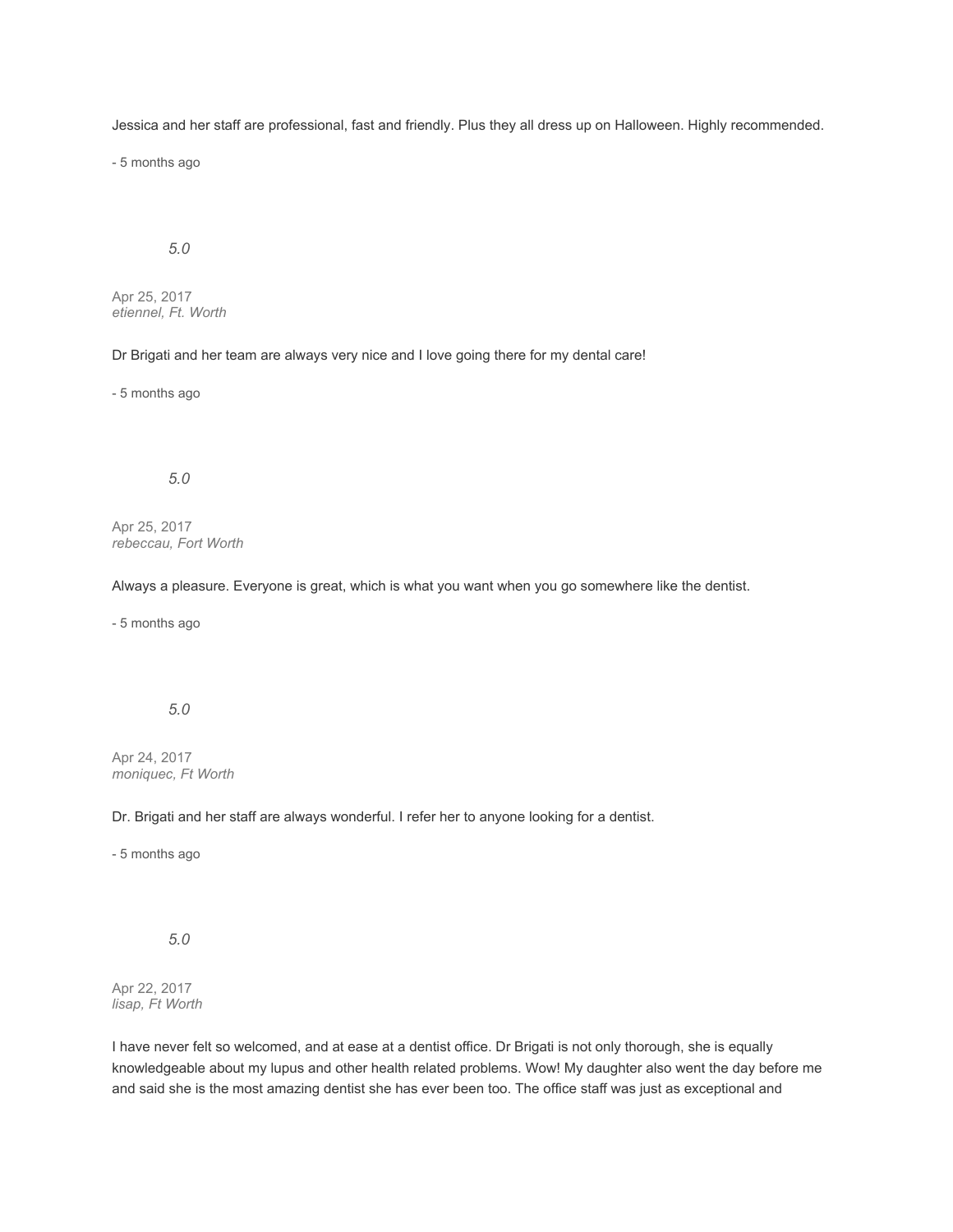Jessica and her staff are professional, fast and friendly. Plus they all dress up on Halloween. Highly recommended.

- 5 months ago

# *5.0*

Apr 25, 2017 *etiennel, Ft. Worth*

Dr Brigati and her team are always very nice and I love going there for my dental care!

- 5 months ago

### *5.0*

Apr 25, 2017 *rebeccau, Fort Worth*

Always a pleasure. Everyone is great, which is what you want when you go somewhere like the dentist.

- 5 months ago

## *5.0*

Apr 24, 2017 *moniquec, Ft Worth*

Dr. Brigati and her staff are always wonderful. I refer her to anyone looking for a dentist.

- 5 months ago

*5.0*

Apr 22, 2017 *lisap, Ft Worth*

I have never felt so welcomed, and at ease at a dentist office. Dr Brigati is not only thorough, she is equally knowledgeable about my lupus and other health related problems. Wow! My daughter also went the day before me and said she is the most amazing dentist she has ever been too. The office staff was just as exceptional and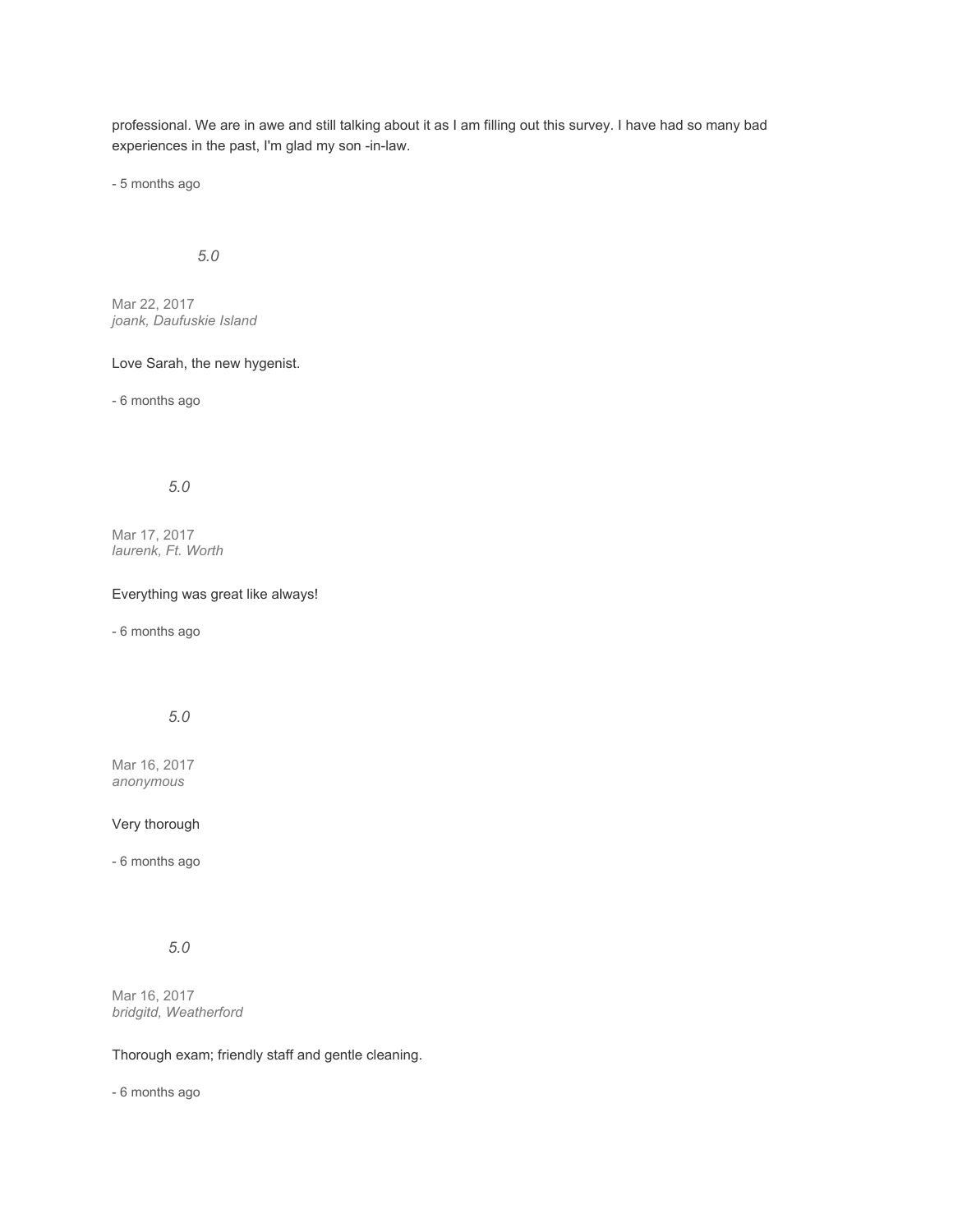professional. We are in awe and still talking about it as I am filling out this survey. I have had so many bad experiences in the past, I'm glad my son -in-law.

- 5 months ago

## *5.0*

Mar 22, 2017 *joank, Daufuskie Island*

#### Love Sarah, the new hygenist.

- 6 months ago

### *5.0*

Mar 17, 2017 *laurenk, Ft. Worth*

#### Everything was great like always!

- 6 months ago

## *5.0*

Mar 16, 2017 *anonymous*

### Very thorough

- 6 months ago

# *5.0*

Mar 16, 2017 *bridgitd, Weatherford*

#### Thorough exam; friendly staff and gentle cleaning.

- 6 months ago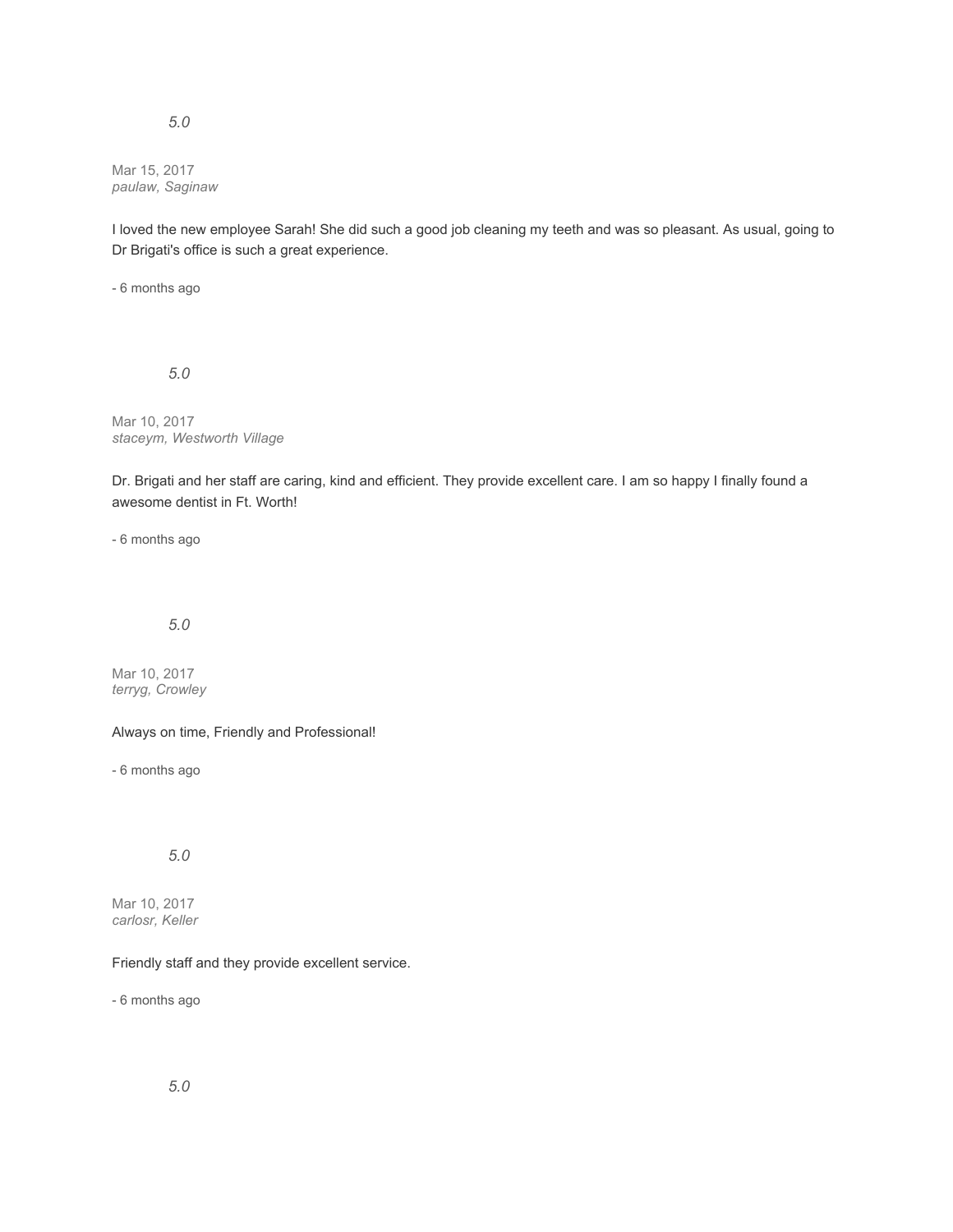### *5.0*

Mar 15, 2017 *paulaw, Saginaw*

I loved the new employee Sarah! She did such a good job cleaning my teeth and was so pleasant. As usual, going to Dr Brigati's office is such a great experience.

- 6 months ago

*5.0*

Mar 10, 2017 *staceym, Westworth Village*

Dr. Brigati and her staff are caring, kind and efficient. They provide excellent care. I am so happy I finally found a awesome dentist in Ft. Worth!

- 6 months ago

## *5.0*

Mar 10, 2017 *terryg, Crowley*

### Always on time, Friendly and Professional!

- 6 months ago

## *5.0*

Mar 10, 2017 *carlosr, Keller*

### Friendly staff and they provide excellent service.

- 6 months ago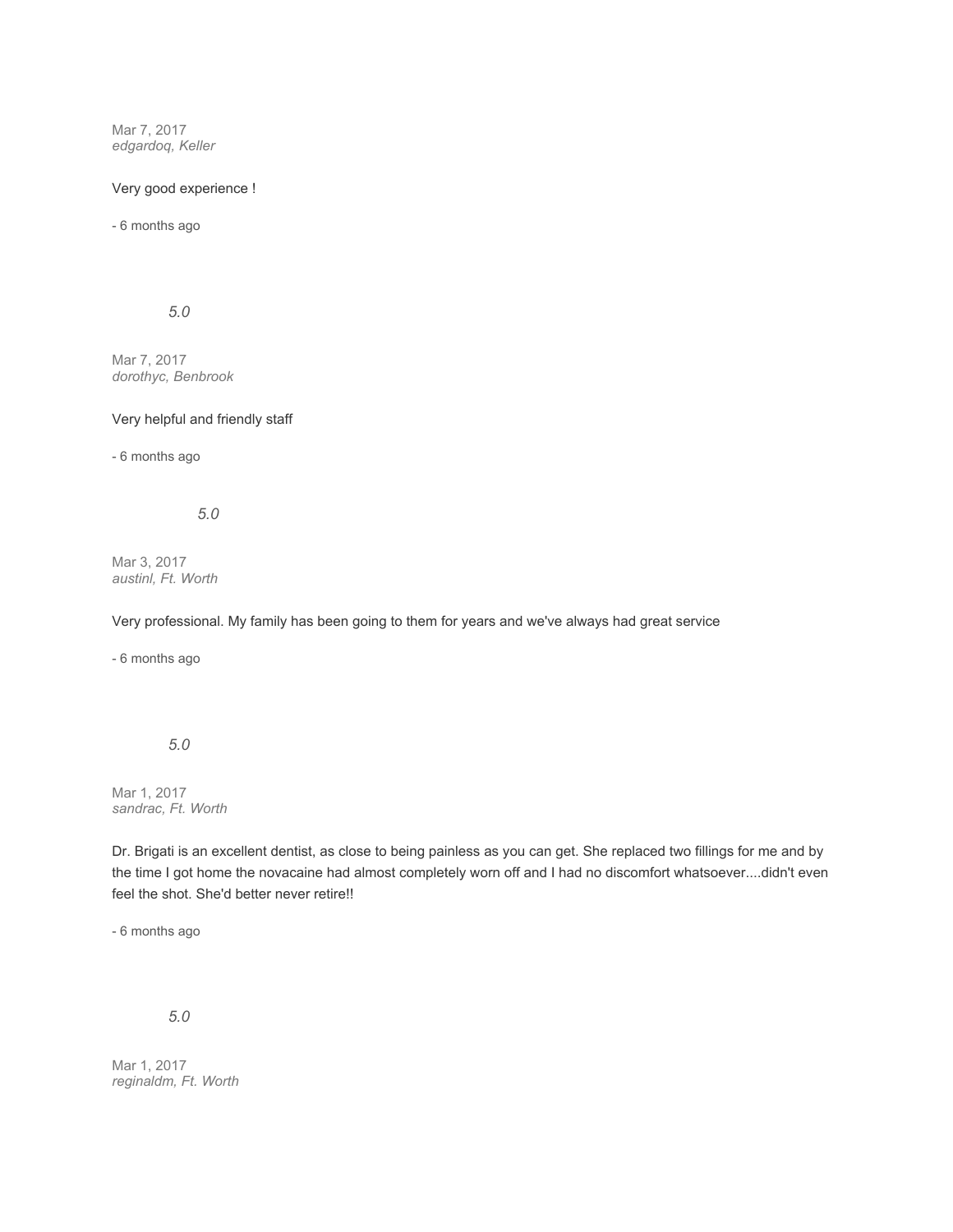Mar 7, 2017 *edgardoq, Keller*

### Very good experience !

- 6 months ago

*5.0*

Mar 7, 2017 *dorothyc, Benbrook*

### Very helpful and friendly staff

- 6 months ago

*5.0*

Mar 3, 2017 *austinl, Ft. Worth*

Very professional. My family has been going to them for years and we've always had great service

- 6 months ago

### *5.0*

Mar 1, 2017 *sandrac, Ft. Worth*

Dr. Brigati is an excellent dentist, as close to being painless as you can get. She replaced two fillings for me and by the time I got home the novacaine had almost completely worn off and I had no discomfort whatsoever....didn't even feel the shot. She'd better never retire!!

- 6 months ago

*5.0*

Mar 1, 2017 *reginaldm, Ft. Worth*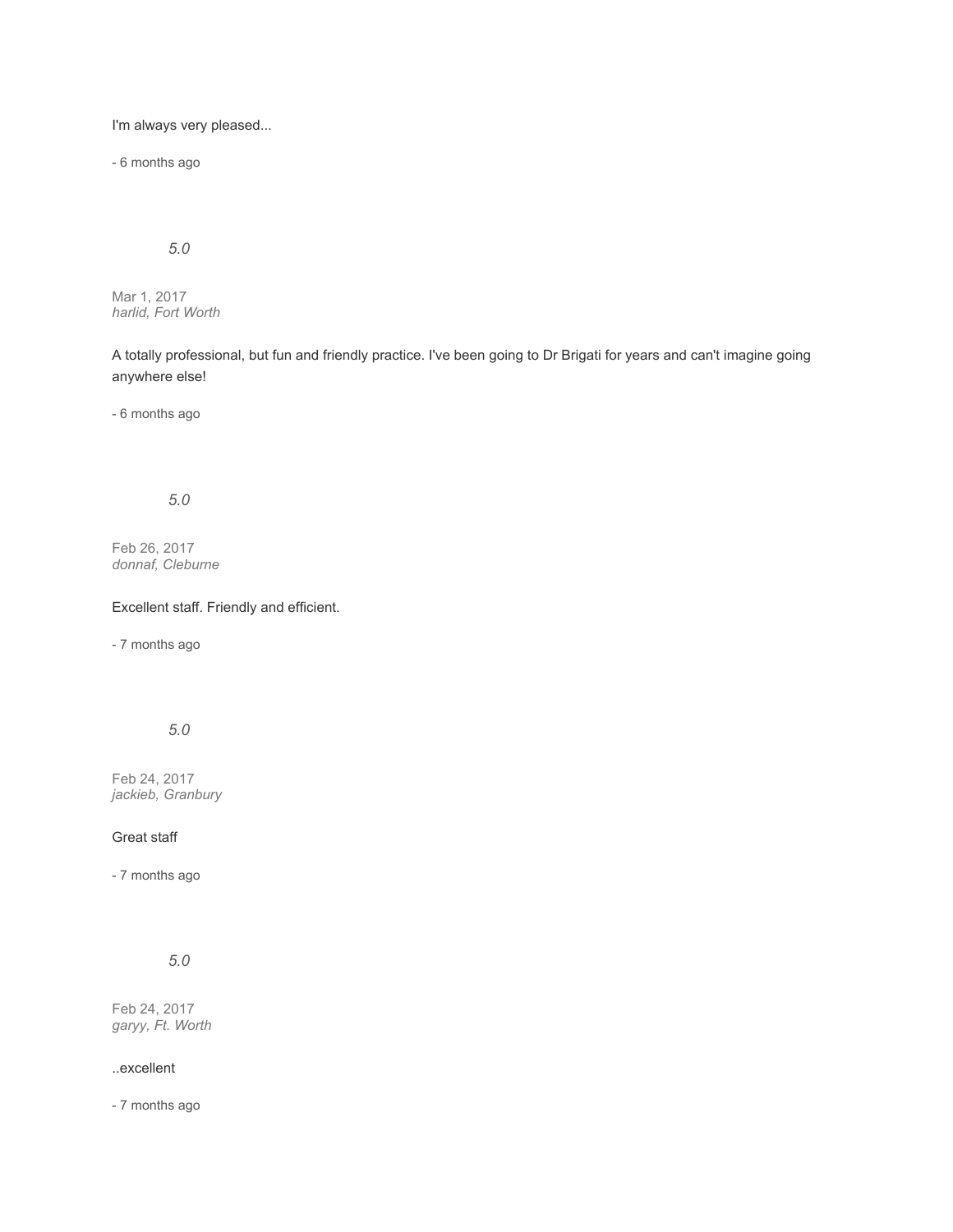I'm always very pleased...

- 6 months ago

# *5.0*

Mar 1, 2017 *harlid, Fort Worth*

A totally professional, but fun and friendly practice. I've been going to Dr Brigati for years and can't imagine going anywhere else!

- 6 months ago

# *5.0*

Feb 26, 2017 *donnaf, Cleburne*

## Excellent staff. Friendly and efficient.

- 7 months ago

# *5.0*

Feb 24, 2017 *jackieb, Granbury*

### Great staff

- 7 months ago

*5.0*

Feb 24, 2017 *garyy, Ft. Worth*

#### ..excellent

- 7 months ago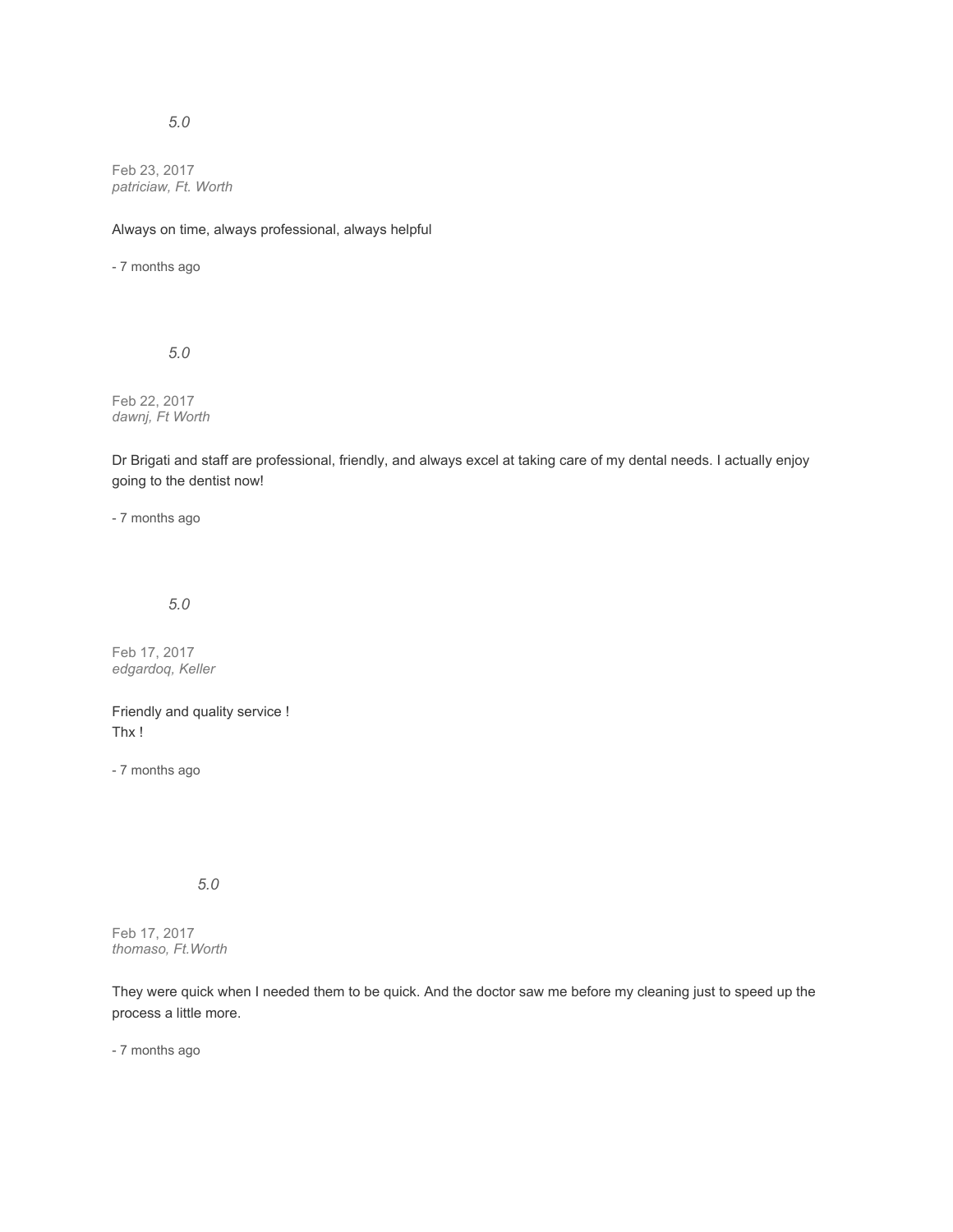## *5.0*

Feb 23, 2017 *patriciaw, Ft. Worth*

Always on time, always professional, always helpful

- 7 months ago

*5.0*

Feb 22, 2017 *dawnj, Ft Worth*

Dr Brigati and staff are professional, friendly, and always excel at taking care of my dental needs. I actually enjoy going to the dentist now!

- 7 months ago

*5.0*

Feb 17, 2017 *edgardoq, Keller*

Friendly and quality service ! Thx !

- 7 months ago

*5.0*

Feb 17, 2017 *thomaso, Ft.Worth*

They were quick when I needed them to be quick. And the doctor saw me before my cleaning just to speed up the process a little more.

- 7 months ago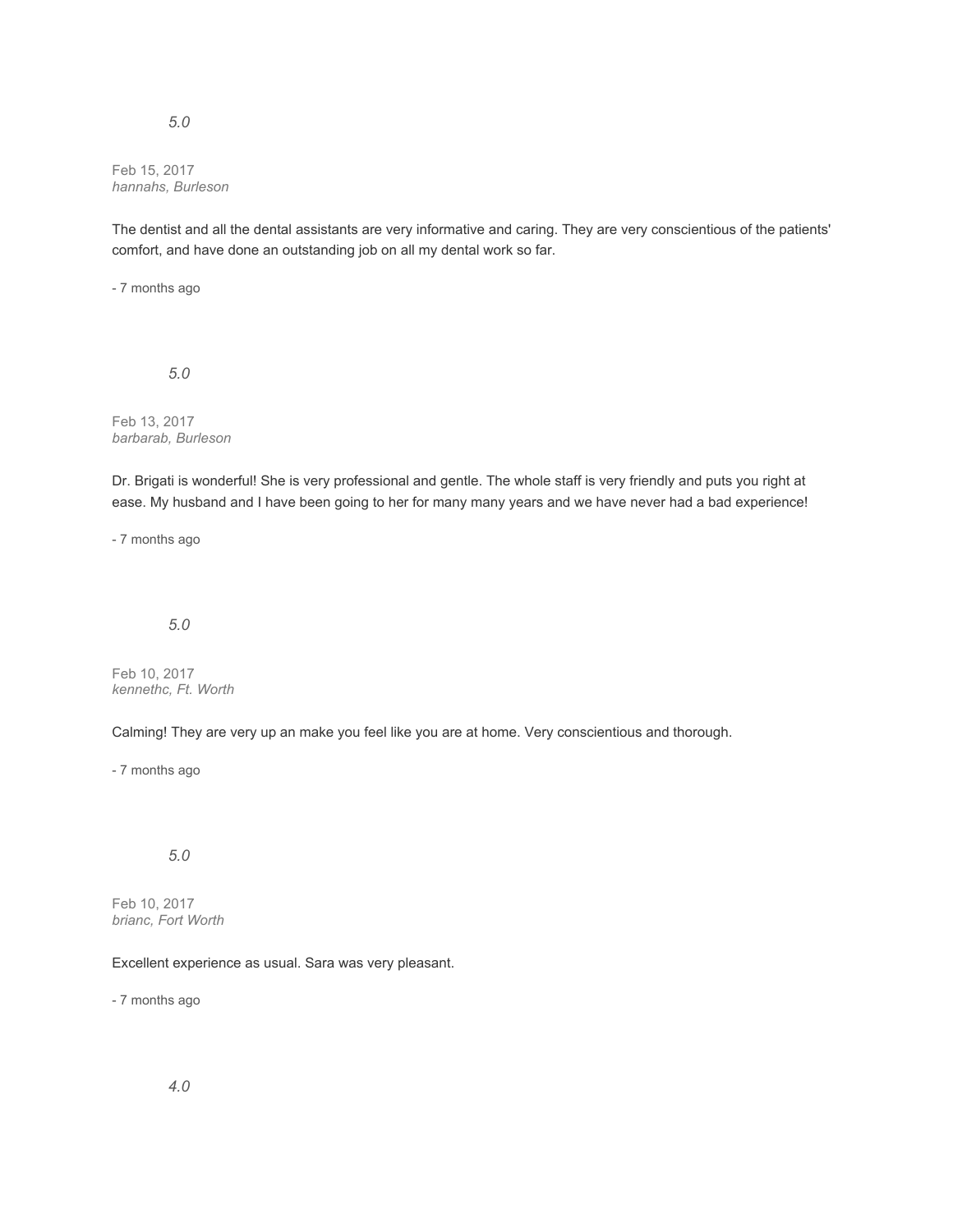### *5.0*

Feb 15, 2017 *hannahs, Burleson*

The dentist and all the dental assistants are very informative and caring. They are very conscientious of the patients' comfort, and have done an outstanding job on all my dental work so far.

- 7 months ago

*5.0*

Feb 13, 2017 *barbarab, Burleson*

Dr. Brigati is wonderful! She is very professional and gentle. The whole staff is very friendly and puts you right at ease. My husband and I have been going to her for many many years and we have never had a bad experience!

- 7 months ago

## *5.0*

Feb 10, 2017 *kennethc, Ft. Worth*

Calming! They are very up an make you feel like you are at home. Very conscientious and thorough.

- 7 months ago

## *5.0*

Feb 10, 2017 *brianc, Fort Worth*

### Excellent experience as usual. Sara was very pleasant.

- 7 months ago

*4.0*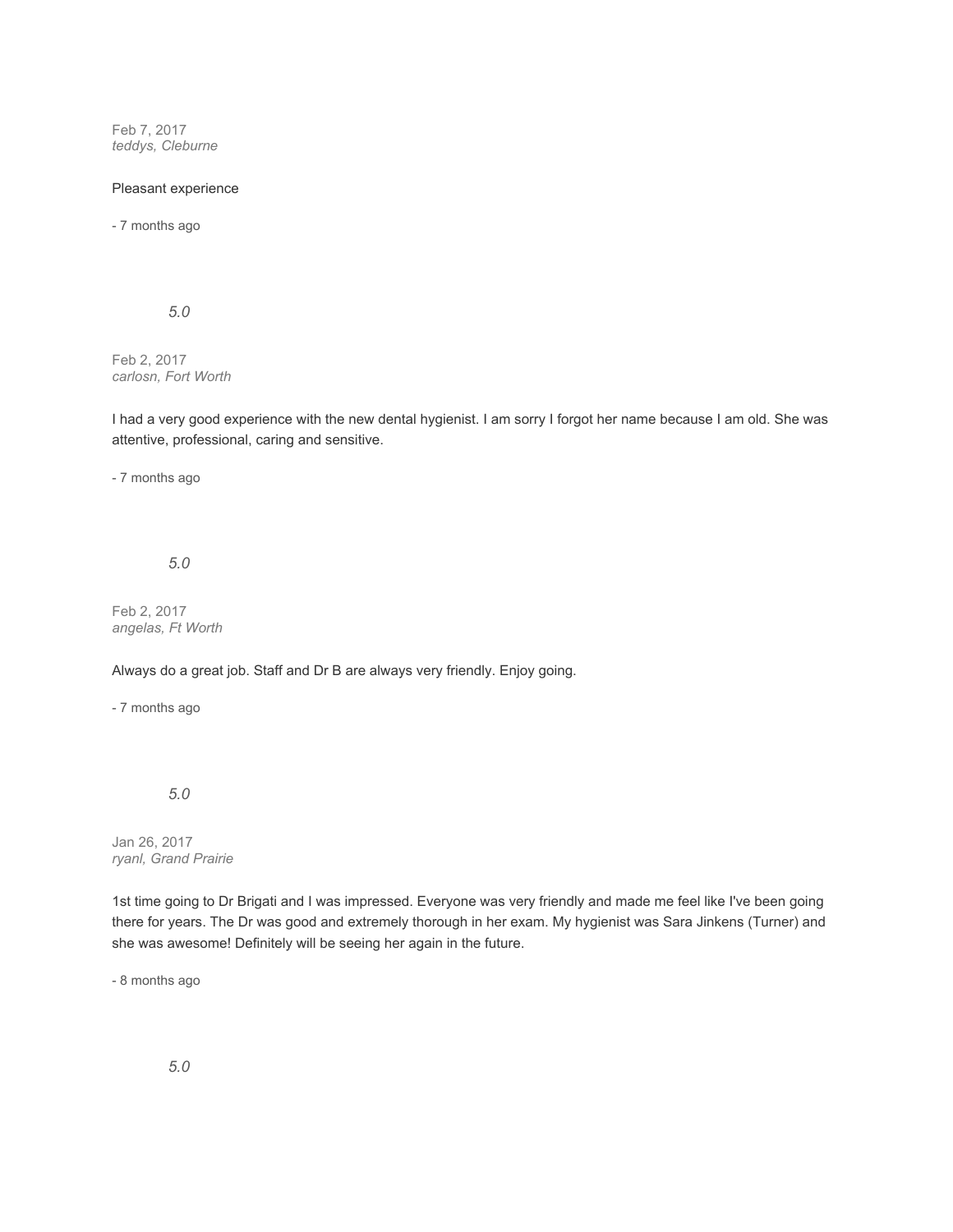Feb 7, 2017 *teddys, Cleburne*

### Pleasant experience

- 7 months ago

*5.0*

Feb 2, 2017 *carlosn, Fort Worth*

I had a very good experience with the new dental hygienist. I am sorry I forgot her name because I am old. She was attentive, professional, caring and sensitive.

- 7 months ago

*5.0*

Feb 2, 2017 *angelas, Ft Worth*

Always do a great job. Staff and Dr B are always very friendly. Enjoy going.

- 7 months ago

*5.0*

Jan 26, 2017 *ryanl, Grand Prairie*

1st time going to Dr Brigati and I was impressed. Everyone was very friendly and made me feel like I've been going there for years. The Dr was good and extremely thorough in her exam. My hygienist was Sara Jinkens (Turner) and she was awesome! Definitely will be seeing her again in the future.

- 8 months ago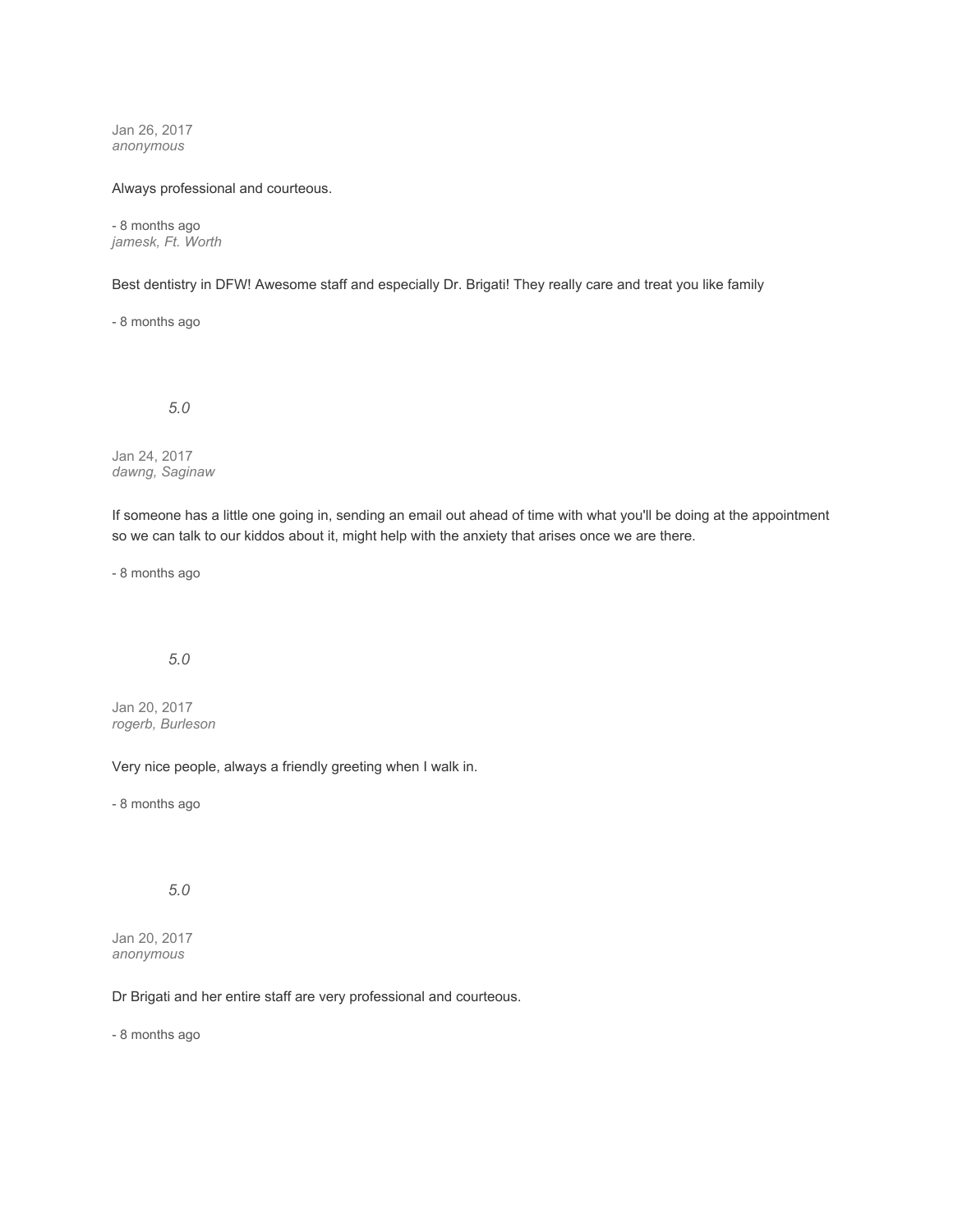Jan 26, 2017 *anonymous*

#### Always professional and courteous.

- 8 months ago *jamesk, Ft. Worth*

Best dentistry in DFW! Awesome staff and especially Dr. Brigati! They really care and treat you like family

- 8 months ago

*5.0*

Jan 24, 2017 *dawng, Saginaw*

If someone has a little one going in, sending an email out ahead of time with what you'll be doing at the appointment so we can talk to our kiddos about it, might help with the anxiety that arises once we are there.

- 8 months ago

# *5.0*

Jan 20, 2017 *rogerb, Burleson*

Very nice people, always a friendly greeting when I walk in.

- 8 months ago

## *5.0*

Jan 20, 2017 *anonymous*

### Dr Brigati and her entire staff are very professional and courteous.

- 8 months ago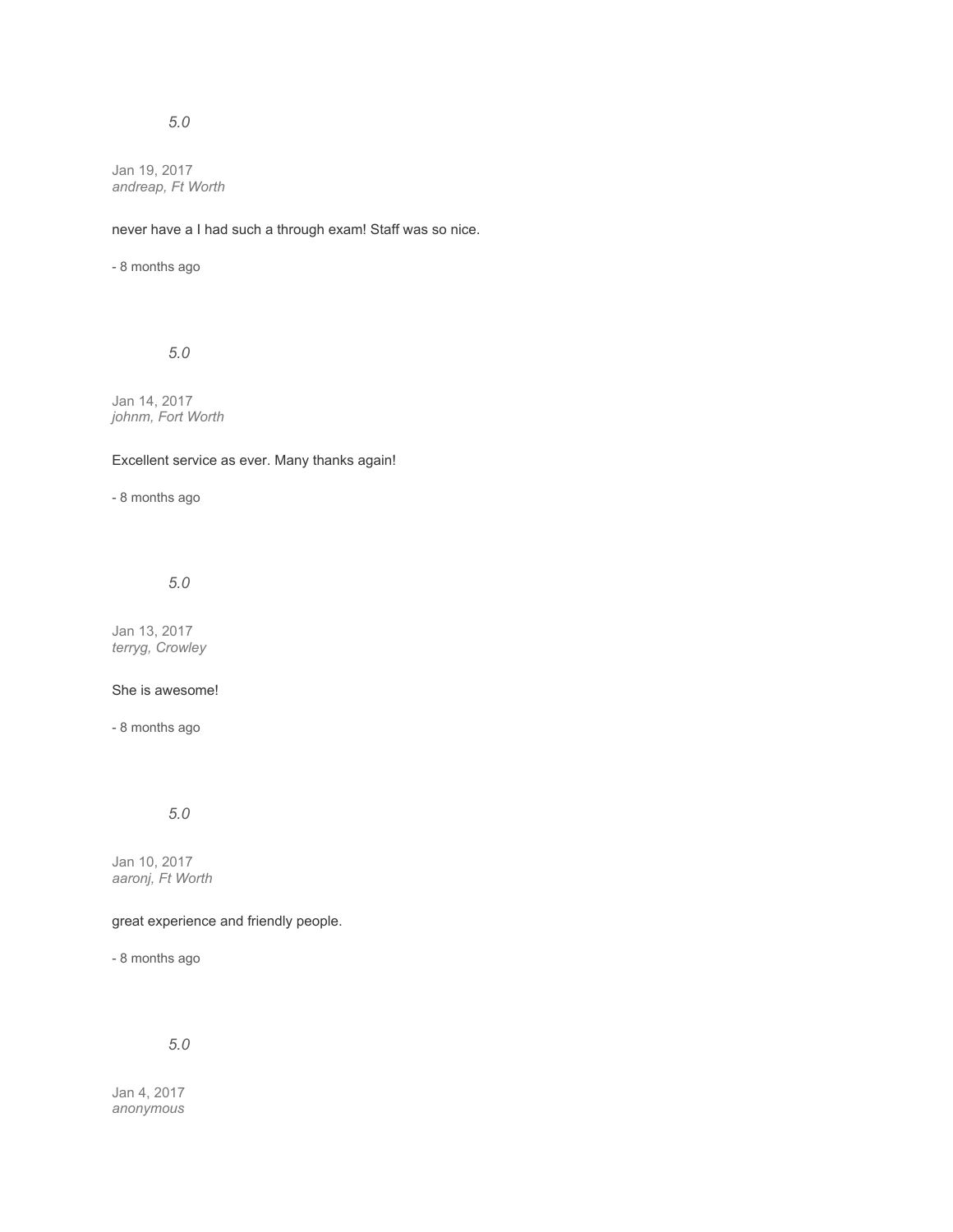# *5.0*

Jan 19, 2017 *andreap, Ft Worth*

never have a I had such a through exam! Staff was so nice.

- 8 months ago

*5.0*

Jan 14, 2017 *johnm, Fort Worth*

## Excellent service as ever. Many thanks again!

- 8 months ago

*5.0*

Jan 13, 2017 *terryg, Crowley*

#### She is awesome!

- 8 months ago

*5.0*

Jan 10, 2017 *aaronj, Ft Worth*

### great experience and friendly people.

- 8 months ago

# *5.0*

Jan 4, 2017 *anonymous*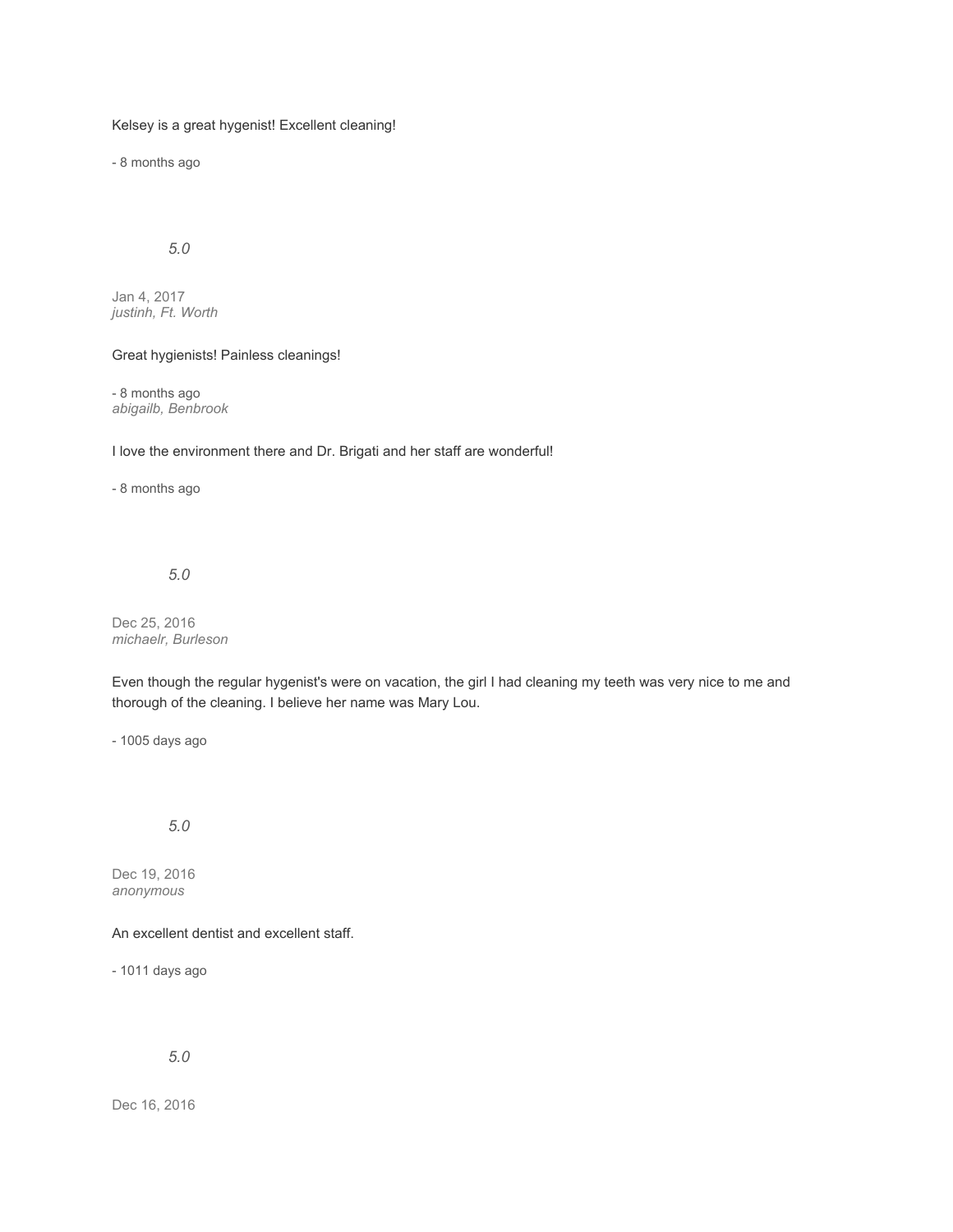### Kelsey is a great hygenist! Excellent cleaning!

- 8 months ago

# *5.0*

Jan 4, 2017 *justinh, Ft. Worth*

#### Great hygienists! Painless cleanings!

- 8 months ago *abigailb, Benbrook*

#### I love the environment there and Dr. Brigati and her staff are wonderful!

- 8 months ago

## *5.0*

Dec 25, 2016 *michaelr, Burleson*

Even though the regular hygenist's were on vacation, the girl I had cleaning my teeth was very nice to me and thorough of the cleaning. I believe her name was Mary Lou.

- 1005 days ago

### *5.0*

Dec 19, 2016 *anonymous*

## An excellent dentist and excellent staff.

- 1011 days ago

#### *5.0*

Dec 16, 2016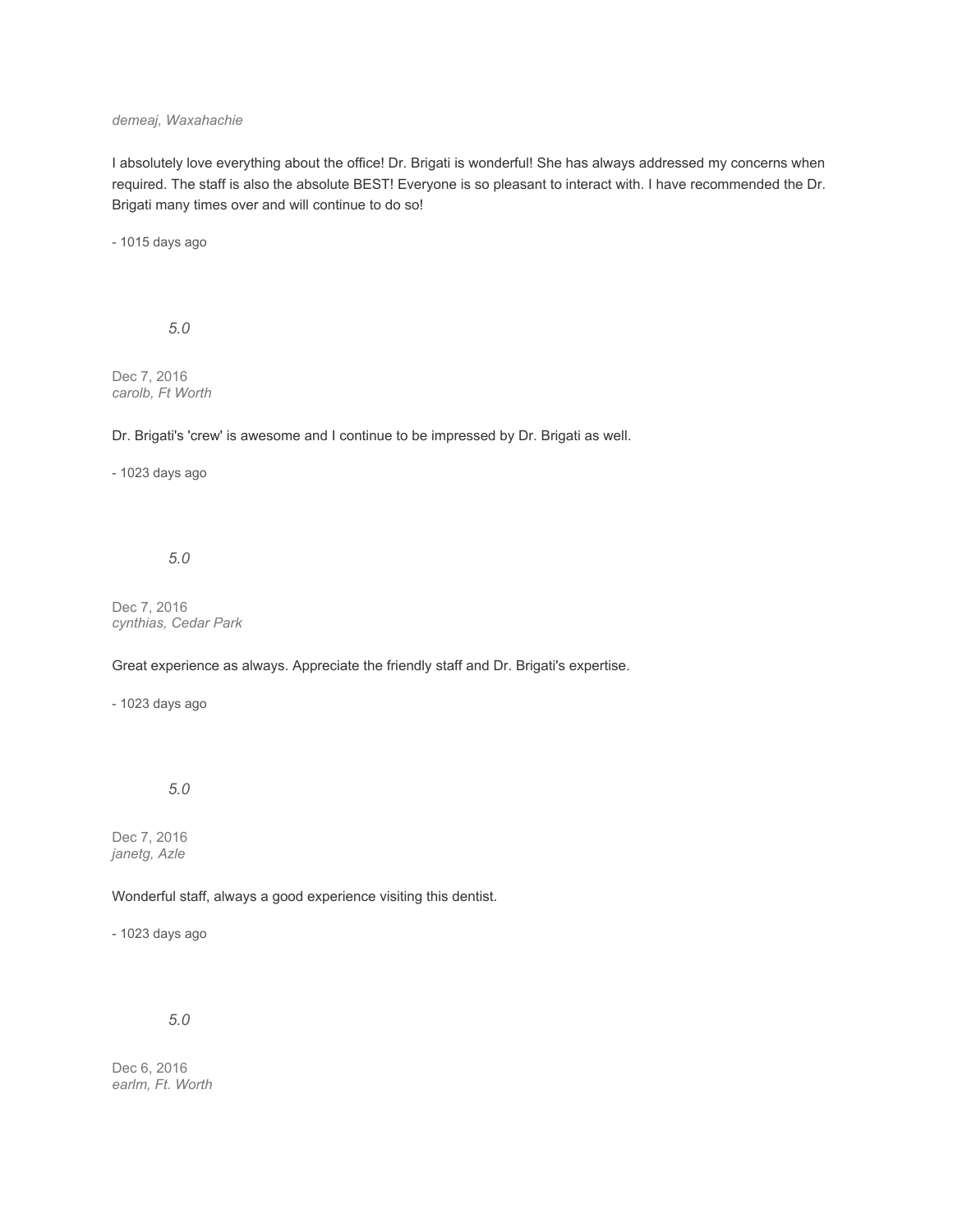### *demeaj, Waxahachie*

I absolutely love everything about the office! Dr. Brigati is wonderful! She has always addressed my concerns when required. The staff is also the absolute BEST! Everyone is so pleasant to interact with. I have recommended the Dr. Brigati many times over and will continue to do so!

- 1015 days ago

*5.0*

Dec 7, 2016 *carolb, Ft Worth*

Dr. Brigati's 'crew' is awesome and I continue to be impressed by Dr. Brigati as well.

### - 1023 days ago

#### *5.0*

Dec 7, 2016 *cynthias, Cedar Park*

### Great experience as always. Appreciate the friendly staff and Dr. Brigati's expertise.

- 1023 days ago

### *5.0*

Dec 7, 2016 *janetg, Azle*

### Wonderful staff, always a good experience visiting this dentist.

- 1023 days ago

*5.0*

Dec 6, 2016 *earlm, Ft. Worth*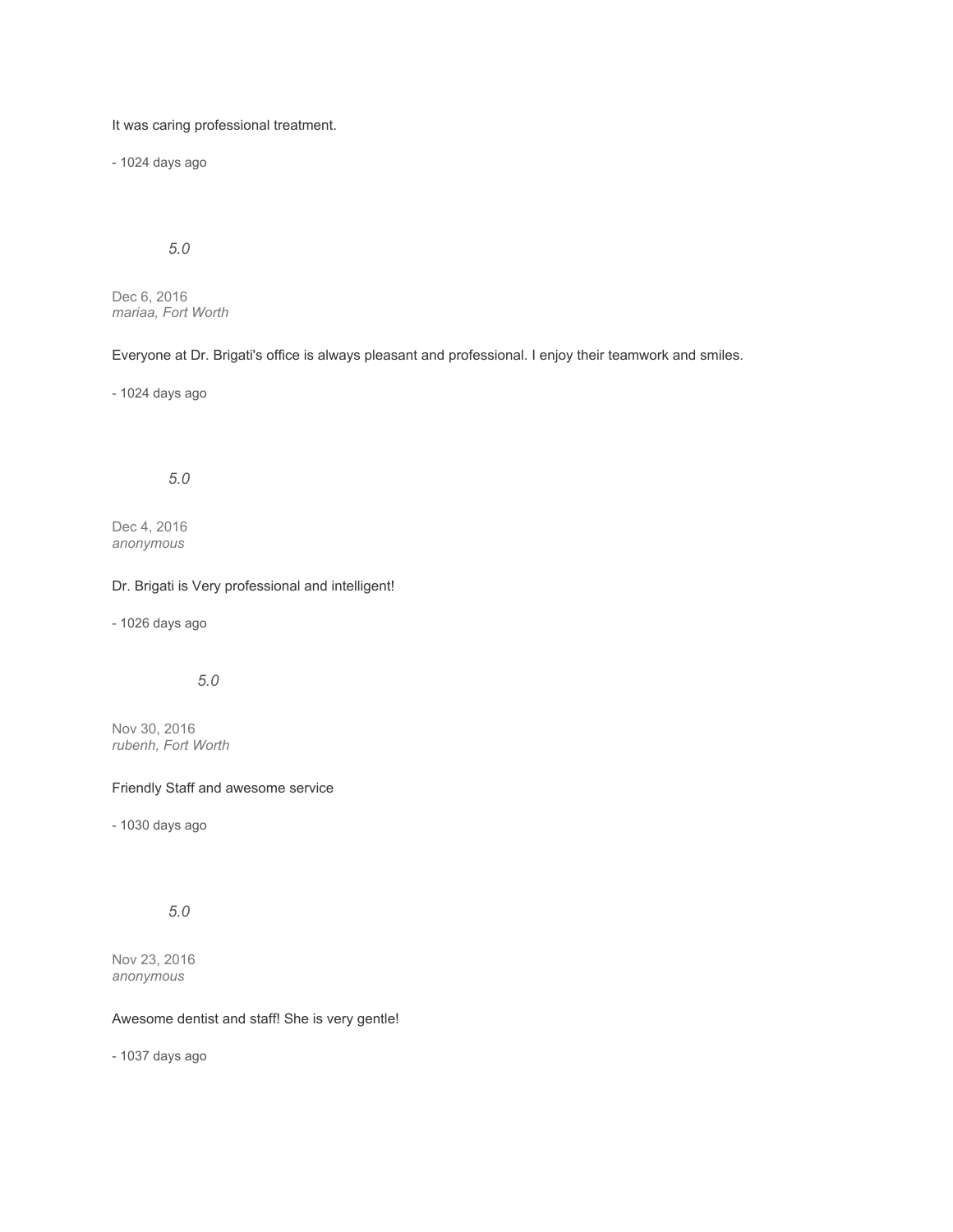It was caring professional treatment.

- 1024 days ago

# *5.0*

Dec 6, 2016 *mariaa, Fort Worth*

Everyone at Dr. Brigati's office is always pleasant and professional. I enjoy their teamwork and smiles.

- 1024 days ago

## *5.0*

Dec 4, 2016 *anonymous*

### Dr. Brigati is Very professional and intelligent!

- 1026 days ago

# *5.0*

Nov 30, 2016 *rubenh, Fort Worth*

#### Friendly Staff and awesome service

- 1030 days ago

# *5.0*

Nov 23, 2016 *anonymous*

### Awesome dentist and staff! She is very gentle!

- 1037 days ago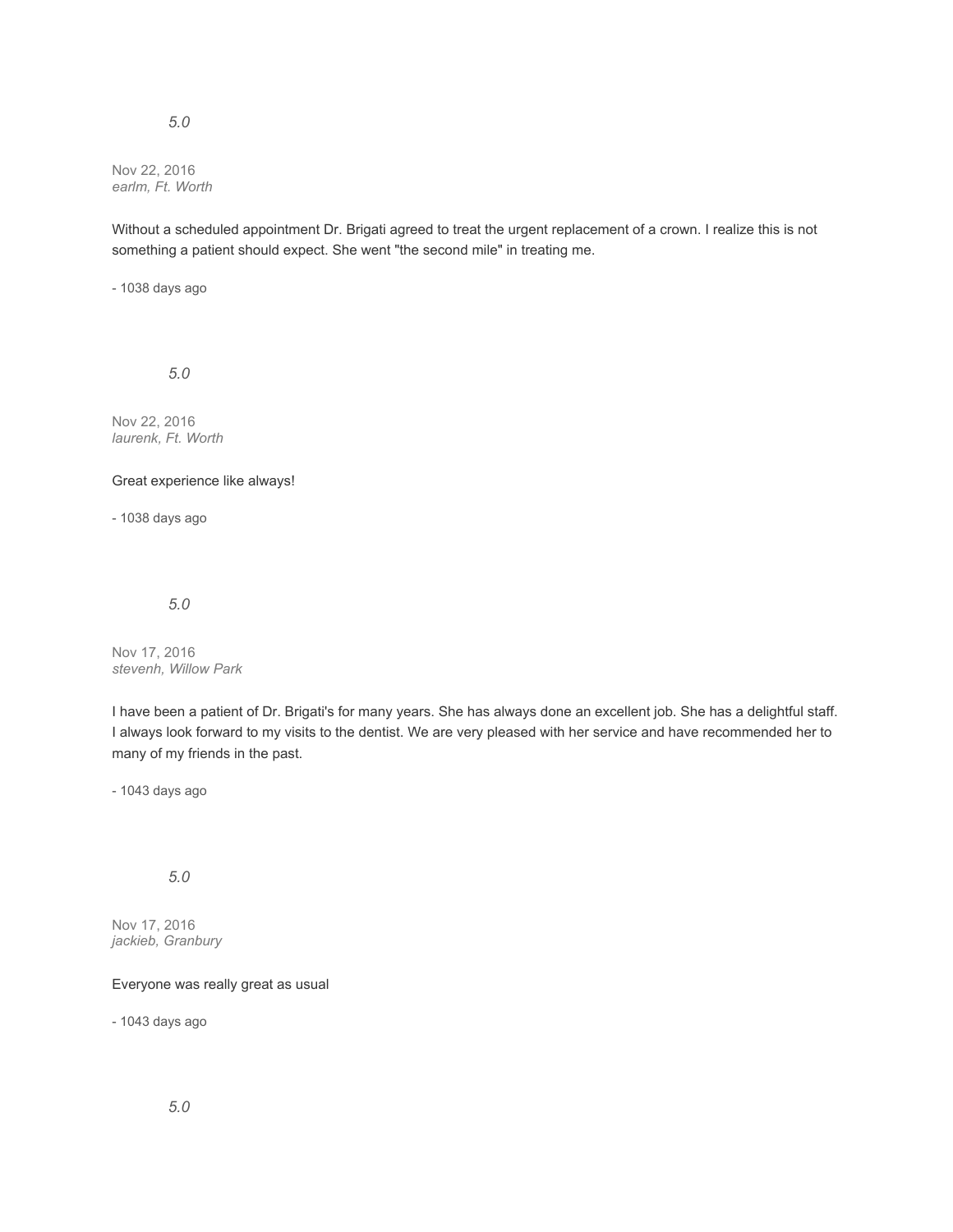### *5.0*

Nov 22, 2016 *earlm, Ft. Worth*

Without a scheduled appointment Dr. Brigati agreed to treat the urgent replacement of a crown. I realize this is not something a patient should expect. She went "the second mile" in treating me.

- 1038 days ago

*5.0*

Nov 22, 2016 *laurenk, Ft. Worth*

### Great experience like always!

- 1038 days ago

#### *5.0*

Nov 17, 2016 *stevenh, Willow Park*

I have been a patient of Dr. Brigati's for many years. She has always done an excellent job. She has a delightful staff. I always look forward to my visits to the dentist. We are very pleased with her service and have recommended her to many of my friends in the past.

- 1043 days ago

# *5.0*

Nov 17, 2016 *jackieb, Granbury*

Everyone was really great as usual

- 1043 days ago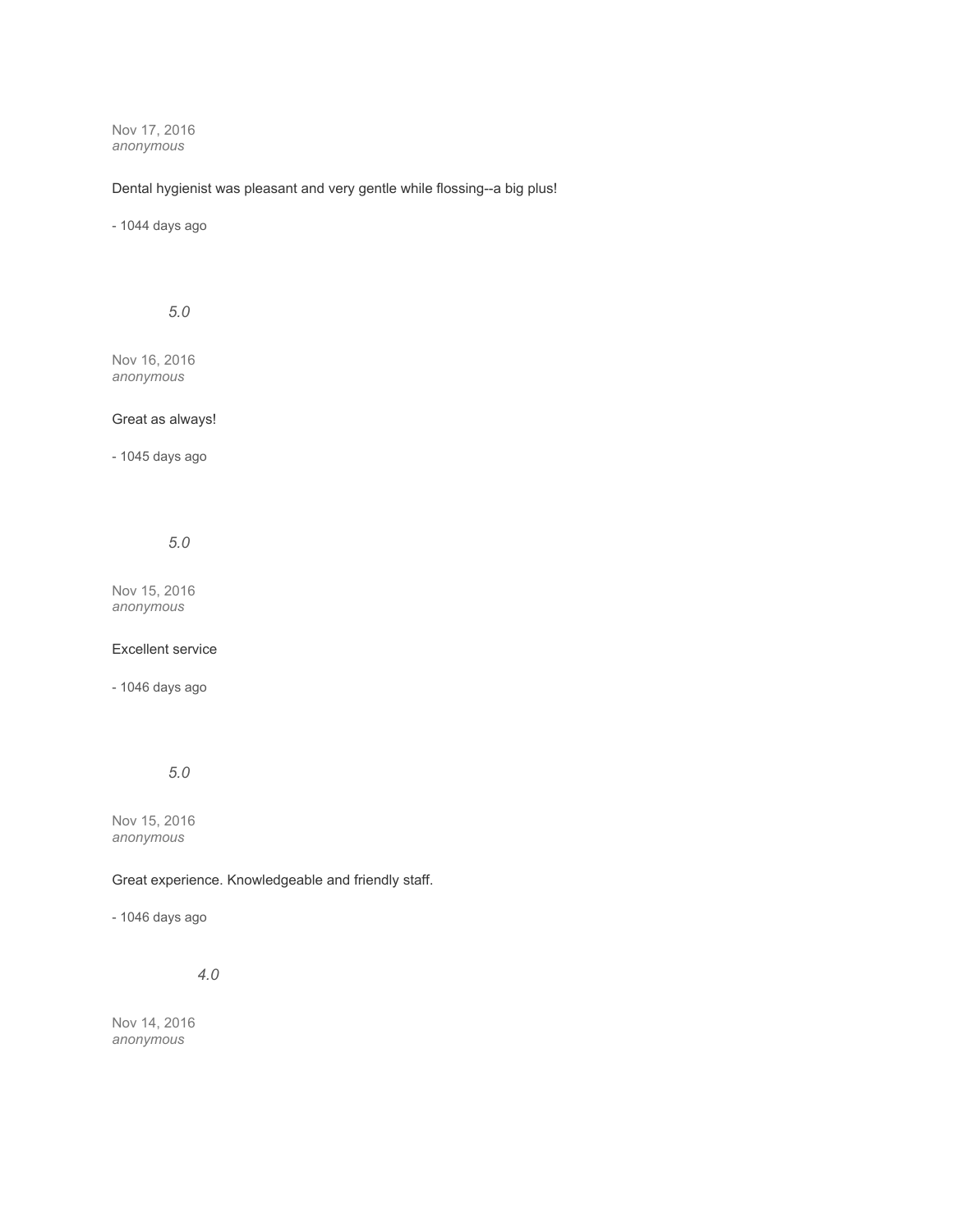Nov 17, 2016 *anonymous*

## Dental hygienist was pleasant and very gentle while flossing--a big plus!

- 1044 days ago

*5.0*

Nov 16, 2016 *anonymous*

### Great as always!

- 1045 days ago

*5.0*

Nov 15, 2016 *anonymous*

Excellent service

- 1046 days ago

*5.0*

Nov 15, 2016 *anonymous*

### Great experience. Knowledgeable and friendly staff.

- 1046 days ago

*4.0*

Nov 14, 2016 *anonymous*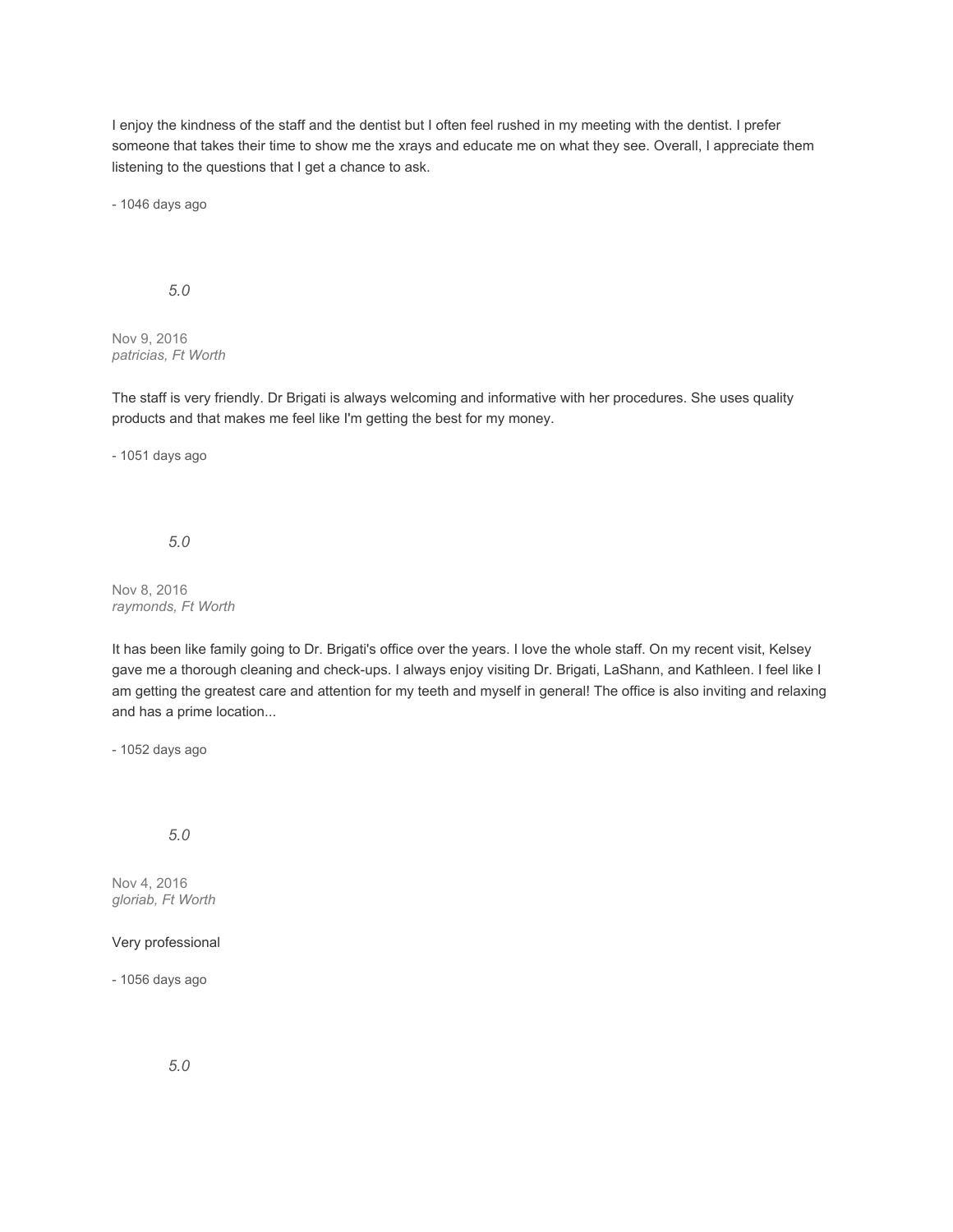I enjoy the kindness of the staff and the dentist but I often feel rushed in my meeting with the dentist. I prefer someone that takes their time to show me the xrays and educate me on what they see. Overall, I appreciate them listening to the questions that I get a chance to ask.

- 1046 days ago

### *5.0*

Nov 9, 2016 *patricias, Ft Worth*

The staff is very friendly. Dr Brigati is always welcoming and informative with her procedures. She uses quality products and that makes me feel like I'm getting the best for my money.

- 1051 days ago

*5.0*

#### Nov 8, 2016 *raymonds, Ft Worth*

It has been like family going to Dr. Brigati's office over the years. I love the whole staff. On my recent visit, Kelsey gave me a thorough cleaning and check-ups. I always enjoy visiting Dr. Brigati, LaShann, and Kathleen. I feel like I am getting the greatest care and attention for my teeth and myself in general! The office is also inviting and relaxing and has a prime location...

- 1052 days ago

### *5.0*

Nov 4, 2016 *gloriab, Ft Worth*

### Very professional

- 1056 days ago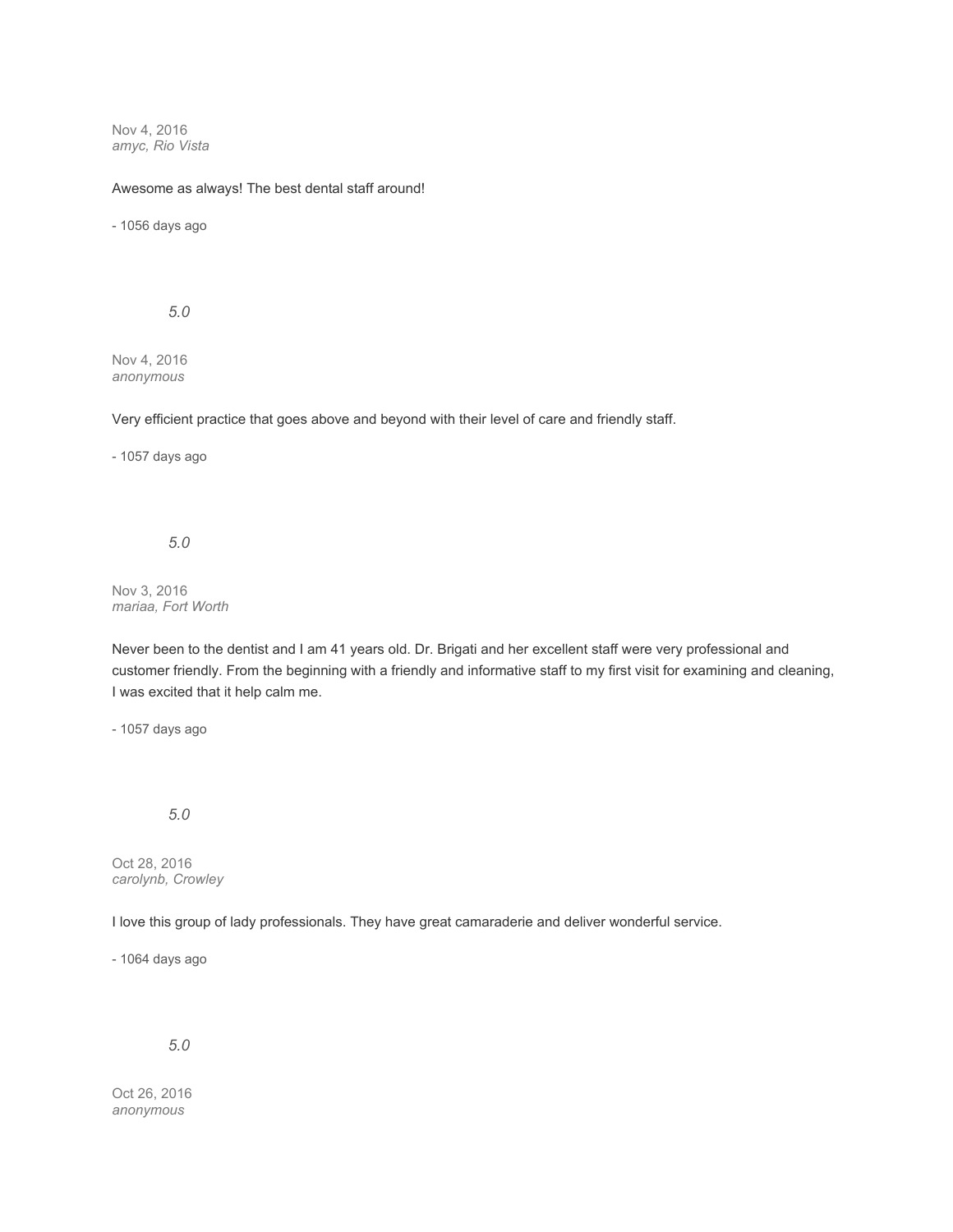Nov 4, 2016 *amyc, Rio Vista*

#### Awesome as always! The best dental staff around!

- 1056 days ago

*5.0*

Nov 4, 2016 *anonymous*

Very efficient practice that goes above and beyond with their level of care and friendly staff.

- 1057 days ago

*5.0*

Nov 3, 2016 *mariaa, Fort Worth*

Never been to the dentist and I am 41 years old. Dr. Brigati and her excellent staff were very professional and customer friendly. From the beginning with a friendly and informative staff to my first visit for examining and cleaning, I was excited that it help calm me.

- 1057 days ago

*5.0*

Oct 28, 2016 *carolynb, Crowley*

I love this group of lady professionals. They have great camaraderie and deliver wonderful service.

- 1064 days ago

*5.0*

Oct 26, 2016 *anonymous*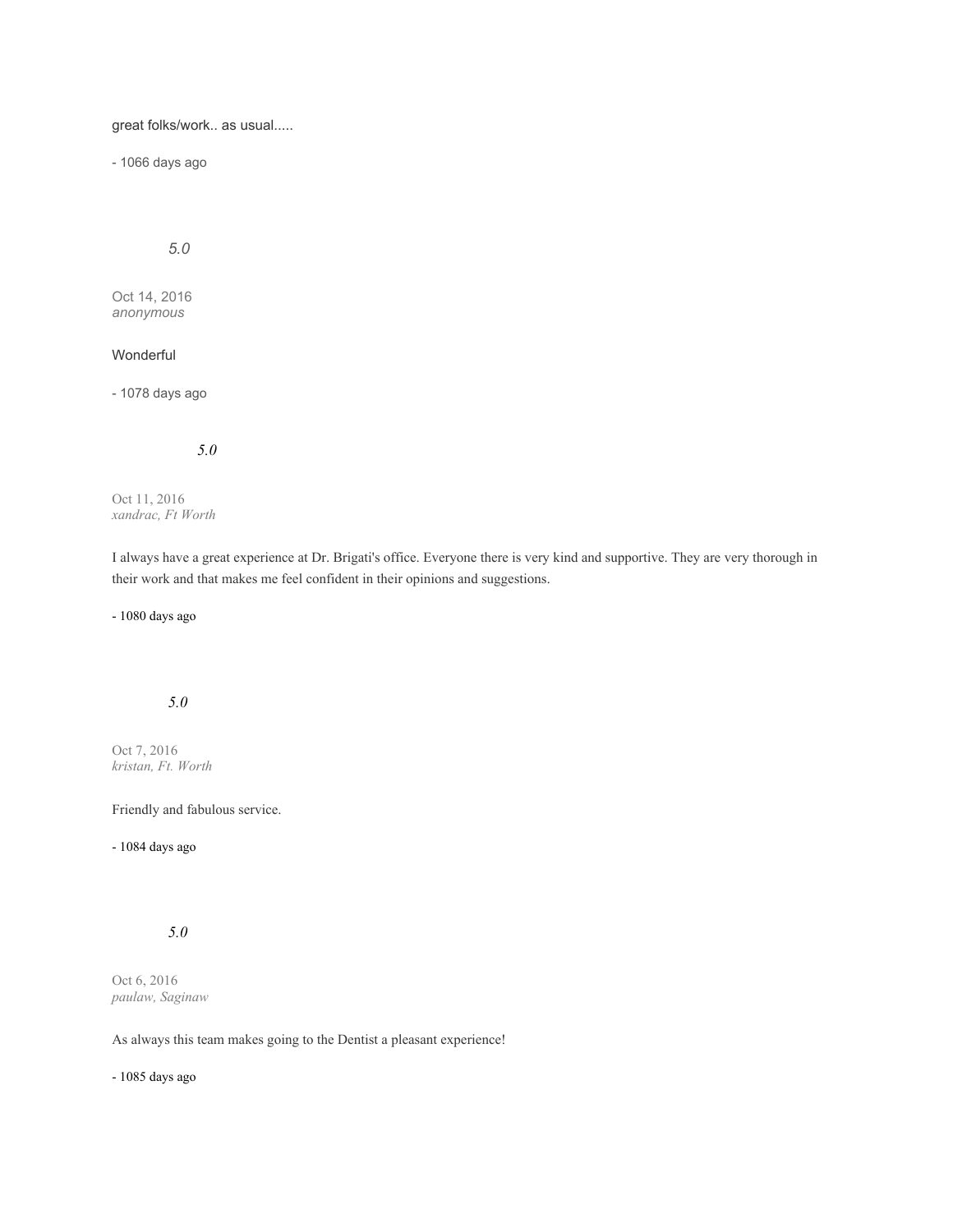great folks/work.. as usual.....

- 1066 days ago

# *5.0*

Oct 14, 2016 *anonymous*

# Wonderful

- 1078 days ago

## *5.0*

Oct 11, 2016 *xandrac, Ft Worth*

I always have a great experience at Dr. Brigati's office. Everyone there is very kind and supportive. They are very thorough in their work and that makes me feel confident in their opinions and suggestions.

- 1080 days ago

## *5.0*

Oct 7, 2016 *kristan, Ft. Worth*

## Friendly and fabulous service.

- 1084 days ago

# *5.0*

Oct 6, 2016 *paulaw, Saginaw*

As always this team makes going to the Dentist a pleasant experience!

- 1085 days ago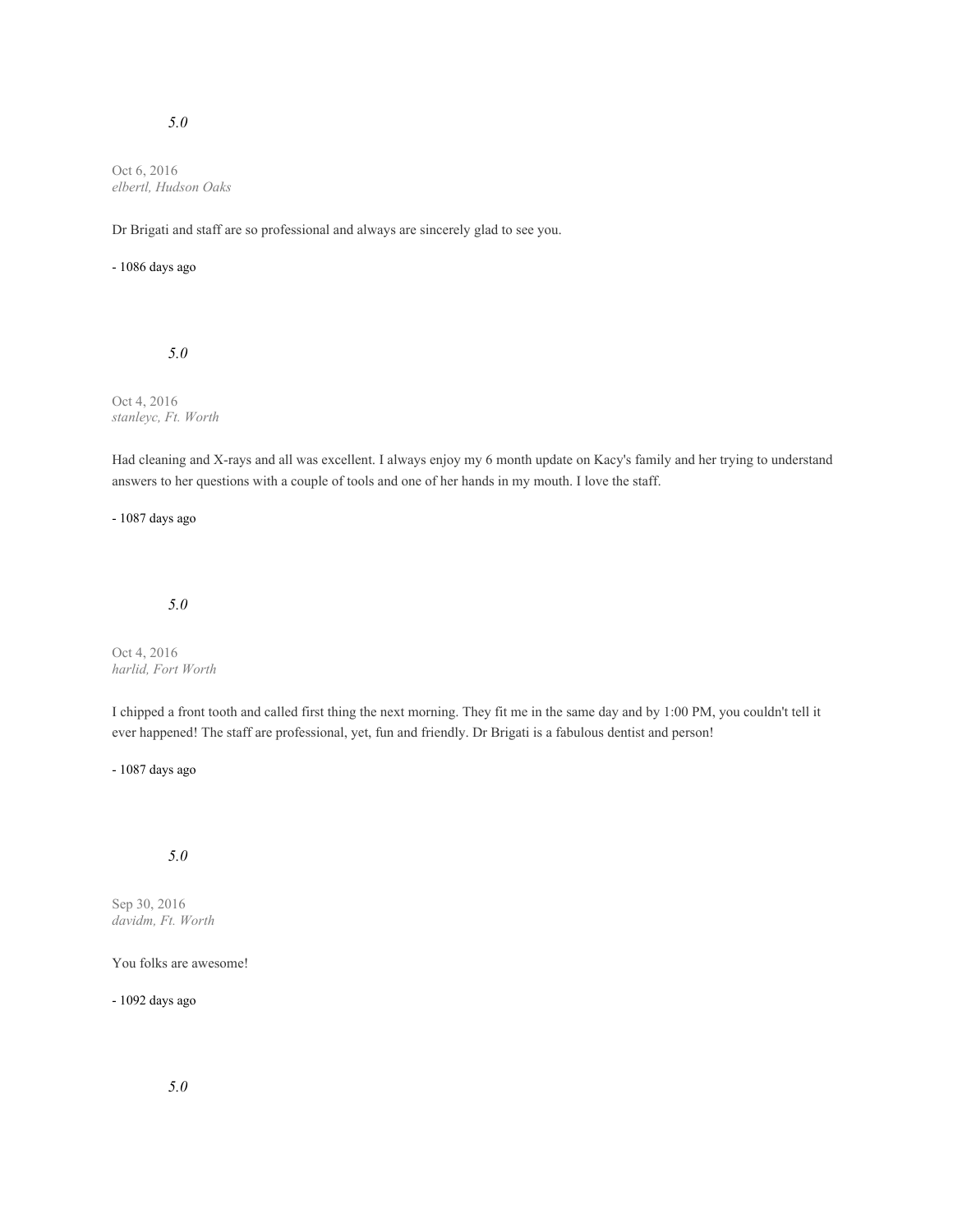## *5.0*

Oct 6, 2016 *elbertl, Hudson Oaks*

Dr Brigati and staff are so professional and always are sincerely glad to see you.

#### - 1086 days ago

## *5.0*

Oct 4, 2016 *stanleyc, Ft. Worth*

Had cleaning and X-rays and all was excellent. I always enjoy my 6 month update on Kacy's family and her trying to understand answers to her questions with a couple of tools and one of her hands in my mouth. I love the staff.

- 1087 days ago

## *5.0*

Oct 4, 2016 *harlid, Fort Worth*

I chipped a front tooth and called first thing the next morning. They fit me in the same day and by 1:00 PM, you couldn't tell it ever happened! The staff are professional, yet, fun and friendly. Dr Brigati is a fabulous dentist and person!

- 1087 days ago

# *5.0*

Sep 30, 2016 *davidm, Ft. Worth*

You folks are awesome!

- 1092 days ago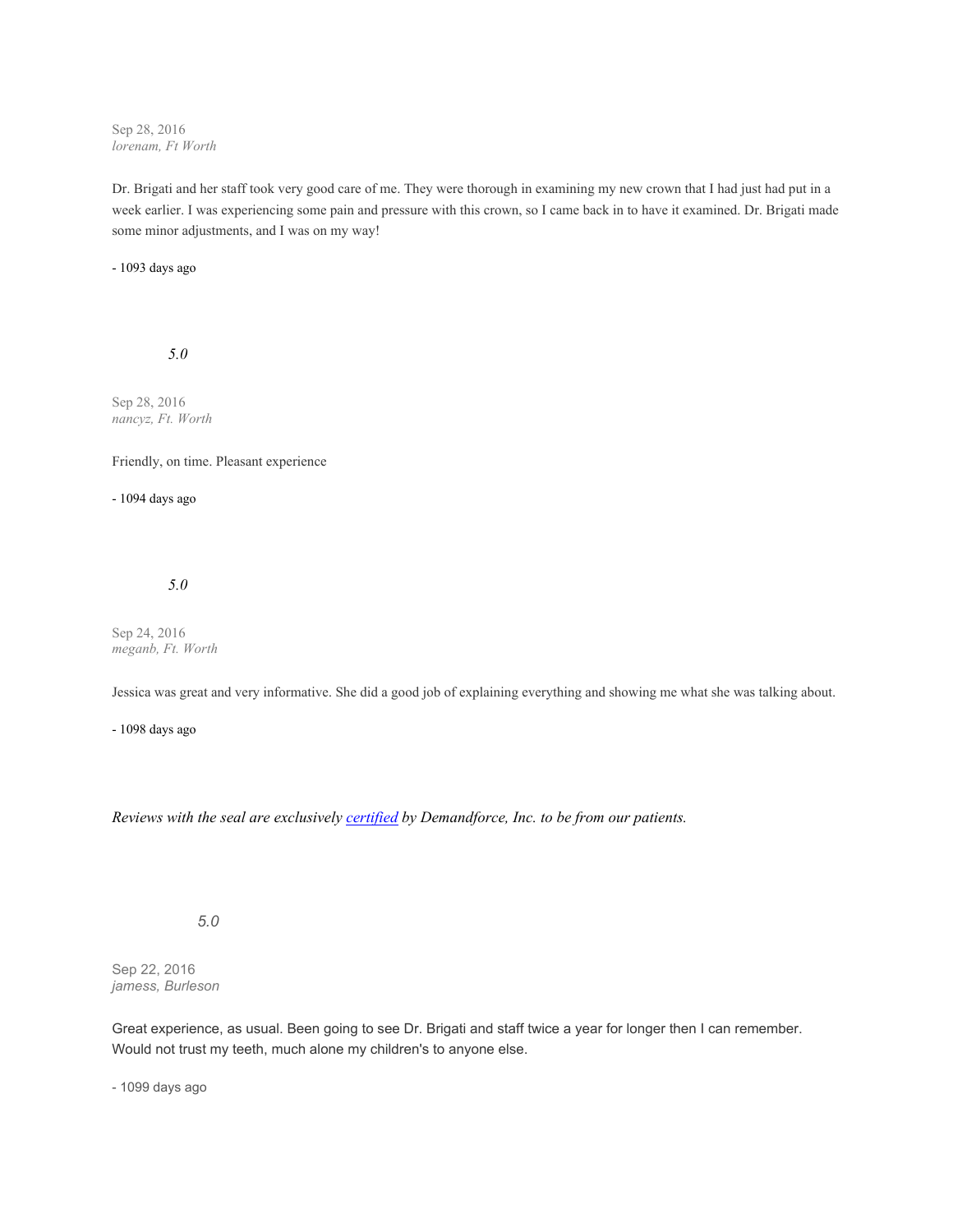Sep 28, 2016 *lorenam, Ft Worth*

Dr. Brigati and her staff took very good care of me. They were thorough in examining my new crown that I had just had put in a week earlier. I was experiencing some pain and pressure with this crown, so I came back in to have it examined. Dr. Brigati made some minor adjustments, and I was on my way!

- 1093 days ago

*5.0*

Sep 28, 2016 *nancyz, Ft. Worth*

Friendly, on time. Pleasant experience

- 1094 days ago

*5.0*

Sep 24, 2016 *meganb, Ft. Worth*

Jessica was great and very informative. She did a good job of explaining everything and showing me what she was talking about.

- 1098 days ago

*Reviews with the seal are exclusively [certified](https://www.demandforce.com/reviewpolicy.php) by Demandforce, Inc. to be from our patients.*

*5.0*

Sep 22, 2016 *jamess, Burleson*

Great experience, as usual. Been going to see Dr. Brigati and staff twice a year for longer then I can remember. Would not trust my teeth, much alone my children's to anyone else.

- 1099 days ago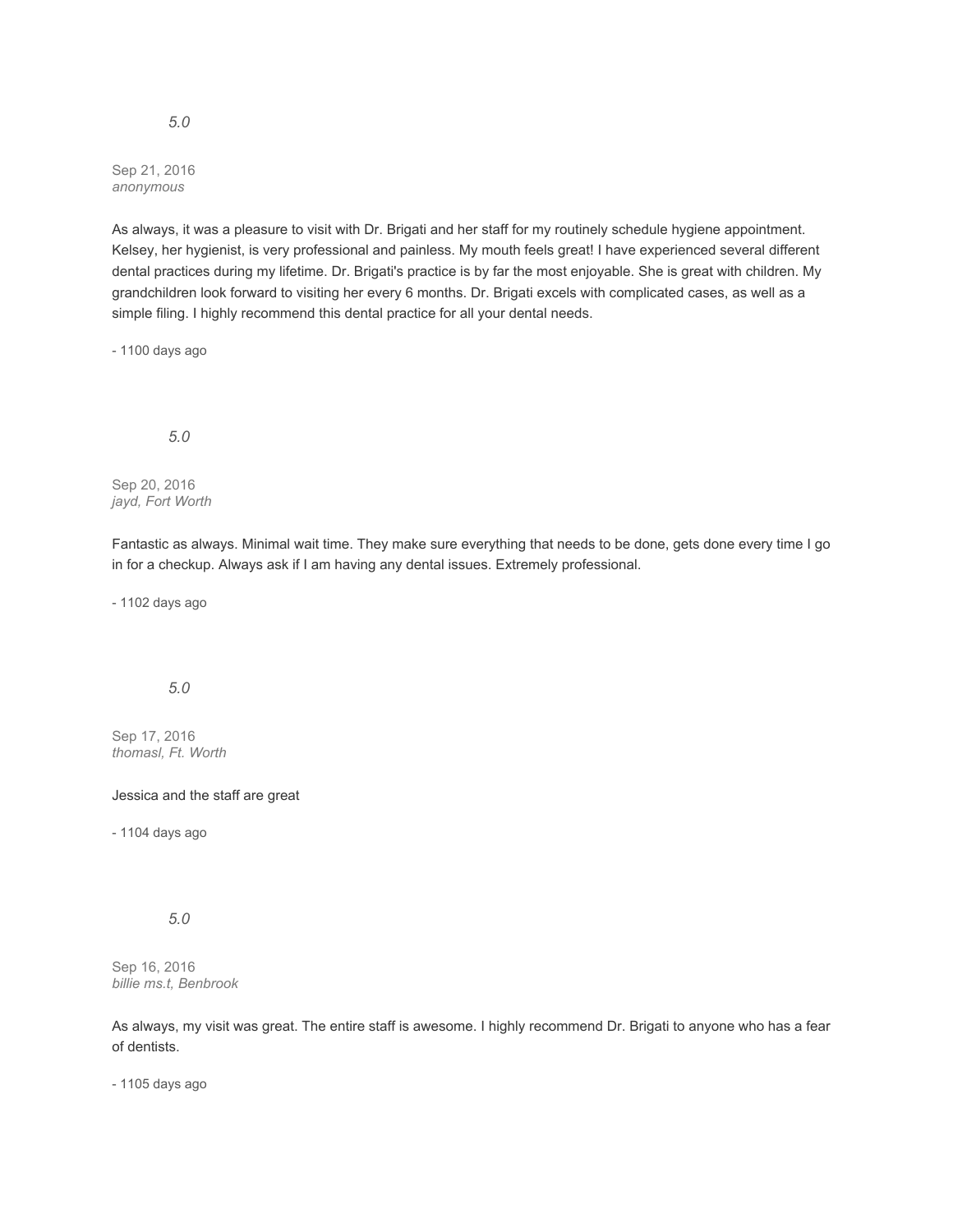Sep 21, 2016 *anonymous*

As always, it was a pleasure to visit with Dr. Brigati and her staff for my routinely schedule hygiene appointment. Kelsey, her hygienist, is very professional and painless. My mouth feels great! I have experienced several different dental practices during my lifetime. Dr. Brigati's practice is by far the most enjoyable. She is great with children. My grandchildren look forward to visiting her every 6 months. Dr. Brigati excels with complicated cases, as well as a simple filing. I highly recommend this dental practice for all your dental needs.

- 1100 days ago

## *5.0*

Sep 20, 2016 *jayd, Fort Worth*

Fantastic as always. Minimal wait time. They make sure everything that needs to be done, gets done every time I go in for a checkup. Always ask if I am having any dental issues. Extremely professional.

- 1102 days ago

# *5.0*

Sep 17, 2016 *thomasl, Ft. Worth*

### Jessica and the staff are great

- 1104 days ago

## *5.0*

Sep 16, 2016 *billie ms.t, Benbrook*

As always, my visit was great. The entire staff is awesome. I highly recommend Dr. Brigati to anyone who has a fear of dentists.

- 1105 days ago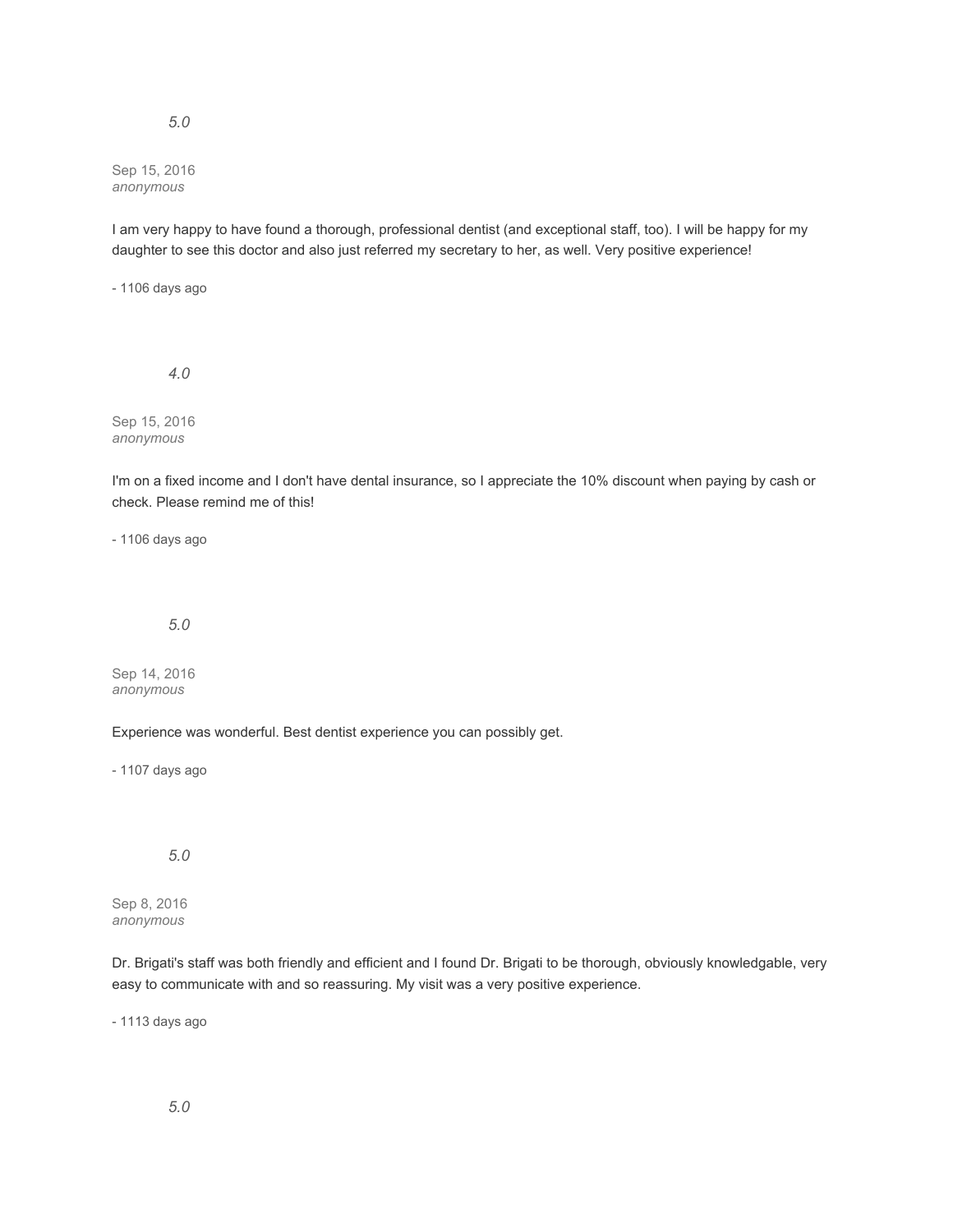## *5.0*

Sep 15, 2016 *anonymous*

I am very happy to have found a thorough, professional dentist (and exceptional staff, too). I will be happy for my daughter to see this doctor and also just referred my secretary to her, as well. Very positive experience!

- 1106 days ago

*4.0*

Sep 15, 2016 *anonymous*

I'm on a fixed income and I don't have dental insurance, so I appreciate the 10% discount when paying by cash or check. Please remind me of this!

- 1106 days ago

## *5.0*

Sep 14, 2016 *anonymous*

Experience was wonderful. Best dentist experience you can possibly get.

- 1107 days ago

# *5.0*

Sep 8, 2016 *anonymous*

Dr. Brigati's staff was both friendly and efficient and I found Dr. Brigati to be thorough, obviously knowledgable, very easy to communicate with and so reassuring. My visit was a very positive experience.

- 1113 days ago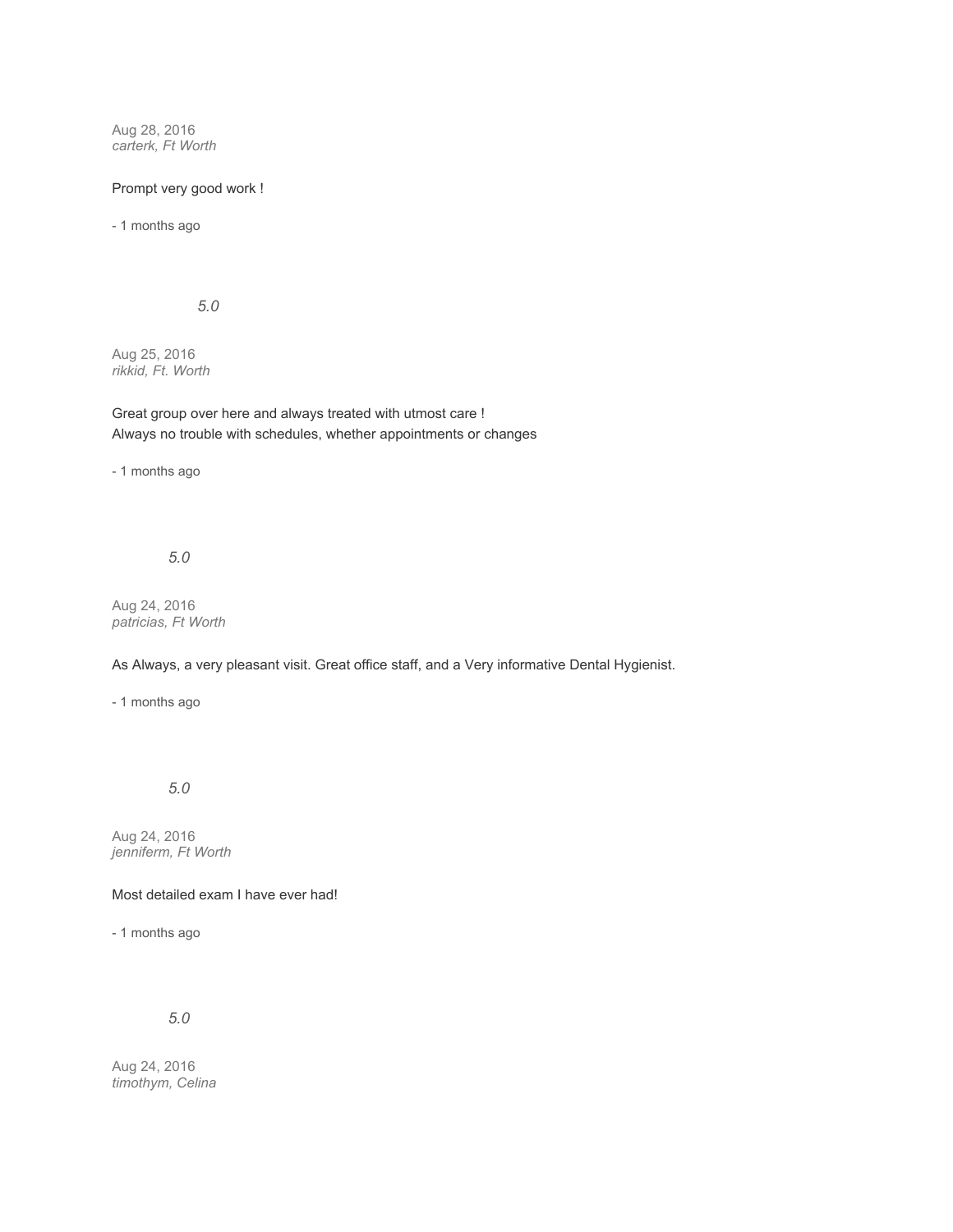Aug 28, 2016 *carterk, Ft Worth*

## Prompt very good work !

- 1 months ago

*5.0*

Aug 25, 2016 *rikkid, Ft. Worth*

Great group over here and always treated with utmost care ! Always no trouble with schedules, whether appointments or changes

- 1 months ago

*5.0*

Aug 24, 2016 *patricias, Ft Worth*

As Always, a very pleasant visit. Great office staff, and a Very informative Dental Hygienist.

- 1 months ago

*5.0*

Aug 24, 2016 *jenniferm, Ft Worth*

Most detailed exam I have ever had!

- 1 months ago

*5.0*

Aug 24, 2016 *timothym, Celina*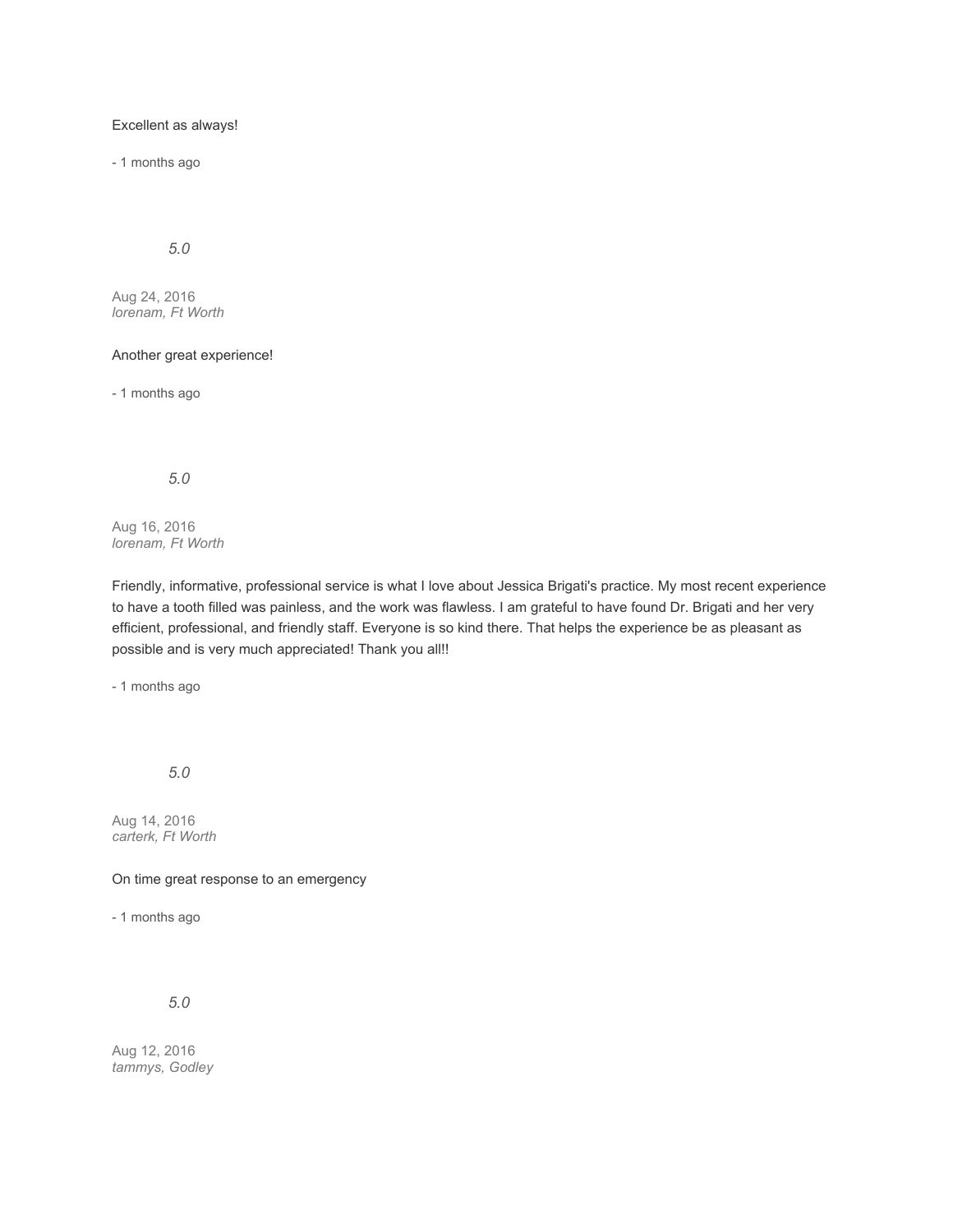## Excellent as always!

- 1 months ago

*5.0*

Aug 24, 2016 *lorenam, Ft Worth*

### Another great experience!

- 1 months ago

*5.0*

Aug 16, 2016 *lorenam, Ft Worth*

Friendly, informative, professional service is what I love about Jessica Brigati's practice. My most recent experience to have a tooth filled was painless, and the work was flawless. I am grateful to have found Dr. Brigati and her very efficient, professional, and friendly staff. Everyone is so kind there. That helps the experience be as pleasant as possible and is very much appreciated! Thank you all!!

- 1 months ago

*5.0*

Aug 14, 2016 *carterk, Ft Worth*

On time great response to an emergency

- 1 months ago

*5.0*

Aug 12, 2016 *tammys, Godley*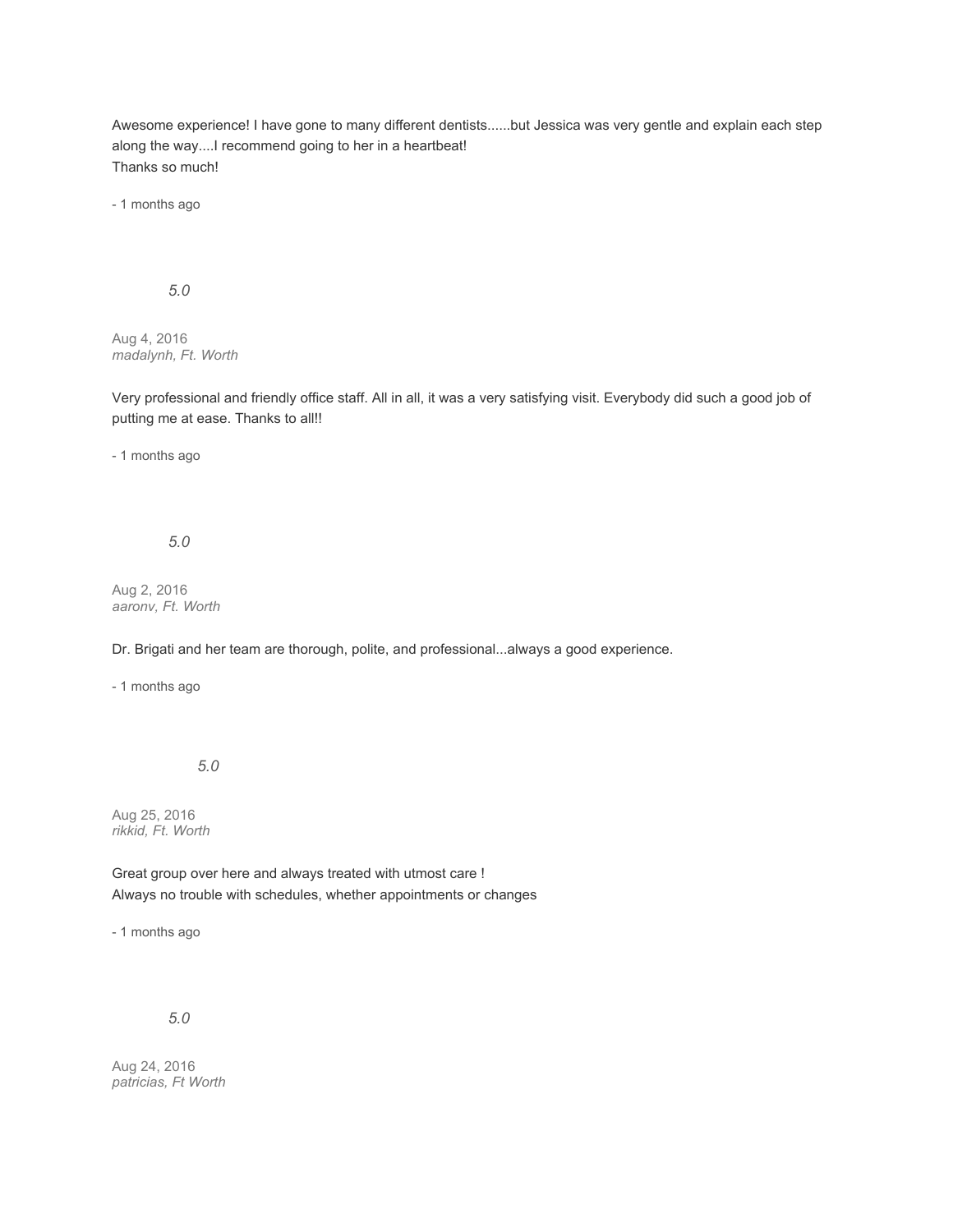Awesome experience! I have gone to many different dentists......but Jessica was very gentle and explain each step along the way....I recommend going to her in a heartbeat! Thanks so much!

- 1 months ago

*5.0*

Aug 4, 2016 *madalynh, Ft. Worth*

Very professional and friendly office staff. All in all, it was a very satisfying visit. Everybody did such a good job of putting me at ease. Thanks to all!!

- 1 months ago

*5.0*

Aug 2, 2016 *aaronv, Ft. Worth*

Dr. Brigati and her team are thorough, polite, and professional...always a good experience.

- 1 months ago

*5.0*

Aug 25, 2016 *rikkid, Ft. Worth*

Great group over here and always treated with utmost care ! Always no trouble with schedules, whether appointments or changes

- 1 months ago

*5.0*

Aug 24, 2016 *patricias, Ft Worth*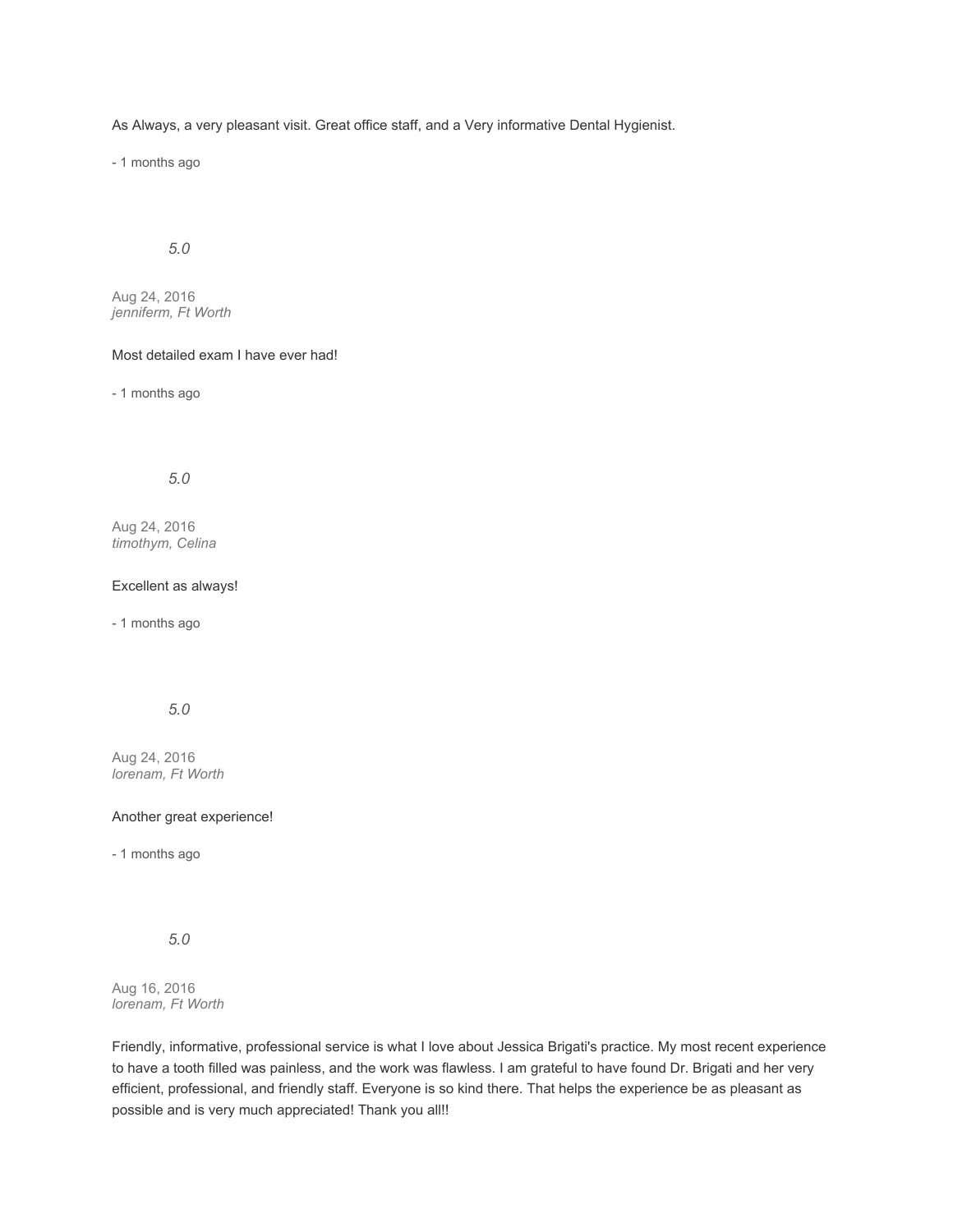As Always, a very pleasant visit. Great office staff, and a Very informative Dental Hygienist.

- 1 months ago

# *5.0*

Aug 24, 2016 *jenniferm, Ft Worth*

### Most detailed exam I have ever had!

- 1 months ago

## *5.0*

Aug 24, 2016 *timothym, Celina*

#### Excellent as always!

- 1 months ago

# *5.0*

Aug 24, 2016 *lorenam, Ft Worth*

#### Another great experience!

- 1 months ago

*5.0*

Aug 16, 2016 *lorenam, Ft Worth*

Friendly, informative, professional service is what I love about Jessica Brigati's practice. My most recent experience to have a tooth filled was painless, and the work was flawless. I am grateful to have found Dr. Brigati and her very efficient, professional, and friendly staff. Everyone is so kind there. That helps the experience be as pleasant as possible and is very much appreciated! Thank you all!!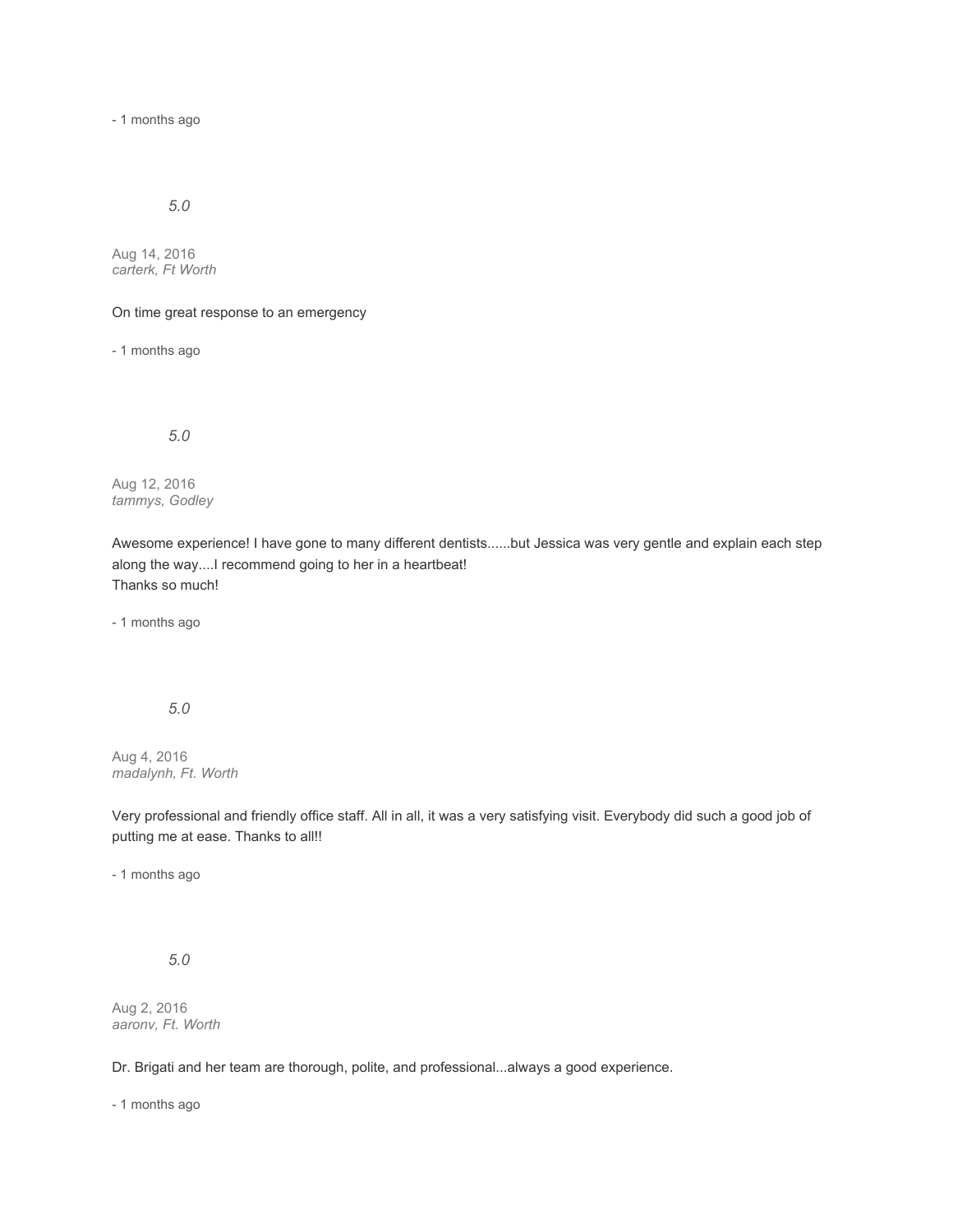- 1 months ago

## *5.0*

Aug 14, 2016 *carterk, Ft Worth*

On time great response to an emergency

- 1 months ago

*5.0*

Aug 12, 2016 *tammys, Godley*

Awesome experience! I have gone to many different dentists......but Jessica was very gentle and explain each step along the way....I recommend going to her in a heartbeat! Thanks so much!

- 1 months ago

*5.0*

Aug 4, 2016 *madalynh, Ft. Worth*

Very professional and friendly office staff. All in all, it was a very satisfying visit. Everybody did such a good job of putting me at ease. Thanks to all!!

- 1 months ago

*5.0*

Aug 2, 2016 *aaronv, Ft. Worth*

Dr. Brigati and her team are thorough, polite, and professional...always a good experience.

- 1 months ago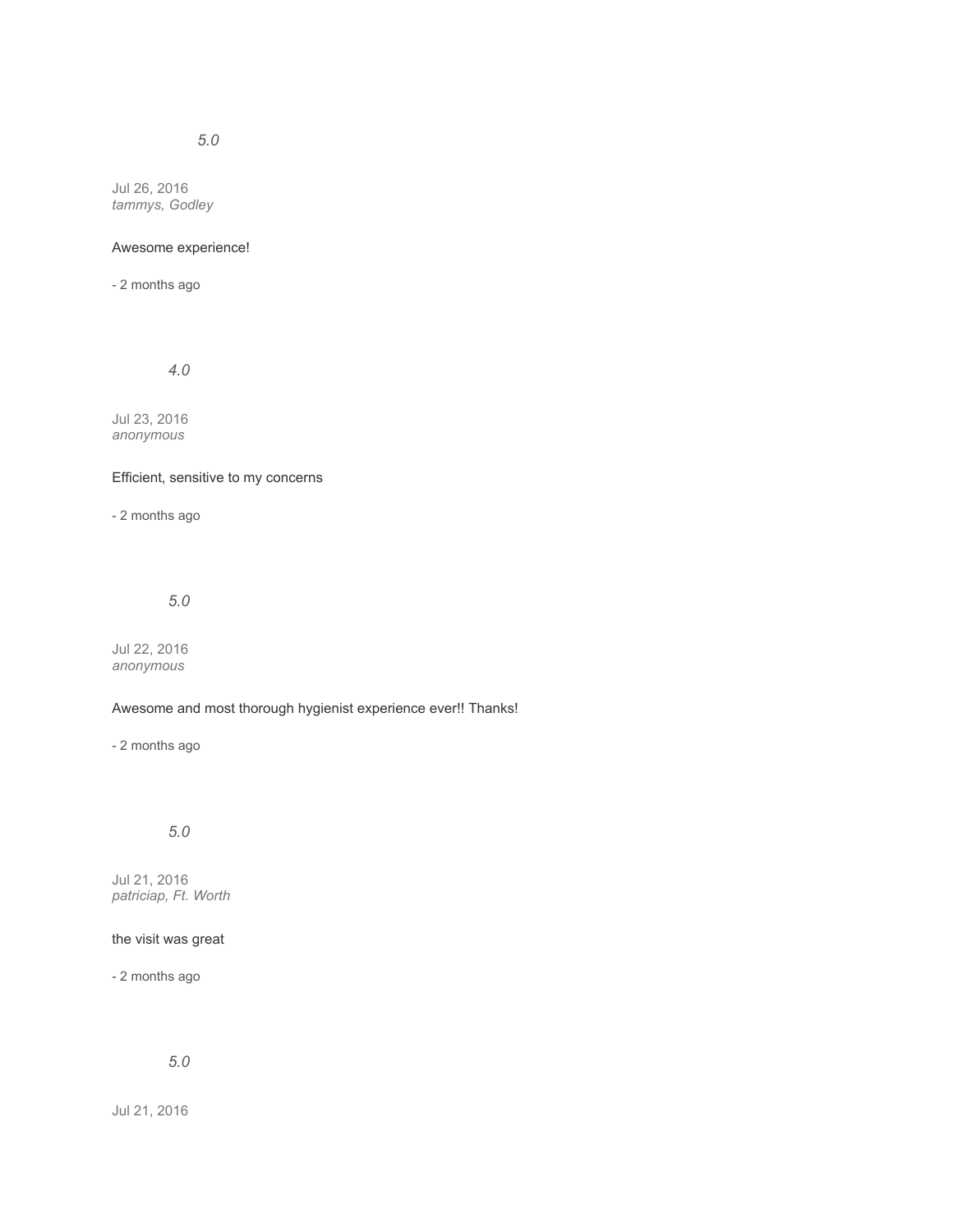Jul 26, 2016 *tammys, Godley*

## Awesome experience!

- 2 months ago

*4.0*

Jul 23, 2016 *anonymous*

## Efficient, sensitive to my concerns

- 2 months ago

*5.0*

Jul 22, 2016 *anonymous*

## Awesome and most thorough hygienist experience ever!! Thanks!

- 2 months ago

# *5.0*

Jul 21, 2016 *patriciap, Ft. Worth*

## the visit was great

- 2 months ago

# *5.0*

Jul 21, 2016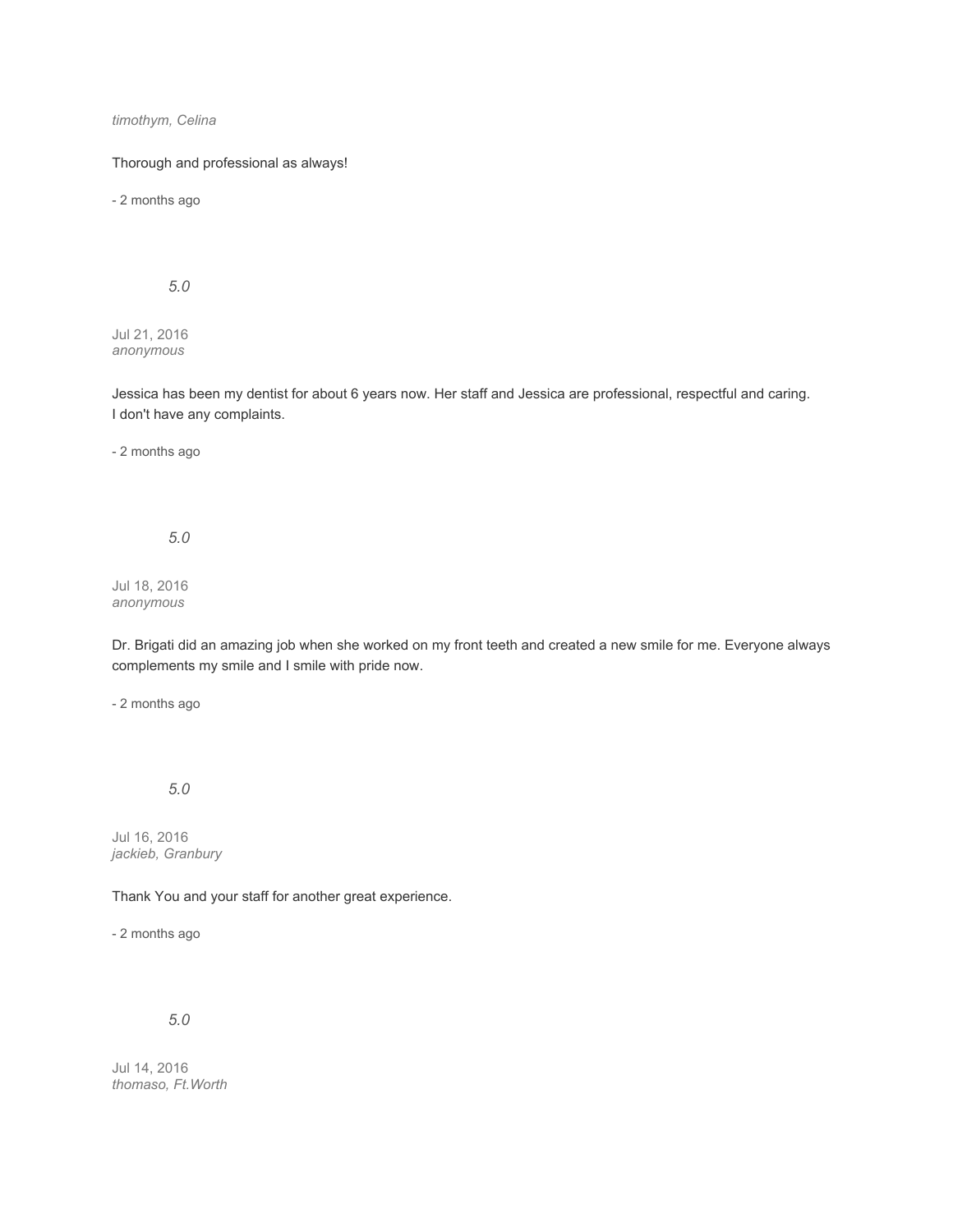*timothym, Celina*

Thorough and professional as always!

- 2 months ago

*5.0*

Jul 21, 2016 *anonymous*

Jessica has been my dentist for about 6 years now. Her staff and Jessica are professional, respectful and caring. I don't have any complaints.

- 2 months ago

*5.0*

Jul 18, 2016 *anonymous*

Dr. Brigati did an amazing job when she worked on my front teeth and created a new smile for me. Everyone always complements my smile and I smile with pride now.

- 2 months ago

*5.0*

Jul 16, 2016 *jackieb, Granbury*

Thank You and your staff for another great experience.

- 2 months ago

*5.0*

Jul 14, 2016 *thomaso, Ft.Worth*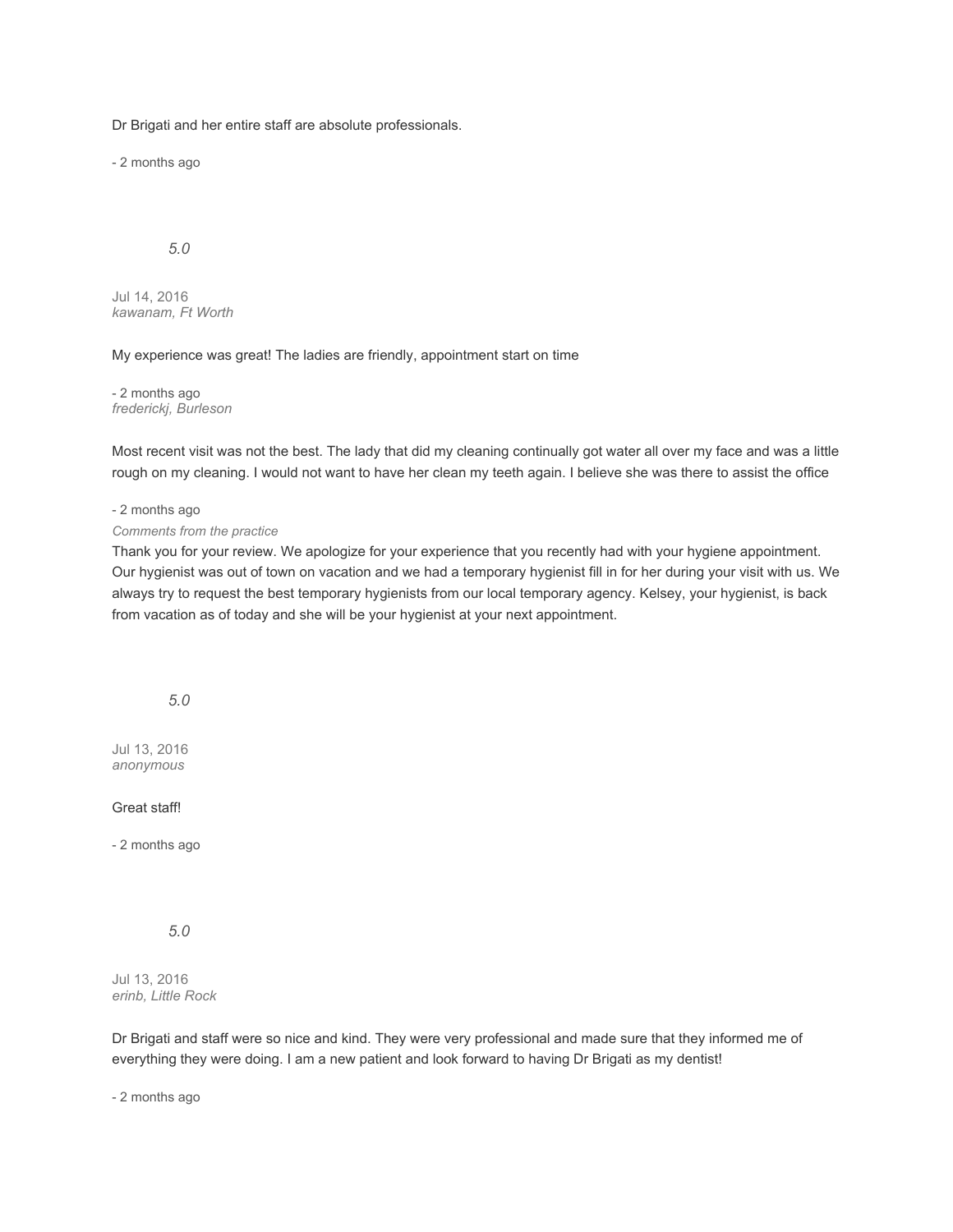Dr Brigati and her entire staff are absolute professionals.

- 2 months ago

## *5.0*

Jul 14, 2016 *kawanam, Ft Worth*

#### My experience was great! The ladies are friendly, appointment start on time

- 2 months ago *frederickj, Burleson*

Most recent visit was not the best. The lady that did my cleaning continually got water all over my face and was a little rough on my cleaning. I would not want to have her clean my teeth again. I believe she was there to assist the office

#### - 2 months ago

#### *Comments from the practice*

Thank you for your review. We apologize for your experience that you recently had with your hygiene appointment. Our hygienist was out of town on vacation and we had a temporary hygienist fill in for her during your visit with us. We always try to request the best temporary hygienists from our local temporary agency. Kelsey, your hygienist, is back from vacation as of today and she will be your hygienist at your next appointment.

### *5.0*

Jul 13, 2016 *anonymous*

#### Great staff!

- 2 months ago

## *5.0*

Jul 13, 2016 *erinb, Little Rock*

Dr Brigati and staff were so nice and kind. They were very professional and made sure that they informed me of everything they were doing. I am a new patient and look forward to having Dr Brigati as my dentist!

- 2 months ago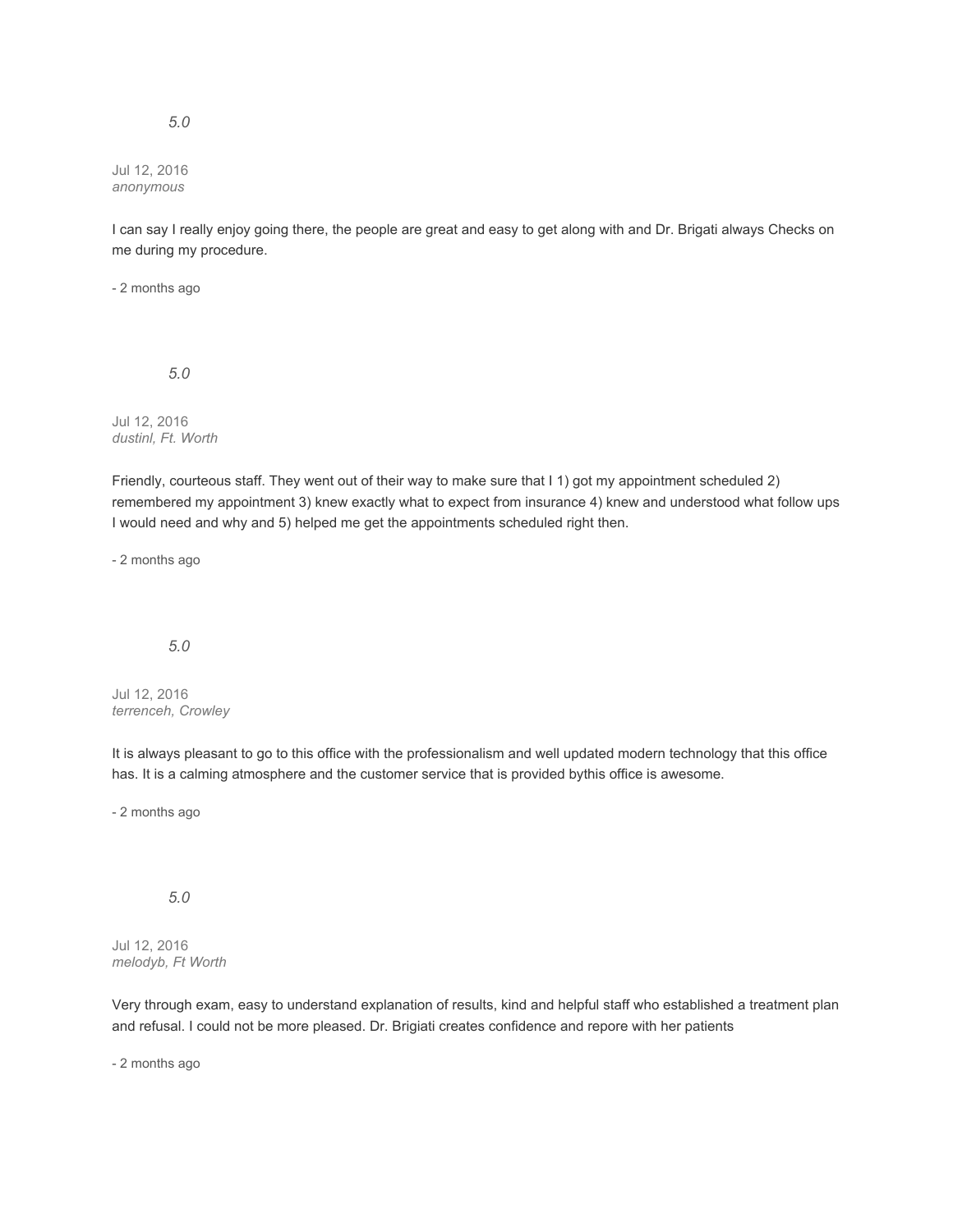#### Jul 12, 2016 *anonymous*

I can say I really enjoy going there, the people are great and easy to get along with and Dr. Brigati always Checks on me during my procedure.

- 2 months ago

*5.0*

Jul 12, 2016 *dustinl, Ft. Worth*

Friendly, courteous staff. They went out of their way to make sure that I 1) got my appointment scheduled 2) remembered my appointment 3) knew exactly what to expect from insurance 4) knew and understood what follow ups I would need and why and 5) helped me get the appointments scheduled right then.

- 2 months ago

#### *5.0*

Jul 12, 2016 *terrenceh, Crowley*

It is always pleasant to go to this office with the professionalism and well updated modern technology that this office has. It is a calming atmosphere and the customer service that is provided bythis office is awesome.

- 2 months ago

*5.0*

Jul 12, 2016 *melodyb, Ft Worth*

Very through exam, easy to understand explanation of results, kind and helpful staff who established a treatment plan and refusal. I could not be more pleased. Dr. Brigiati creates confidence and repore with her patients

- 2 months ago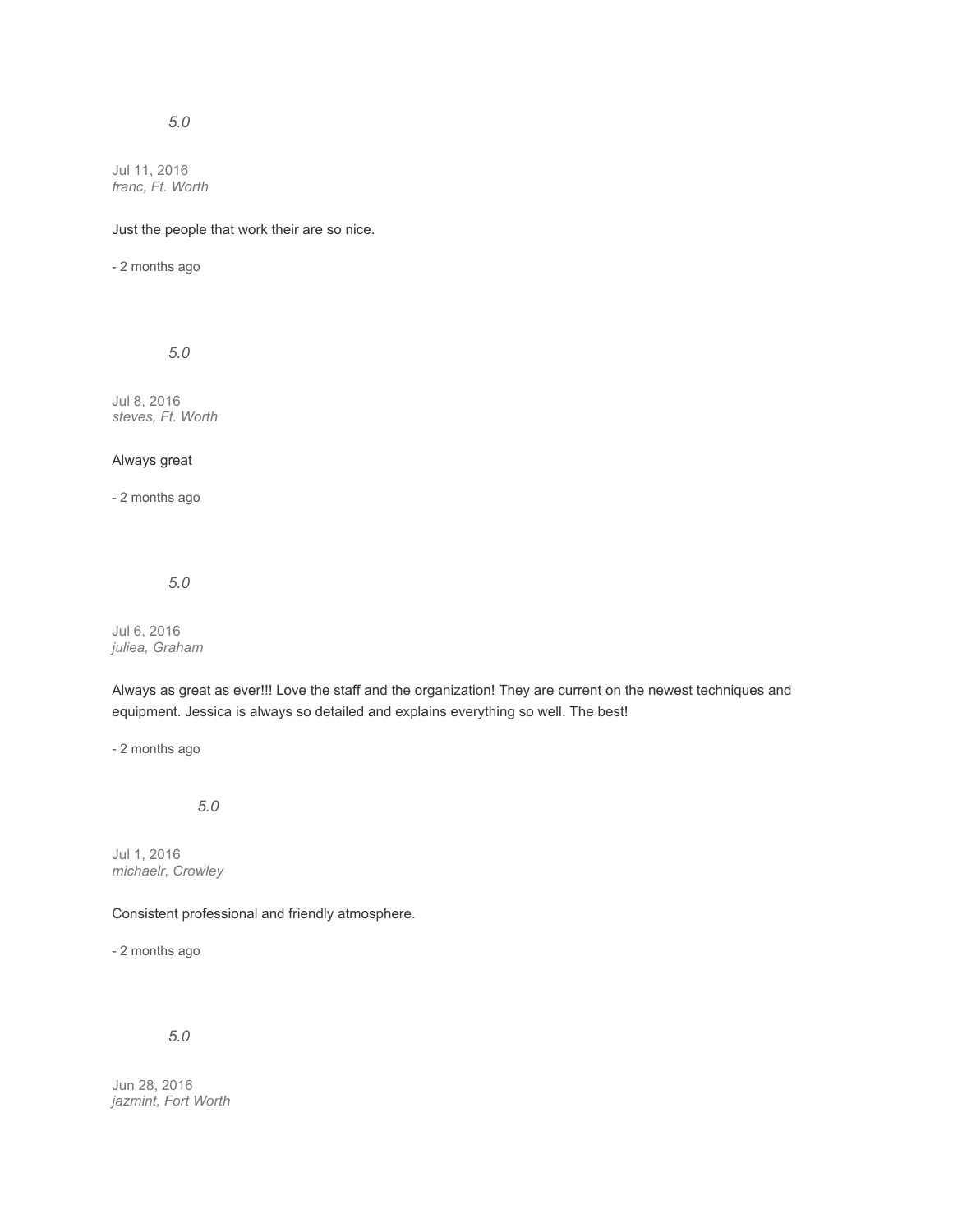# *5.0*

Jul 11, 2016 *franc, Ft. Worth*

## Just the people that work their are so nice.

- 2 months ago

*5.0*

Jul 8, 2016 *steves, Ft. Worth*

### Always great

- 2 months ago

### *5.0*

Jul 6, 2016 *juliea, Graham*

Always as great as ever!!! Love the staff and the organization! They are current on the newest techniques and equipment. Jessica is always so detailed and explains everything so well. The best!

- 2 months ago

*5.0*

Jul 1, 2016 *michaelr, Crowley*

Consistent professional and friendly atmosphere.

- 2 months ago

*5.0*

Jun 28, 2016 *jazmint, Fort Worth*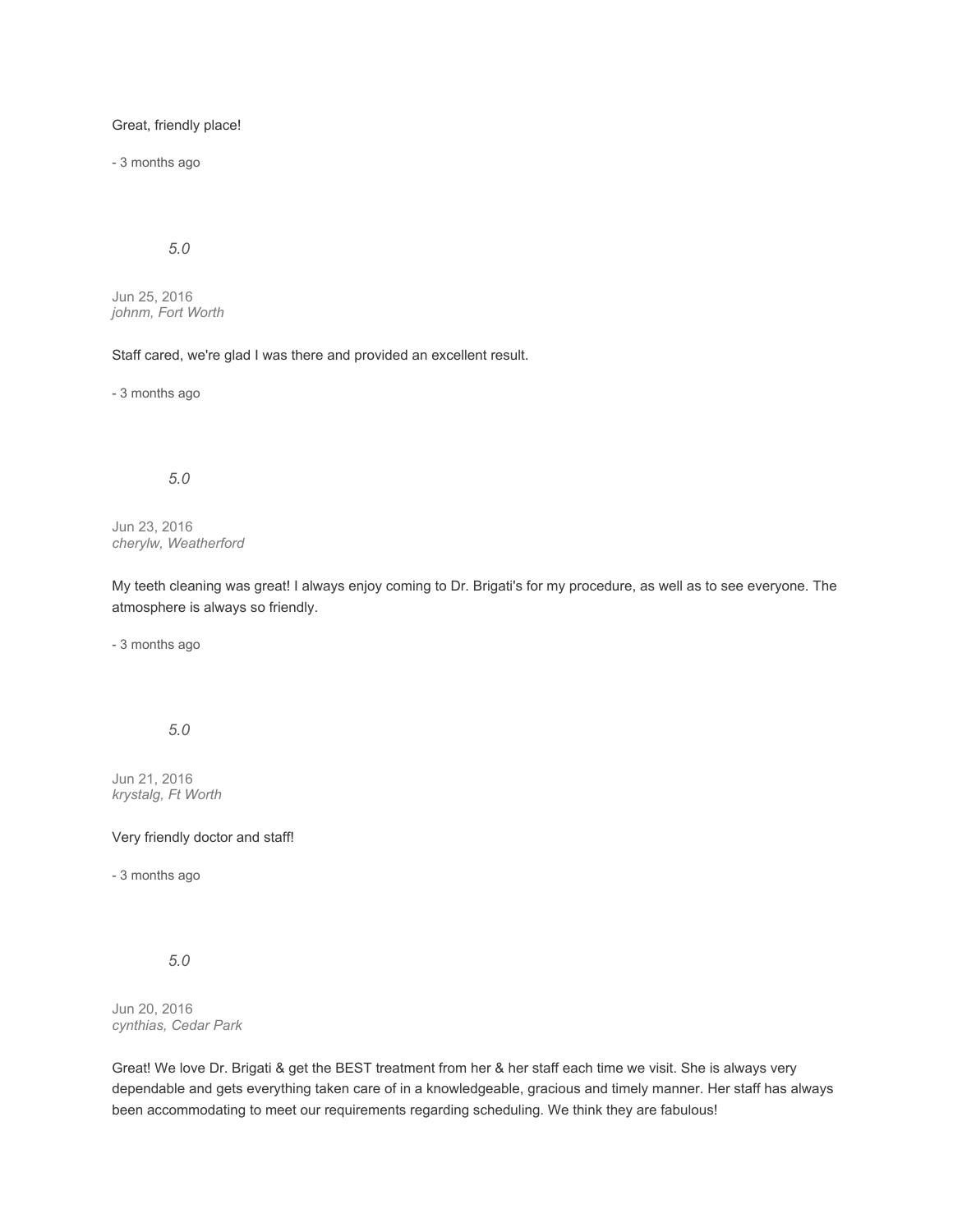Great, friendly place!

- 3 months ago

*5.0*

Jun 25, 2016 *johnm, Fort Worth*

Staff cared, we're glad I was there and provided an excellent result.

- 3 months ago

*5.0*

Jun 23, 2016 *cherylw, Weatherford*

My teeth cleaning was great! I always enjoy coming to Dr. Brigati's for my procedure, as well as to see everyone. The atmosphere is always so friendly.

- 3 months ago

*5.0*

Jun 21, 2016 *krystalg, Ft Worth*

Very friendly doctor and staff!

- 3 months ago

*5.0*

Jun 20, 2016 *cynthias, Cedar Park*

Great! We love Dr. Brigati & get the BEST treatment from her & her staff each time we visit. She is always very dependable and gets everything taken care of in a knowledgeable, gracious and timely manner. Her staff has always been accommodating to meet our requirements regarding scheduling. We think they are fabulous!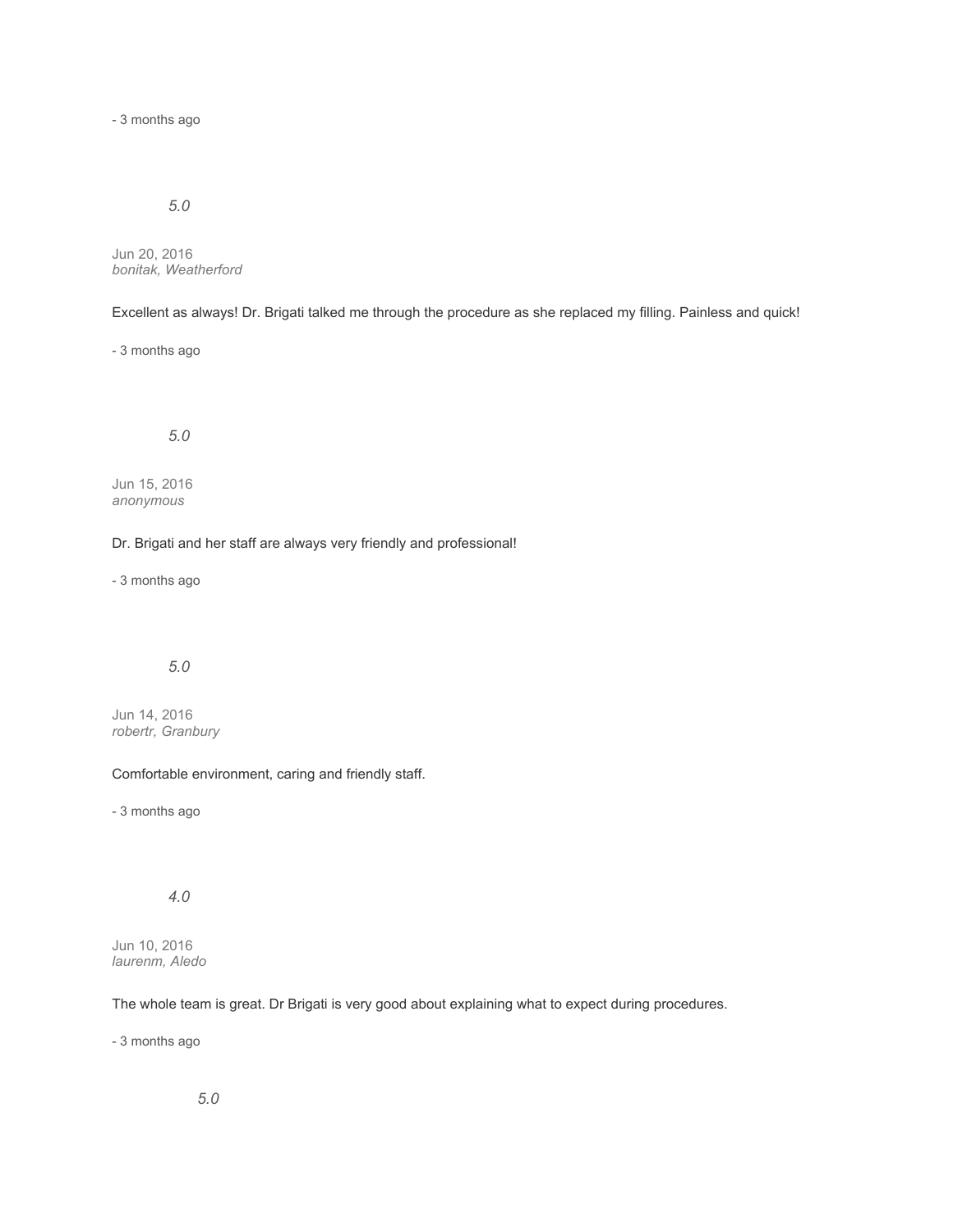- 3 months ago

# *5.0*

Jun 20, 2016 *bonitak, Weatherford*

Excellent as always! Dr. Brigati talked me through the procedure as she replaced my filling. Painless and quick!

- 3 months ago

*5.0*

Jun 15, 2016 *anonymous*

Dr. Brigati and her staff are always very friendly and professional!

- 3 months ago

# *5.0*

Jun 14, 2016 *robertr, Granbury*

Comfortable environment, caring and friendly staff.

- 3 months ago

# *4.0*

Jun 10, 2016 *laurenm, Aledo*

The whole team is great. Dr Brigati is very good about explaining what to expect during procedures.

- 3 months ago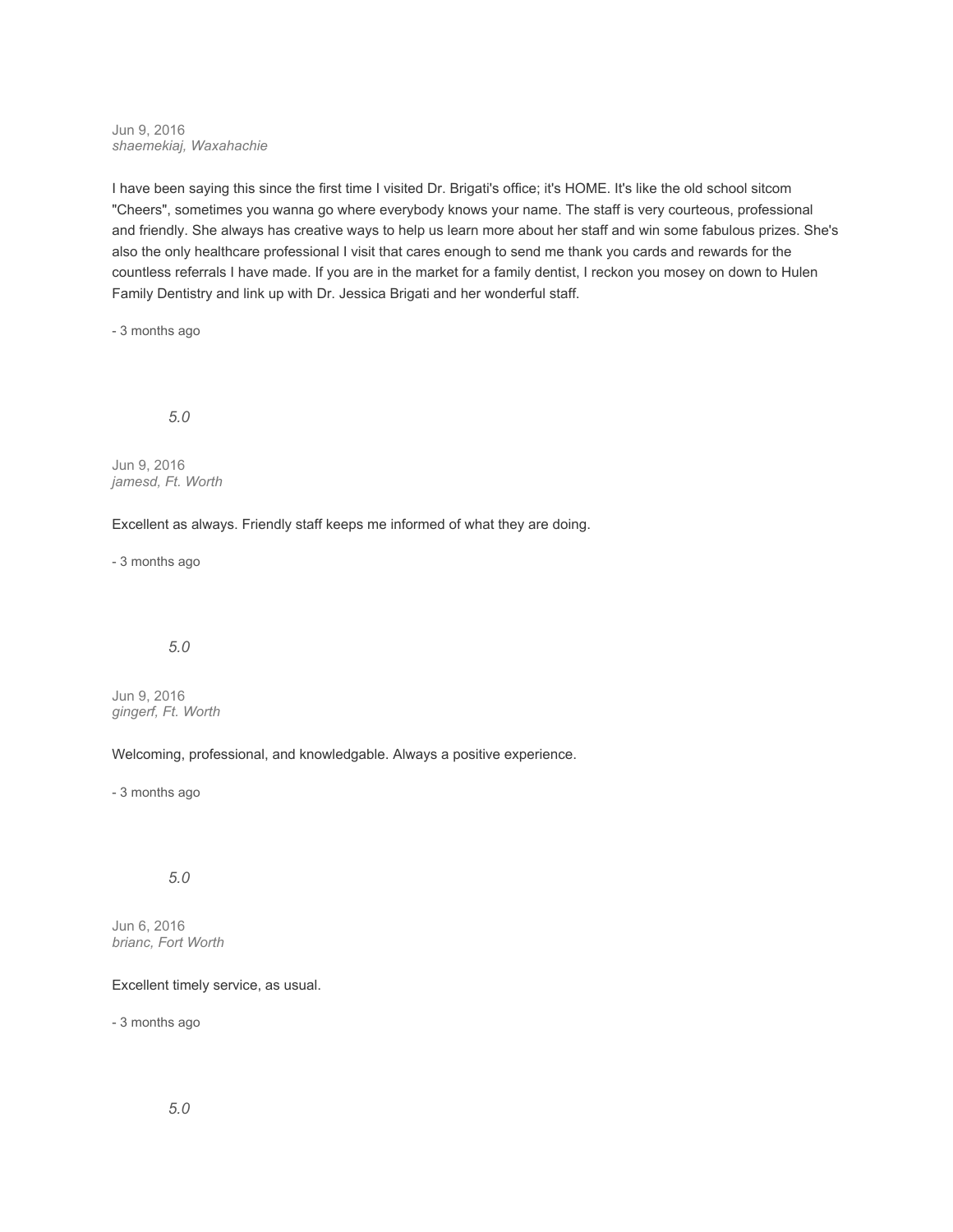Jun 9, 2016 *shaemekiaj, Waxahachie*

I have been saying this since the first time I visited Dr. Brigati's office; it's HOME. It's like the old school sitcom "Cheers", sometimes you wanna go where everybody knows your name. The staff is very courteous, professional and friendly. She always has creative ways to help us learn more about her staff and win some fabulous prizes. She's also the only healthcare professional I visit that cares enough to send me thank you cards and rewards for the countless referrals I have made. If you are in the market for a family dentist, I reckon you mosey on down to Hulen Family Dentistry and link up with Dr. Jessica Brigati and her wonderful staff.

- 3 months ago

*5.0*

Jun 9, 2016 *jamesd, Ft. Worth*

Excellent as always. Friendly staff keeps me informed of what they are doing.

- 3 months ago

### *5.0*

Jun 9, 2016 *gingerf, Ft. Worth*

Welcoming, professional, and knowledgable. Always a positive experience.

- 3 months ago

### *5.0*

Jun 6, 2016 *brianc, Fort Worth*

Excellent timely service, as usual.

- 3 months ago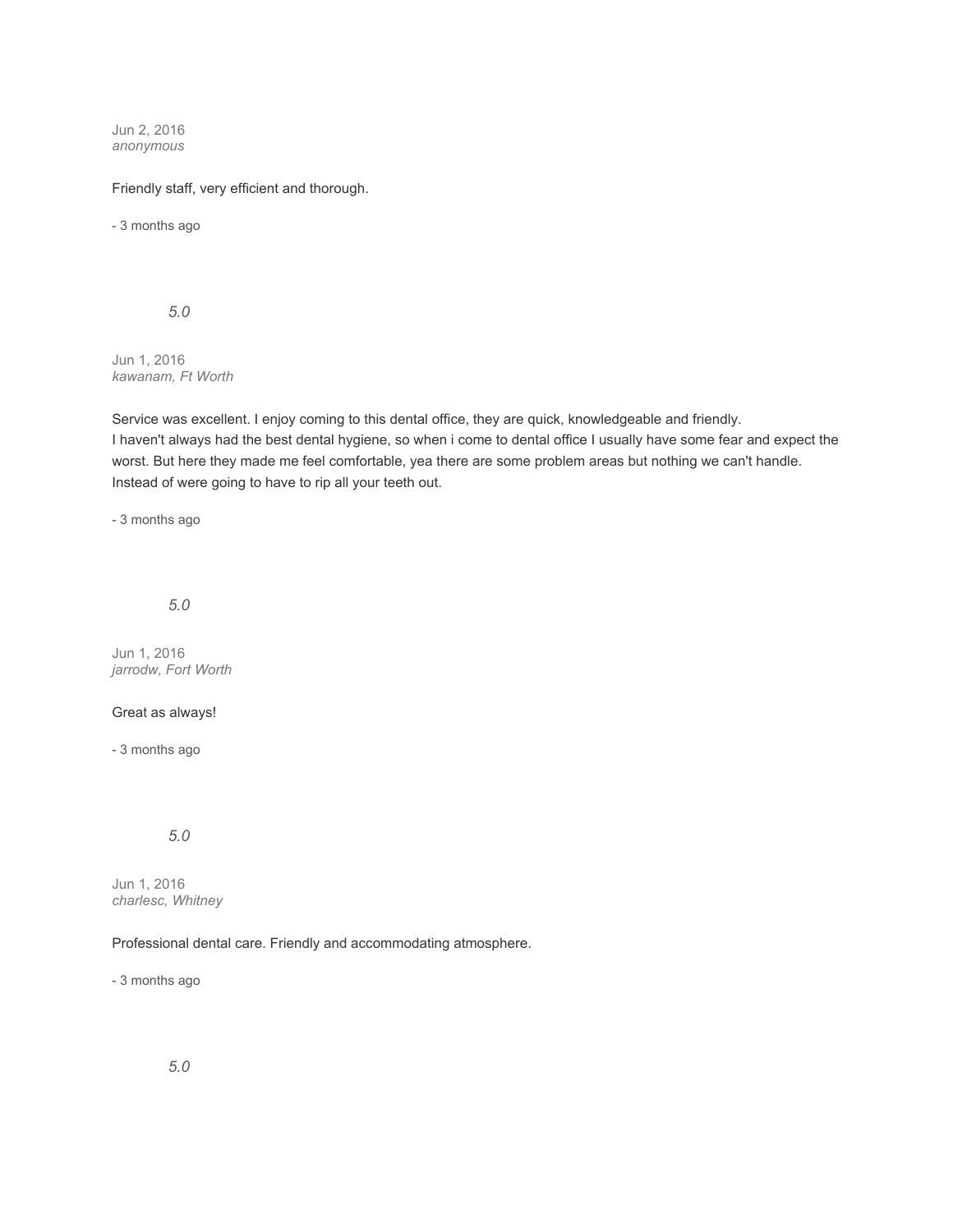Jun 2, 2016 *anonymous*

Friendly staff, very efficient and thorough.

- 3 months ago

*5.0*

Jun 1, 2016 *kawanam, Ft Worth*

Service was excellent. I enjoy coming to this dental office, they are quick, knowledgeable and friendly. I haven't always had the best dental hygiene, so when i come to dental office I usually have some fear and expect the worst. But here they made me feel comfortable, yea there are some problem areas but nothing we can't handle. Instead of were going to have to rip all your teeth out.

- 3 months ago

*5.0*

Jun 1, 2016 *jarrodw, Fort Worth*

### Great as always!

- 3 months ago

*5.0*

Jun 1, 2016 *charlesc, Whitney*

### Professional dental care. Friendly and accommodating atmosphere.

- 3 months ago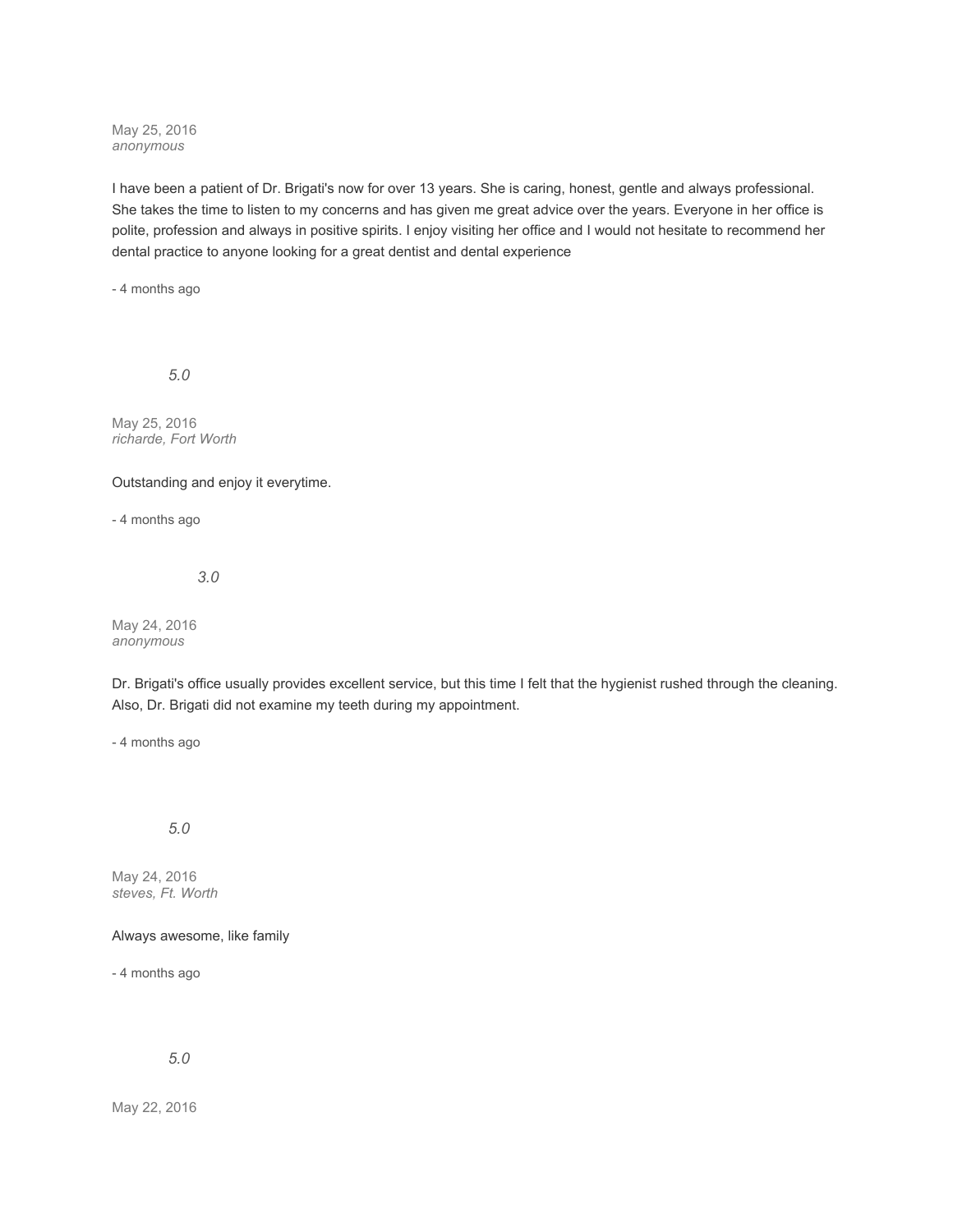May 25, 2016 *anonymous*

I have been a patient of Dr. Brigati's now for over 13 years. She is caring, honest, gentle and always professional. She takes the time to listen to my concerns and has given me great advice over the years. Everyone in her office is polite, profession and always in positive spirits. I enjoy visiting her office and I would not hesitate to recommend her dental practice to anyone looking for a great dentist and dental experience

- 4 months ago

*5.0*

May 25, 2016 *richarde, Fort Worth*

Outstanding and enjoy it everytime.

- 4 months ago

*3.0*

May 24, 2016 *anonymous*

Dr. Brigati's office usually provides excellent service, but this time I felt that the hygienist rushed through the cleaning. Also, Dr. Brigati did not examine my teeth during my appointment.

- 4 months ago

*5.0*

May 24, 2016 *steves, Ft. Worth*

Always awesome, like family

- 4 months ago

*5.0*

May 22, 2016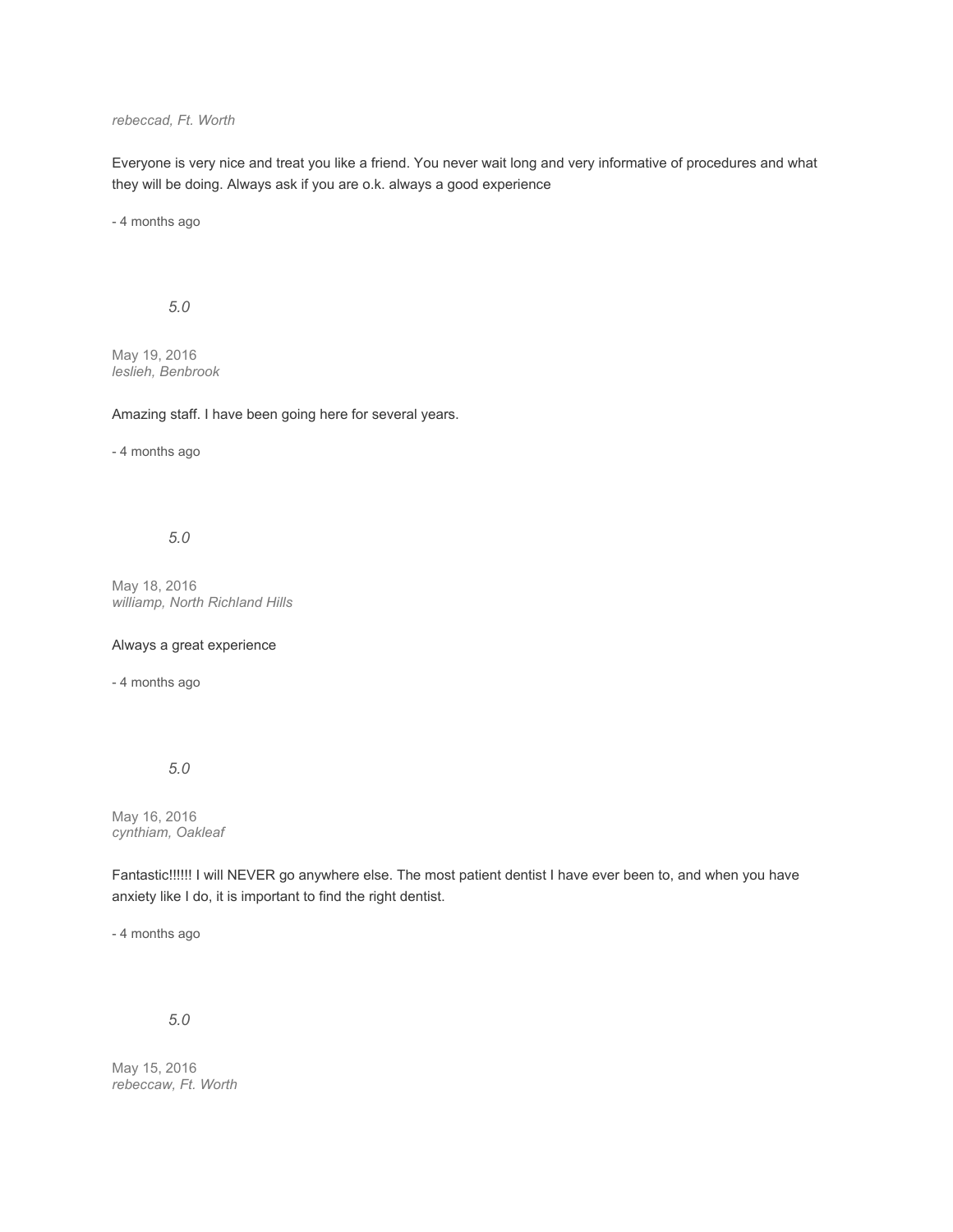## *rebeccad, Ft. Worth*

Everyone is very nice and treat you like a friend. You never wait long and very informative of procedures and what they will be doing. Always ask if you are o.k. always a good experience

- 4 months ago

*5.0*

May 19, 2016 *leslieh, Benbrook*

Amazing staff. I have been going here for several years.

- 4 months ago

*5.0*

May 18, 2016 *williamp, North Richland Hills*

Always a great experience

- 4 months ago

*5.0*

May 16, 2016 *cynthiam, Oakleaf*

Fantastic!!!!!! I will NEVER go anywhere else. The most patient dentist I have ever been to, and when you have anxiety like I do, it is important to find the right dentist.

- 4 months ago

*5.0*

May 15, 2016 *rebeccaw, Ft. Worth*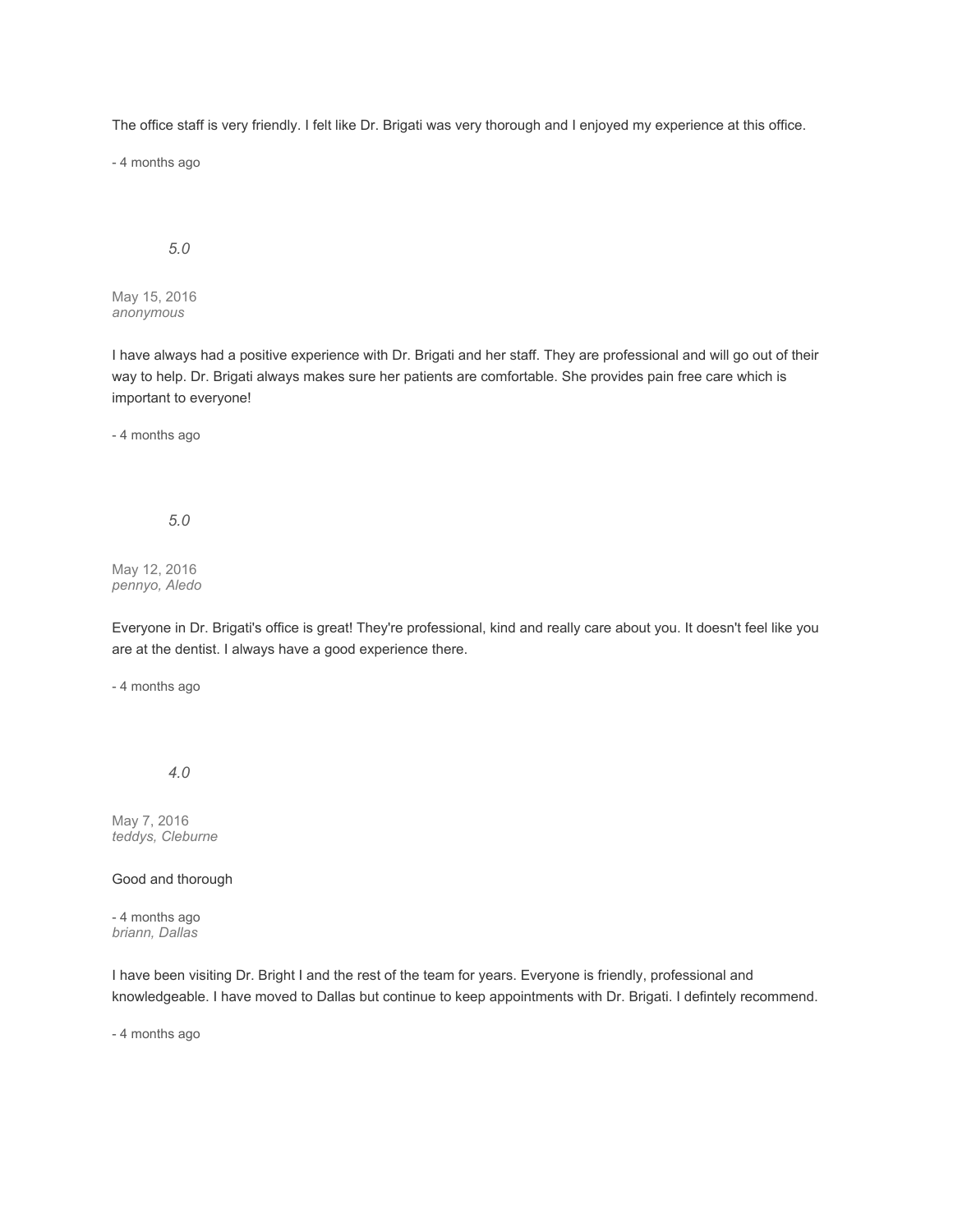The office staff is very friendly. I felt like Dr. Brigati was very thorough and I enjoyed my experience at this office.

- 4 months ago

## *5.0*

May 15, 2016 *anonymous*

I have always had a positive experience with Dr. Brigati and her staff. They are professional and will go out of their way to help. Dr. Brigati always makes sure her patients are comfortable. She provides pain free care which is important to everyone!

- 4 months ago

*5.0*

May 12, 2016 *pennyo, Aledo*

Everyone in Dr. Brigati's office is great! They're professional, kind and really care about you. It doesn't feel like you are at the dentist. I always have a good experience there.

- 4 months ago

*4.0*

May 7, 2016 *teddys, Cleburne*

Good and thorough

- 4 months ago *briann, Dallas*

I have been visiting Dr. Bright I and the rest of the team for years. Everyone is friendly, professional and knowledgeable. I have moved to Dallas but continue to keep appointments with Dr. Brigati. I defintely recommend.

- 4 months ago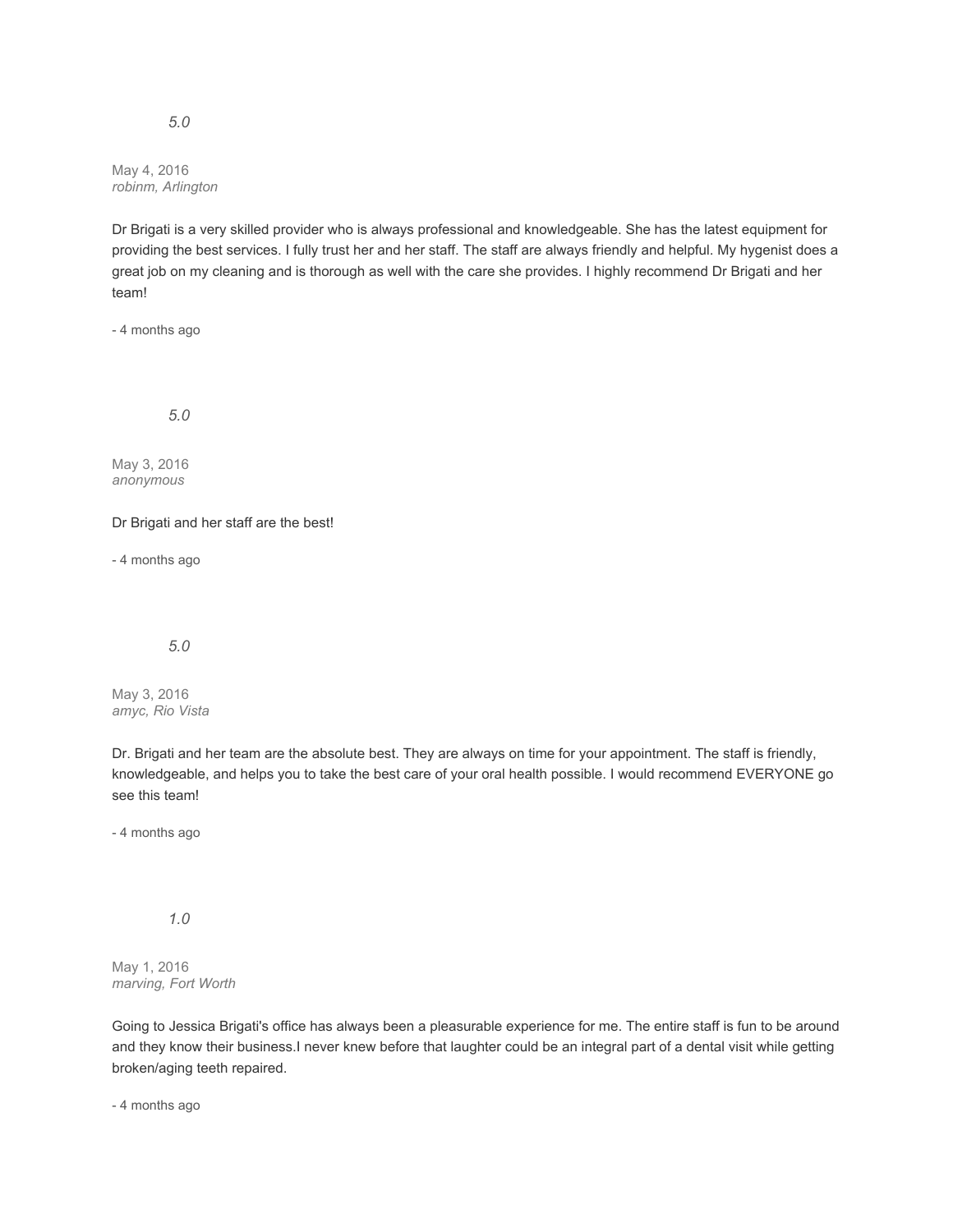May 4, 2016 *robinm, Arlington*

Dr Brigati is a very skilled provider who is always professional and knowledgeable. She has the latest equipment for providing the best services. I fully trust her and her staff. The staff are always friendly and helpful. My hygenist does a great job on my cleaning and is thorough as well with the care she provides. I highly recommend Dr Brigati and her team!

- 4 months ago

*5.0*

May 3, 2016 *anonymous*

Dr Brigati and her staff are the best!

- 4 months ago

*5.0*

May 3, 2016 *amyc, Rio Vista*

Dr. Brigati and her team are the absolute best. They are always on time for your appointment. The staff is friendly, knowledgeable, and helps you to take the best care of your oral health possible. I would recommend EVERYONE go see this team!

- 4 months ago

*1.0*

May 1, 2016 *marving, Fort Worth*

Going to Jessica Brigati's office has always been a pleasurable experience for me. The entire staff is fun to be around and they know their business.I never knew before that laughter could be an integral part of a dental visit while getting broken/aging teeth repaired.

- 4 months ago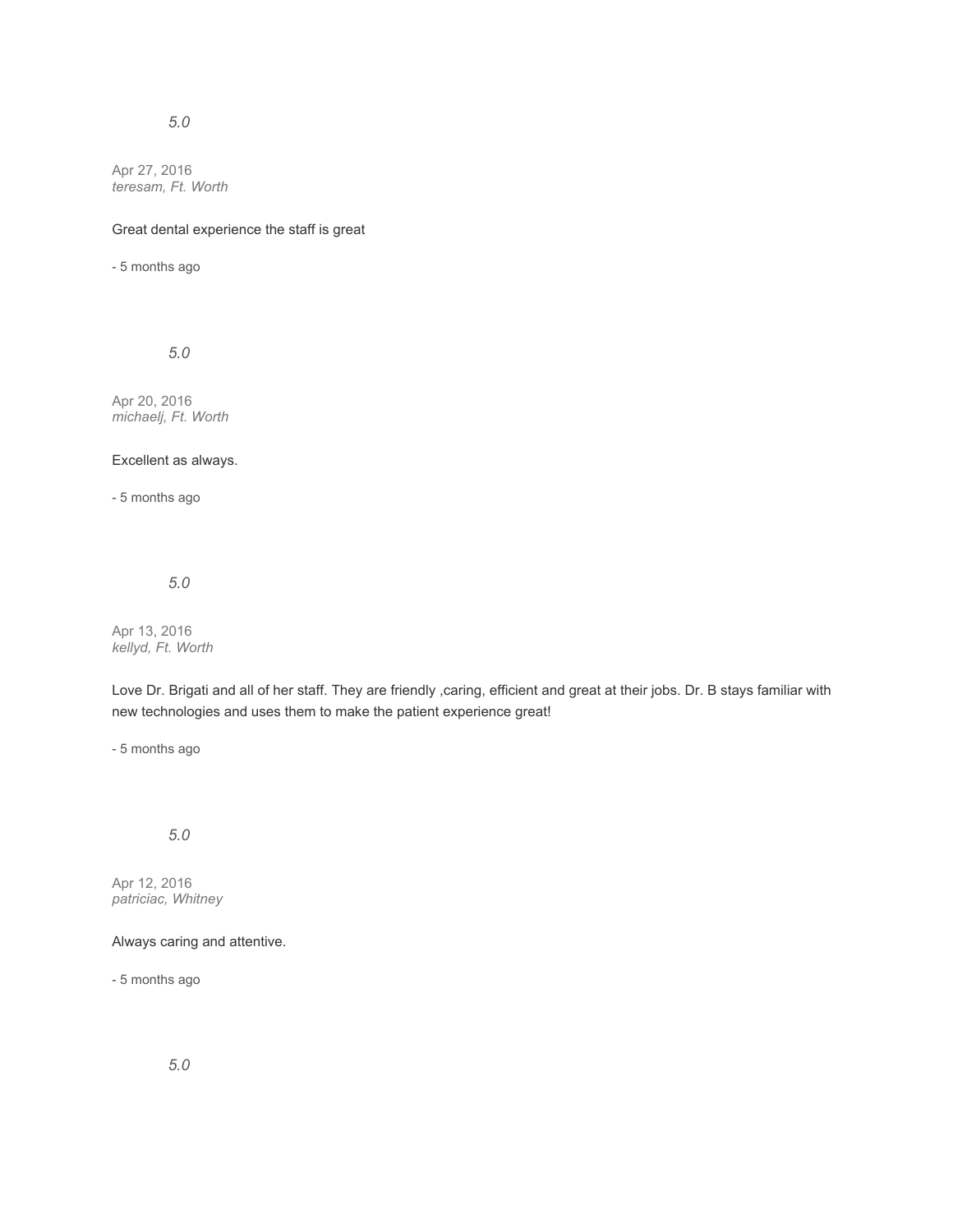## *5.0*

Apr 27, 2016 *teresam, Ft. Worth*

## Great dental experience the staff is great

- 5 months ago

*5.0*

Apr 20, 2016 *michaelj, Ft. Worth*

#### Excellent as always.

- 5 months ago

*5.0*

Apr 13, 2016 *kellyd, Ft. Worth*

Love Dr. Brigati and all of her staff. They are friendly ,caring, efficient and great at their jobs. Dr. B stays familiar with new technologies and uses them to make the patient experience great!

- 5 months ago

## *5.0*

Apr 12, 2016 *patriciac, Whitney*

## Always caring and attentive.

- 5 months ago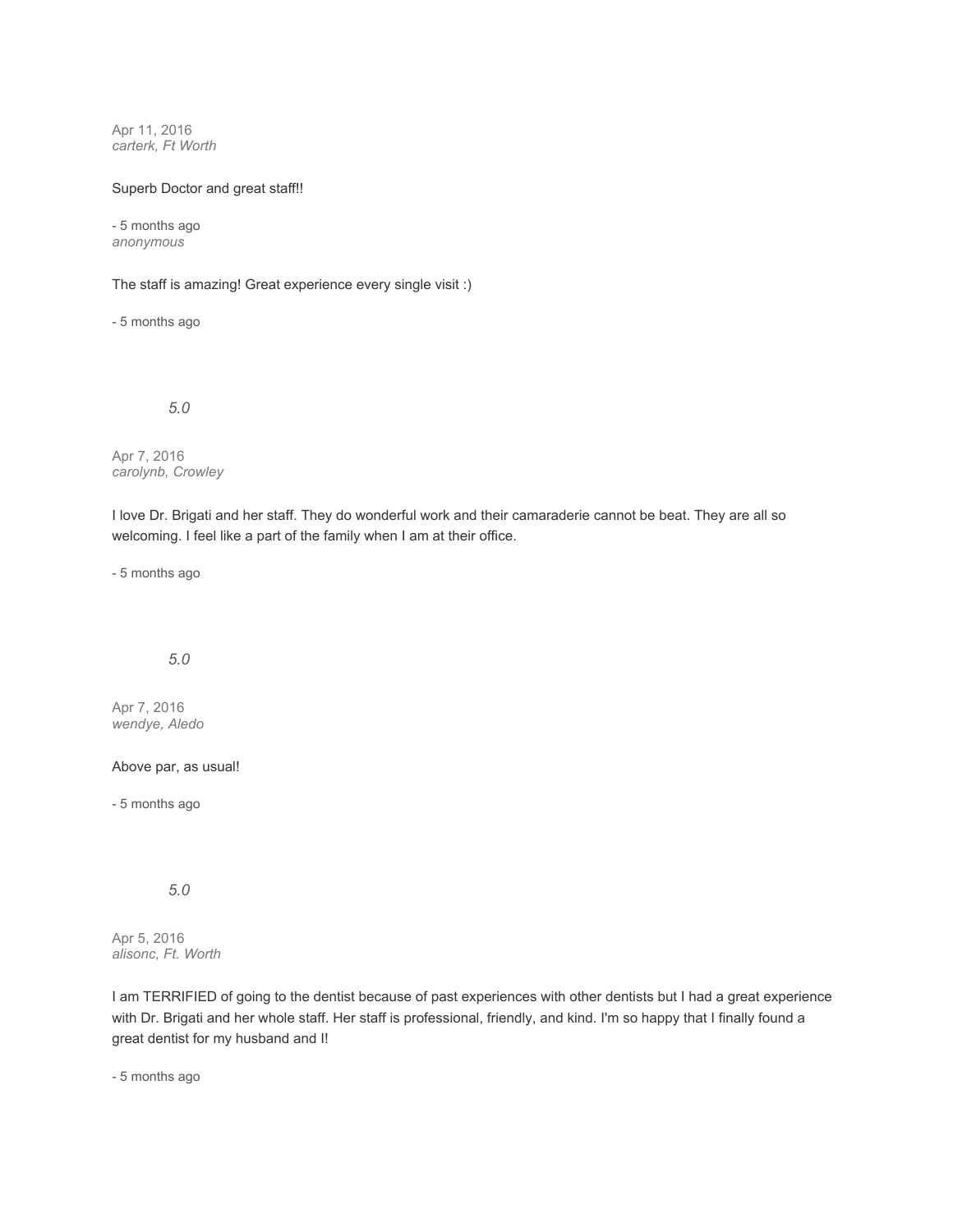Apr 11, 2016 *carterk, Ft Worth*

#### Superb Doctor and great staff!!

- 5 months ago *anonymous*

The staff is amazing! Great experience every single visit :)

- 5 months ago

*5.0*

Apr 7, 2016 *carolynb, Crowley*

I love Dr. Brigati and her staff. They do wonderful work and their camaraderie cannot be beat. They are all so welcoming. I feel like a part of the family when I am at their office.

- 5 months ago

## *5.0*

Apr 7, 2016 *wendye, Aledo*

#### Above par, as usual!

- 5 months ago

*5.0*

Apr 5, 2016 *alisonc, Ft. Worth*

I am TERRIFIED of going to the dentist because of past experiences with other dentists but I had a great experience with Dr. Brigati and her whole staff. Her staff is professional, friendly, and kind. I'm so happy that I finally found a great dentist for my husband and I!

- 5 months ago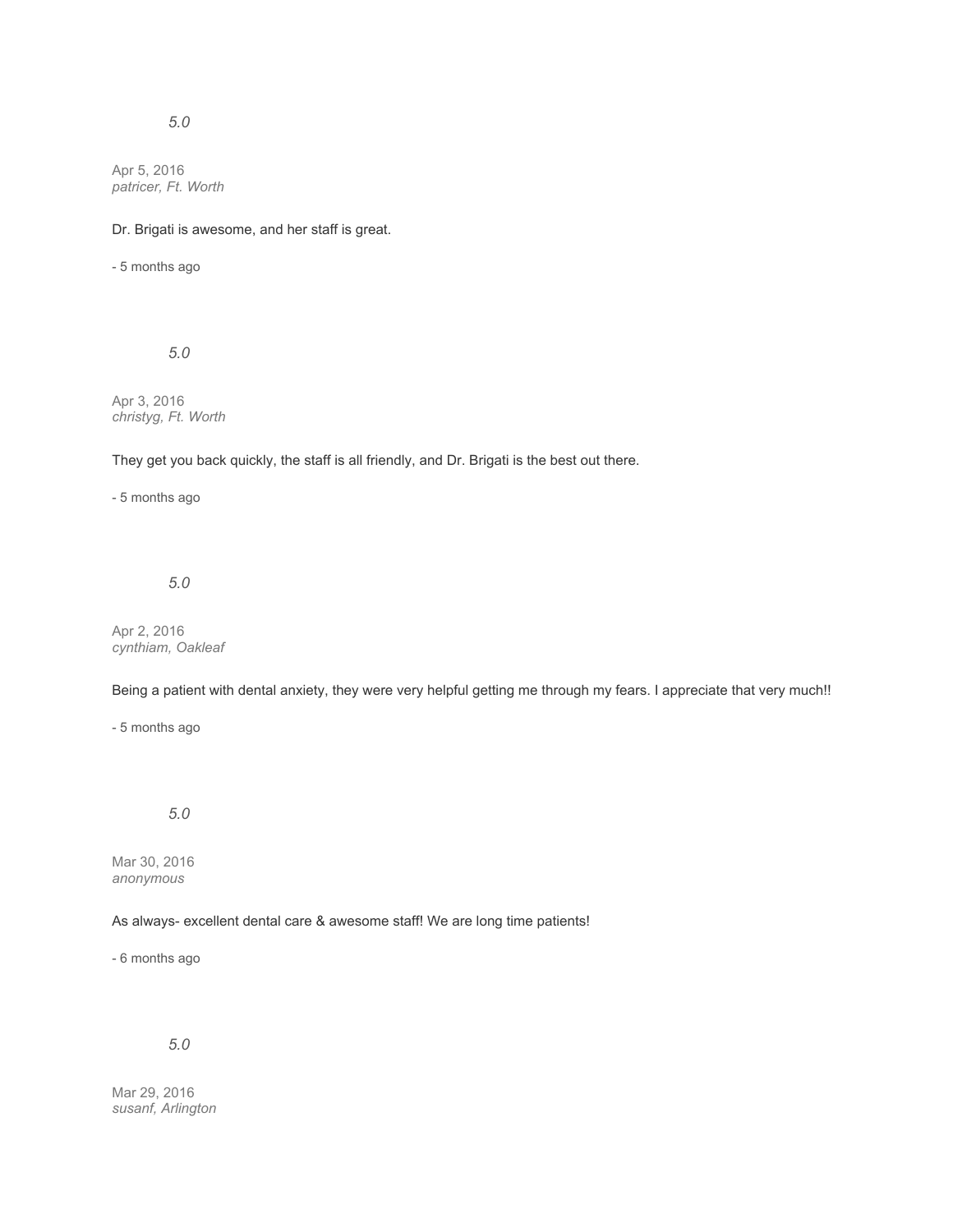# *5.0*

Apr 5, 2016 *patricer, Ft. Worth*

Dr. Brigati is awesome, and her staff is great.

- 5 months ago

*5.0*

Apr 3, 2016 *christyg, Ft. Worth*

They get you back quickly, the staff is all friendly, and Dr. Brigati is the best out there.

- 5 months ago

*5.0*

Apr 2, 2016 *cynthiam, Oakleaf*

Being a patient with dental anxiety, they were very helpful getting me through my fears. I appreciate that very much!!

- 5 months ago

*5.0*

Mar 30, 2016 *anonymous*

As always- excellent dental care & awesome staff! We are long time patients!

- 6 months ago

*5.0*

Mar 29, 2016 *susanf, Arlington*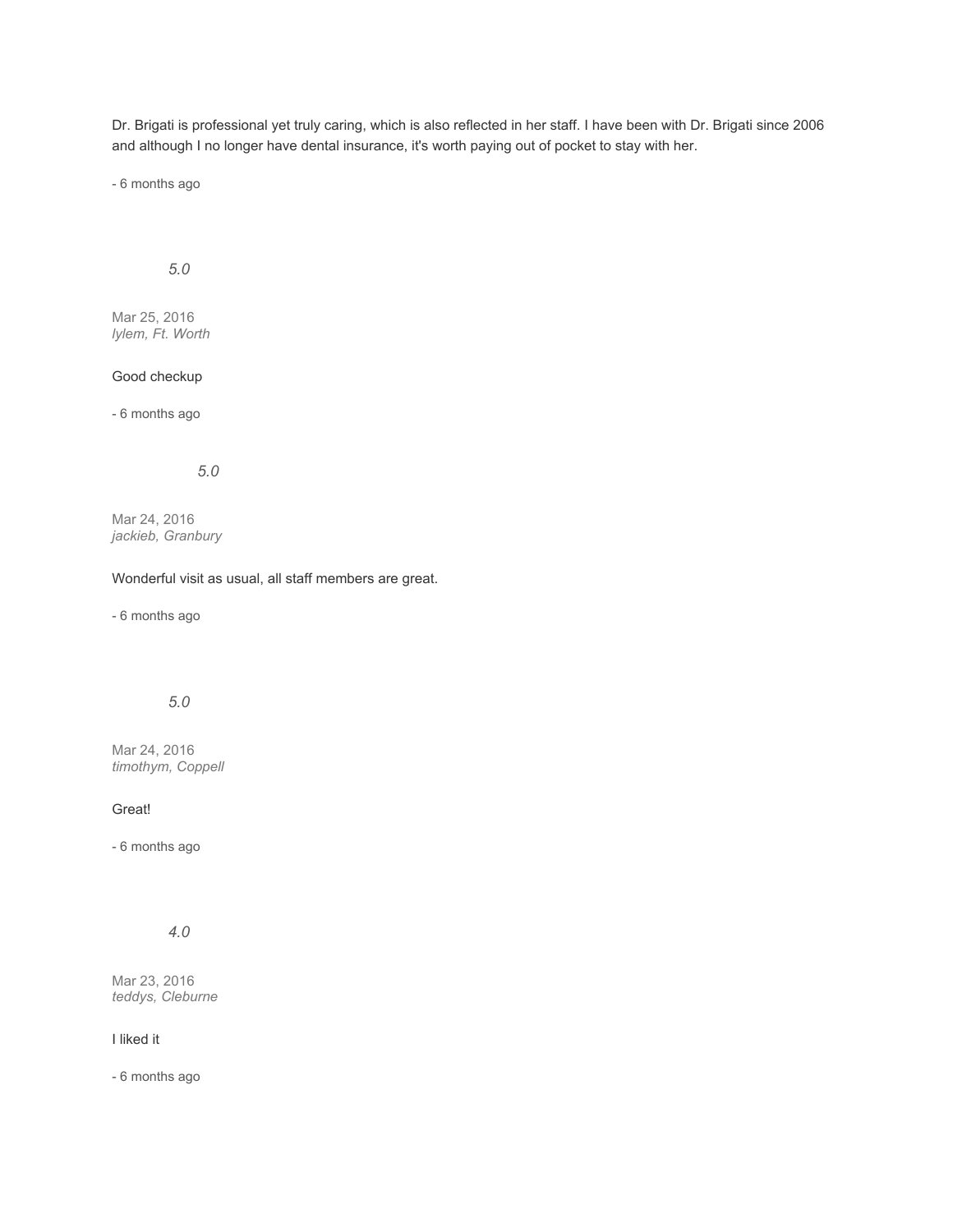Dr. Brigati is professional yet truly caring, which is also reflected in her staff. I have been with Dr. Brigati since 2006 and although I no longer have dental insurance, it's worth paying out of pocket to stay with her.

- 6 months ago

## *5.0*

Mar 25, 2016 *lylem, Ft. Worth*

# Good checkup

- 6 months ago

## *5.0*

Mar 24, 2016 *jackieb, Granbury*

#### Wonderful visit as usual, all staff members are great.

- 6 months ago

## *5.0*

Mar 24, 2016 *timothym, Coppell*

### Great!

- 6 months ago

# *4.0*

Mar 23, 2016 *teddys, Cleburne*

### I liked it

- 6 months ago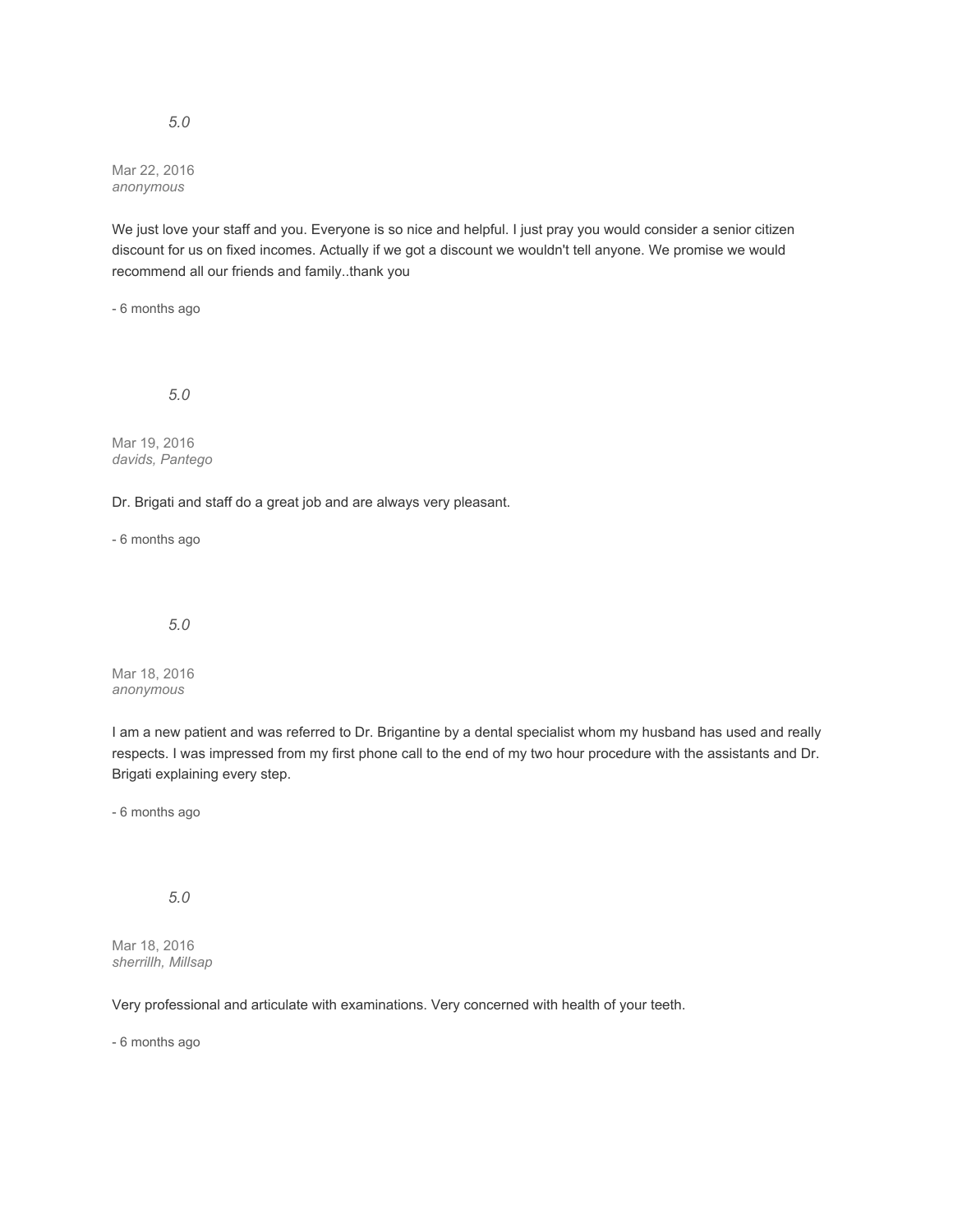Mar 22, 2016 *anonymous*

We just love your staff and you. Everyone is so nice and helpful. I just pray you would consider a senior citizen discount for us on fixed incomes. Actually if we got a discount we wouldn't tell anyone. We promise we would recommend all our friends and family..thank you

- 6 months ago

*5.0*

Mar 19, 2016 *davids, Pantego*

Dr. Brigati and staff do a great job and are always very pleasant.

- 6 months ago

*5.0*

Mar 18, 2016 *anonymous*

I am a new patient and was referred to Dr. Brigantine by a dental specialist whom my husband has used and really respects. I was impressed from my first phone call to the end of my two hour procedure with the assistants and Dr. Brigati explaining every step.

- 6 months ago

*5.0*

Mar 18, 2016 *sherrillh, Millsap*

Very professional and articulate with examinations. Very concerned with health of your teeth.

- 6 months ago